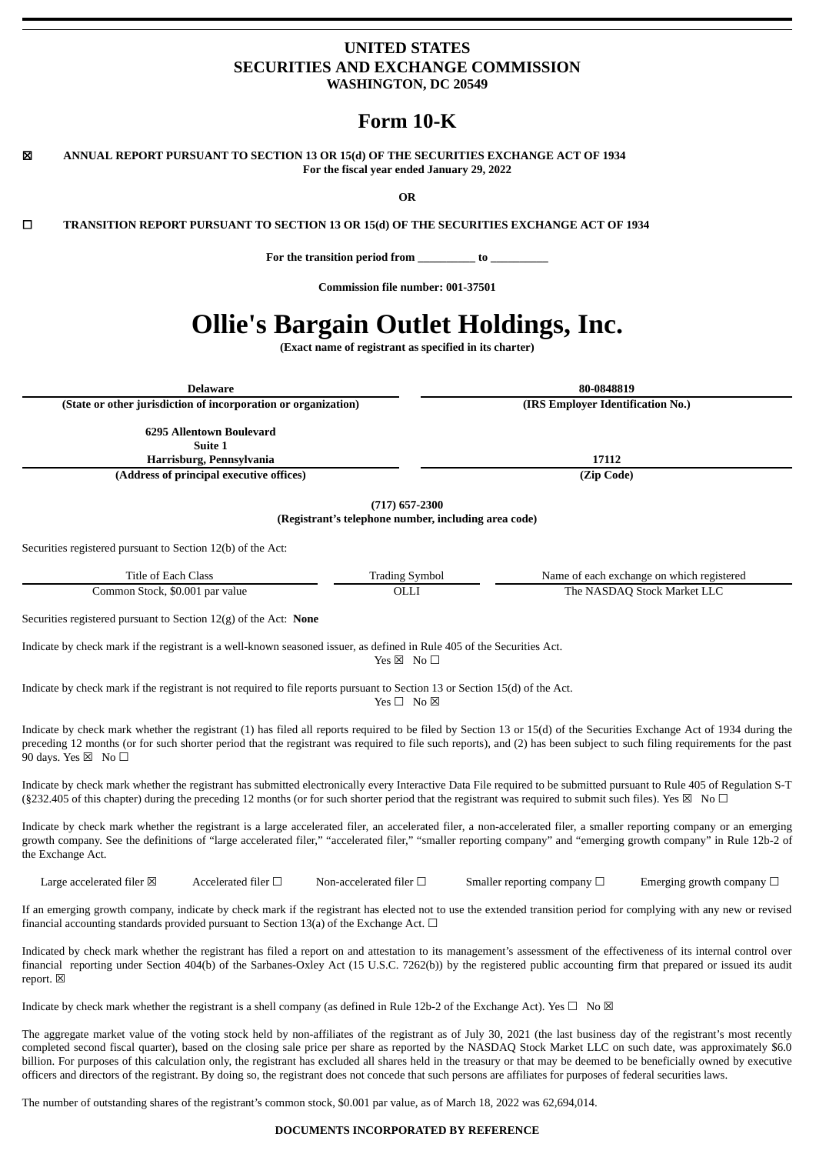# **UNITED STATES SECURITIES AND EXCHANGE COMMISSION WASHINGTON, DC 20549**

# **Form 10-K**

| X         | ANNUAL REPORT PURSUANT TO SECTION 13 OR 15(d) OF THE SECURITIES EXCHANGE ACT OF 1934<br>For the fiscal year ended January 29, 2022                                                                                                                                                                                                                                                                                                                                                                                                                                                                                                                                                  |                                                                          |                                              |                                           |  |  |
|-----------|-------------------------------------------------------------------------------------------------------------------------------------------------------------------------------------------------------------------------------------------------------------------------------------------------------------------------------------------------------------------------------------------------------------------------------------------------------------------------------------------------------------------------------------------------------------------------------------------------------------------------------------------------------------------------------------|--------------------------------------------------------------------------|----------------------------------------------|-------------------------------------------|--|--|
|           |                                                                                                                                                                                                                                                                                                                                                                                                                                                                                                                                                                                                                                                                                     | <b>OR</b>                                                                |                                              |                                           |  |  |
| $\Box$    | TRANSITION REPORT PURSUANT TO SECTION 13 OR 15(d) OF THE SECURITIES EXCHANGE ACT OF 1934                                                                                                                                                                                                                                                                                                                                                                                                                                                                                                                                                                                            |                                                                          |                                              |                                           |  |  |
|           |                                                                                                                                                                                                                                                                                                                                                                                                                                                                                                                                                                                                                                                                                     | For the transition period from ___________ to _                          |                                              |                                           |  |  |
|           |                                                                                                                                                                                                                                                                                                                                                                                                                                                                                                                                                                                                                                                                                     | <b>Commission file number: 001-37501</b>                                 |                                              |                                           |  |  |
|           |                                                                                                                                                                                                                                                                                                                                                                                                                                                                                                                                                                                                                                                                                     |                                                                          |                                              |                                           |  |  |
|           |                                                                                                                                                                                                                                                                                                                                                                                                                                                                                                                                                                                                                                                                                     | (Exact name of registrant as specified in its charter)                   | <b>Ollie's Bargain Outlet Holdings, Inc.</b> |                                           |  |  |
|           |                                                                                                                                                                                                                                                                                                                                                                                                                                                                                                                                                                                                                                                                                     |                                                                          |                                              |                                           |  |  |
|           | <b>Delaware</b>                                                                                                                                                                                                                                                                                                                                                                                                                                                                                                                                                                                                                                                                     |                                                                          | 80-0848819                                   |                                           |  |  |
|           | (State or other jurisdiction of incorporation or organization)                                                                                                                                                                                                                                                                                                                                                                                                                                                                                                                                                                                                                      |                                                                          | (IRS Employer Identification No.)            |                                           |  |  |
|           | 6295 Allentown Boulevard                                                                                                                                                                                                                                                                                                                                                                                                                                                                                                                                                                                                                                                            |                                                                          |                                              |                                           |  |  |
|           | Suite 1                                                                                                                                                                                                                                                                                                                                                                                                                                                                                                                                                                                                                                                                             |                                                                          |                                              |                                           |  |  |
|           | Harrisburg, Pennsylvania                                                                                                                                                                                                                                                                                                                                                                                                                                                                                                                                                                                                                                                            |                                                                          | 17112                                        |                                           |  |  |
|           | (Address of principal executive offices)                                                                                                                                                                                                                                                                                                                                                                                                                                                                                                                                                                                                                                            |                                                                          | (Zip Code)                                   |                                           |  |  |
|           |                                                                                                                                                                                                                                                                                                                                                                                                                                                                                                                                                                                                                                                                                     | $(717)$ 657-2300<br>(Registrant's telephone number, including area code) |                                              |                                           |  |  |
|           | Securities registered pursuant to Section 12(b) of the Act:                                                                                                                                                                                                                                                                                                                                                                                                                                                                                                                                                                                                                         |                                                                          |                                              |                                           |  |  |
|           | Title of Each Class                                                                                                                                                                                                                                                                                                                                                                                                                                                                                                                                                                                                                                                                 | <b>Trading Symbol</b>                                                    |                                              | Name of each exchange on which registered |  |  |
|           | Common Stock, \$0.001 par value                                                                                                                                                                                                                                                                                                                                                                                                                                                                                                                                                                                                                                                     | OLLI                                                                     |                                              | The NASDAQ Stock Market LLC               |  |  |
|           | Securities registered pursuant to Section $12(g)$ of the Act: <b>None</b>                                                                                                                                                                                                                                                                                                                                                                                                                                                                                                                                                                                                           |                                                                          |                                              |                                           |  |  |
|           |                                                                                                                                                                                                                                                                                                                                                                                                                                                                                                                                                                                                                                                                                     |                                                                          |                                              |                                           |  |  |
|           | Indicate by check mark if the registrant is a well-known seasoned issuer, as defined in Rule 405 of the Securities Act.                                                                                                                                                                                                                                                                                                                                                                                                                                                                                                                                                             | Yes $\boxtimes$ No $\Box$                                                |                                              |                                           |  |  |
|           | Indicate by check mark if the registrant is not required to file reports pursuant to Section 13 or Section 15(d) of the Act.                                                                                                                                                                                                                                                                                                                                                                                                                                                                                                                                                        | Yes $\Box$ No $\boxtimes$                                                |                                              |                                           |  |  |
|           | Indicate by check mark whether the registrant (1) has filed all reports required to be filed by Section 13 or 15(d) of the Securities Exchange Act of 1934 during the<br>preceding 12 months (or for such shorter period that the registrant was required to file such reports), and (2) has been subject to such filing requirements for the past<br>90 days. Yes $\boxtimes$ No $\square$                                                                                                                                                                                                                                                                                         |                                                                          |                                              |                                           |  |  |
|           | Indicate by check mark whether the registrant has submitted electronically every Interactive Data File required to be submitted pursuant to Rule 405 of Regulation S-T<br>(§232.405 of this chapter) during the preceding 12 months (or for such shorter period that the registrant was required to submit such files). Yes $\boxtimes$ No $\Box$                                                                                                                                                                                                                                                                                                                                   |                                                                          |                                              |                                           |  |  |
|           | Indicate by check mark whether the registrant is a large accelerated filer, an accelerated filer, a non-accelerated filer, a smaller reporting company or an emerging<br>growth company. See the definitions of "large accelerated filer," "accelerated filer," "smaller reporting company" and "emerging growth company" in Rule 12b-2 of<br>the Exchange Act.                                                                                                                                                                                                                                                                                                                     |                                                                          |                                              |                                           |  |  |
|           | Accelerated filer $\Box$<br>Large accelerated filer $\boxtimes$                                                                                                                                                                                                                                                                                                                                                                                                                                                                                                                                                                                                                     | Non-accelerated filer $\Box$                                             | Smaller reporting company $\Box$             | Emerging growth company $\Box$            |  |  |
|           | If an emerging growth company, indicate by check mark if the registrant has elected not to use the extended transition period for complying with any new or revised<br>financial accounting standards provided pursuant to Section 13(a) of the Exchange Act. $\Box$                                                                                                                                                                                                                                                                                                                                                                                                                |                                                                          |                                              |                                           |  |  |
| report. 凶 | Indicated by check mark whether the registrant has filed a report on and attestation to its management's assessment of the effectiveness of its internal control over<br>financial reporting under Section 404(b) of the Sarbanes-Oxley Act (15 U.S.C. 7262(b)) by the registered public accounting firm that prepared or issued its audit                                                                                                                                                                                                                                                                                                                                          |                                                                          |                                              |                                           |  |  |
|           | Indicate by check mark whether the registrant is a shell company (as defined in Rule 12b-2 of the Exchange Act). Yes $\Box$ No $\boxtimes$                                                                                                                                                                                                                                                                                                                                                                                                                                                                                                                                          |                                                                          |                                              |                                           |  |  |
|           | The aggregate market value of the voting stock held by non-affiliates of the registrant as of July 30, 2021 (the last business day of the registrant's most recently<br>completed second fiscal quarter), based on the closing sale price per share as reported by the NASDAQ Stock Market LLC on such date, was approximately \$6.0<br>billion. For purposes of this calculation only, the registrant has excluded all shares held in the treasury or that may be deemed to be beneficially owned by executive<br>officers and directors of the registrant. By doing so, the registrant does not concede that such persons are affiliates for purposes of federal securities laws. |                                                                          |                                              |                                           |  |  |

The number of outstanding shares of the registrant's common stock, \$0.001 par value, as of March 18, 2022 was 62,694,014.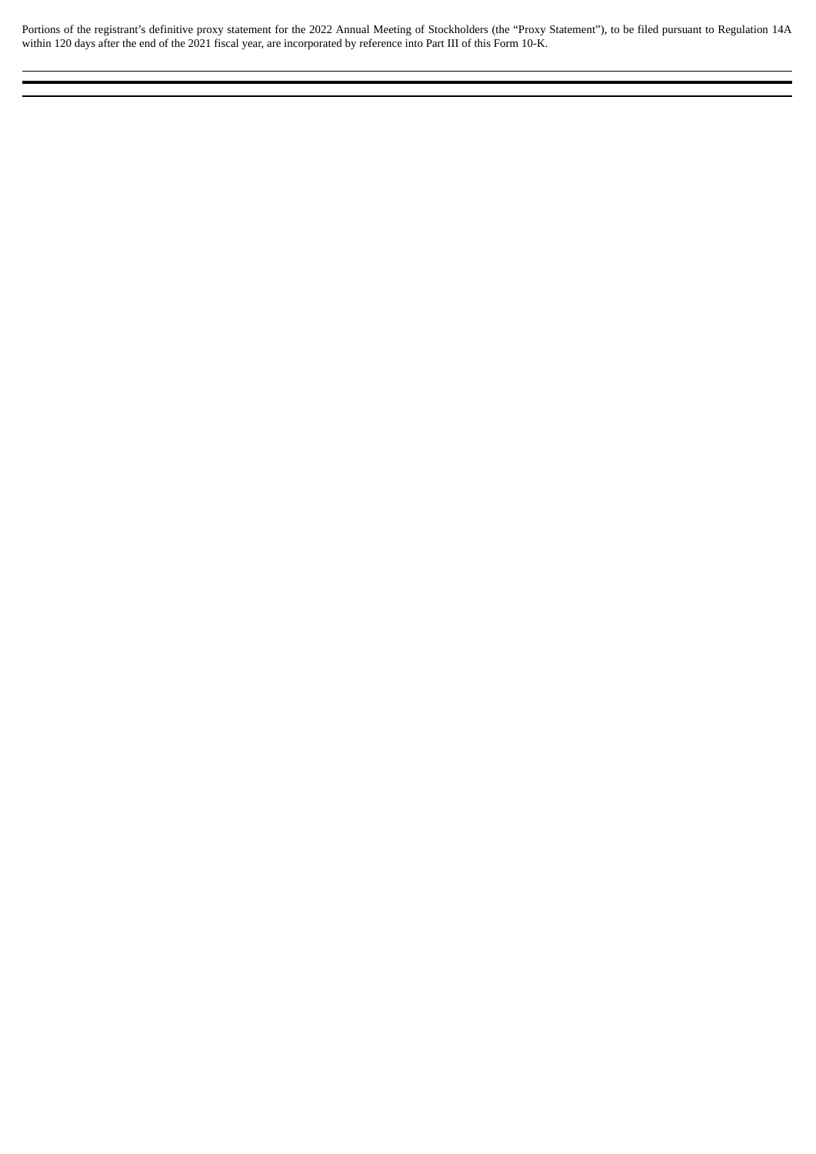Portions of the registrant's definitive proxy statement for the 2022 Annual Meeting of Stockholders (the "Proxy Statement"), to be filed pursuant to Regulation 14A within 120 days after the end of the 2021 fiscal year, are incorporated by reference into Part III of this Form 10-K.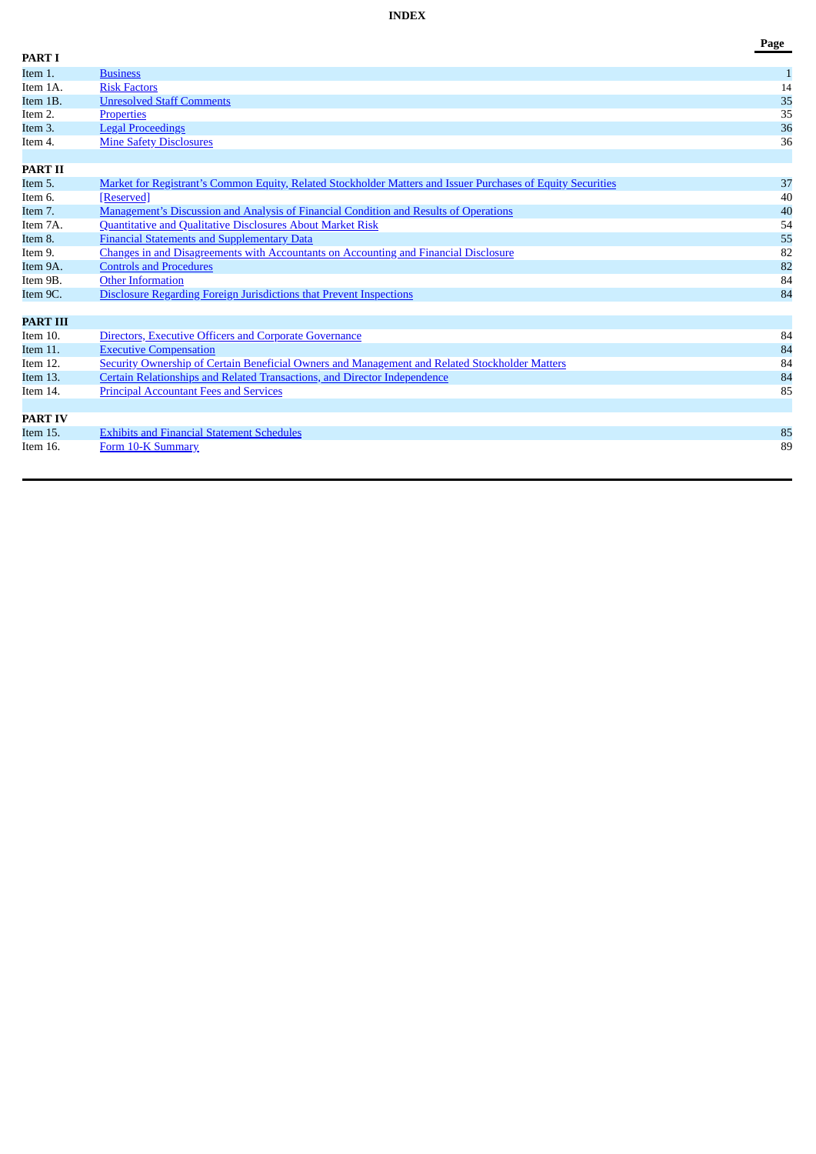**INDEX**

<span id="page-2-0"></span>

| PART I          |                                                                                                              | $-5$         |
|-----------------|--------------------------------------------------------------------------------------------------------------|--------------|
| Item 1.         | <b>Business</b>                                                                                              | $\mathbf{1}$ |
| Item 1A.        | <b>Risk Factors</b>                                                                                          | 14           |
| Item 1B.        | <b>Unresolved Staff Comments</b>                                                                             | 35           |
| Item 2.         | <b>Properties</b>                                                                                            | 35           |
| Item 3.         | <b>Legal Proceedings</b>                                                                                     | 36           |
| Item 4.         | <b>Mine Safety Disclosures</b>                                                                               | 36           |
|                 |                                                                                                              |              |
| PART II         |                                                                                                              |              |
| Item 5.         | Market for Registrant's Common Equity, Related Stockholder Matters and Issuer Purchases of Equity Securities | 37           |
| Item 6.         | [Reserved]                                                                                                   | 40           |
| Item 7.         | <b>Management's Discussion and Analysis of Financial Condition and Results of Operations</b>                 | 40           |
| Item 7A.        | Quantitative and Qualitative Disclosures About Market Risk                                                   | 54           |
| Item 8.         | <b>Financial Statements and Supplementary Data</b>                                                           | 55           |
| Item 9.         | Changes in and Disagreements with Accountants on Accounting and Financial Disclosure                         | 82           |
| Item 9A.        | <b>Controls and Procedures</b>                                                                               | 82           |
| Item 9B.        | <b>Other Information</b>                                                                                     | 84           |
| Item 9C.        | Disclosure Regarding Foreign Jurisdictions that Prevent Inspections                                          | 84           |
|                 |                                                                                                              |              |
| <b>PART III</b> |                                                                                                              |              |
| Item 10.        | <b>Directors, Executive Officers and Corporate Governance</b>                                                | 84           |
| Item 11.        | <b>Executive Compensation</b>                                                                                | 84           |
| Item 12.        | Security Ownership of Certain Beneficial Owners and Management and Related Stockholder Matters               | 84           |
| Item 13.        | Certain Relationships and Related Transactions, and Director Independence                                    | 84           |
| Item 14.        | <b>Principal Accountant Fees and Services</b>                                                                | 85           |
|                 |                                                                                                              |              |
| <b>PART IV</b>  |                                                                                                              |              |
| Item 15.        | <b>Exhibits and Financial Statement Schedules</b>                                                            | 85           |
| Item 16.        | Form 10-K Summary                                                                                            | 89           |
|                 |                                                                                                              |              |

**Page**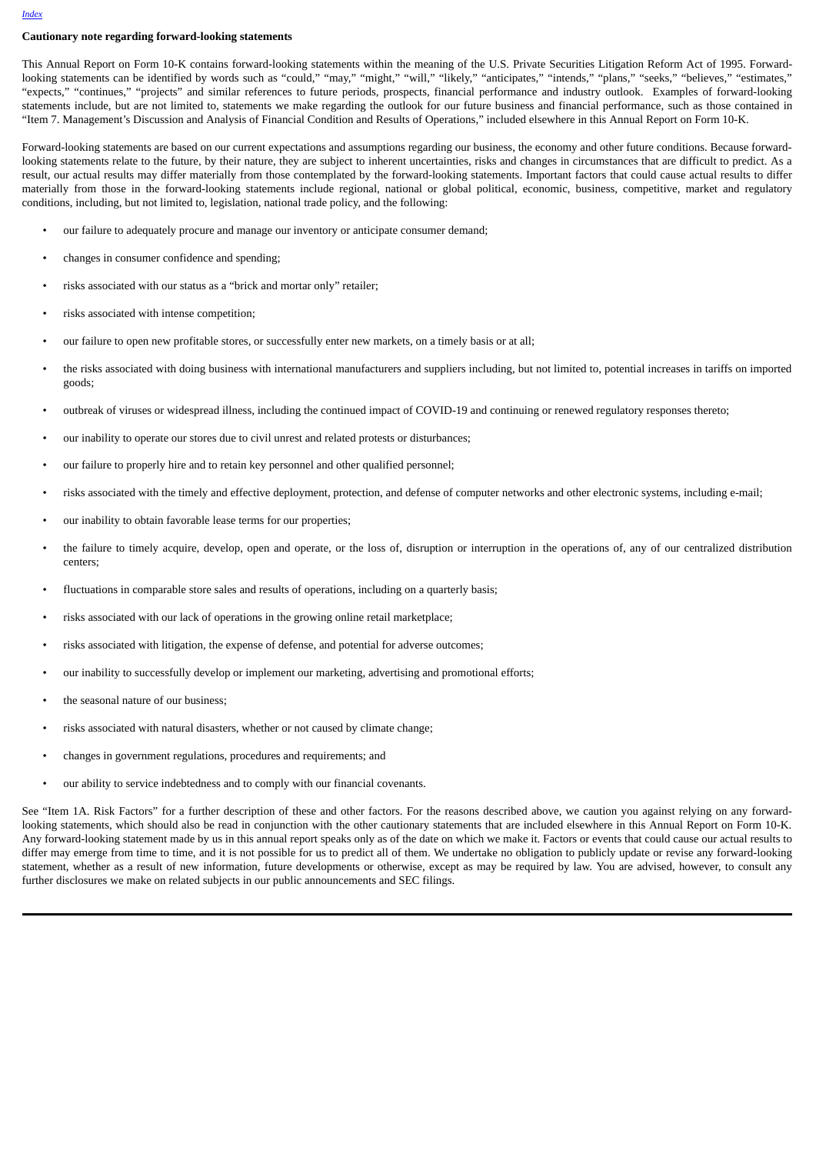## **Cautionary note regarding forward-looking statements**

This Annual Report on Form 10-K contains forward-looking statements within the meaning of the U.S. Private Securities Litigation Reform Act of 1995. Forwardlooking statements can be identified by words such as "could," "may," "might," "will," "likely," "anticipates," "intends," "plans," "seeks," "believes," "estimates," "expects," "continues," "projects" and similar references to future periods, prospects, financial performance and industry outlook. Examples of forward-looking statements include, but are not limited to, statements we make regarding the outlook for our future business and financial performance, such as those contained in "Item 7. Management's Discussion and Analysis of Financial Condition and Results of Operations," included elsewhere in this Annual Report on Form 10-K.

Forward-looking statements are based on our current expectations and assumptions regarding our business, the economy and other future conditions. Because forwardlooking statements relate to the future, by their nature, they are subject to inherent uncertainties, risks and changes in circumstances that are difficult to predict. As a result, our actual results may differ materially from those contemplated by the forward-looking statements. Important factors that could cause actual results to differ materially from those in the forward-looking statements include regional, national or global political, economic, business, competitive, market and regulatory conditions, including, but not limited to, legislation, national trade policy, and the following:

- our failure to adequately procure and manage our inventory or anticipate consumer demand;
- changes in consumer confidence and spending;
- risks associated with our status as a "brick and mortar only" retailer;
- risks associated with intense competition;
- our failure to open new profitable stores, or successfully enter new markets, on a timely basis or at all;
- the risks associated with doing business with international manufacturers and suppliers including, but not limited to, potential increases in tariffs on imported goods;
- outbreak of viruses or widespread illness, including the continued impact of COVID-19 and continuing or renewed regulatory responses thereto;
- our inability to operate our stores due to civil unrest and related protests or disturbances;
- our failure to properly hire and to retain key personnel and other qualified personnel;
- risks associated with the timely and effective deployment, protection, and defense of computer networks and other electronic systems, including e-mail;
- our inability to obtain favorable lease terms for our properties;
- the failure to timely acquire, develop, open and operate, or the loss of, disruption or interruption in the operations of, any of our centralized distribution centers;
- fluctuations in comparable store sales and results of operations, including on a quarterly basis;
- risks associated with our lack of operations in the growing online retail marketplace;
- risks associated with litigation, the expense of defense, and potential for adverse outcomes;
- our inability to successfully develop or implement our marketing, advertising and promotional efforts;
- the seasonal nature of our business;
- risks associated with natural disasters, whether or not caused by climate change;
- changes in government regulations, procedures and requirements; and
- our ability to service indebtedness and to comply with our financial covenants.

See "Item 1A. Risk Factors" for a further description of these and other factors. For the reasons described above, we caution you against relying on any forwardlooking statements, which should also be read in conjunction with the other cautionary statements that are included elsewhere in this Annual Report on Form 10-K. Any forward-looking statement made by us in this annual report speaks only as of the date on which we make it. Factors or events that could cause our actual results to differ may emerge from time to time, and it is not possible for us to predict all of them. We undertake no obligation to publicly update or revise any forward-looking statement, whether as a result of new information, future developments or otherwise, except as may be required by law. You are advised, however, to consult any further disclosures we make on related subjects in our public announcements and SEC filings.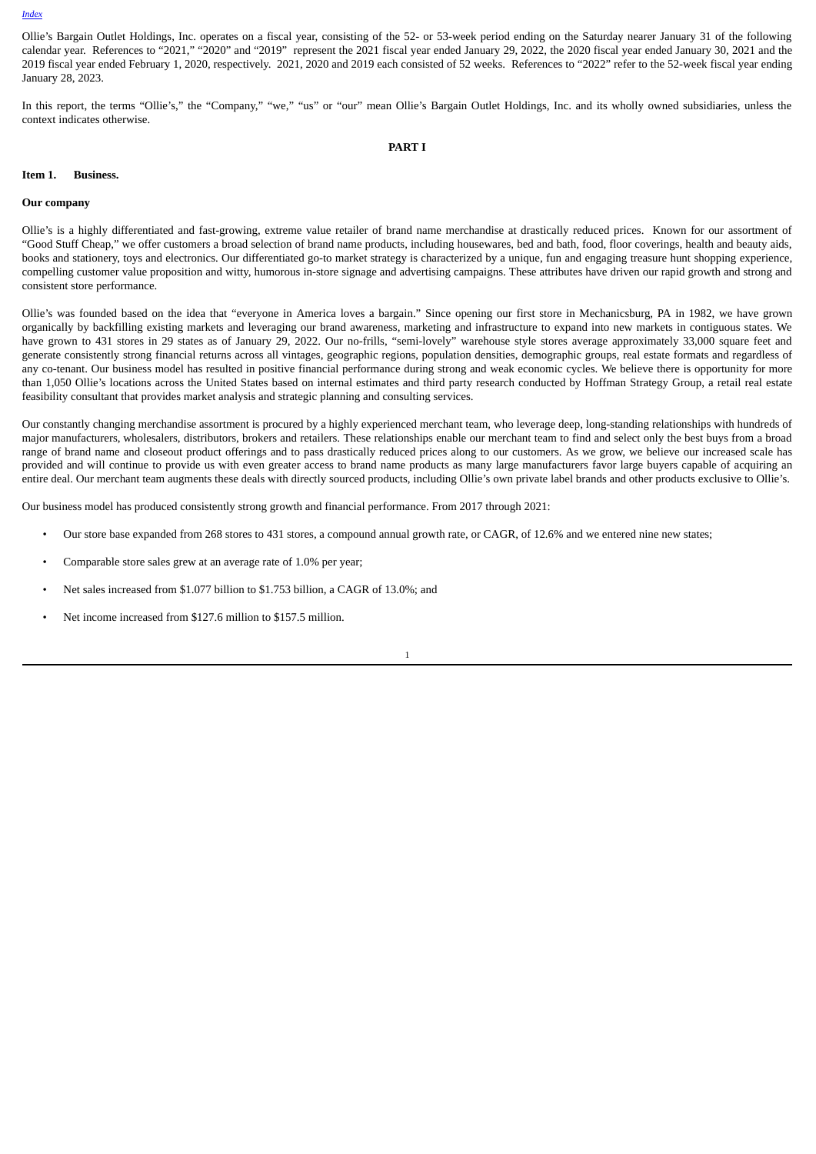Ollie's Bargain Outlet Holdings, Inc. operates on a fiscal year, consisting of the 52- or 53-week period ending on the Saturday nearer January 31 of the following calendar year. References to "2021," "2020" and "2019" represent the 2021 fiscal year ended January 29, 2022, the 2020 fiscal year ended January 30, 2021 and the 2019 fiscal year ended February 1, 2020, respectively. 2021, 2020 and 2019 each consisted of 52 weeks. References to "2022" refer to the 52-week fiscal year ending January 28, 2023.

In this report, the terms "Ollie's," the "Company," "we," "us" or "our" mean Ollie's Bargain Outlet Holdings, Inc. and its wholly owned subsidiaries, unless the context indicates otherwise.

## **PART I**

## <span id="page-4-0"></span>**Item 1. Business.**

## **Our company**

Ollie's is a highly differentiated and fast-growing, extreme value retailer of brand name merchandise at drastically reduced prices. Known for our assortment of "Good Stuff Cheap," we offer customers a broad selection of brand name products, including housewares, bed and bath, food, floor coverings, health and beauty aids, books and stationery, toys and electronics. Our differentiated go-to market strategy is characterized by a unique, fun and engaging treasure hunt shopping experience, compelling customer value proposition and witty, humorous in-store signage and advertising campaigns. These attributes have driven our rapid growth and strong and consistent store performance.

Ollie's was founded based on the idea that "everyone in America loves a bargain." Since opening our first store in Mechanicsburg, PA in 1982, we have grown organically by backfilling existing markets and leveraging our brand awareness, marketing and infrastructure to expand into new markets in contiguous states. We have grown to 431 stores in 29 states as of January 29, 2022. Our no-frills, "semi-lovely" warehouse style stores average approximately 33,000 square feet and generate consistently strong financial returns across all vintages, geographic regions, population densities, demographic groups, real estate formats and regardless of any co-tenant. Our business model has resulted in positive financial performance during strong and weak economic cycles. We believe there is opportunity for more than 1,050 Ollie's locations across the United States based on internal estimates and third party research conducted by Hoffman Strategy Group, a retail real estate feasibility consultant that provides market analysis and strategic planning and consulting services.

Our constantly changing merchandise assortment is procured by a highly experienced merchant team, who leverage deep, long-standing relationships with hundreds of major manufacturers, wholesalers, distributors, brokers and retailers. These relationships enable our merchant team to find and select only the best buys from a broad range of brand name and closeout product offerings and to pass drastically reduced prices along to our customers. As we grow, we believe our increased scale has provided and will continue to provide us with even greater access to brand name products as many large manufacturers favor large buyers capable of acquiring an entire deal. Our merchant team augments these deals with directly sourced products, including Ollie's own private label brands and other products exclusive to Ollie's.

Our business model has produced consistently strong growth and financial performance. From 2017 through 2021:

- Our store base expanded from 268 stores to 431 stores, a compound annual growth rate, or CAGR, of 12.6% and we entered nine new states;
- Comparable store sales grew at an average rate of 1.0% per year;
- Net sales increased from \$1.077 billion to \$1.753 billion, a CAGR of 13.0%; and
- Net income increased from \$127.6 million to \$157.5 million.

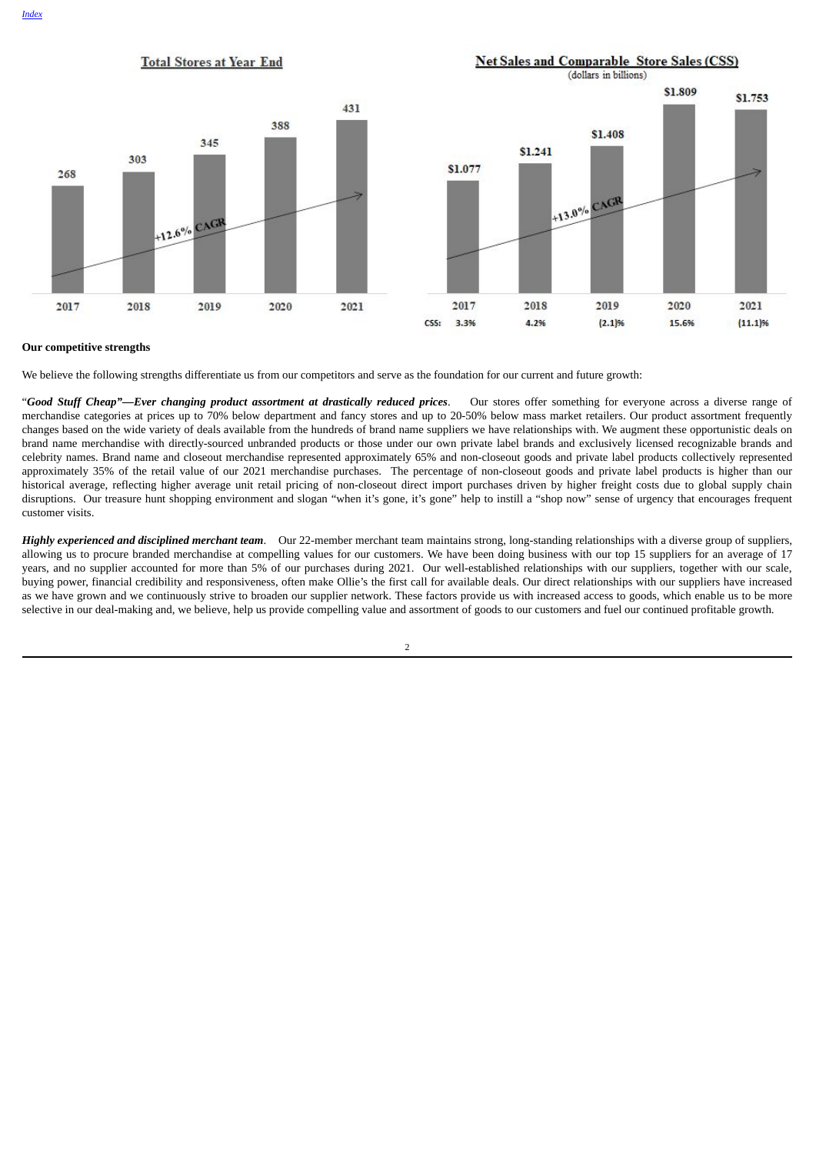

\$1.753

2021

 $(11.1)%$ 

#### **Our competitive strengths**

We believe the following strengths differentiate us from our competitors and serve as the foundation for our current and future growth:

"*Good Stuff Cheap"—Ever changing product assortment at drastically reduced prices*. Our stores offer something for everyone across a diverse range of merchandise categories at prices up to 70% below department and fancy stores and up to 20-50% below mass market retailers. Our product assortment frequently changes based on the wide variety of deals available from the hundreds of brand name suppliers we have relationships with. We augment these opportunistic deals on brand name merchandise with directly-sourced unbranded products or those under our own private label brands and exclusively licensed recognizable brands and celebrity names. Brand name and closeout merchandise represented approximately 65% and non-closeout goods and private label products collectively represented approximately 35% of the retail value of our 2021 merchandise purchases. The percentage of non-closeout goods and private label products is higher than our historical average, reflecting higher average unit retail pricing of non-closeout direct import purchases driven by higher freight costs due to global supply chain disruptions. Our treasure hunt shopping environment and slogan "when it's gone, it's gone" help to instill a "shop now" sense of urgency that encourages frequent customer visits.

*Highly experienced and disciplined merchant team*. Our 22-member merchant team maintains strong, long-standing relationships with a diverse group of suppliers, allowing us to procure branded merchandise at compelling values for our customers. We have been doing business with our top 15 suppliers for an average of 17 years, and no supplier accounted for more than 5% of our purchases during 2021. Our well-established relationships with our suppliers, together with our scale, buying power, financial credibility and responsiveness, often make Ollie's the first call for available deals. Our direct relationships with our suppliers have increased as we have grown and we continuously strive to broaden our supplier network. These factors provide us with increased access to goods, which enable us to be more selective in our deal-making and, we believe, help us provide compelling value and assortment of goods to our customers and fuel our continued profitable growth.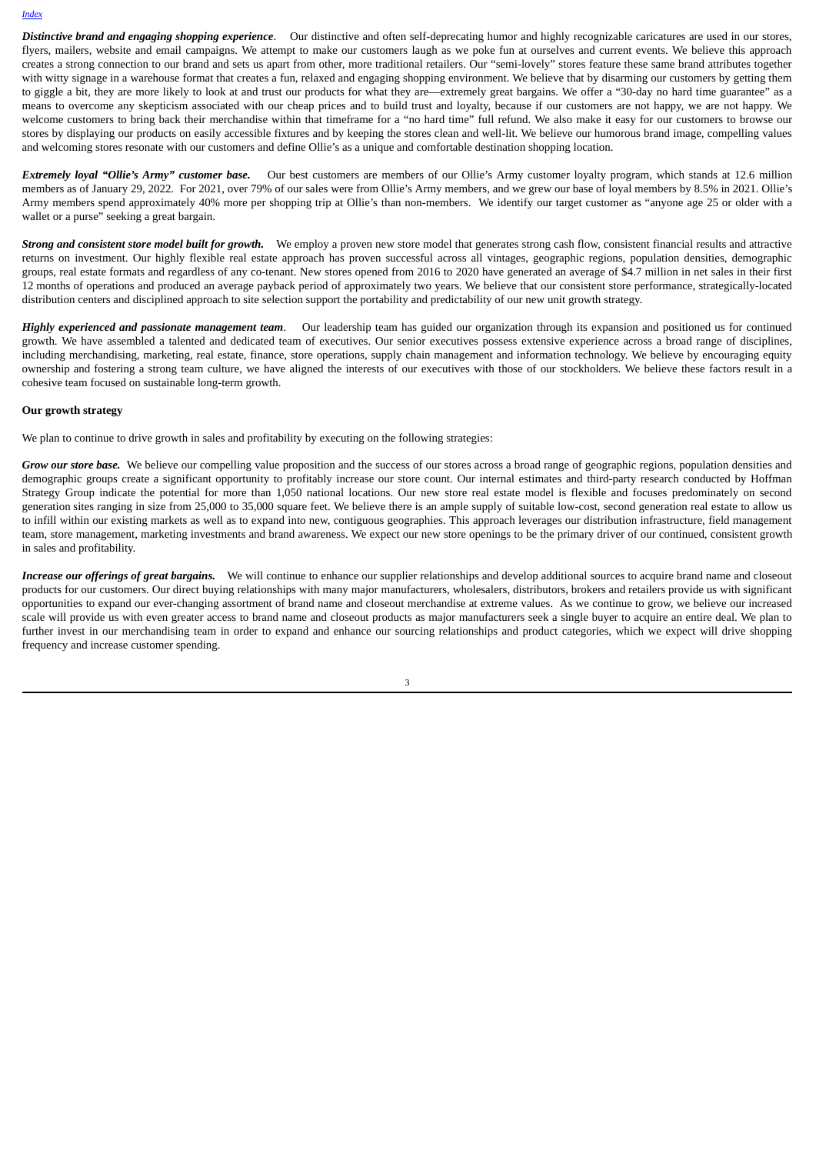*Distinctive brand and engaging shopping experience*. Our distinctive and often self-deprecating humor and highly recognizable caricatures are used in our stores, flyers, mailers, website and email campaigns. We attempt to make our customers laugh as we poke fun at ourselves and current events. We believe this approach creates a strong connection to our brand and sets us apart from other, more traditional retailers. Our "semi-lovely" stores feature these same brand attributes together with witty signage in a warehouse format that creates a fun, relaxed and engaging shopping environment. We believe that by disarming our customers by getting them to giggle a bit, they are more likely to look at and trust our products for what they are—extremely great bargains. We offer a "30-day no hard time guarantee" as a means to overcome any skepticism associated with our cheap prices and to build trust and loyalty, because if our customers are not happy, we are not happy. We welcome customers to bring back their merchandise within that timeframe for a "no hard time" full refund. We also make it easy for our customers to browse our stores by displaying our products on easily accessible fixtures and by keeping the stores clean and well-lit. We believe our humorous brand image, compelling values and welcoming stores resonate with our customers and define Ollie's as a unique and comfortable destination shopping location.

*Extremely loyal "Ollie's Army" customer base.* Our best customers are members of our Ollie's Army customer loyalty program, which stands at 12.6 million members as of January 29, 2022. For 2021, over 79% of our sales were from Ollie's Army members, and we grew our base of loyal members by 8.5% in 2021. Ollie's Army members spend approximately 40% more per shopping trip at Ollie's than non-members. We identify our target customer as "anyone age 25 or older with a wallet or a purse" seeking a great bargain.

*Strong and consistent store model built for growth.* We employ a proven new store model that generates strong cash flow, consistent financial results and attractive returns on investment. Our highly flexible real estate approach has proven successful across all vintages, geographic regions, population densities, demographic groups, real estate formats and regardless of any co-tenant. New stores opened from 2016 to 2020 have generated an average of \$4.7 million in net sales in their first 12 months of operations and produced an average payback period of approximately two years. We believe that our consistent store performance, strategically-located distribution centers and disciplined approach to site selection support the portability and predictability of our new unit growth strategy.

*Highly experienced and passionate management team*. Our leadership team has guided our organization through its expansion and positioned us for continued growth. We have assembled a talented and dedicated team of executives. Our senior executives possess extensive experience across a broad range of disciplines, including merchandising, marketing, real estate, finance, store operations, supply chain management and information technology. We believe by encouraging equity ownership and fostering a strong team culture, we have aligned the interests of our executives with those of our stockholders. We believe these factors result in a cohesive team focused on sustainable long-term growth.

## **Our growth strategy**

We plan to continue to drive growth in sales and profitability by executing on the following strategies:

*Grow our store base.* We believe our compelling value proposition and the success of our stores across a broad range of geographic regions, population densities and demographic groups create a significant opportunity to profitably increase our store count. Our internal estimates and third-party research conducted by Hoffman Strategy Group indicate the potential for more than 1,050 national locations. Our new store real estate model is flexible and focuses predominately on second generation sites ranging in size from 25,000 to 35,000 square feet. We believe there is an ample supply of suitable low-cost, second generation real estate to allow us to infill within our existing markets as well as to expand into new, contiguous geographies. This approach leverages our distribution infrastructure, field management team, store management, marketing investments and brand awareness. We expect our new store openings to be the primary driver of our continued, consistent growth in sales and profitability.

*Increase our offerings of great bargains.* We will continue to enhance our supplier relationships and develop additional sources to acquire brand name and closeout products for our customers. Our direct buying relationships with many major manufacturers, wholesalers, distributors, brokers and retailers provide us with significant opportunities to expand our ever-changing assortment of brand name and closeout merchandise at extreme values. As we continue to grow, we believe our increased scale will provide us with even greater access to brand name and closeout products as major manufacturers seek a single buyer to acquire an entire deal. We plan to further invest in our merchandising team in order to expand and enhance our sourcing relationships and product categories, which we expect will drive shopping frequency and increase customer spending.

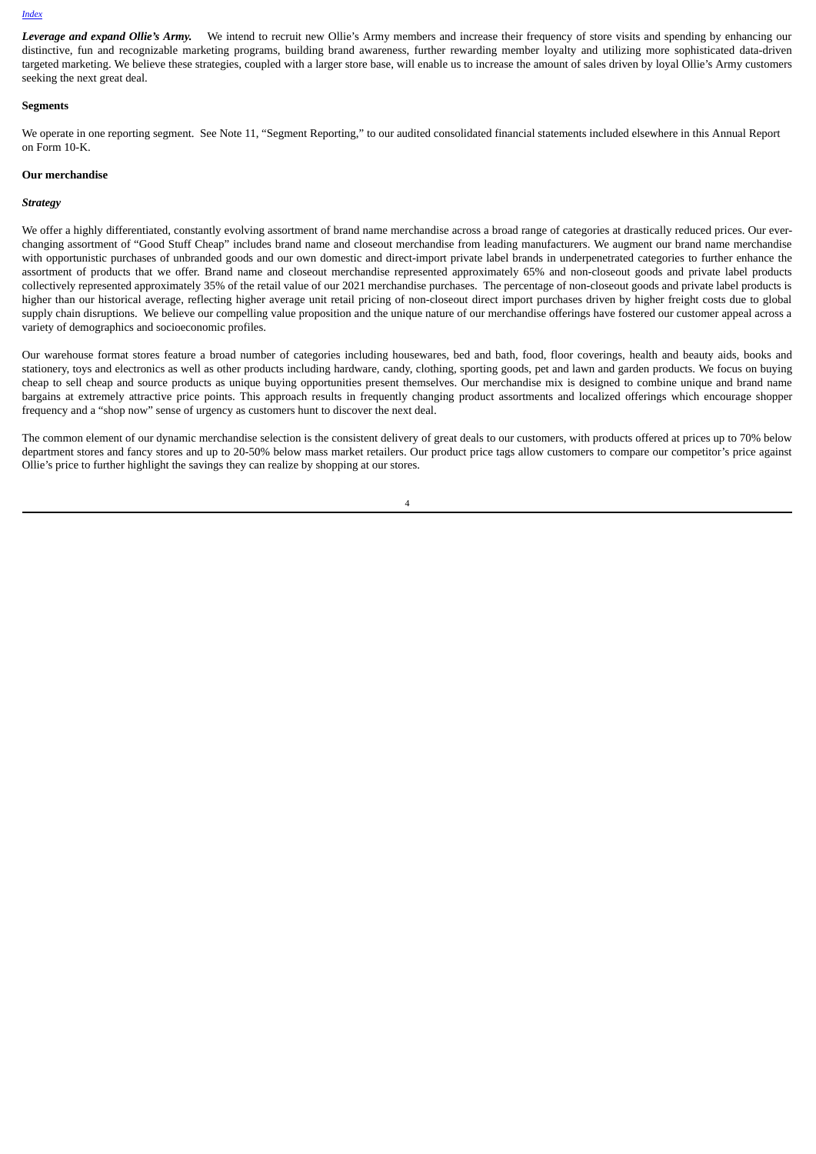*Leverage and expand Ollie's Army.* We intend to recruit new Ollie's Army members and increase their frequency of store visits and spending by enhancing our distinctive, fun and recognizable marketing programs, building brand awareness, further rewarding member loyalty and utilizing more sophisticated data-driven targeted marketing. We believe these strategies, coupled with a larger store base, will enable us to increase the amount of sales driven by loyal Ollie's Army customers seeking the next great deal.

#### **Segments**

We operate in one reporting segment. See Note 11, "Segment Reporting," to our audited consolidated financial statements included elsewhere in this Annual Report on Form 10-K.

## **Our merchandise**

## *Strategy*

We offer a highly differentiated, constantly evolving assortment of brand name merchandise across a broad range of categories at drastically reduced prices. Our everchanging assortment of "Good Stuff Cheap" includes brand name and closeout merchandise from leading manufacturers. We augment our brand name merchandise with opportunistic purchases of unbranded goods and our own domestic and direct-import private label brands in underpenetrated categories to further enhance the assortment of products that we offer. Brand name and closeout merchandise represented approximately 65% and non-closeout goods and private label products collectively represented approximately 35% of the retail value of our 2021 merchandise purchases. The percentage of non-closeout goods and private label products is higher than our historical average, reflecting higher average unit retail pricing of non-closeout direct import purchases driven by higher freight costs due to global supply chain disruptions. We believe our compelling value proposition and the unique nature of our merchandise offerings have fostered our customer appeal across a variety of demographics and socioeconomic profiles.

Our warehouse format stores feature a broad number of categories including housewares, bed and bath, food, floor coverings, health and beauty aids, books and stationery, toys and electronics as well as other products including hardware, candy, clothing, sporting goods, pet and lawn and garden products. We focus on buying cheap to sell cheap and source products as unique buying opportunities present themselves. Our merchandise mix is designed to combine unique and brand name bargains at extremely attractive price points. This approach results in frequently changing product assortments and localized offerings which encourage shopper frequency and a "shop now" sense of urgency as customers hunt to discover the next deal.

The common element of our dynamic merchandise selection is the consistent delivery of great deals to our customers, with products offered at prices up to 70% below department stores and fancy stores and up to 20-50% below mass market retailers. Our product price tags allow customers to compare our competitor's price against Ollie's price to further highlight the savings they can realize by shopping at our stores.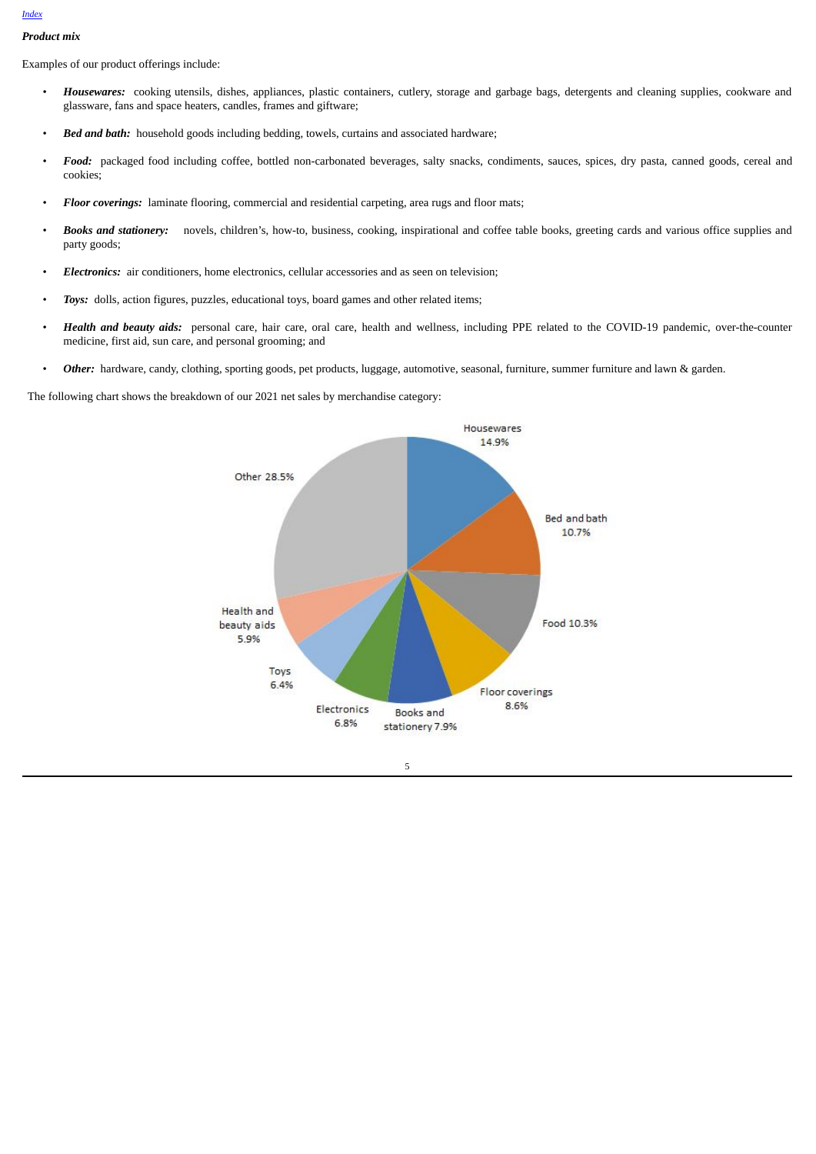# *Product mix*

Examples of our product offerings include:

- *Housewares:* cooking utensils, dishes, appliances, plastic containers, cutlery, storage and garbage bags, detergents and cleaning supplies, cookware and glassware, fans and space heaters, candles, frames and giftware;
- *Bed and bath:* household goods including bedding, towels, curtains and associated hardware;
- *Food:* packaged food including coffee, bottled non-carbonated beverages, salty snacks, condiments, sauces, spices, dry pasta, canned goods, cereal and cookies;
- *Floor coverings:* laminate flooring, commercial and residential carpeting, area rugs and floor mats;
- *Books and stationery:* novels, children's, how-to, business, cooking, inspirational and coffee table books, greeting cards and various office supplies and party goods;
- *Electronics:* air conditioners, home electronics, cellular accessories and as seen on television;
- *Toys:* dolls, action figures, puzzles, educational toys, board games and other related items;
- *Health and beauty aids:* personal care, hair care, oral care, health and wellness, including PPE related to the COVID-19 pandemic, over-the-counter medicine, first aid, sun care, and personal grooming; and
- *Other:* hardware, candy, clothing, sporting goods, pet products, luggage, automotive, seasonal, furniture, summer furniture and lawn & garden.

The following chart shows the breakdown of our 2021 net sales by merchandise category:

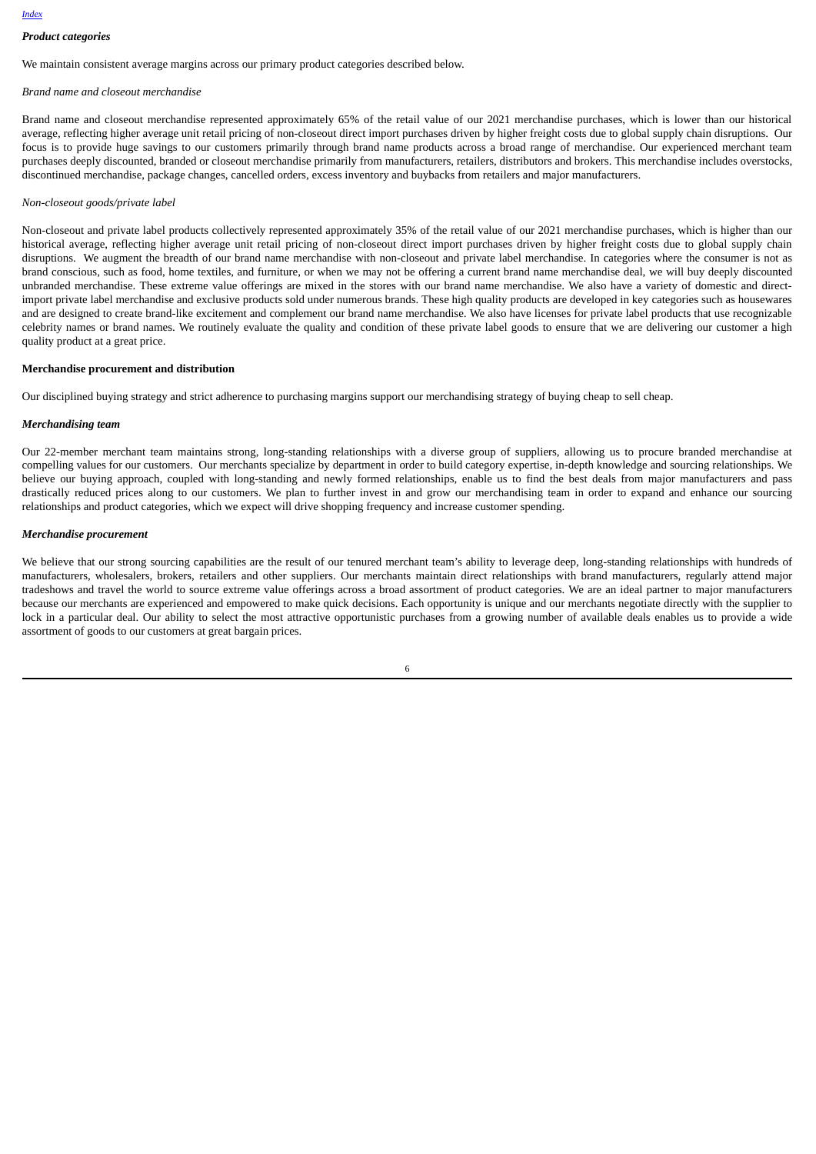# *Product categories*

We maintain consistent average margins across our primary product categories described below.

#### *Brand name and closeout merchandise*

Brand name and closeout merchandise represented approximately 65% of the retail value of our 2021 merchandise purchases, which is lower than our historical average, reflecting higher average unit retail pricing of non-closeout direct import purchases driven by higher freight costs due to global supply chain disruptions. Our focus is to provide huge savings to our customers primarily through brand name products across a broad range of merchandise. Our experienced merchant team purchases deeply discounted, branded or closeout merchandise primarily from manufacturers, retailers, distributors and brokers. This merchandise includes overstocks, discontinued merchandise, package changes, cancelled orders, excess inventory and buybacks from retailers and major manufacturers.

#### *Non-closeout goods/private label*

Non-closeout and private label products collectively represented approximately 35% of the retail value of our 2021 merchandise purchases, which is higher than our historical average, reflecting higher average unit retail pricing of non-closeout direct import purchases driven by higher freight costs due to global supply chain disruptions. We augment the breadth of our brand name merchandise with non-closeout and private label merchandise. In categories where the consumer is not as brand conscious, such as food, home textiles, and furniture, or when we may not be offering a current brand name merchandise deal, we will buy deeply discounted unbranded merchandise. These extreme value offerings are mixed in the stores with our brand name merchandise. We also have a variety of domestic and directimport private label merchandise and exclusive products sold under numerous brands. These high quality products are developed in key categories such as housewares and are designed to create brand-like excitement and complement our brand name merchandise. We also have licenses for private label products that use recognizable celebrity names or brand names. We routinely evaluate the quality and condition of these private label goods to ensure that we are delivering our customer a high quality product at a great price.

#### **Merchandise procurement and distribution**

Our disciplined buying strategy and strict adherence to purchasing margins support our merchandising strategy of buying cheap to sell cheap.

#### *Merchandising team*

Our 22-member merchant team maintains strong, long-standing relationships with a diverse group of suppliers, allowing us to procure branded merchandise at compelling values for our customers. Our merchants specialize by department in order to build category expertise, in-depth knowledge and sourcing relationships. We believe our buying approach, coupled with long-standing and newly formed relationships, enable us to find the best deals from major manufacturers and pass drastically reduced prices along to our customers. We plan to further invest in and grow our merchandising team in order to expand and enhance our sourcing relationships and product categories, which we expect will drive shopping frequency and increase customer spending.

## *Merchandise procurement*

We believe that our strong sourcing capabilities are the result of our tenured merchant team's ability to leverage deep, long-standing relationships with hundreds of manufacturers, wholesalers, brokers, retailers and other suppliers. Our merchants maintain direct relationships with brand manufacturers, regularly attend major tradeshows and travel the world to source extreme value offerings across a broad assortment of product categories. We are an ideal partner to major manufacturers because our merchants are experienced and empowered to make quick decisions. Each opportunity is unique and our merchants negotiate directly with the supplier to lock in a particular deal. Our ability to select the most attractive opportunistic purchases from a growing number of available deals enables us to provide a wide assortment of goods to our customers at great bargain prices.

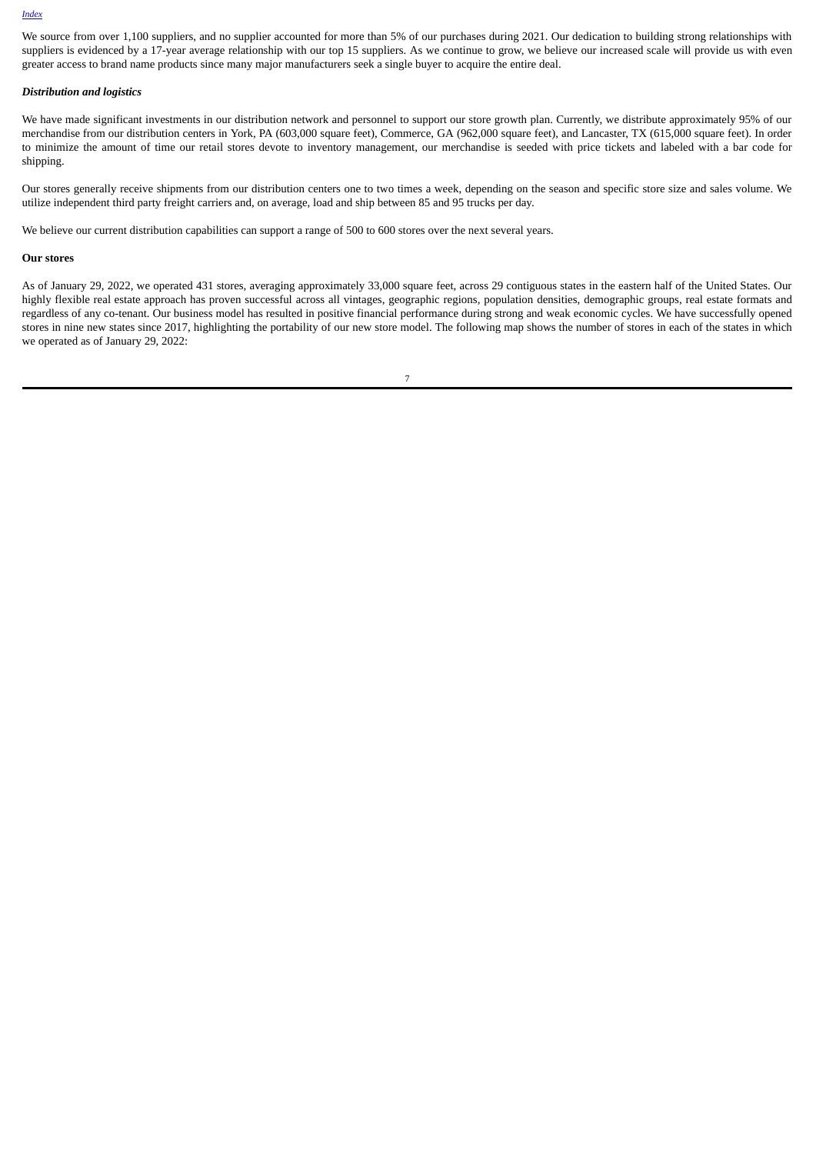We source from over 1,100 suppliers, and no supplier accounted for more than 5% of our purchases during 2021. Our dedication to building strong relationships with suppliers is evidenced by a 17-year average relationship with our top 15 suppliers. As we continue to grow, we believe our increased scale will provide us with even greater access to brand name products since many major manufacturers seek a single buyer to acquire the entire deal.

## *Distribution and logistics*

We have made significant investments in our distribution network and personnel to support our store growth plan. Currently, we distribute approximately 95% of our merchandise from our distribution centers in York, PA (603,000 square feet), Commerce, GA (962,000 square feet), and Lancaster, TX (615,000 square feet). In order to minimize the amount of time our retail stores devote to inventory management, our merchandise is seeded with price tickets and labeled with a bar code for shipping.

Our stores generally receive shipments from our distribution centers one to two times a week, depending on the season and specific store size and sales volume. We utilize independent third party freight carriers and, on average, load and ship between 85 and 95 trucks per day.

We believe our current distribution capabilities can support a range of 500 to 600 stores over the next several years.

## **Our stores**

As of January 29, 2022, we operated 431 stores, averaging approximately 33,000 square feet, across 29 contiguous states in the eastern half of the United States. Our highly flexible real estate approach has proven successful across all vintages, geographic regions, population densities, demographic groups, real estate formats and regardless of any co-tenant. Our business model has resulted in positive financial performance during strong and weak economic cycles. We have successfully opened stores in nine new states since 2017, highlighting the portability of our new store model. The following map shows the number of stores in each of the states in which we operated as of January 29, 2022:

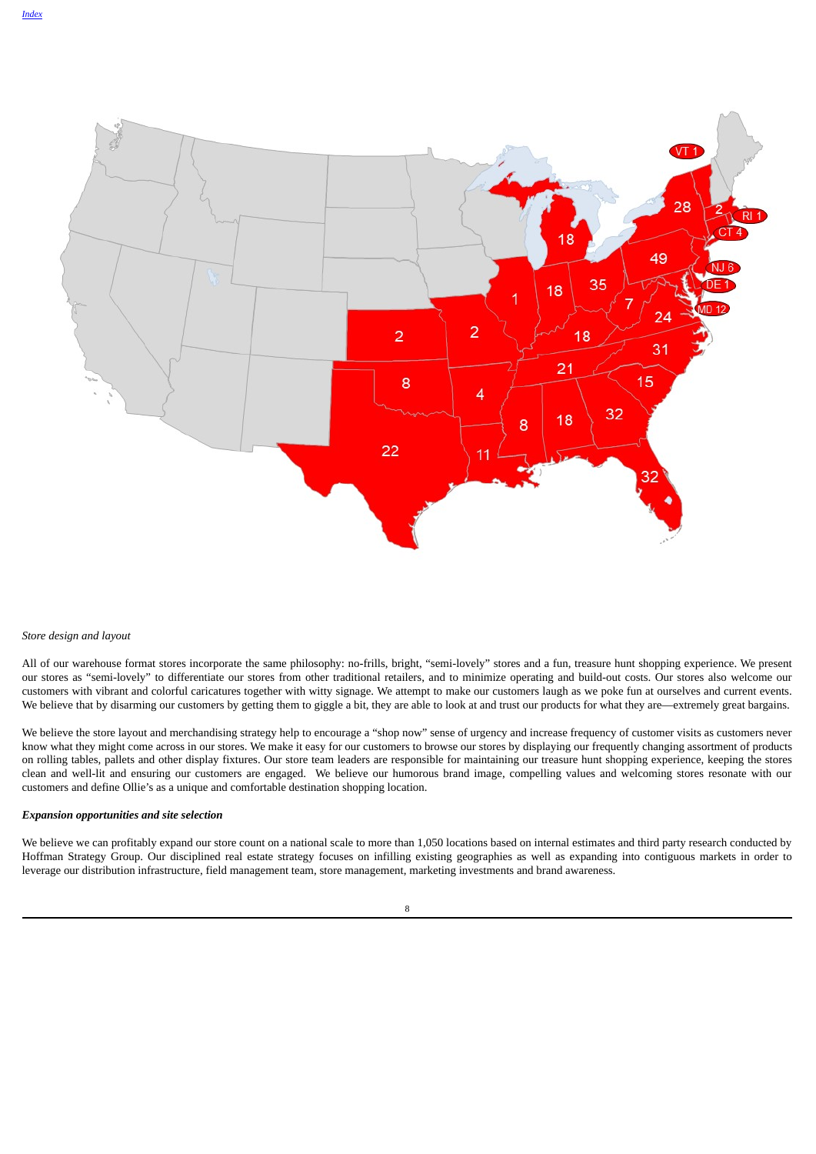

## *Store design and layout*

All of our warehouse format stores incorporate the same philosophy: no-frills, bright, "semi-lovely" stores and a fun, treasure hunt shopping experience. We present our stores as "semi-lovely" to differentiate our stores from other traditional retailers, and to minimize operating and build-out costs. Our stores also welcome our customers with vibrant and colorful caricatures together with witty signage. We attempt to make our customers laugh as we poke fun at ourselves and current events. We believe that by disarming our customers by getting them to giggle a bit, they are able to look at and trust our products for what they are—extremely great bargains.

We believe the store layout and merchandising strategy help to encourage a "shop now" sense of urgency and increase frequency of customer visits as customers never know what they might come across in our stores. We make it easy for our customers to browse our stores by displaying our frequently changing assortment of products on rolling tables, pallets and other display fixtures. Our store team leaders are responsible for maintaining our treasure hunt shopping experience, keeping the stores clean and well-lit and ensuring our customers are engaged. We believe our humorous brand image, compelling values and welcoming stores resonate with our customers and define Ollie's as a unique and comfortable destination shopping location.

## *Expansion opportunities and site selection*

We believe we can profitably expand our store count on a national scale to more than 1,050 locations based on internal estimates and third party research conducted by Hoffman Strategy Group. Our disciplined real estate strategy focuses on infilling existing geographies as well as expanding into contiguous markets in order to leverage our distribution infrastructure, field management team, store management, marketing investments and brand awareness.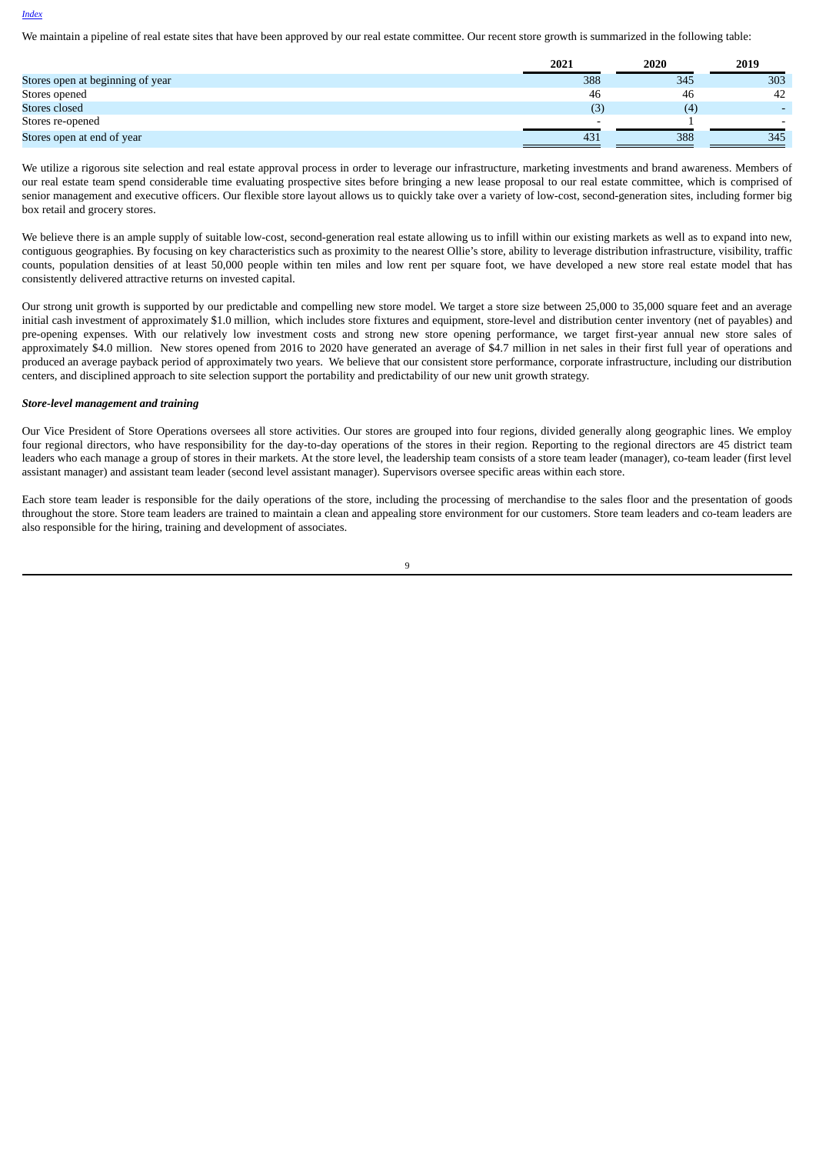We maintain a pipeline of real estate sites that have been approved by our real estate committee. Our recent store growth is summarized in the following table:

|                                  | 2021                     | 2020 | 2019 |
|----------------------------------|--------------------------|------|------|
| Stores open at beginning of year | 388                      | 345  | 303  |
| Stores opened                    | 46                       | 46   | 42   |
| Stores closed                    | (3)                      | (4)  |      |
| Stores re-opened                 | $\overline{\phantom{0}}$ |      | -    |
| Stores open at end of year       | 431                      | 388  | 345  |

We utilize a rigorous site selection and real estate approval process in order to leverage our infrastructure, marketing investments and brand awareness. Members of our real estate team spend considerable time evaluating prospective sites before bringing a new lease proposal to our real estate committee, which is comprised of senior management and executive officers. Our flexible store layout allows us to quickly take over a variety of low-cost, second-generation sites, including former big box retail and grocery stores.

We believe there is an ample supply of suitable low-cost, second-generation real estate allowing us to infill within our existing markets as well as to expand into new, contiguous geographies. By focusing on key characteristics such as proximity to the nearest Ollie's store, ability to leverage distribution infrastructure, visibility, traffic counts, population densities of at least 50,000 people within ten miles and low rent per square foot, we have developed a new store real estate model that has consistently delivered attractive returns on invested capital.

Our strong unit growth is supported by our predictable and compelling new store model. We target a store size between 25,000 to 35,000 square feet and an average initial cash investment of approximately \$1.0 million, which includes store fixtures and equipment, store-level and distribution center inventory (net of payables) and pre-opening expenses. With our relatively low investment costs and strong new store opening performance, we target first-year annual new store sales of approximately \$4.0 million. New stores opened from 2016 to 2020 have generated an average of \$4.7 million in net sales in their first full year of operations and produced an average payback period of approximately two years. We believe that our consistent store performance, corporate infrastructure, including our distribution centers, and disciplined approach to site selection support the portability and predictability of our new unit growth strategy.

## *Store-level management and training*

Our Vice President of Store Operations oversees all store activities. Our stores are grouped into four regions, divided generally along geographic lines. We employ four regional directors, who have responsibility for the day-to-day operations of the stores in their region. Reporting to the regional directors are 45 district team leaders who each manage a group of stores in their markets. At the store level, the leadership team consists of a store team leader (manager), co-team leader (first level assistant manager) and assistant team leader (second level assistant manager). Supervisors oversee specific areas within each store.

Each store team leader is responsible for the daily operations of the store, including the processing of merchandise to the sales floor and the presentation of goods throughout the store. Store team leaders are trained to maintain a clean and appealing store environment for our customers. Store team leaders and co-team leaders are also responsible for the hiring, training and development of associates.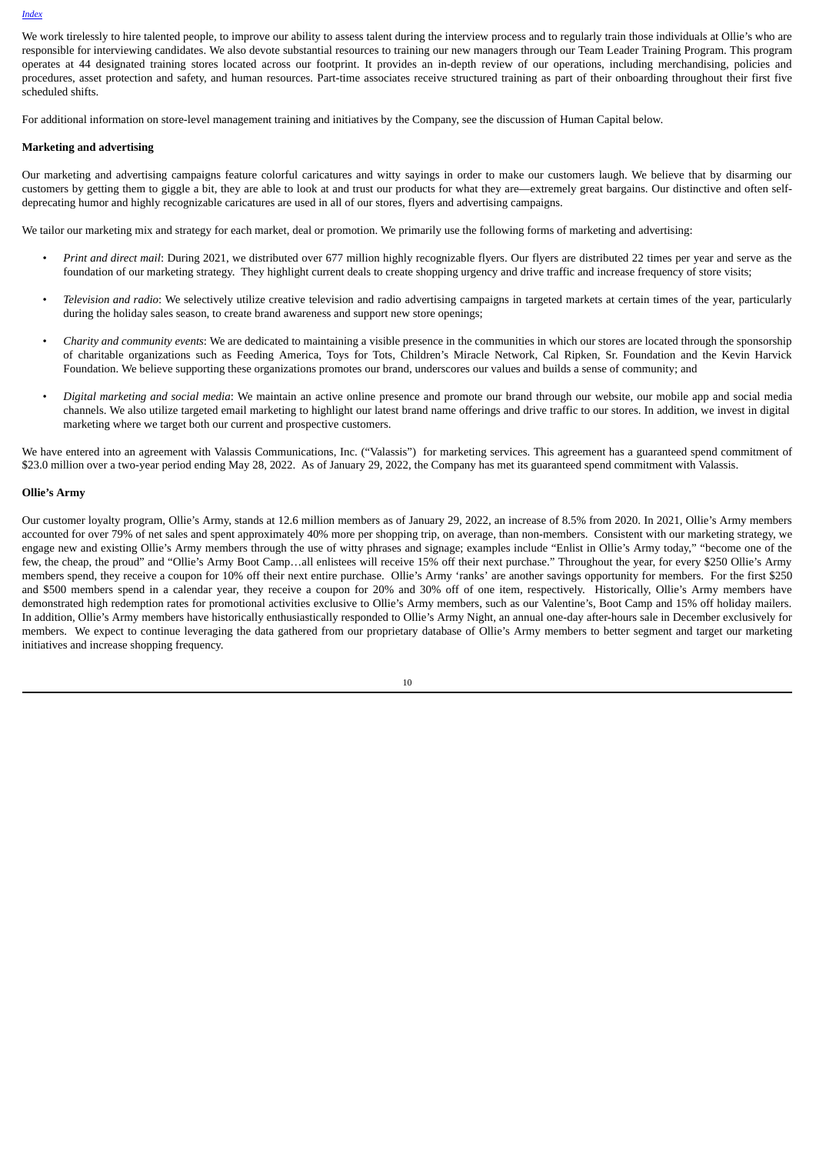We work tirelessly to hire talented people, to improve our ability to assess talent during the interview process and to regularly train those individuals at Ollie's who are responsible for interviewing candidates. We also devote substantial resources to training our new managers through our Team Leader Training Program. This program operates at 44 designated training stores located across our footprint. It provides an in-depth review of our operations, including merchandising, policies and procedures, asset protection and safety, and human resources. Part-time associates receive structured training as part of their onboarding throughout their first five scheduled shifts.

For additional information on store-level management training and initiatives by the Company, see the discussion of Human Capital below.

## **Marketing and advertising**

Our marketing and advertising campaigns feature colorful caricatures and witty sayings in order to make our customers laugh. We believe that by disarming our customers by getting them to giggle a bit, they are able to look at and trust our products for what they are—extremely great bargains. Our distinctive and often selfdeprecating humor and highly recognizable caricatures are used in all of our stores, flyers and advertising campaigns.

We tailor our marketing mix and strategy for each market, deal or promotion. We primarily use the following forms of marketing and advertising:

- *Print and direct mail*: During 2021, we distributed over 677 million highly recognizable flyers. Our flyers are distributed 22 times per year and serve as the foundation of our marketing strategy. They highlight current deals to create shopping urgency and drive traffic and increase frequency of store visits;
- *Television and radio*: We selectively utilize creative television and radio advertising campaigns in targeted markets at certain times of the year, particularly during the holiday sales season, to create brand awareness and support new store openings;
- *Charity and community events*: We are dedicated to maintaining a visible presence in the communities in which our stores are located through the sponsorship of charitable organizations such as Feeding America, Toys for Tots, Children's Miracle Network, Cal Ripken, Sr. Foundation and the Kevin Harvick Foundation. We believe supporting these organizations promotes our brand, underscores our values and builds a sense of community; and
- *Digital marketing and social media*: We maintain an active online presence and promote our brand through our website, our mobile app and social media channels. We also utilize targeted email marketing to highlight our latest brand name offerings and drive traffic to our stores. In addition, we invest in digital marketing where we target both our current and prospective customers.

We have entered into an agreement with Valassis Communications, Inc. ("Valassis") for marketing services. This agreement has a guaranteed spend commitment of \$23.0 million over a two-year period ending May 28, 2022. As of January 29, 2022, the Company has met its guaranteed spend commitment with Valassis.

## **Ollie's Army**

Our customer loyalty program, Ollie's Army, stands at 12.6 million members as of January 29, 2022, an increase of 8.5% from 2020. In 2021, Ollie's Army members accounted for over 79% of net sales and spent approximately 40% more per shopping trip, on average, than non-members. Consistent with our marketing strategy, we engage new and existing Ollie's Army members through the use of witty phrases and signage; examples include "Enlist in Ollie's Army today," "become one of the few, the cheap, the proud" and "Ollie's Army Boot Camp…all enlistees will receive 15% off their next purchase." Throughout the year, for every \$250 Ollie's Army members spend, they receive a coupon for 10% off their next entire purchase. Ollie's Army 'ranks' are another savings opportunity for members. For the first \$250 and \$500 members spend in a calendar year, they receive a coupon for 20% and 30% off of one item, respectively. Historically, Ollie's Army members have demonstrated high redemption rates for promotional activities exclusive to Ollie's Army members, such as our Valentine's, Boot Camp and 15% off holiday mailers. In addition, Ollie's Army members have historically enthusiastically responded to Ollie's Army Night, an annual one-day after-hours sale in December exclusively for members. We expect to continue leveraging the data gathered from our proprietary database of Ollie's Army members to better segment and target our marketing initiatives and increase shopping frequency.

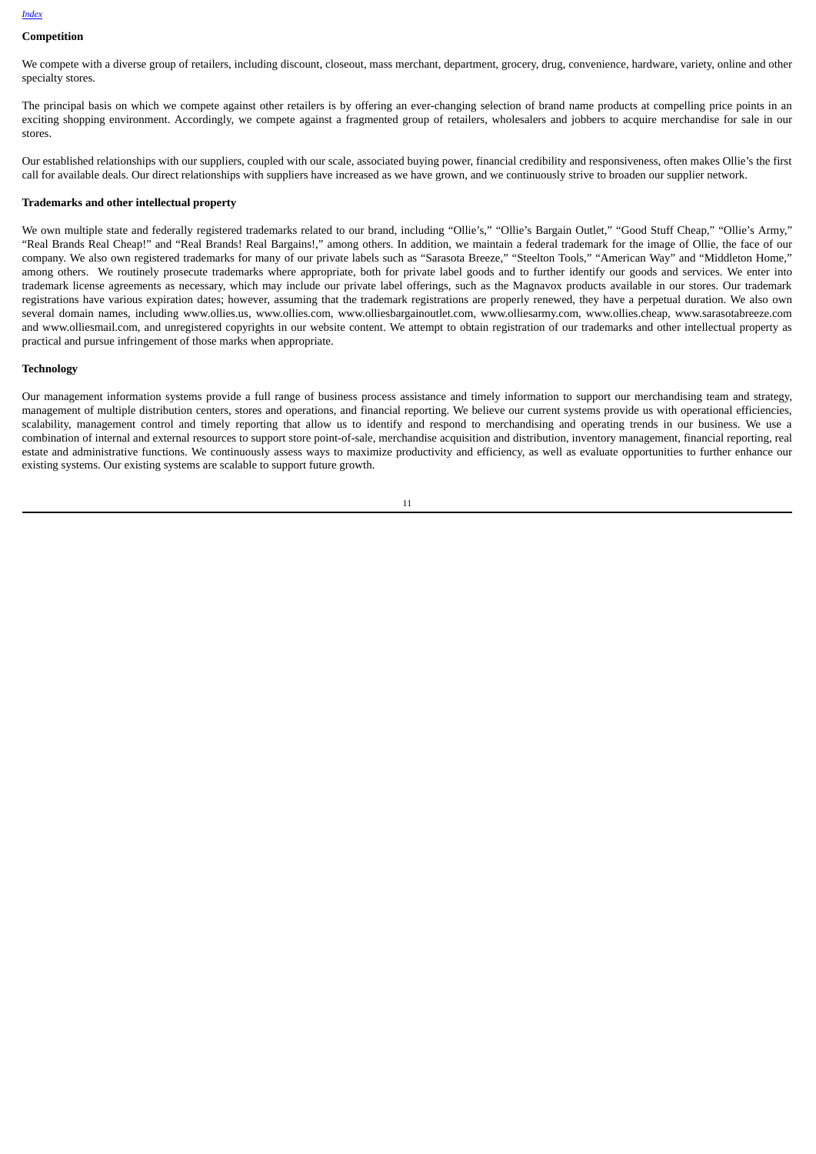## **Competition**

We compete with a diverse group of retailers, including discount, closeout, mass merchant, department, grocery, drug, convenience, hardware, variety, online and other specialty stores.

The principal basis on which we compete against other retailers is by offering an ever-changing selection of brand name products at compelling price points in an exciting shopping environment. Accordingly, we compete against a fragmented group of retailers, wholesalers and jobbers to acquire merchandise for sale in our stores.

Our established relationships with our suppliers, coupled with our scale, associated buying power, financial credibility and responsiveness, often makes Ollie's the first call for available deals. Our direct relationships with suppliers have increased as we have grown, and we continuously strive to broaden our supplier network.

#### **Trademarks and other intellectual property**

We own multiple state and federally registered trademarks related to our brand, including "Ollie's," "Ollie's Bargain Outlet," "Good Stuff Cheap," "Ollie's Army," "Real Brands Real Cheap!" and "Real Brands! Real Bargains!," among others. In addition, we maintain a federal trademark for the image of Ollie, the face of our company. We also own registered trademarks for many of our private labels such as "Sarasota Breeze," "Steelton Tools," "American Way" and "Middleton Home," among others. We routinely prosecute trademarks where appropriate, both for private label goods and to further identify our goods and services. We enter into trademark license agreements as necessary, which may include our private label offerings, such as the Magnavox products available in our stores. Our trademark registrations have various expiration dates; however, assuming that the trademark registrations are properly renewed, they have a perpetual duration. We also own several domain names, including www.ollies.us, www.ollies.com, www.olliesbargainoutlet.com, www.olliesarmy.com, www.ollies.cheap, www.sarasotabreeze.com and www.olliesmail.com, and unregistered copyrights in our website content. We attempt to obtain registration of our trademarks and other intellectual property as practical and pursue infringement of those marks when appropriate.

## **Technology**

Our management information systems provide a full range of business process assistance and timely information to support our merchandising team and strategy, management of multiple distribution centers, stores and operations, and financial reporting. We believe our current systems provide us with operational efficiencies, scalability, management control and timely reporting that allow us to identify and respond to merchandising and operating trends in our business. We use a combination of internal and external resources to support store point-of-sale, merchandise acquisition and distribution, inventory management, financial reporting, real estate and administrative functions. We continuously assess ways to maximize productivity and efficiency, as well as evaluate opportunities to further enhance our existing systems. Our existing systems are scalable to support future growth.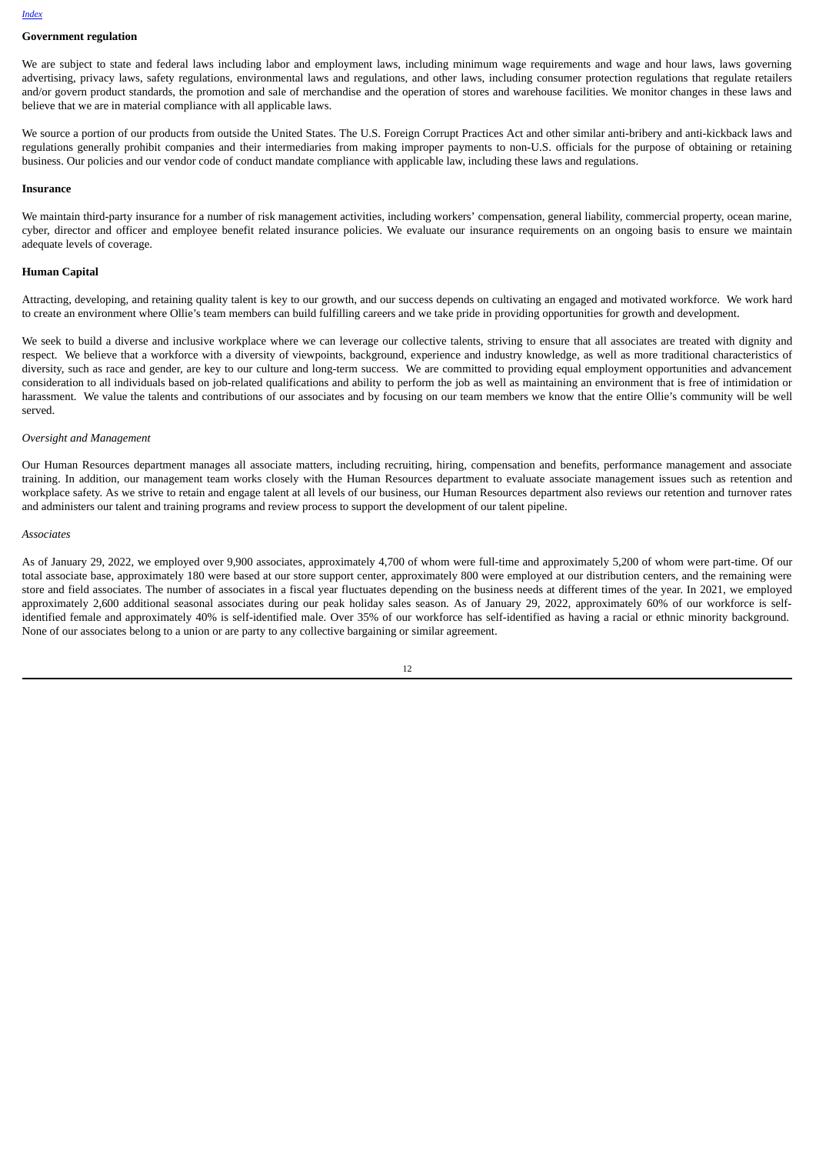## **Government regulation**

We are subject to state and federal laws including labor and employment laws, including minimum wage requirements and wage and hour laws, laws governing advertising, privacy laws, safety regulations, environmental laws and regulations, and other laws, including consumer protection regulations that regulate retailers and/or govern product standards, the promotion and sale of merchandise and the operation of stores and warehouse facilities. We monitor changes in these laws and believe that we are in material compliance with all applicable laws.

We source a portion of our products from outside the United States. The U.S. Foreign Corrupt Practices Act and other similar anti-bribery and anti-kickback laws and regulations generally prohibit companies and their intermediaries from making improper payments to non-U.S. officials for the purpose of obtaining or retaining business. Our policies and our vendor code of conduct mandate compliance with applicable law, including these laws and regulations.

## **Insurance**

We maintain third-party insurance for a number of risk management activities, including workers' compensation, general liability, commercial property, ocean marine, cyber, director and officer and employee benefit related insurance policies. We evaluate our insurance requirements on an ongoing basis to ensure we maintain adequate levels of coverage.

#### **Human Capital**

Attracting, developing, and retaining quality talent is key to our growth, and our success depends on cultivating an engaged and motivated workforce. We work hard to create an environment where Ollie's team members can build fulfilling careers and we take pride in providing opportunities for growth and development.

We seek to build a diverse and inclusive workplace where we can leverage our collective talents, striving to ensure that all associates are treated with dignity and respect. We believe that a workforce with a diversity of viewpoints, background, experience and industry knowledge, as well as more traditional characteristics of diversity, such as race and gender, are key to our culture and long-term success. We are committed to providing equal employment opportunities and advancement consideration to all individuals based on job-related qualifications and ability to perform the job as well as maintaining an environment that is free of intimidation or harassment. We value the talents and contributions of our associates and by focusing on our team members we know that the entire Ollie's community will be well served.

## *Oversight and Management*

Our Human Resources department manages all associate matters, including recruiting, hiring, compensation and benefits, performance management and associate training. In addition, our management team works closely with the Human Resources department to evaluate associate management issues such as retention and workplace safety. As we strive to retain and engage talent at all levels of our business, our Human Resources department also reviews our retention and turnover rates and administers our talent and training programs and review process to support the development of our talent pipeline.

#### *Associates*

As of January 29, 2022, we employed over 9,900 associates, approximately 4,700 of whom were full-time and approximately 5,200 of whom were part-time. Of our total associate base, approximately 180 were based at our store support center, approximately 800 were employed at our distribution centers, and the remaining were store and field associates. The number of associates in a fiscal year fluctuates depending on the business needs at different times of the year. In 2021, we employed approximately 2,600 additional seasonal associates during our peak holiday sales season. As of January 29, 2022, approximately 60% of our workforce is selfidentified female and approximately 40% is self-identified male. Over 35% of our workforce has self-identified as having a racial or ethnic minority background. None of our associates belong to a union or are party to any collective bargaining or similar agreement.

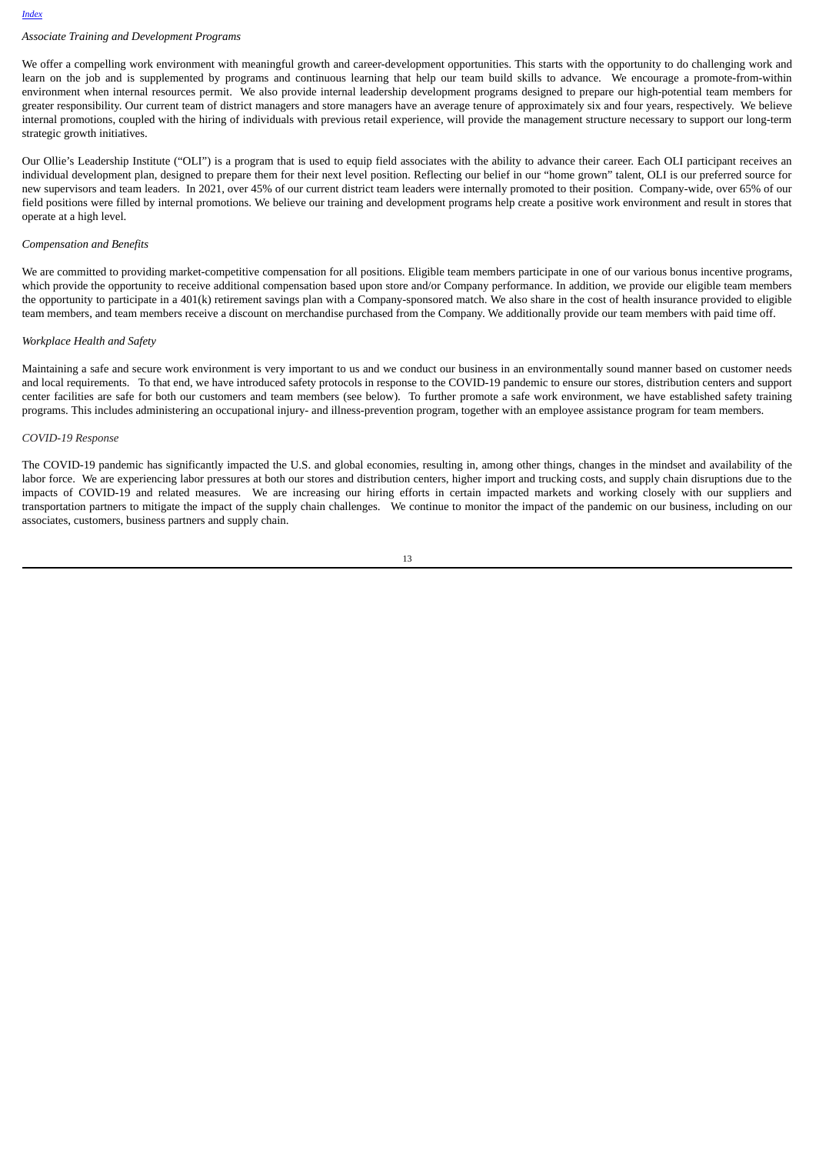## *Associate Training and Development Programs*

We offer a compelling work environment with meaningful growth and career-development opportunities. This starts with the opportunity to do challenging work and learn on the job and is supplemented by programs and continuous learning that help our team build skills to advance. We encourage a promote-from-within environment when internal resources permit. We also provide internal leadership development programs designed to prepare our high-potential team members for greater responsibility. Our current team of district managers and store managers have an average tenure of approximately six and four years, respectively. We believe internal promotions, coupled with the hiring of individuals with previous retail experience, will provide the management structure necessary to support our long-term strategic growth initiatives.

Our Ollie's Leadership Institute ("OLI") is a program that is used to equip field associates with the ability to advance their career. Each OLI participant receives an individual development plan, designed to prepare them for their next level position. Reflecting our belief in our "home grown" talent, OLI is our preferred source for new supervisors and team leaders. In 2021, over 45% of our current district team leaders were internally promoted to their position. Company-wide, over 65% of our field positions were filled by internal promotions. We believe our training and development programs help create a positive work environment and result in stores that operate at a high level.

## *Compensation and Benefits*

We are committed to providing market-competitive compensation for all positions. Eligible team members participate in one of our various bonus incentive programs, which provide the opportunity to receive additional compensation based upon store and/or Company performance. In addition, we provide our eligible team members the opportunity to participate in a 401(k) retirement savings plan with a Company-sponsored match. We also share in the cost of health insurance provided to eligible team members, and team members receive a discount on merchandise purchased from the Company. We additionally provide our team members with paid time off.

## *Workplace Health and Safety*

Maintaining a safe and secure work environment is very important to us and we conduct our business in an environmentally sound manner based on customer needs and local requirements. To that end, we have introduced safety protocols in response to the COVID-19 pandemic to ensure our stores, distribution centers and support center facilities are safe for both our customers and team members (see below). To further promote a safe work environment, we have established safety training programs. This includes administering an occupational injury- and illness-prevention program, together with an employee assistance program for team members.

## *COVID-19 Response*

The COVID-19 pandemic has significantly impacted the U.S. and global economies, resulting in, among other things, changes in the mindset and availability of the labor force. We are experiencing labor pressures at both our stores and distribution centers, higher import and trucking costs, and supply chain disruptions due to the impacts of COVID-19 and related measures. We are increasing our hiring efforts in certain impacted markets and working closely with our suppliers and transportation partners to mitigate the impact of the supply chain challenges. We continue to monitor the impact of the pandemic on our business, including on our associates, customers, business partners and supply chain.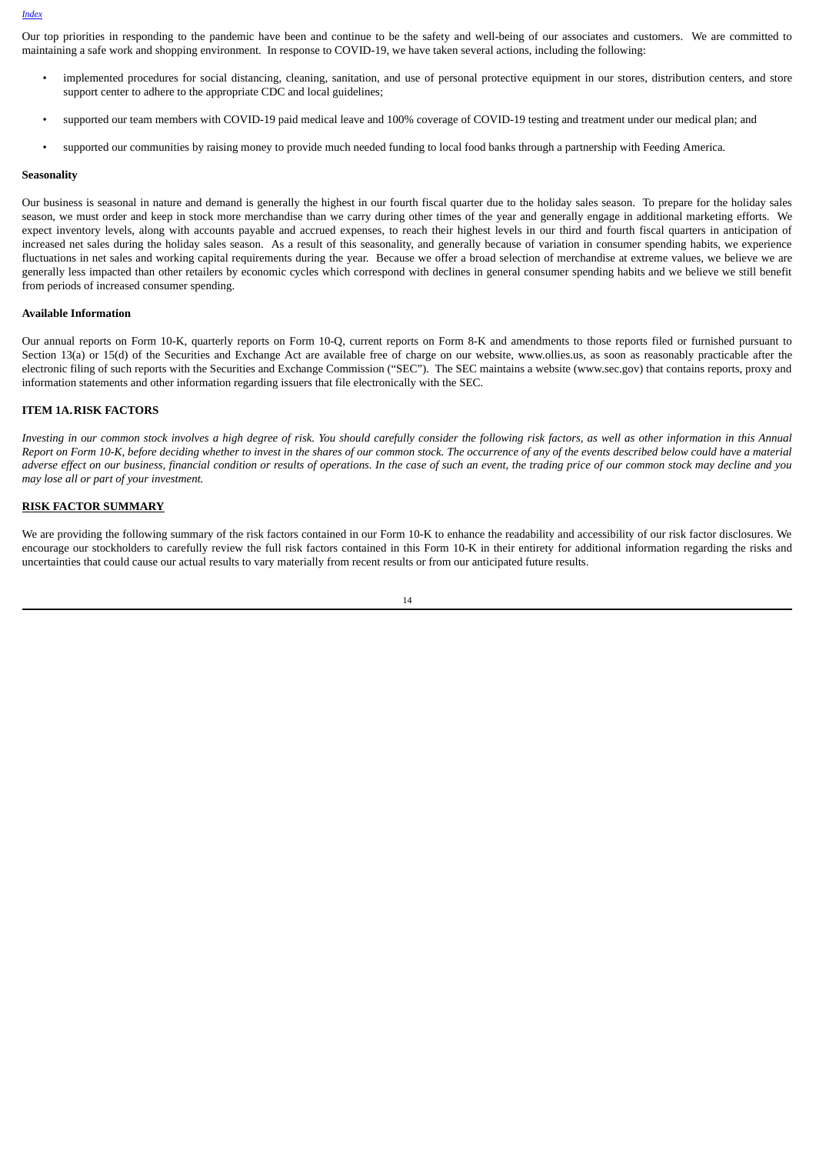Our top priorities in responding to the pandemic have been and continue to be the safety and well-being of our associates and customers. We are committed to maintaining a safe work and shopping environment. In response to COVID-19, we have taken several actions, including the following:

- implemented procedures for social distancing, cleaning, sanitation, and use of personal protective equipment in our stores, distribution centers, and store support center to adhere to the appropriate CDC and local guidelines;
- supported our team members with COVID-19 paid medical leave and 100% coverage of COVID-19 testing and treatment under our medical plan; and
- supported our communities by raising money to provide much needed funding to local food banks through a partnership with Feeding America.

#### **Seasonality**

Our business is seasonal in nature and demand is generally the highest in our fourth fiscal quarter due to the holiday sales season. To prepare for the holiday sales season, we must order and keep in stock more merchandise than we carry during other times of the year and generally engage in additional marketing efforts. We expect inventory levels, along with accounts payable and accrued expenses, to reach their highest levels in our third and fourth fiscal quarters in anticipation of increased net sales during the holiday sales season. As a result of this seasonality, and generally because of variation in consumer spending habits, we experience fluctuations in net sales and working capital requirements during the year. Because we offer a broad selection of merchandise at extreme values, we believe we are generally less impacted than other retailers by economic cycles which correspond with declines in general consumer spending habits and we believe we still benefit from periods of increased consumer spending.

## **Available Information**

Our annual reports on Form 10-K, quarterly reports on Form 10-Q, current reports on Form 8-K and amendments to those reports filed or furnished pursuant to Section 13(a) or 15(d) of the Securities and Exchange Act are available free of charge on our website, www.ollies.us, as soon as reasonably practicable after the electronic filing of such reports with the Securities and Exchange Commission ("SEC"). The SEC maintains a website (www.sec.gov) that contains reports, proxy and information statements and other information regarding issuers that file electronically with the SEC.

## <span id="page-17-0"></span>**ITEM 1A.RISK FACTORS**

Investing in our common stock involves a high degree of risk. You should carefully consider the following risk factors, as well as other information in this Annual Report on Form 10-K, before deciding whether to invest in the shares of our common stock. The occurrence of any of the events described below could have a material adverse effect on our business, financial condition or results of operations. In the case of such an event, the trading price of our common stock may decline and you *may lose all or part of your investment.*

## **RISK FACTOR SUMMARY**

We are providing the following summary of the risk factors contained in our Form 10-K to enhance the readability and accessibility of our risk factor disclosures. We encourage our stockholders to carefully review the full risk factors contained in this Form 10-K in their entirety for additional information regarding the risks and uncertainties that could cause our actual results to vary materially from recent results or from our anticipated future results.

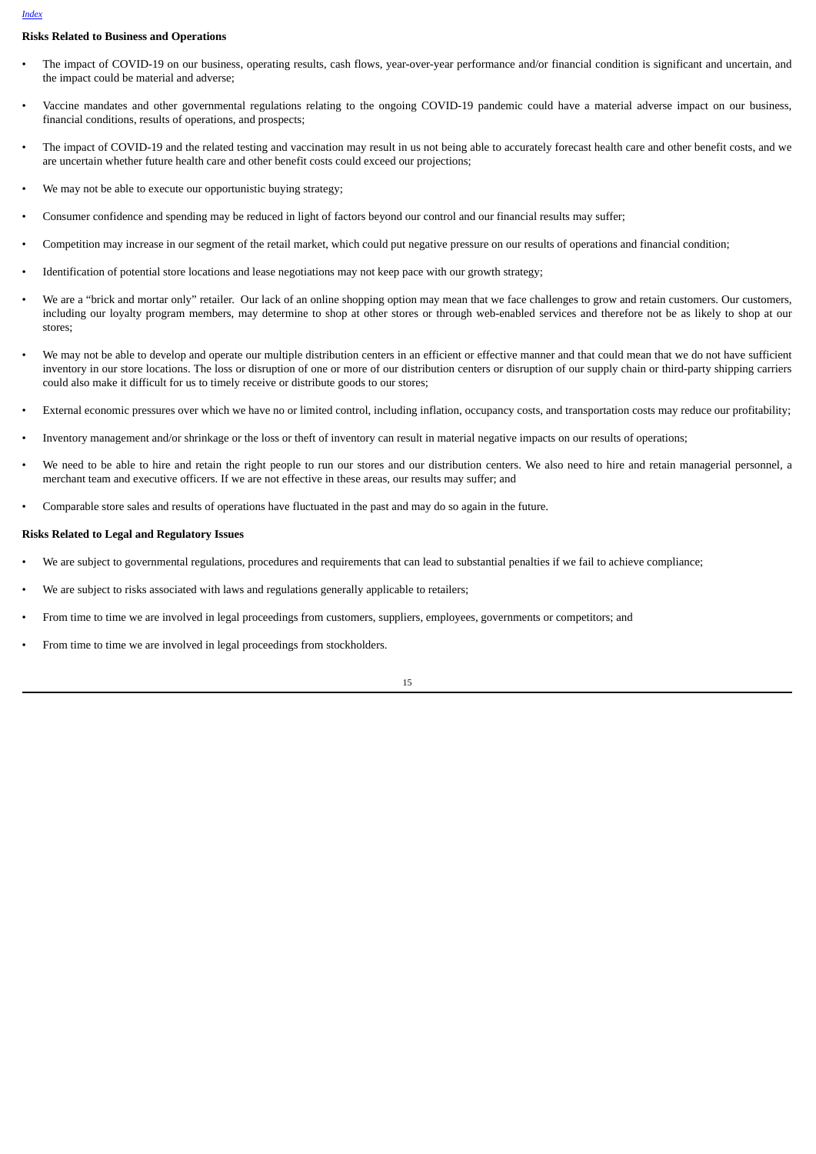# **Risks Related to Business and Operations**

- The impact of COVID-19 on our business, operating results, cash flows, year-over-year performance and/or financial condition is significant and uncertain, and the impact could be material and adverse;
- Vaccine mandates and other governmental regulations relating to the ongoing COVID-19 pandemic could have a material adverse impact on our business, financial conditions, results of operations, and prospects;
- The impact of COVID-19 and the related testing and vaccination may result in us not being able to accurately forecast health care and other benefit costs, and we are uncertain whether future health care and other benefit costs could exceed our projections;
- We may not be able to execute our opportunistic buying strategy;
- Consumer confidence and spending may be reduced in light of factors beyond our control and our financial results may suffer;
- Competition may increase in our segment of the retail market, which could put negative pressure on our results of operations and financial condition;
- Identification of potential store locations and lease negotiations may not keep pace with our growth strategy;
- We are a "brick and mortar only" retailer. Our lack of an online shopping option may mean that we face challenges to grow and retain customers. Our customers, including our loyalty program members, may determine to shop at other stores or through web-enabled services and therefore not be as likely to shop at our stores;
- We may not be able to develop and operate our multiple distribution centers in an efficient or effective manner and that could mean that we do not have sufficient inventory in our store locations. The loss or disruption of one or more of our distribution centers or disruption of our supply chain or third-party shipping carriers could also make it difficult for us to timely receive or distribute goods to our stores;
- External economic pressures over which we have no or limited control, including inflation, occupancy costs, and transportation costs may reduce our profitability;
- Inventory management and/or shrinkage or the loss or theft of inventory can result in material negative impacts on our results of operations;
- We need to be able to hire and retain the right people to run our stores and our distribution centers. We also need to hire and retain managerial personnel, a merchant team and executive officers. If we are not effective in these areas, our results may suffer; and
- Comparable store sales and results of operations have fluctuated in the past and may do so again in the future.

# **Risks Related to Legal and Regulatory Issues**

- We are subject to governmental regulations, procedures and requirements that can lead to substantial penalties if we fail to achieve compliance;
- We are subject to risks associated with laws and regulations generally applicable to retailers;
- From time to time we are involved in legal proceedings from customers, suppliers, employees, governments or competitors; and
- From time to time we are involved in legal proceedings from stockholders.

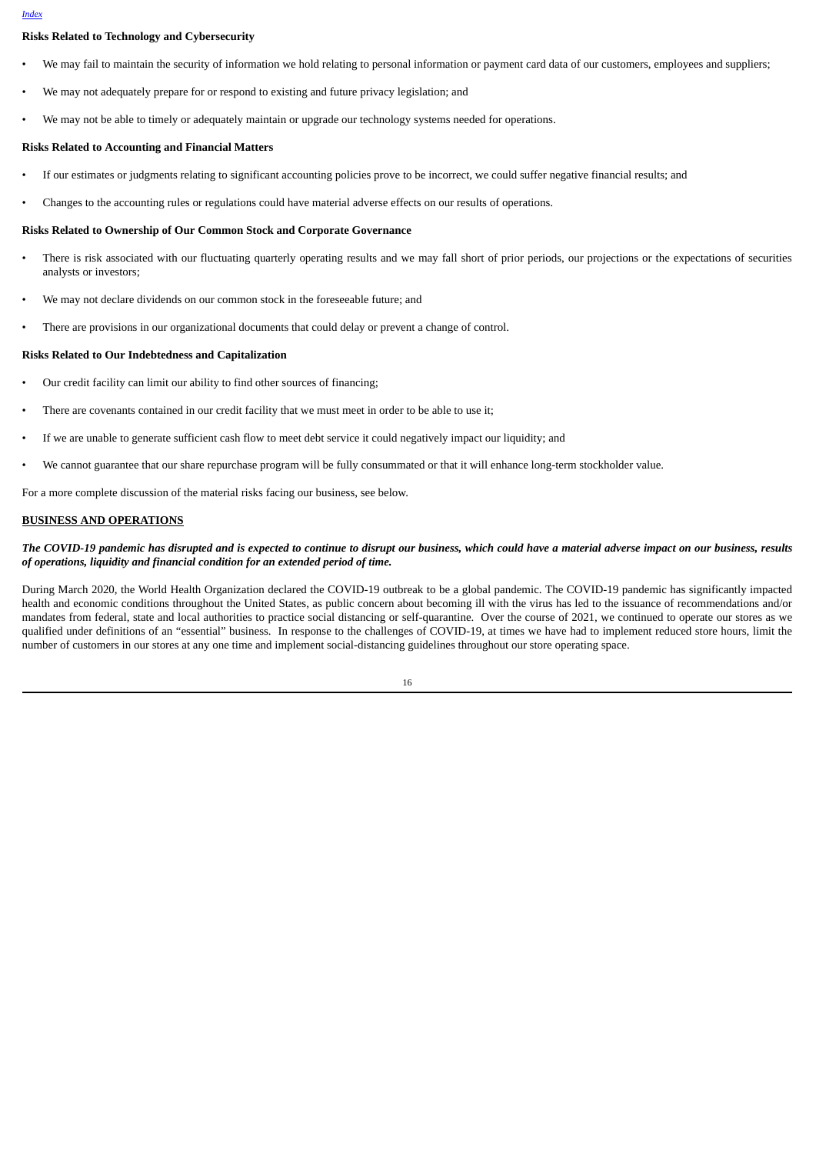# **Risks Related to Technology and Cybersecurity**

- We may fail to maintain the security of information we hold relating to personal information or payment card data of our customers, employees and suppliers;
- We may not adequately prepare for or respond to existing and future privacy legislation; and
- We may not be able to timely or adequately maintain or upgrade our technology systems needed for operations.

## **Risks Related to Accounting and Financial Matters**

- If our estimates or judgments relating to significant accounting policies prove to be incorrect, we could suffer negative financial results; and
- Changes to the accounting rules or regulations could have material adverse effects on our results of operations.

## **Risks Related to Ownership of Our Common Stock and Corporate Governance**

- There is risk associated with our fluctuating quarterly operating results and we may fall short of prior periods, our projections or the expectations of securities analysts or investors;
- We may not declare dividends on our common stock in the foreseeable future; and
- There are provisions in our organizational documents that could delay or prevent a change of control.

## **Risks Related to Our Indebtedness and Capitalization**

- Our credit facility can limit our ability to find other sources of financing;
- There are covenants contained in our credit facility that we must meet in order to be able to use it;
- If we are unable to generate sufficient cash flow to meet debt service it could negatively impact our liquidity; and
- We cannot guarantee that our share repurchase program will be fully consummated or that it will enhance long-term stockholder value.

For a more complete discussion of the material risks facing our business, see below.

## **BUSINESS AND OPERATIONS**

## The COVID-19 pandemic has disrupted and is expected to continue to disrupt our business, which could have a material adverse impact on our business, results *of operations, liquidity and financial condition for an extended period of time.*

During March 2020, the World Health Organization declared the COVID-19 outbreak to be a global pandemic. The COVID-19 pandemic has significantly impacted health and economic conditions throughout the United States, as public concern about becoming ill with the virus has led to the issuance of recommendations and/or mandates from federal, state and local authorities to practice social distancing or self-quarantine. Over the course of 2021, we continued to operate our stores as we qualified under definitions of an "essential" business. In response to the challenges of COVID-19, at times we have had to implement reduced store hours, limit the number of customers in our stores at any one time and implement social-distancing guidelines throughout our store operating space.

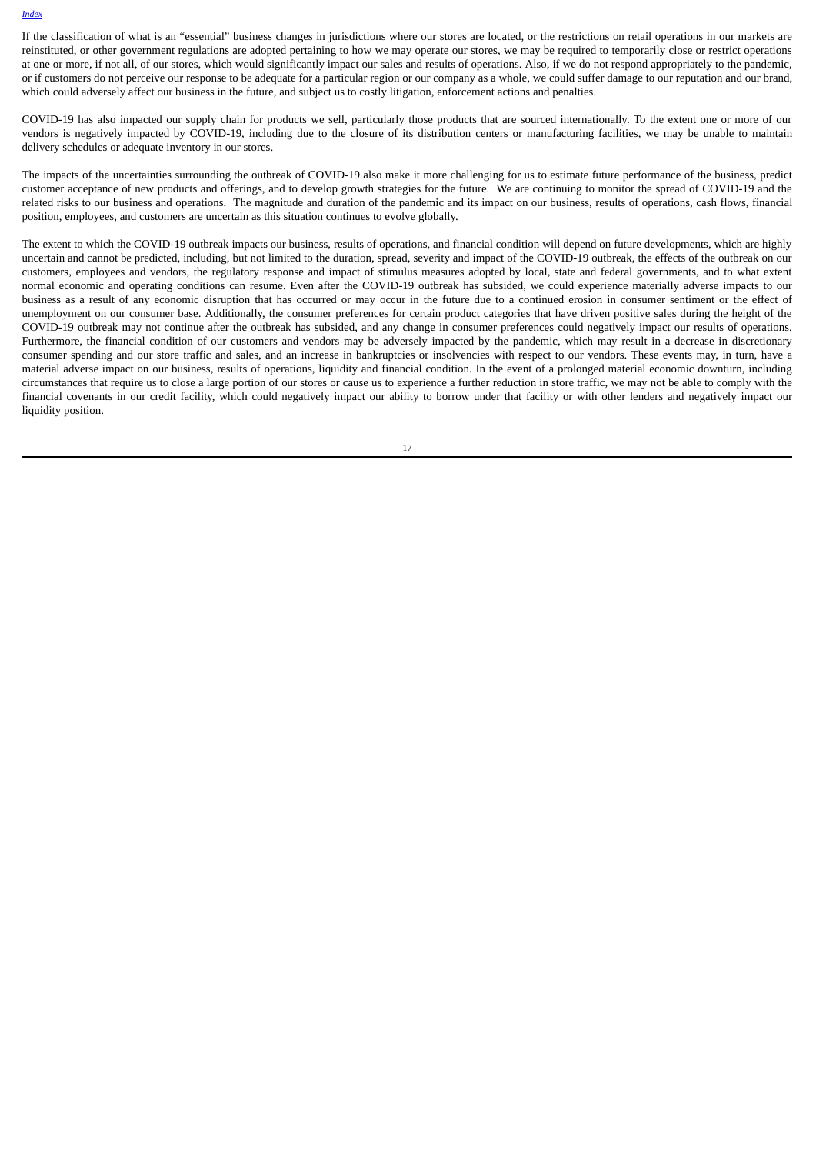If the classification of what is an "essential" business changes in jurisdictions where our stores are located, or the restrictions on retail operations in our markets are reinstituted, or other government regulations are adopted pertaining to how we may operate our stores, we may be required to temporarily close or restrict operations at one or more, if not all, of our stores, which would significantly impact our sales and results of operations. Also, if we do not respond appropriately to the pandemic, or if customers do not perceive our response to be adequate for a particular region or our company as a whole, we could suffer damage to our reputation and our brand, which could adversely affect our business in the future, and subject us to costly litigation, enforcement actions and penalties.

COVID-19 has also impacted our supply chain for products we sell, particularly those products that are sourced internationally. To the extent one or more of our vendors is negatively impacted by COVID-19, including due to the closure of its distribution centers or manufacturing facilities, we may be unable to maintain delivery schedules or adequate inventory in our stores.

The impacts of the uncertainties surrounding the outbreak of COVID-19 also make it more challenging for us to estimate future performance of the business, predict customer acceptance of new products and offerings, and to develop growth strategies for the future. We are continuing to monitor the spread of COVID-19 and the related risks to our business and operations. The magnitude and duration of the pandemic and its impact on our business, results of operations, cash flows, financial position, employees, and customers are uncertain as this situation continues to evolve globally.

The extent to which the COVID-19 outbreak impacts our business, results of operations, and financial condition will depend on future developments, which are highly uncertain and cannot be predicted, including, but not limited to the duration, spread, severity and impact of the COVID-19 outbreak, the effects of the outbreak on our customers, employees and vendors, the regulatory response and impact of stimulus measures adopted by local, state and federal governments, and to what extent normal economic and operating conditions can resume. Even after the COVID-19 outbreak has subsided, we could experience materially adverse impacts to our business as a result of any economic disruption that has occurred or may occur in the future due to a continued erosion in consumer sentiment or the effect of unemployment on our consumer base. Additionally, the consumer preferences for certain product categories that have driven positive sales during the height of the COVID-19 outbreak may not continue after the outbreak has subsided, and any change in consumer preferences could negatively impact our results of operations. Furthermore, the financial condition of our customers and vendors may be adversely impacted by the pandemic, which may result in a decrease in discretionary consumer spending and our store traffic and sales, and an increase in bankruptcies or insolvencies with respect to our vendors. These events may, in turn, have a material adverse impact on our business, results of operations, liquidity and financial condition. In the event of a prolonged material economic downturn, including circumstances that require us to close a large portion of our stores or cause us to experience a further reduction in store traffic, we may not be able to comply with the financial covenants in our credit facility, which could negatively impact our ability to borrow under that facility or with other lenders and negatively impact our liquidity position.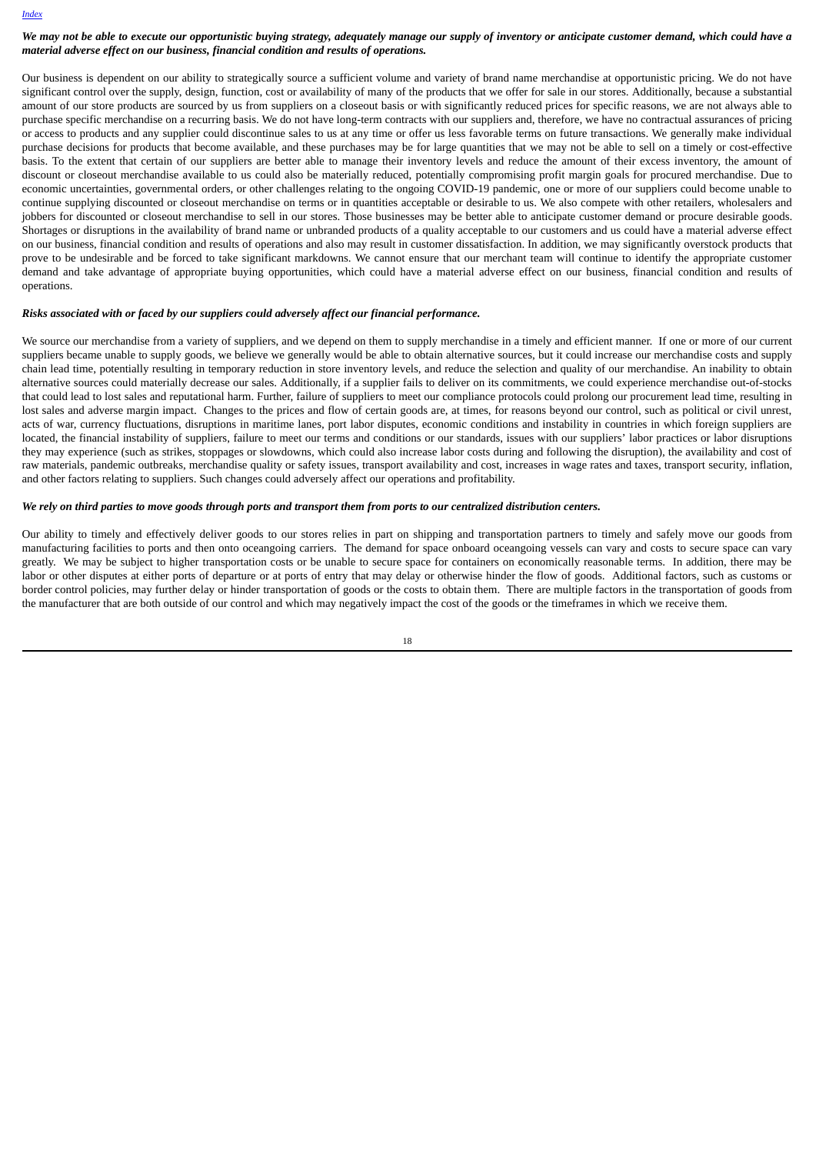## We may not be able to execute our opportunistic buying strategy, adequately manage our supply of inventory or anticipate customer demand, which could have a *material adverse effect on our business, financial condition and results of operations.*

Our business is dependent on our ability to strategically source a sufficient volume and variety of brand name merchandise at opportunistic pricing. We do not have significant control over the supply, design, function, cost or availability of many of the products that we offer for sale in our stores. Additionally, because a substantial amount of our store products are sourced by us from suppliers on a closeout basis or with significantly reduced prices for specific reasons, we are not always able to purchase specific merchandise on a recurring basis. We do not have long-term contracts with our suppliers and, therefore, we have no contractual assurances of pricing or access to products and any supplier could discontinue sales to us at any time or offer us less favorable terms on future transactions. We generally make individual purchase decisions for products that become available, and these purchases may be for large quantities that we may not be able to sell on a timely or cost-effective basis. To the extent that certain of our suppliers are better able to manage their inventory levels and reduce the amount of their excess inventory, the amount of discount or closeout merchandise available to us could also be materially reduced, potentially compromising profit margin goals for procured merchandise. Due to economic uncertainties, governmental orders, or other challenges relating to the ongoing COVID-19 pandemic, one or more of our suppliers could become unable to continue supplying discounted or closeout merchandise on terms or in quantities acceptable or desirable to us. We also compete with other retailers, wholesalers and jobbers for discounted or closeout merchandise to sell in our stores. Those businesses may be better able to anticipate customer demand or procure desirable goods. Shortages or disruptions in the availability of brand name or unbranded products of a quality acceptable to our customers and us could have a material adverse effect on our business, financial condition and results of operations and also may result in customer dissatisfaction. In addition, we may significantly overstock products that prove to be undesirable and be forced to take significant markdowns. We cannot ensure that our merchant team will continue to identify the appropriate customer demand and take advantage of appropriate buying opportunities, which could have a material adverse effect on our business, financial condition and results of operations.

## *Risks associated with or faced by our suppliers could adversely affect our financial performance.*

We source our merchandise from a variety of suppliers, and we depend on them to supply merchandise in a timely and efficient manner. If one or more of our current suppliers became unable to supply goods, we believe we generally would be able to obtain alternative sources, but it could increase our merchandise costs and supply chain lead time, potentially resulting in temporary reduction in store inventory levels, and reduce the selection and quality of our merchandise. An inability to obtain alternative sources could materially decrease our sales. Additionally, if a supplier fails to deliver on its commitments, we could experience merchandise out-of-stocks that could lead to lost sales and reputational harm. Further, failure of suppliers to meet our compliance protocols could prolong our procurement lead time, resulting in lost sales and adverse margin impact. Changes to the prices and flow of certain goods are, at times, for reasons beyond our control, such as political or civil unrest, acts of war, currency fluctuations, disruptions in maritime lanes, port labor disputes, economic conditions and instability in countries in which foreign suppliers are located, the financial instability of suppliers, failure to meet our terms and conditions or our standards, issues with our suppliers' labor practices or labor disruptions they may experience (such as strikes, stoppages or slowdowns, which could also increase labor costs during and following the disruption), the availability and cost of raw materials, pandemic outbreaks, merchandise quality or safety issues, transport availability and cost, increases in wage rates and taxes, transport security, inflation, and other factors relating to suppliers. Such changes could adversely affect our operations and profitability.

## We rely on third parties to move goods through ports and transport them from ports to our centralized distribution centers.

Our ability to timely and effectively deliver goods to our stores relies in part on shipping and transportation partners to timely and safely move our goods from manufacturing facilities to ports and then onto oceangoing carriers. The demand for space onboard oceangoing vessels can vary and costs to secure space can vary greatly. We may be subject to higher transportation costs or be unable to secure space for containers on economically reasonable terms. In addition, there may be labor or other disputes at either ports of departure or at ports of entry that may delay or otherwise hinder the flow of goods. Additional factors, such as customs or border control policies, may further delay or hinder transportation of goods or the costs to obtain them. There are multiple factors in the transportation of goods from the manufacturer that are both outside of our control and which may negatively impact the cost of the goods or the timeframes in which we receive them.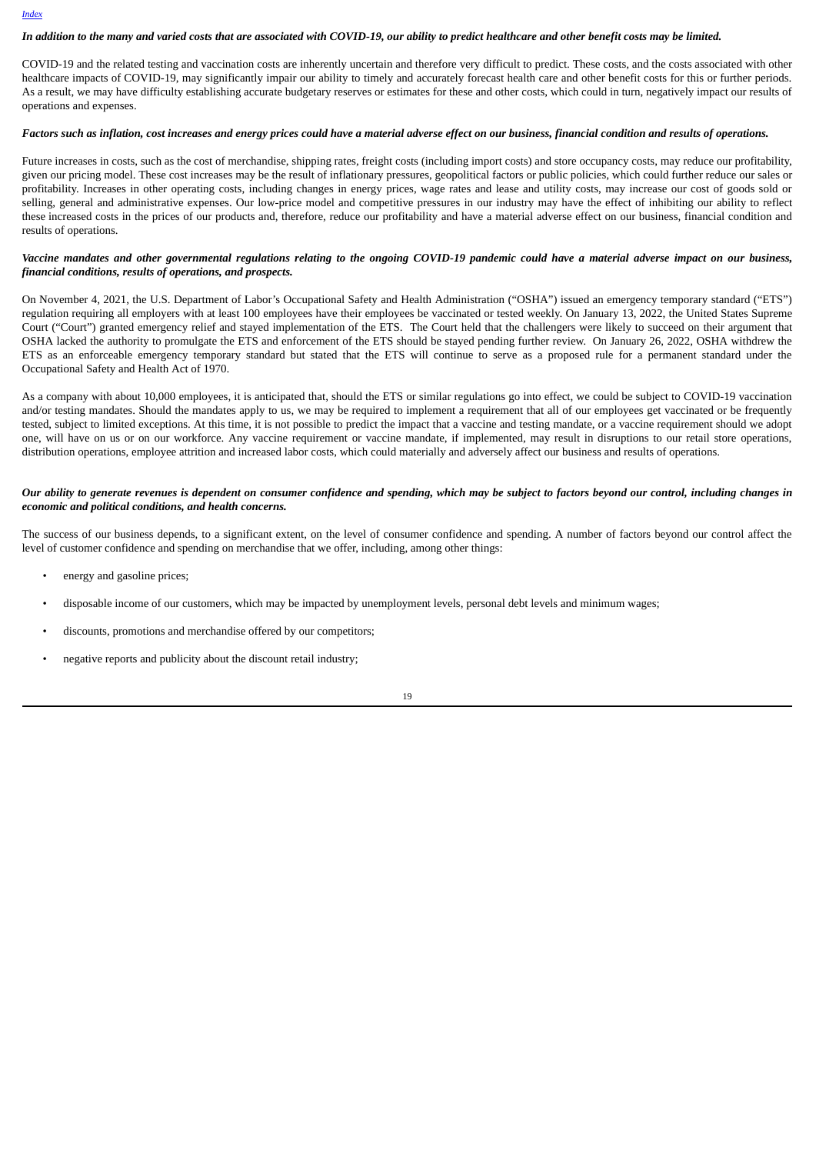#### In addition to the many and varied costs that are associated with COVID-19, our ability to predict healthcare and other benefit costs may be limited.

COVID-19 and the related testing and vaccination costs are inherently uncertain and therefore very difficult to predict. These costs, and the costs associated with other healthcare impacts of COVID-19, may significantly impair our ability to timely and accurately forecast health care and other benefit costs for this or further periods. As a result, we may have difficulty establishing accurate budgetary reserves or estimates for these and other costs, which could in turn, negatively impact our results of operations and expenses.

## Factors such as inflation, cost increases and energy prices could have a material adverse effect on our business, financial condition and results of operations.

Future increases in costs, such as the cost of merchandise, shipping rates, freight costs (including import costs) and store occupancy costs, may reduce our profitability, given our pricing model. These cost increases may be the result of inflationary pressures, geopolitical factors or public policies, which could further reduce our sales or profitability. Increases in other operating costs, including changes in energy prices, wage rates and lease and utility costs, may increase our cost of goods sold or selling, general and administrative expenses. Our low-price model and competitive pressures in our industry may have the effect of inhibiting our ability to reflect these increased costs in the prices of our products and, therefore, reduce our profitability and have a material adverse effect on our business, financial condition and results of operations.

## Vaccine mandates and other governmental regulations relating to the ongoing COVID-19 pandemic could have a material adverse impact on our business, *financial conditions, results of operations, and prospects.*

On November 4, 2021, the U.S. Department of Labor's Occupational Safety and Health Administration ("OSHA") issued an emergency temporary standard ("ETS") regulation requiring all employers with at least 100 employees have their employees be vaccinated or tested weekly. On January 13, 2022, the United States Supreme Court ("Court") granted emergency relief and stayed implementation of the ETS. The Court held that the challengers were likely to succeed on their argument that OSHA lacked the authority to promulgate the ETS and enforcement of the ETS should be stayed pending further review. On January 26, 2022, OSHA withdrew the ETS as an enforceable emergency temporary standard but stated that the ETS will continue to serve as a proposed rule for a permanent standard under the Occupational Safety and Health Act of 1970.

As a company with about 10,000 employees, it is anticipated that, should the ETS or similar regulations go into effect, we could be subject to COVID-19 vaccination and/or testing mandates. Should the mandates apply to us, we may be required to implement a requirement that all of our employees get vaccinated or be frequently tested, subject to limited exceptions. At this time, it is not possible to predict the impact that a vaccine and testing mandate, or a vaccine requirement should we adopt one, will have on us or on our workforce. Any vaccine requirement or vaccine mandate, if implemented, may result in disruptions to our retail store operations, distribution operations, employee attrition and increased labor costs, which could materially and adversely affect our business and results of operations.

## Our ability to generate revenues is dependent on consumer confidence and spending, which may be subject to factors beyond our control, including changes in *economic and political conditions, and health concerns.*

The success of our business depends, to a significant extent, on the level of consumer confidence and spending. A number of factors beyond our control affect the level of customer confidence and spending on merchandise that we offer, including, among other things:

- energy and gasoline prices;
- disposable income of our customers, which may be impacted by unemployment levels, personal debt levels and minimum wages;
- discounts, promotions and merchandise offered by our competitors;
- negative reports and publicity about the discount retail industry;

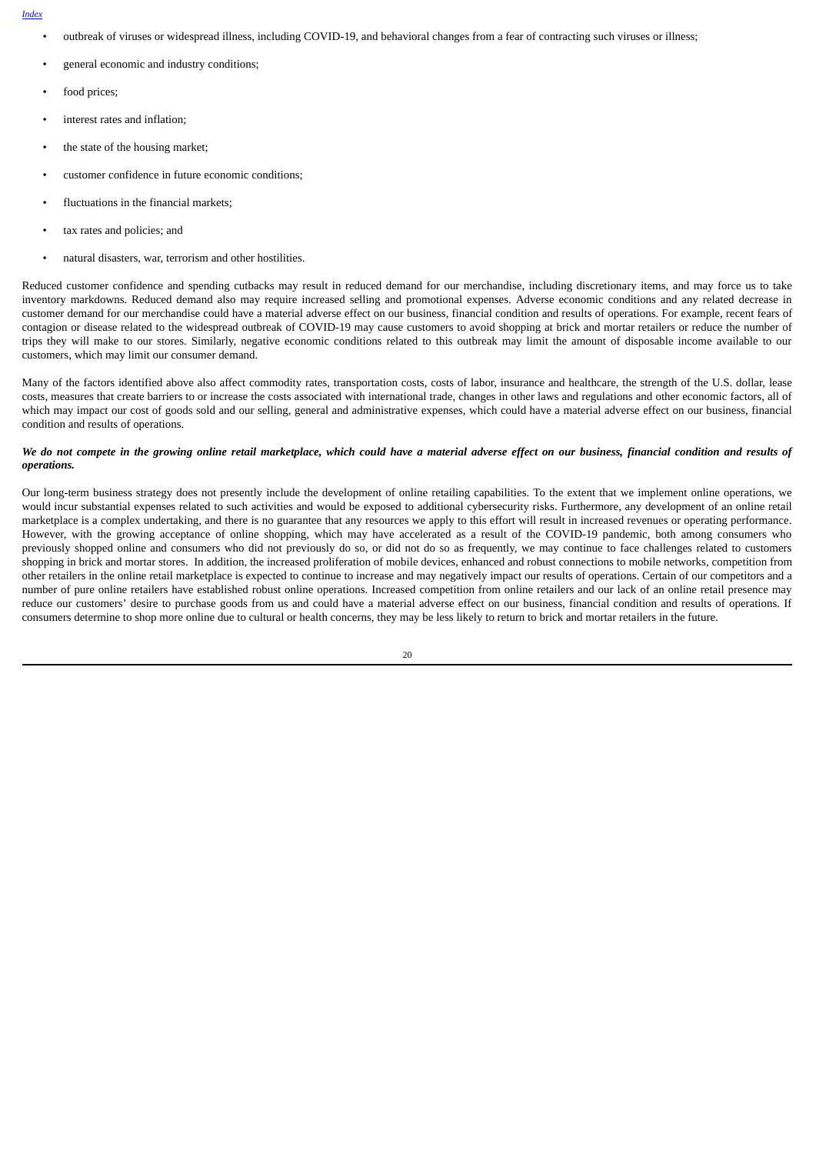- outbreak of viruses or widespread illness, including COVID-19, and behavioral changes from a fear of contracting such viruses or illness;
- general economic and industry conditions;
- food prices;
- interest rates and inflation:
- the state of the housing market;
- customer confidence in future economic conditions;
- fluctuations in the financial markets;
- tax rates and policies; and
- natural disasters, war, terrorism and other hostilities.

Reduced customer confidence and spending cutbacks may result in reduced demand for our merchandise, including discretionary items, and may force us to take inventory markdowns. Reduced demand also may require increased selling and promotional expenses. Adverse economic conditions and any related decrease in customer demand for our merchandise could have a material adverse effect on our business, financial condition and results of operations. For example, recent fears of contagion or disease related to the widespread outbreak of COVID-19 may cause customers to avoid shopping at brick and mortar retailers or reduce the number of trips they will make to our stores. Similarly, negative economic conditions related to this outbreak may limit the amount of disposable income available to our customers, which may limit our consumer demand.

Many of the factors identified above also affect commodity rates, transportation costs, costs of labor, insurance and healthcare, the strength of the U.S. dollar, lease costs, measures that create barriers to or increase the costs associated with international trade, changes in other laws and regulations and other economic factors, all of which may impact our cost of goods sold and our selling, general and administrative expenses, which could have a material adverse effect on our business, financial condition and results of operations.

## We do not compete in the growing online retail marketplace, which could have a material adverse effect on our business, financial condition and results of *operations.*

Our long-term business strategy does not presently include the development of online retailing capabilities. To the extent that we implement online operations, we would incur substantial expenses related to such activities and would be exposed to additional cybersecurity risks. Furthermore, any development of an online retail marketplace is a complex undertaking, and there is no guarantee that any resources we apply to this effort will result in increased revenues or operating performance. However, with the growing acceptance of online shopping, which may have accelerated as a result of the COVID-19 pandemic, both among consumers who previously shopped online and consumers who did not previously do so, or did not do so as frequently, we may continue to face challenges related to customers shopping in brick and mortar stores. In addition, the increased proliferation of mobile devices, enhanced and robust connections to mobile networks, competition from other retailers in the online retail marketplace is expected to continue to increase and may negatively impact our results of operations. Certain of our competitors and a number of pure online retailers have established robust online operations. Increased competition from online retailers and our lack of an online retail presence may reduce our customers' desire to purchase goods from us and could have a material adverse effect on our business, financial condition and results of operations. If consumers determine to shop more online due to cultural or health concerns, they may be less likely to return to brick and mortar retailers in the future.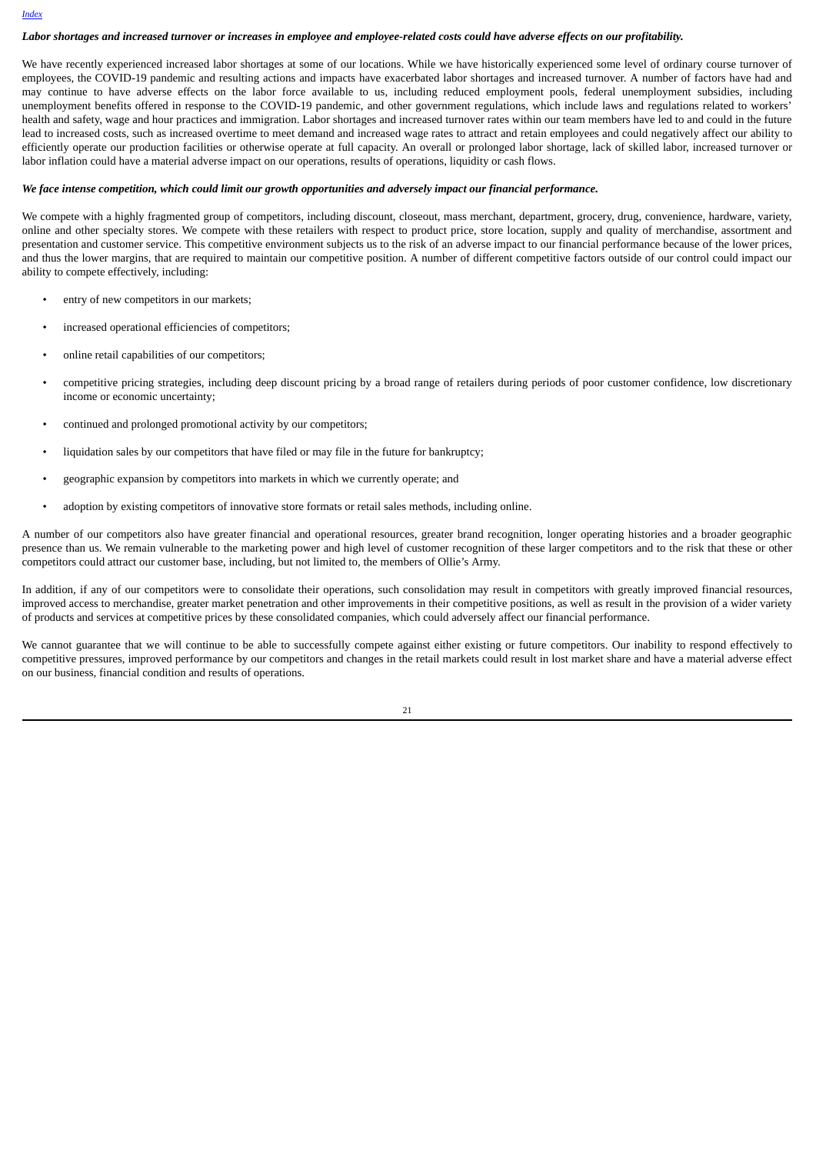#### Labor shortages and increased turnover or increases in employee and employee-related costs could have adverse effects on our profitability.

We have recently experienced increased labor shortages at some of our locations. While we have historically experienced some level of ordinary course turnover of employees, the COVID-19 pandemic and resulting actions and impacts have exacerbated labor shortages and increased turnover. A number of factors have had and may continue to have adverse effects on the labor force available to us, including reduced employment pools, federal unemployment subsidies, including unemployment benefits offered in response to the COVID-19 pandemic, and other government regulations, which include laws and regulations related to workers' health and safety, wage and hour practices and immigration. Labor shortages and increased turnover rates within our team members have led to and could in the future lead to increased costs, such as increased overtime to meet demand and increased wage rates to attract and retain employees and could negatively affect our ability to efficiently operate our production facilities or otherwise operate at full capacity. An overall or prolonged labor shortage, lack of skilled labor, increased turnover or labor inflation could have a material adverse impact on our operations, results of operations, liquidity or cash flows.

## We face intense competition, which could limit our growth opportunities and adversely impact our financial performance.

We compete with a highly fragmented group of competitors, including discount, closeout, mass merchant, department, grocery, drug, convenience, hardware, variety, online and other specialty stores. We compete with these retailers with respect to product price, store location, supply and quality of merchandise, assortment and presentation and customer service. This competitive environment subjects us to the risk of an adverse impact to our financial performance because of the lower prices, and thus the lower margins, that are required to maintain our competitive position. A number of different competitive factors outside of our control could impact our ability to compete effectively, including:

- entry of new competitors in our markets;
- increased operational efficiencies of competitors;
- online retail capabilities of our competitors;
- competitive pricing strategies, including deep discount pricing by a broad range of retailers during periods of poor customer confidence, low discretionary income or economic uncertainty;
- continued and prolonged promotional activity by our competitors;
- liquidation sales by our competitors that have filed or may file in the future for bankruptcy;
- geographic expansion by competitors into markets in which we currently operate; and
- adoption by existing competitors of innovative store formats or retail sales methods, including online.

A number of our competitors also have greater financial and operational resources, greater brand recognition, longer operating histories and a broader geographic presence than us. We remain vulnerable to the marketing power and high level of customer recognition of these larger competitors and to the risk that these or other competitors could attract our customer base, including, but not limited to, the members of Ollie's Army.

In addition, if any of our competitors were to consolidate their operations, such consolidation may result in competitors with greatly improved financial resources, improved access to merchandise, greater market penetration and other improvements in their competitive positions, as well as result in the provision of a wider variety of products and services at competitive prices by these consolidated companies, which could adversely affect our financial performance.

We cannot guarantee that we will continue to be able to successfully compete against either existing or future competitors. Our inability to respond effectively to competitive pressures, improved performance by our competitors and changes in the retail markets could result in lost market share and have a material adverse effect on our business, financial condition and results of operations.

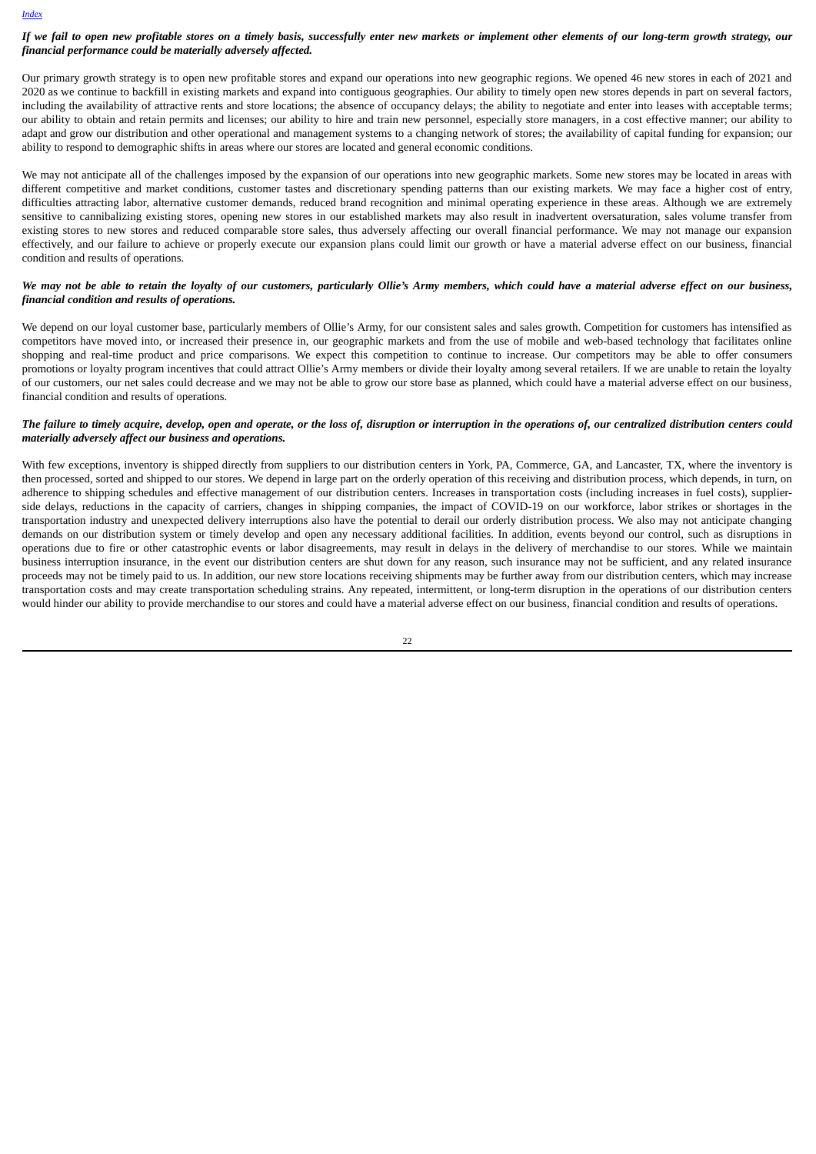## If we fail to open new profitable stores on a timely basis, successfully enter new markets or implement other elements of our long-term growth strategy, our *financial performance could be materially adversely affected.*

Our primary growth strategy is to open new profitable stores and expand our operations into new geographic regions. We opened 46 new stores in each of 2021 and 2020 as we continue to backfill in existing markets and expand into contiguous geographies. Our ability to timely open new stores depends in part on several factors, including the availability of attractive rents and store locations; the absence of occupancy delays; the ability to negotiate and enter into leases with acceptable terms; our ability to obtain and retain permits and licenses; our ability to hire and train new personnel, especially store managers, in a cost effective manner; our ability to adapt and grow our distribution and other operational and management systems to a changing network of stores; the availability of capital funding for expansion; our ability to respond to demographic shifts in areas where our stores are located and general economic conditions.

We may not anticipate all of the challenges imposed by the expansion of our operations into new geographic markets. Some new stores may be located in areas with different competitive and market conditions, customer tastes and discretionary spending patterns than our existing markets. We may face a higher cost of entry, difficulties attracting labor, alternative customer demands, reduced brand recognition and minimal operating experience in these areas. Although we are extremely sensitive to cannibalizing existing stores, opening new stores in our established markets may also result in inadvertent oversaturation, sales volume transfer from existing stores to new stores and reduced comparable store sales, thus adversely affecting our overall financial performance. We may not manage our expansion effectively, and our failure to achieve or properly execute our expansion plans could limit our growth or have a material adverse effect on our business, financial condition and results of operations.

## We may not be able to retain the loyalty of our customers, particularly Ollie's Army members, which could have a material adverse effect on our business, *financial condition and results of operations.*

We depend on our loyal customer base, particularly members of Ollie's Army, for our consistent sales and sales growth. Competition for customers has intensified as competitors have moved into, or increased their presence in, our geographic markets and from the use of mobile and web-based technology that facilitates online shopping and real-time product and price comparisons. We expect this competition to continue to increase. Our competitors may be able to offer consumers promotions or loyalty program incentives that could attract Ollie's Army members or divide their loyalty among several retailers. If we are unable to retain the loyalty of our customers, our net sales could decrease and we may not be able to grow our store base as planned, which could have a material adverse effect on our business, financial condition and results of operations.

## The failure to timely acquire, develop, open and operate, or the loss of, disruption or interruption in the operations of, our centralized distribution centers could *materially adversely affect our business and operations.*

With few exceptions, inventory is shipped directly from suppliers to our distribution centers in York, PA, Commerce, GA, and Lancaster, TX, where the inventory is then processed, sorted and shipped to our stores. We depend in large part on the orderly operation of this receiving and distribution process, which depends, in turn, on adherence to shipping schedules and effective management of our distribution centers. Increases in transportation costs (including increases in fuel costs), supplierside delays, reductions in the capacity of carriers, changes in shipping companies, the impact of COVID-19 on our workforce, labor strikes or shortages in the transportation industry and unexpected delivery interruptions also have the potential to derail our orderly distribution process. We also may not anticipate changing demands on our distribution system or timely develop and open any necessary additional facilities. In addition, events beyond our control, such as disruptions in operations due to fire or other catastrophic events or labor disagreements, may result in delays in the delivery of merchandise to our stores. While we maintain business interruption insurance, in the event our distribution centers are shut down for any reason, such insurance may not be sufficient, and any related insurance proceeds may not be timely paid to us. In addition, our new store locations receiving shipments may be further away from our distribution centers, which may increase transportation costs and may create transportation scheduling strains. Any repeated, intermittent, or long-term disruption in the operations of our distribution centers would hinder our ability to provide merchandise to our stores and could have a material adverse effect on our business, financial condition and results of operations.

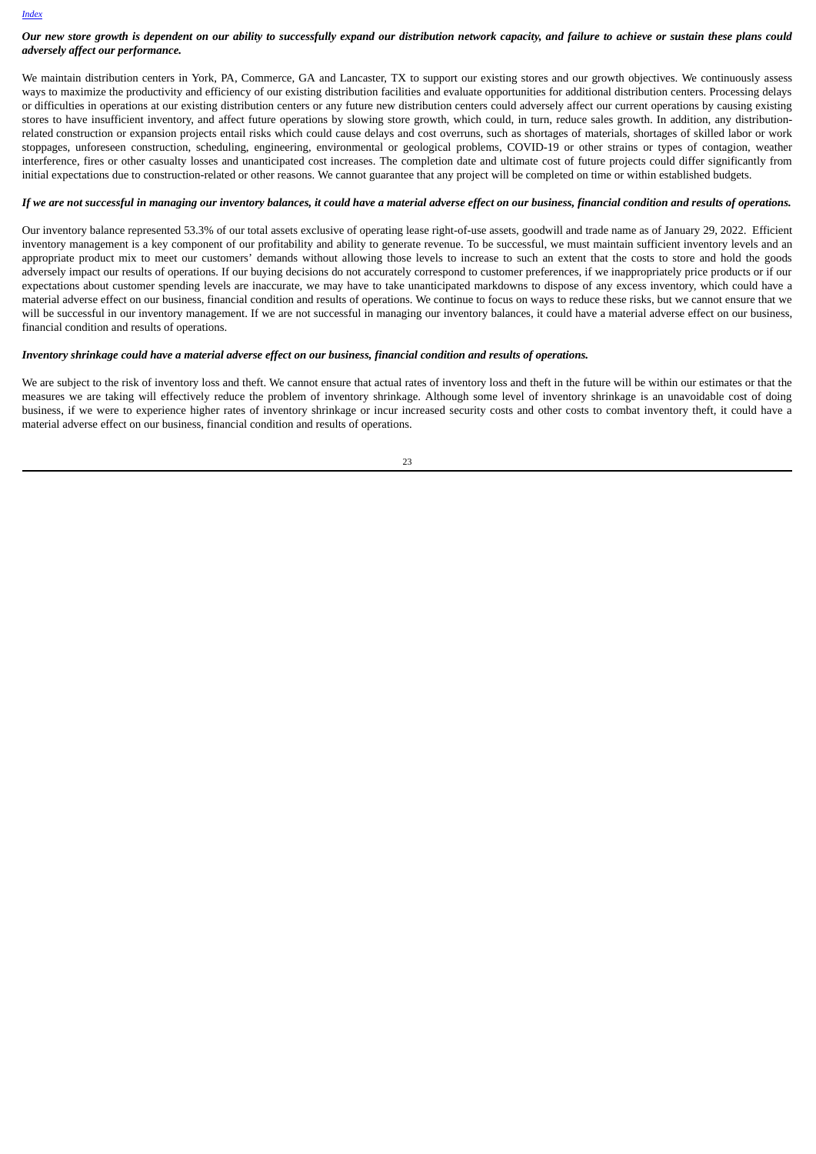## Our new store growth is dependent on our ability to successfully expand our distribution network capacity, and failure to achieve or sustain these plans could *adversely affect our performance.*

We maintain distribution centers in York, PA, Commerce, GA and Lancaster, TX to support our existing stores and our growth objectives. We continuously assess ways to maximize the productivity and efficiency of our existing distribution facilities and evaluate opportunities for additional distribution centers. Processing delays or difficulties in operations at our existing distribution centers or any future new distribution centers could adversely affect our current operations by causing existing stores to have insufficient inventory, and affect future operations by slowing store growth, which could, in turn, reduce sales growth. In addition, any distributionrelated construction or expansion projects entail risks which could cause delays and cost overruns, such as shortages of materials, shortages of skilled labor or work stoppages, unforeseen construction, scheduling, engineering, environmental or geological problems, COVID-19 or other strains or types of contagion, weather interference, fires or other casualty losses and unanticipated cost increases. The completion date and ultimate cost of future projects could differ significantly from initial expectations due to construction-related or other reasons. We cannot guarantee that any project will be completed on time or within established budgets.

## If we are not successful in managing our inventory balances, it could have a material adverse effect on our business, financial condition and results of operations.

Our inventory balance represented 53.3% of our total assets exclusive of operating lease right-of-use assets, goodwill and trade name as of January 29, 2022. Efficient inventory management is a key component of our profitability and ability to generate revenue. To be successful, we must maintain sufficient inventory levels and an appropriate product mix to meet our customers' demands without allowing those levels to increase to such an extent that the costs to store and hold the goods adversely impact our results of operations. If our buying decisions do not accurately correspond to customer preferences, if we inappropriately price products or if our expectations about customer spending levels are inaccurate, we may have to take unanticipated markdowns to dispose of any excess inventory, which could have a material adverse effect on our business, financial condition and results of operations. We continue to focus on ways to reduce these risks, but we cannot ensure that we will be successful in our inventory management. If we are not successful in managing our inventory balances, it could have a material adverse effect on our business, financial condition and results of operations.

# Inventory shrinkage could have a material adverse effect on our business, financial condition and results of operations.

We are subject to the risk of inventory loss and theft. We cannot ensure that actual rates of inventory loss and theft in the future will be within our estimates or that the measures we are taking will effectively reduce the problem of inventory shrinkage. Although some level of inventory shrinkage is an unavoidable cost of doing business, if we were to experience higher rates of inventory shrinkage or incur increased security costs and other costs to combat inventory theft, it could have a material adverse effect on our business, financial condition and results of operations.

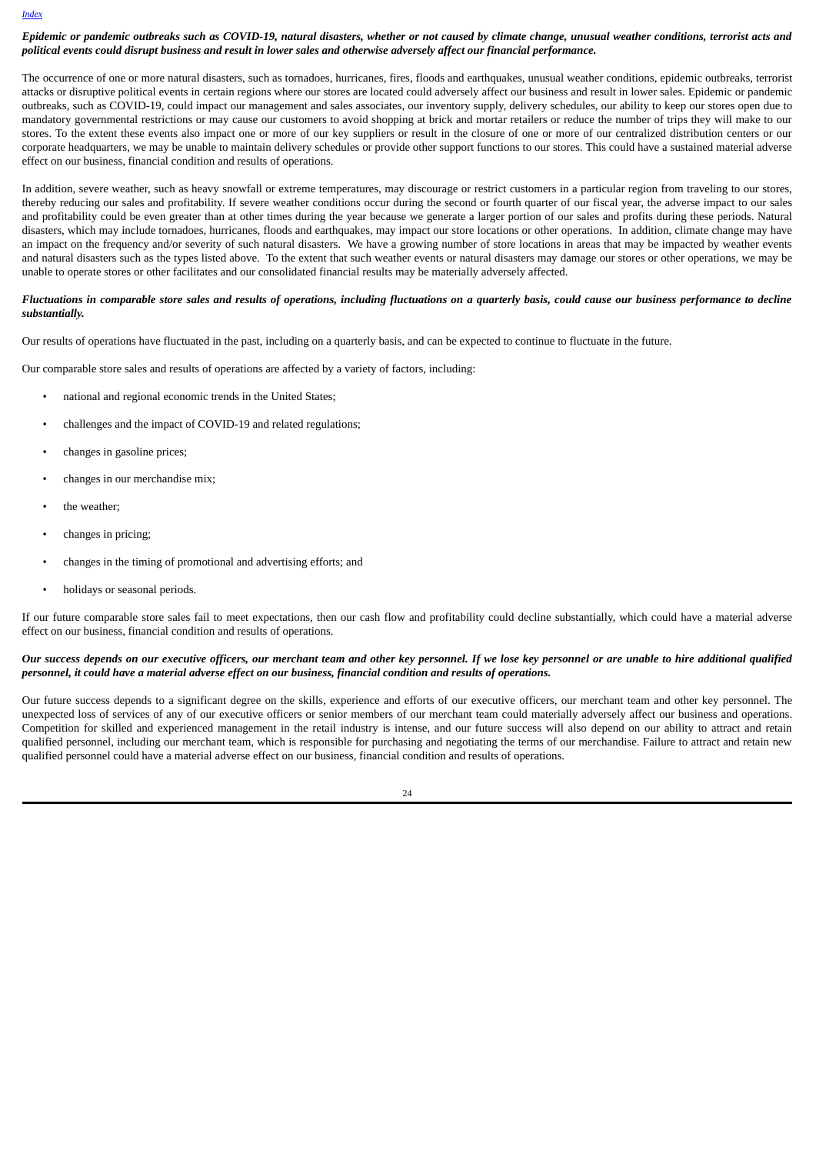## Epidemic or pandemic outbreaks such as COVID-19, natural disasters, whether or not caused by climate change, unusual weather conditions, terrorist acts and political events could disrupt business and result in lower sales and otherwise adversely affect our financial performance.

The occurrence of one or more natural disasters, such as tornadoes, hurricanes, fires, floods and earthquakes, unusual weather conditions, epidemic outbreaks, terrorist attacks or disruptive political events in certain regions where our stores are located could adversely affect our business and result in lower sales. Epidemic or pandemic outbreaks, such as COVID-19, could impact our management and sales associates, our inventory supply, delivery schedules, our ability to keep our stores open due to mandatory governmental restrictions or may cause our customers to avoid shopping at brick and mortar retailers or reduce the number of trips they will make to our stores. To the extent these events also impact one or more of our key suppliers or result in the closure of one or more of our centralized distribution centers or our corporate headquarters, we may be unable to maintain delivery schedules or provide other support functions to our stores. This could have a sustained material adverse effect on our business, financial condition and results of operations.

In addition, severe weather, such as heavy snowfall or extreme temperatures, may discourage or restrict customers in a particular region from traveling to our stores, thereby reducing our sales and profitability. If severe weather conditions occur during the second or fourth quarter of our fiscal year, the adverse impact to our sales and profitability could be even greater than at other times during the year because we generate a larger portion of our sales and profits during these periods. Natural disasters, which may include tornadoes, hurricanes, floods and earthquakes, may impact our store locations or other operations. In addition, climate change may have an impact on the frequency and/or severity of such natural disasters. We have a growing number of store locations in areas that may be impacted by weather events and natural disasters such as the types listed above. To the extent that such weather events or natural disasters may damage our stores or other operations, we may be unable to operate stores or other facilitates and our consolidated financial results may be materially adversely affected.

## Fluctuations in comparable store sales and results of operations, including fluctuations on a quarterly basis, could cause our business performance to decline *substantially.*

Our results of operations have fluctuated in the past, including on a quarterly basis, and can be expected to continue to fluctuate in the future.

Our comparable store sales and results of operations are affected by a variety of factors, including:

- national and regional economic trends in the United States;
- challenges and the impact of COVID-19 and related regulations;
- changes in gasoline prices;
- changes in our merchandise mix;
- the weather;
- changes in pricing;
- changes in the timing of promotional and advertising efforts; and
- holidays or seasonal periods.

If our future comparable store sales fail to meet expectations, then our cash flow and profitability could decline substantially, which could have a material adverse effect on our business, financial condition and results of operations.

## Our success depends on our executive officers, our merchant team and other key personnel. If we lose key personnel or are unable to hire additional qualified personnel, it could have a material adverse effect on our business, financial condition and results of operations.

Our future success depends to a significant degree on the skills, experience and efforts of our executive officers, our merchant team and other key personnel. The unexpected loss of services of any of our executive officers or senior members of our merchant team could materially adversely affect our business and operations. Competition for skilled and experienced management in the retail industry is intense, and our future success will also depend on our ability to attract and retain qualified personnel, including our merchant team, which is responsible for purchasing and negotiating the terms of our merchandise. Failure to attract and retain new qualified personnel could have a material adverse effect on our business, financial condition and results of operations.

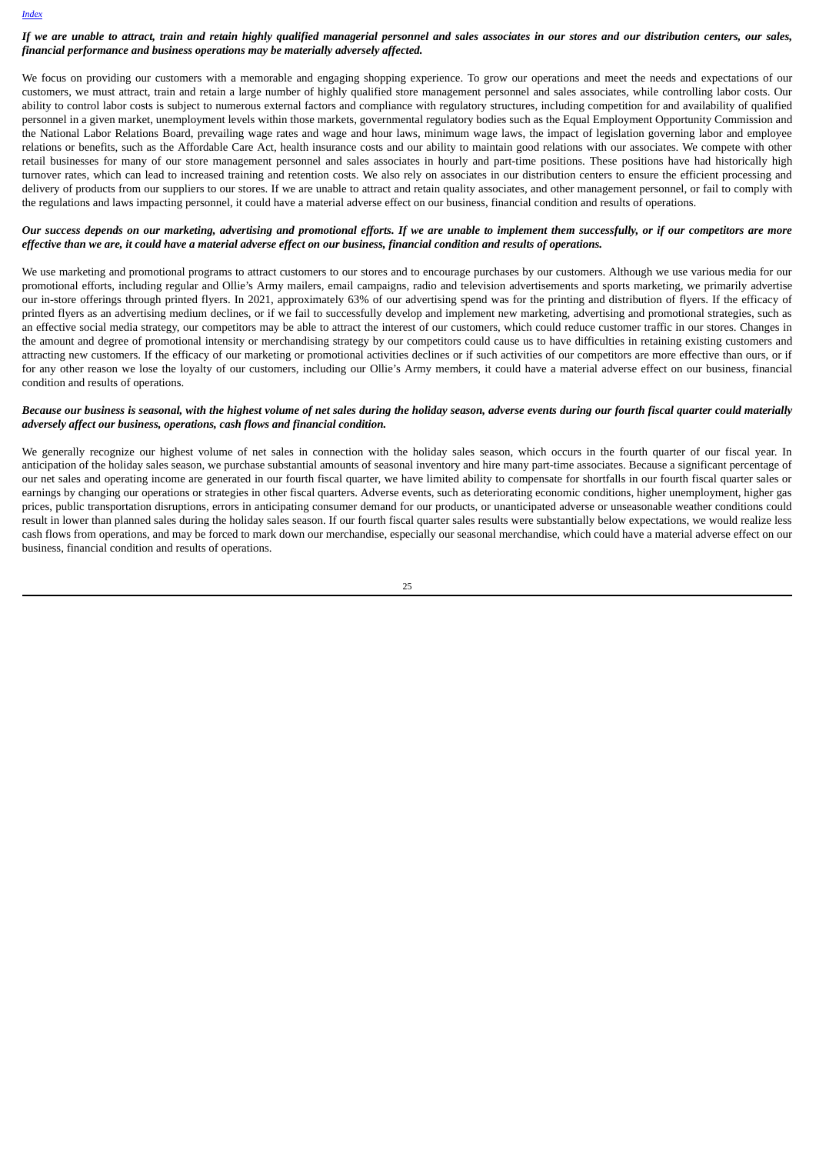## If we are unable to attract, train and retain highly qualified managerial personnel and sales associates in our stores and our distribution centers, our sales, *financial performance and business operations may be materially adversely affected.*

We focus on providing our customers with a memorable and engaging shopping experience. To grow our operations and meet the needs and expectations of our customers, we must attract, train and retain a large number of highly qualified store management personnel and sales associates, while controlling labor costs. Our ability to control labor costs is subject to numerous external factors and compliance with regulatory structures, including competition for and availability of qualified personnel in a given market, unemployment levels within those markets, governmental regulatory bodies such as the Equal Employment Opportunity Commission and the National Labor Relations Board, prevailing wage rates and wage and hour laws, minimum wage laws, the impact of legislation governing labor and employee relations or benefits, such as the Affordable Care Act, health insurance costs and our ability to maintain good relations with our associates. We compete with other retail businesses for many of our store management personnel and sales associates in hourly and part-time positions. These positions have had historically high turnover rates, which can lead to increased training and retention costs. We also rely on associates in our distribution centers to ensure the efficient processing and delivery of products from our suppliers to our stores. If we are unable to attract and retain quality associates, and other management personnel, or fail to comply with the regulations and laws impacting personnel, it could have a material adverse effect on our business, financial condition and results of operations.

## Our success depends on our marketing, advertising and promotional efforts. If we are unable to implement them successfully, or if our competitors are more effective than we are, it could have a material adverse effect on our business, financial condition and results of operations.

We use marketing and promotional programs to attract customers to our stores and to encourage purchases by our customers. Although we use various media for our promotional efforts, including regular and Ollie's Army mailers, email campaigns, radio and television advertisements and sports marketing, we primarily advertise our in-store offerings through printed flyers. In 2021, approximately 63% of our advertising spend was for the printing and distribution of flyers. If the efficacy of printed flyers as an advertising medium declines, or if we fail to successfully develop and implement new marketing, advertising and promotional strategies, such as an effective social media strategy, our competitors may be able to attract the interest of our customers, which could reduce customer traffic in our stores. Changes in the amount and degree of promotional intensity or merchandising strategy by our competitors could cause us to have difficulties in retaining existing customers and attracting new customers. If the efficacy of our marketing or promotional activities declines or if such activities of our competitors are more effective than ours, or if for any other reason we lose the loyalty of our customers, including our Ollie's Army members, it could have a material adverse effect on our business, financial condition and results of operations.

## Because our business is seasonal, with the highest volume of net sales during the holiday season, adverse events during our fourth fiscal quarter could materially *adversely affect our business, operations, cash flows and financial condition.*

We generally recognize our highest volume of net sales in connection with the holiday sales season, which occurs in the fourth quarter of our fiscal year. In anticipation of the holiday sales season, we purchase substantial amounts of seasonal inventory and hire many part-time associates. Because a significant percentage of our net sales and operating income are generated in our fourth fiscal quarter, we have limited ability to compensate for shortfalls in our fourth fiscal quarter sales or earnings by changing our operations or strategies in other fiscal quarters. Adverse events, such as deteriorating economic conditions, higher unemployment, higher gas prices, public transportation disruptions, errors in anticipating consumer demand for our products, or unanticipated adverse or unseasonable weather conditions could result in lower than planned sales during the holiday sales season. If our fourth fiscal quarter sales results were substantially below expectations, we would realize less cash flows from operations, and may be forced to mark down our merchandise, especially our seasonal merchandise, which could have a material adverse effect on our business, financial condition and results of operations.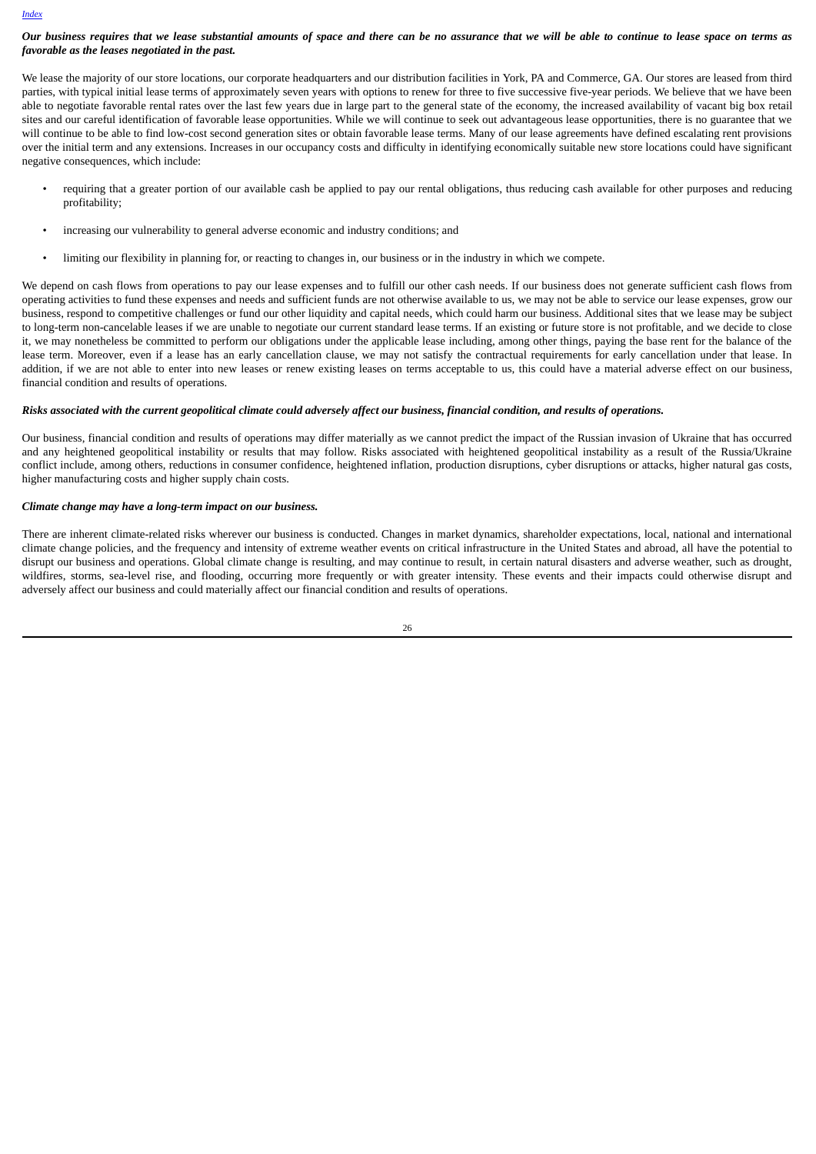## Our business requires that we lease substantial amounts of space and there can be no assurance that we will be able to continue to lease space on terms as *favorable as the leases negotiated in the past.*

We lease the majority of our store locations, our corporate headquarters and our distribution facilities in York, PA and Commerce, GA. Our stores are leased from third parties, with typical initial lease terms of approximately seven years with options to renew for three to five successive five-year periods. We believe that we have been able to negotiate favorable rental rates over the last few years due in large part to the general state of the economy, the increased availability of vacant big box retail sites and our careful identification of favorable lease opportunities. While we will continue to seek out advantageous lease opportunities, there is no guarantee that we will continue to be able to find low-cost second generation sites or obtain favorable lease terms. Many of our lease agreements have defined escalating rent provisions over the initial term and any extensions. Increases in our occupancy costs and difficulty in identifying economically suitable new store locations could have significant negative consequences, which include:

- requiring that a greater portion of our available cash be applied to pay our rental obligations, thus reducing cash available for other purposes and reducing profitability;
- increasing our vulnerability to general adverse economic and industry conditions; and
- limiting our flexibility in planning for, or reacting to changes in, our business or in the industry in which we compete.

We depend on cash flows from operations to pay our lease expenses and to fulfill our other cash needs. If our business does not generate sufficient cash flows from operating activities to fund these expenses and needs and sufficient funds are not otherwise available to us, we may not be able to service our lease expenses, grow our business, respond to competitive challenges or fund our other liquidity and capital needs, which could harm our business. Additional sites that we lease may be subject to long-term non-cancelable leases if we are unable to negotiate our current standard lease terms. If an existing or future store is not profitable, and we decide to close it, we may nonetheless be committed to perform our obligations under the applicable lease including, among other things, paying the base rent for the balance of the lease term. Moreover, even if a lease has an early cancellation clause, we may not satisfy the contractual requirements for early cancellation under that lease. In addition, if we are not able to enter into new leases or renew existing leases on terms acceptable to us, this could have a material adverse effect on our business, financial condition and results of operations.

## Risks associated with the current geopolitical climate could adversely affect our business, financial condition, and results of operations.

Our business, financial condition and results of operations may differ materially as we cannot predict the impact of the Russian invasion of Ukraine that has occurred and any heightened geopolitical instability or results that may follow. Risks associated with heightened geopolitical instability as a result of the Russia/Ukraine conflict include, among others, reductions in consumer confidence, heightened inflation, production disruptions, cyber disruptions or attacks, higher natural gas costs, higher manufacturing costs and higher supply chain costs.

## *Climate change may have a long-term impact on our business.*

There are inherent climate-related risks wherever our business is conducted. Changes in market dynamics, shareholder expectations, local, national and international climate change policies, and the frequency and intensity of extreme weather events on critical infrastructure in the United States and abroad, all have the potential to disrupt our business and operations. Global climate change is resulting, and may continue to result, in certain natural disasters and adverse weather, such as drought, wildfires, storms, sea-level rise, and flooding, occurring more frequently or with greater intensity. These events and their impacts could otherwise disrupt and adversely affect our business and could materially affect our financial condition and results of operations.

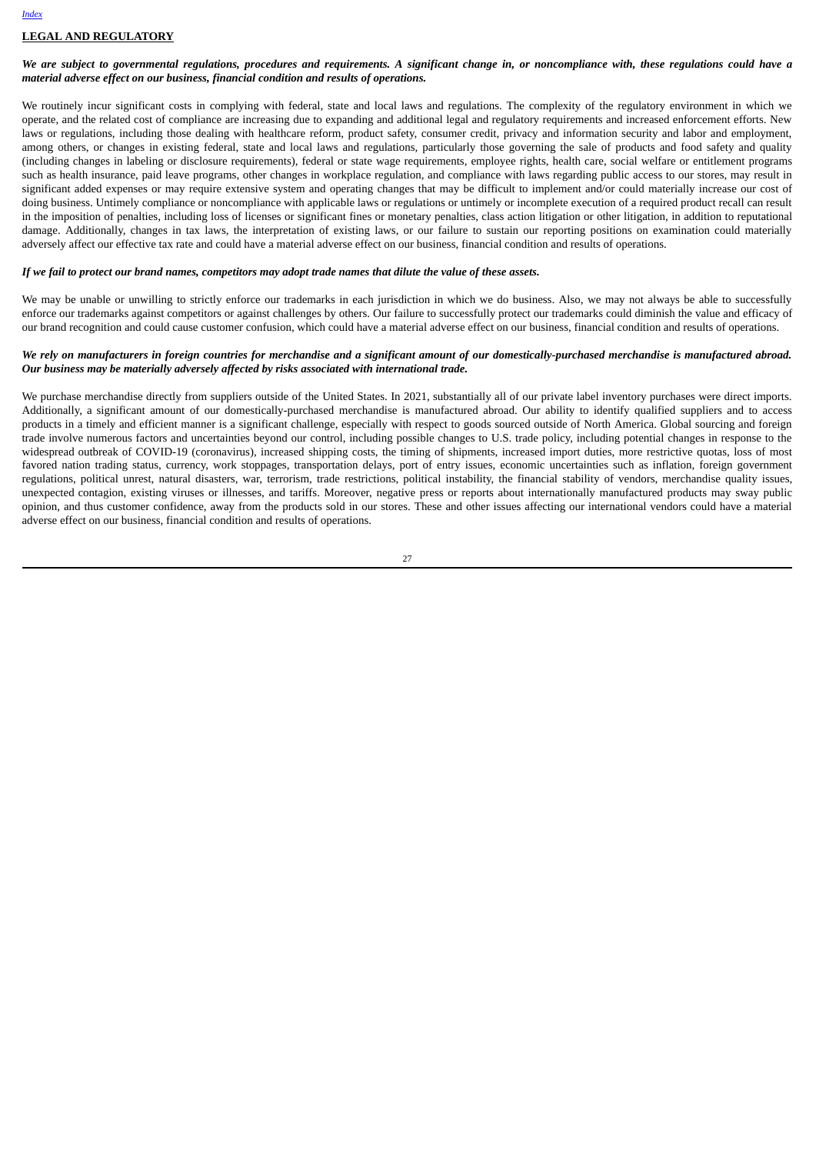## **LEGAL AND REGULATORY**

## We are subject to governmental regulations, procedures and requirements. A significant change in, or noncompliance with, these regulations could have a *material adverse effect on our business, financial condition and results of operations.*

We routinely incur significant costs in complying with federal, state and local laws and regulations. The complexity of the regulatory environment in which we operate, and the related cost of compliance are increasing due to expanding and additional legal and regulatory requirements and increased enforcement efforts. New laws or regulations, including those dealing with healthcare reform, product safety, consumer credit, privacy and information security and labor and employment, among others, or changes in existing federal, state and local laws and regulations, particularly those governing the sale of products and food safety and quality (including changes in labeling or disclosure requirements), federal or state wage requirements, employee rights, health care, social welfare or entitlement programs such as health insurance, paid leave programs, other changes in workplace regulation, and compliance with laws regarding public access to our stores, may result in significant added expenses or may require extensive system and operating changes that may be difficult to implement and/or could materially increase our cost of doing business. Untimely compliance or noncompliance with applicable laws or regulations or untimely or incomplete execution of a required product recall can result in the imposition of penalties, including loss of licenses or significant fines or monetary penalties, class action litigation or other litigation, in addition to reputational damage. Additionally, changes in tax laws, the interpretation of existing laws, or our failure to sustain our reporting positions on examination could materially adversely affect our effective tax rate and could have a material adverse effect on our business, financial condition and results of operations.

## If we fail to protect our brand names, competitors may adopt trade names that dilute the value of these assets.

We may be unable or unwilling to strictly enforce our trademarks in each jurisdiction in which we do business. Also, we may not always be able to successfully enforce our trademarks against competitors or against challenges by others. Our failure to successfully protect our trademarks could diminish the value and efficacy of our brand recognition and could cause customer confusion, which could have a material adverse effect on our business, financial condition and results of operations.

## We rely on manufacturers in foreign countries for merchandise and a significant amount of our domestically-purchased merchandise is manufactured abroad. *Our business may be materially adversely affected by risks associated with international trade.*

We purchase merchandise directly from suppliers outside of the United States. In 2021, substantially all of our private label inventory purchases were direct imports. Additionally, a significant amount of our domestically-purchased merchandise is manufactured abroad. Our ability to identify qualified suppliers and to access products in a timely and efficient manner is a significant challenge, especially with respect to goods sourced outside of North America. Global sourcing and foreign trade involve numerous factors and uncertainties beyond our control, including possible changes to U.S. trade policy, including potential changes in response to the widespread outbreak of COVID-19 (coronavirus), increased shipping costs, the timing of shipments, increased import duties, more restrictive quotas, loss of most favored nation trading status, currency, work stoppages, transportation delays, port of entry issues, economic uncertainties such as inflation, foreign government regulations, political unrest, natural disasters, war, terrorism, trade restrictions, political instability, the financial stability of vendors, merchandise quality issues, unexpected contagion, existing viruses or illnesses, and tariffs. Moreover, negative press or reports about internationally manufactured products may sway public opinion, and thus customer confidence, away from the products sold in our stores. These and other issues affecting our international vendors could have a material adverse effect on our business, financial condition and results of operations.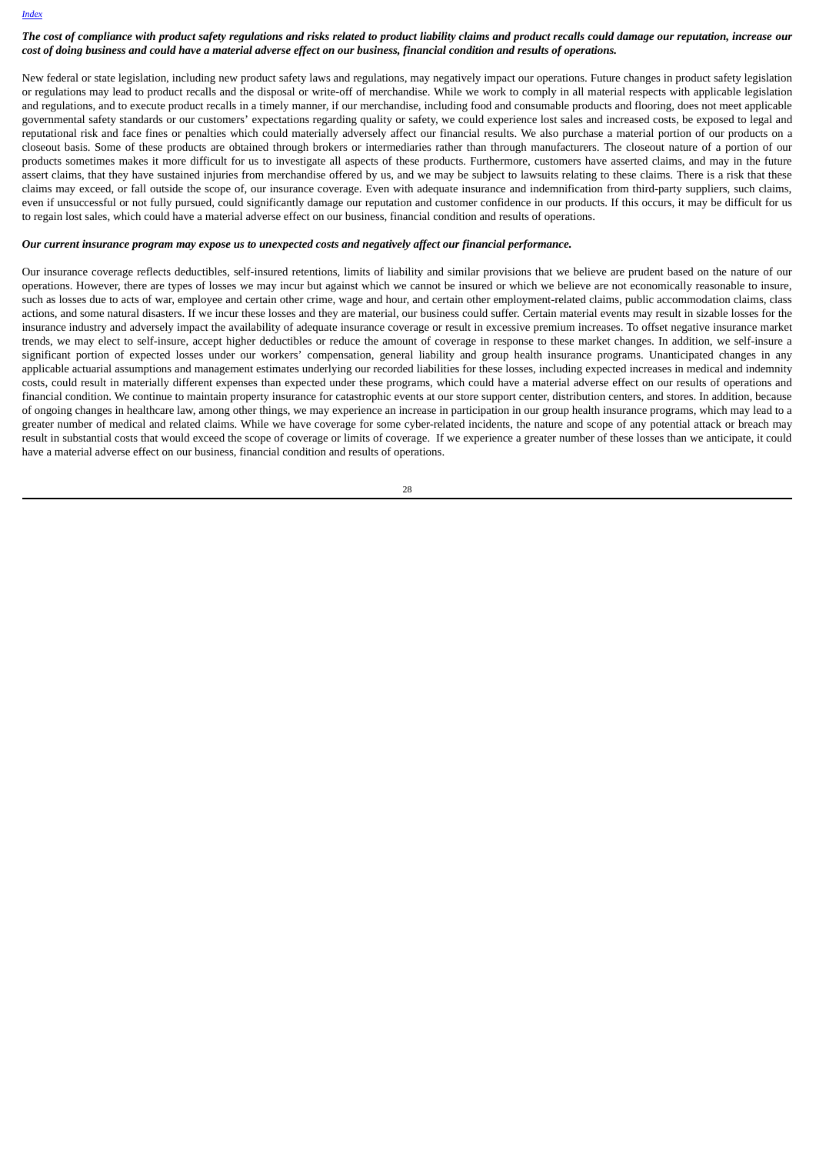## The cost of compliance with product safety regulations and risks related to product liability claims and product recalls could damage our reputation, increase our cost of doing business and could have a material adverse effect on our business, financial condition and results of operations.

New federal or state legislation, including new product safety laws and regulations, may negatively impact our operations. Future changes in product safety legislation or regulations may lead to product recalls and the disposal or write-off of merchandise. While we work to comply in all material respects with applicable legislation and regulations, and to execute product recalls in a timely manner, if our merchandise, including food and consumable products and flooring, does not meet applicable governmental safety standards or our customers' expectations regarding quality or safety, we could experience lost sales and increased costs, be exposed to legal and reputational risk and face fines or penalties which could materially adversely affect our financial results. We also purchase a material portion of our products on a closeout basis. Some of these products are obtained through brokers or intermediaries rather than through manufacturers. The closeout nature of a portion of our products sometimes makes it more difficult for us to investigate all aspects of these products. Furthermore, customers have asserted claims, and may in the future assert claims, that they have sustained injuries from merchandise offered by us, and we may be subject to lawsuits relating to these claims. There is a risk that these claims may exceed, or fall outside the scope of, our insurance coverage. Even with adequate insurance and indemnification from third-party suppliers, such claims, even if unsuccessful or not fully pursued, could significantly damage our reputation and customer confidence in our products. If this occurs, it may be difficult for us to regain lost sales, which could have a material adverse effect on our business, financial condition and results of operations.

#### *Our current insurance program may expose us to unexpected costs and negatively affect our financial performance.*

Our insurance coverage reflects deductibles, self-insured retentions, limits of liability and similar provisions that we believe are prudent based on the nature of our operations. However, there are types of losses we may incur but against which we cannot be insured or which we believe are not economically reasonable to insure, such as losses due to acts of war, employee and certain other crime, wage and hour, and certain other employment-related claims, public accommodation claims, class actions, and some natural disasters. If we incur these losses and they are material, our business could suffer. Certain material events may result in sizable losses for the insurance industry and adversely impact the availability of adequate insurance coverage or result in excessive premium increases. To offset negative insurance market trends, we may elect to self-insure, accept higher deductibles or reduce the amount of coverage in response to these market changes. In addition, we self-insure a significant portion of expected losses under our workers' compensation, general liability and group health insurance programs. Unanticipated changes in any applicable actuarial assumptions and management estimates underlying our recorded liabilities for these losses, including expected increases in medical and indemnity costs, could result in materially different expenses than expected under these programs, which could have a material adverse effect on our results of operations and financial condition. We continue to maintain property insurance for catastrophic events at our store support center, distribution centers, and stores. In addition, because of ongoing changes in healthcare law, among other things, we may experience an increase in participation in our group health insurance programs, which may lead to a greater number of medical and related claims. While we have coverage for some cyber-related incidents, the nature and scope of any potential attack or breach may result in substantial costs that would exceed the scope of coverage or limits of coverage. If we experience a greater number of these losses than we anticipate, it could have a material adverse effect on our business, financial condition and results of operations.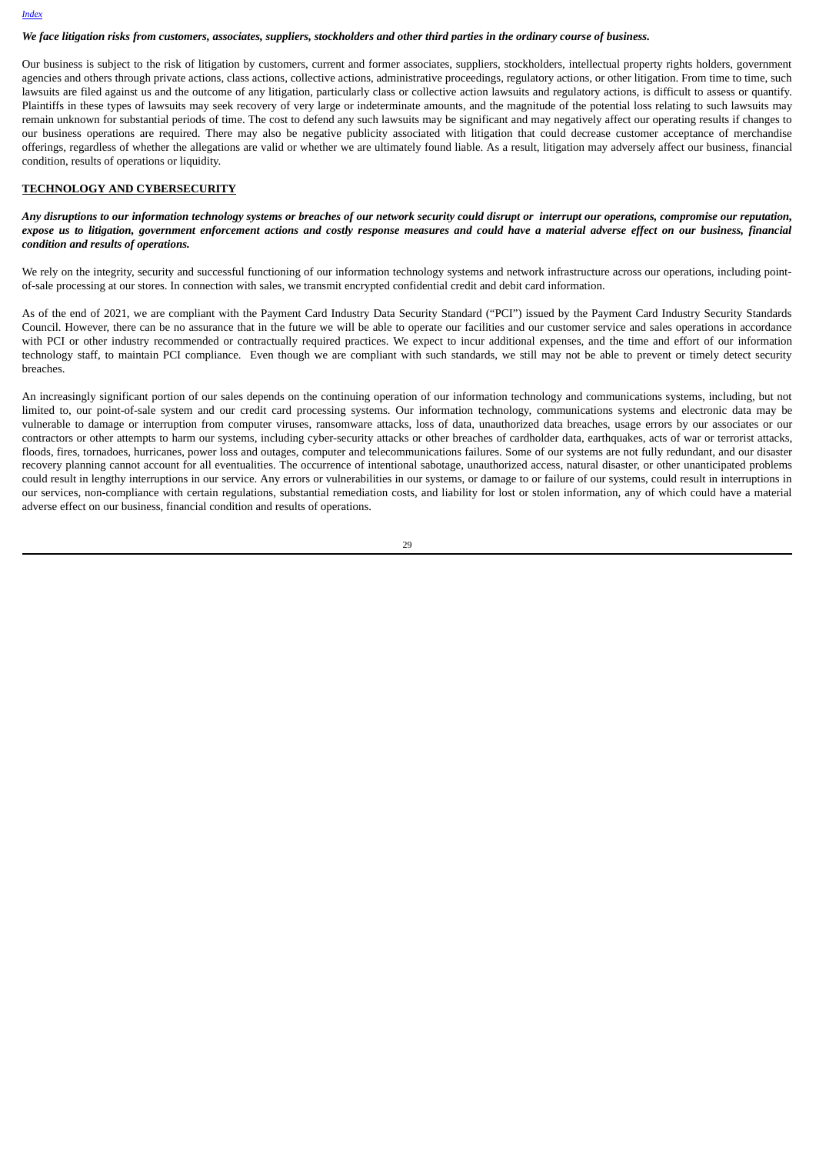#### We face litigation risks from customers, associates, suppliers, stockholders and other third parties in the ordinary course of business.

Our business is subject to the risk of litigation by customers, current and former associates, suppliers, stockholders, intellectual property rights holders, government agencies and others through private actions, class actions, collective actions, administrative proceedings, regulatory actions, or other litigation. From time to time, such lawsuits are filed against us and the outcome of any litigation, particularly class or collective action lawsuits and regulatory actions, is difficult to assess or quantify. Plaintiffs in these types of lawsuits may seek recovery of very large or indeterminate amounts, and the magnitude of the potential loss relating to such lawsuits may remain unknown for substantial periods of time. The cost to defend any such lawsuits may be significant and may negatively affect our operating results if changes to our business operations are required. There may also be negative publicity associated with litigation that could decrease customer acceptance of merchandise offerings, regardless of whether the allegations are valid or whether we are ultimately found liable. As a result, litigation may adversely affect our business, financial condition, results of operations or liquidity.

## **TECHNOLOGY AND CYBERSECURITY**

## Any disruptions to our information technology systems or breaches of our network security could disrupt or interrupt our operations, compromise our reputation, expose us to litigation, government enforcement actions and costly response measures and could have a material adverse effect on our business, financial *condition and results of operations.*

We rely on the integrity, security and successful functioning of our information technology systems and network infrastructure across our operations, including pointof-sale processing at our stores. In connection with sales, we transmit encrypted confidential credit and debit card information.

As of the end of 2021, we are compliant with the Payment Card Industry Data Security Standard ("PCI") issued by the Payment Card Industry Security Standards Council. However, there can be no assurance that in the future we will be able to operate our facilities and our customer service and sales operations in accordance with PCI or other industry recommended or contractually required practices. We expect to incur additional expenses, and the time and effort of our information technology staff, to maintain PCI compliance. Even though we are compliant with such standards, we still may not be able to prevent or timely detect security breaches.

An increasingly significant portion of our sales depends on the continuing operation of our information technology and communications systems, including, but not limited to, our point-of-sale system and our credit card processing systems. Our information technology, communications systems and electronic data may be vulnerable to damage or interruption from computer viruses, ransomware attacks, loss of data, unauthorized data breaches, usage errors by our associates or our contractors or other attempts to harm our systems, including cyber-security attacks or other breaches of cardholder data, earthquakes, acts of war or terrorist attacks, floods, fires, tornadoes, hurricanes, power loss and outages, computer and telecommunications failures. Some of our systems are not fully redundant, and our disaster recovery planning cannot account for all eventualities. The occurrence of intentional sabotage, unauthorized access, natural disaster, or other unanticipated problems could result in lengthy interruptions in our service. Any errors or vulnerabilities in our systems, or damage to or failure of our systems, could result in interruptions in our services, non-compliance with certain regulations, substantial remediation costs, and liability for lost or stolen information, any of which could have a material adverse effect on our business, financial condition and results of operations.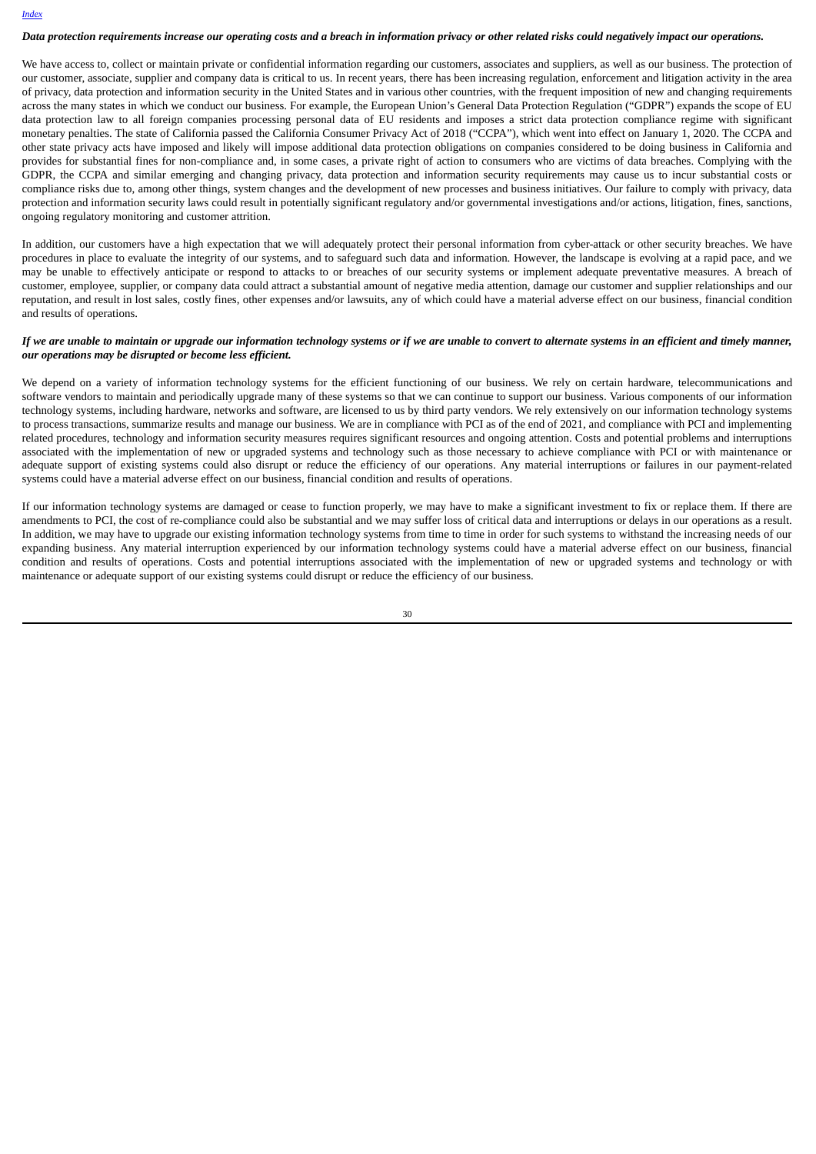#### Data protection requirements increase our operating costs and a breach in information privacy or other related risks could negatively impact our operations.

We have access to, collect or maintain private or confidential information regarding our customers, associates and suppliers, as well as our business. The protection of our customer, associate, supplier and company data is critical to us. In recent years, there has been increasing regulation, enforcement and litigation activity in the area of privacy, data protection and information security in the United States and in various other countries, with the frequent imposition of new and changing requirements across the many states in which we conduct our business. For example, the European Union's General Data Protection Regulation ("GDPR") expands the scope of EU data protection law to all foreign companies processing personal data of EU residents and imposes a strict data protection compliance regime with significant monetary penalties. The state of California passed the California Consumer Privacy Act of 2018 ("CCPA"), which went into effect on January 1, 2020. The CCPA and other state privacy acts have imposed and likely will impose additional data protection obligations on companies considered to be doing business in California and provides for substantial fines for non-compliance and, in some cases, a private right of action to consumers who are victims of data breaches. Complying with the GDPR, the CCPA and similar emerging and changing privacy, data protection and information security requirements may cause us to incur substantial costs or compliance risks due to, among other things, system changes and the development of new processes and business initiatives. Our failure to comply with privacy, data protection and information security laws could result in potentially significant regulatory and/or governmental investigations and/or actions, litigation, fines, sanctions, ongoing regulatory monitoring and customer attrition.

In addition, our customers have a high expectation that we will adequately protect their personal information from cyber-attack or other security breaches. We have procedures in place to evaluate the integrity of our systems, and to safeguard such data and information. However, the landscape is evolving at a rapid pace, and we may be unable to effectively anticipate or respond to attacks to or breaches of our security systems or implement adequate preventative measures. A breach of customer, employee, supplier, or company data could attract a substantial amount of negative media attention, damage our customer and supplier relationships and our reputation, and result in lost sales, costly fines, other expenses and/or lawsuits, any of which could have a material adverse effect on our business, financial condition and results of operations.

## If we are unable to maintain or upgrade our information technology systems or if we are unable to convert to alternate systems in an efficient and timely manner, *our operations may be disrupted or become less efficient.*

We depend on a variety of information technology systems for the efficient functioning of our business. We rely on certain hardware, telecommunications and software vendors to maintain and periodically upgrade many of these systems so that we can continue to support our business. Various components of our information technology systems, including hardware, networks and software, are licensed to us by third party vendors. We rely extensively on our information technology systems to process transactions, summarize results and manage our business. We are in compliance with PCI as of the end of 2021, and compliance with PCI and implementing related procedures, technology and information security measures requires significant resources and ongoing attention. Costs and potential problems and interruptions associated with the implementation of new or upgraded systems and technology such as those necessary to achieve compliance with PCI or with maintenance or adequate support of existing systems could also disrupt or reduce the efficiency of our operations. Any material interruptions or failures in our payment-related systems could have a material adverse effect on our business, financial condition and results of operations.

If our information technology systems are damaged or cease to function properly, we may have to make a significant investment to fix or replace them. If there are amendments to PCI, the cost of re-compliance could also be substantial and we may suffer loss of critical data and interruptions or delays in our operations as a result. In addition, we may have to upgrade our existing information technology systems from time to time in order for such systems to withstand the increasing needs of our expanding business. Any material interruption experienced by our information technology systems could have a material adverse effect on our business, financial condition and results of operations. Costs and potential interruptions associated with the implementation of new or upgraded systems and technology or with maintenance or adequate support of our existing systems could disrupt or reduce the efficiency of our business.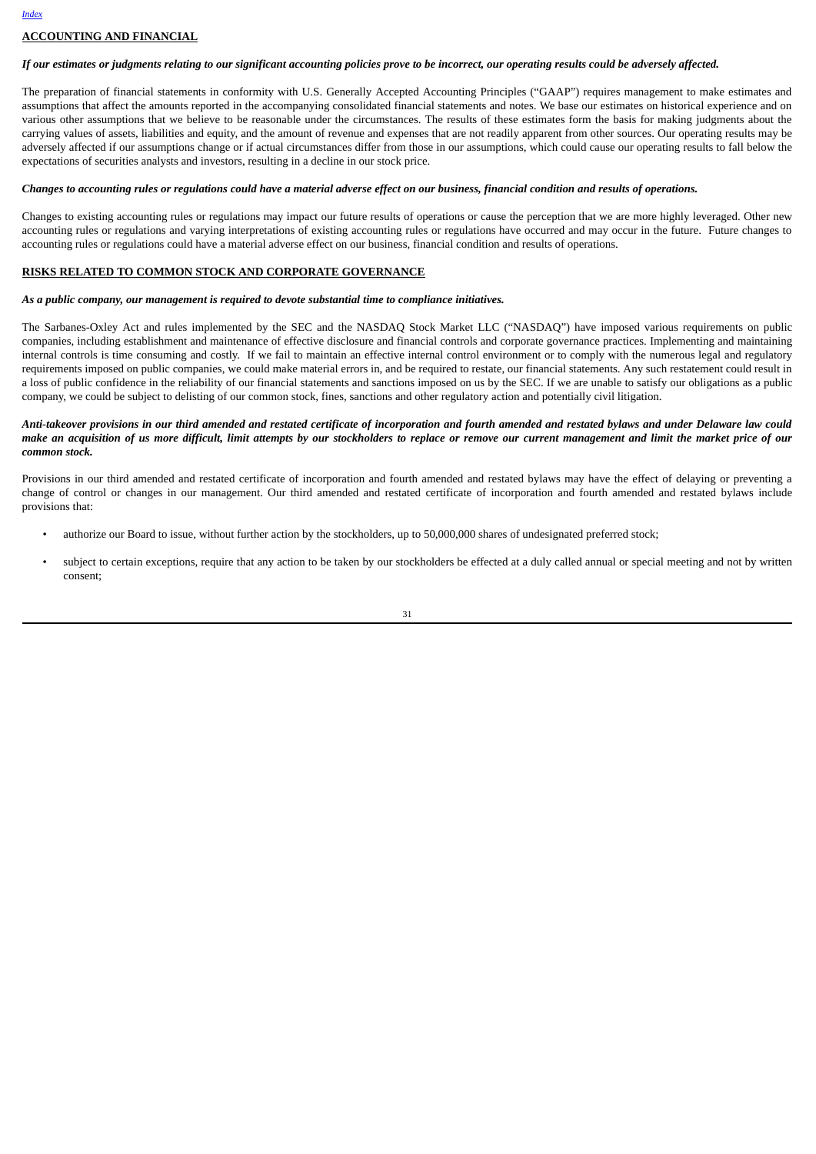# **ACCOUNTING AND FINANCIAL**

#### If our estimates or judgments relating to our significant accounting policies prove to be incorrect, our operating results could be adversely affected.

The preparation of financial statements in conformity with U.S. Generally Accepted Accounting Principles ("GAAP") requires management to make estimates and assumptions that affect the amounts reported in the accompanying consolidated financial statements and notes. We base our estimates on historical experience and on various other assumptions that we believe to be reasonable under the circumstances. The results of these estimates form the basis for making judgments about the carrying values of assets, liabilities and equity, and the amount of revenue and expenses that are not readily apparent from other sources. Our operating results may be adversely affected if our assumptions change or if actual circumstances differ from those in our assumptions, which could cause our operating results to fall below the expectations of securities analysts and investors, resulting in a decline in our stock price.

## Changes to accounting rules or regulations could have a material adverse effect on our business, financial condition and results of operations.

Changes to existing accounting rules or regulations may impact our future results of operations or cause the perception that we are more highly leveraged. Other new accounting rules or regulations and varying interpretations of existing accounting rules or regulations have occurred and may occur in the future. Future changes to accounting rules or regulations could have a material adverse effect on our business, financial condition and results of operations.

## **RISKS RELATED TO COMMON STOCK AND CORPORATE GOVERNANCE**

#### *As a public company, our management is required to devote substantial time to compliance initiatives.*

The Sarbanes-Oxley Act and rules implemented by the SEC and the NASDAQ Stock Market LLC ("NASDAQ") have imposed various requirements on public companies, including establishment and maintenance of effective disclosure and financial controls and corporate governance practices. Implementing and maintaining internal controls is time consuming and costly. If we fail to maintain an effective internal control environment or to comply with the numerous legal and regulatory requirements imposed on public companies, we could make material errors in, and be required to restate, our financial statements. Any such restatement could result in a loss of public confidence in the reliability of our financial statements and sanctions imposed on us by the SEC. If we are unable to satisfy our obligations as a public company, we could be subject to delisting of our common stock, fines, sanctions and other regulatory action and potentially civil litigation.

## Anti-takeover provisions in our third amended and restated certificate of incorporation and fourth amended and restated bylaws and under Delaware law could make an acquisition of us more difficult, limit attempts by our stockholders to replace or remove our current management and limit the market price of our *common stock.*

Provisions in our third amended and restated certificate of incorporation and fourth amended and restated bylaws may have the effect of delaying or preventing a change of control or changes in our management. Our third amended and restated certificate of incorporation and fourth amended and restated bylaws include provisions that:

- authorize our Board to issue, without further action by the stockholders, up to 50,000,000 shares of undesignated preferred stock;
- subject to certain exceptions, require that any action to be taken by our stockholders be effected at a duly called annual or special meeting and not by written consent;

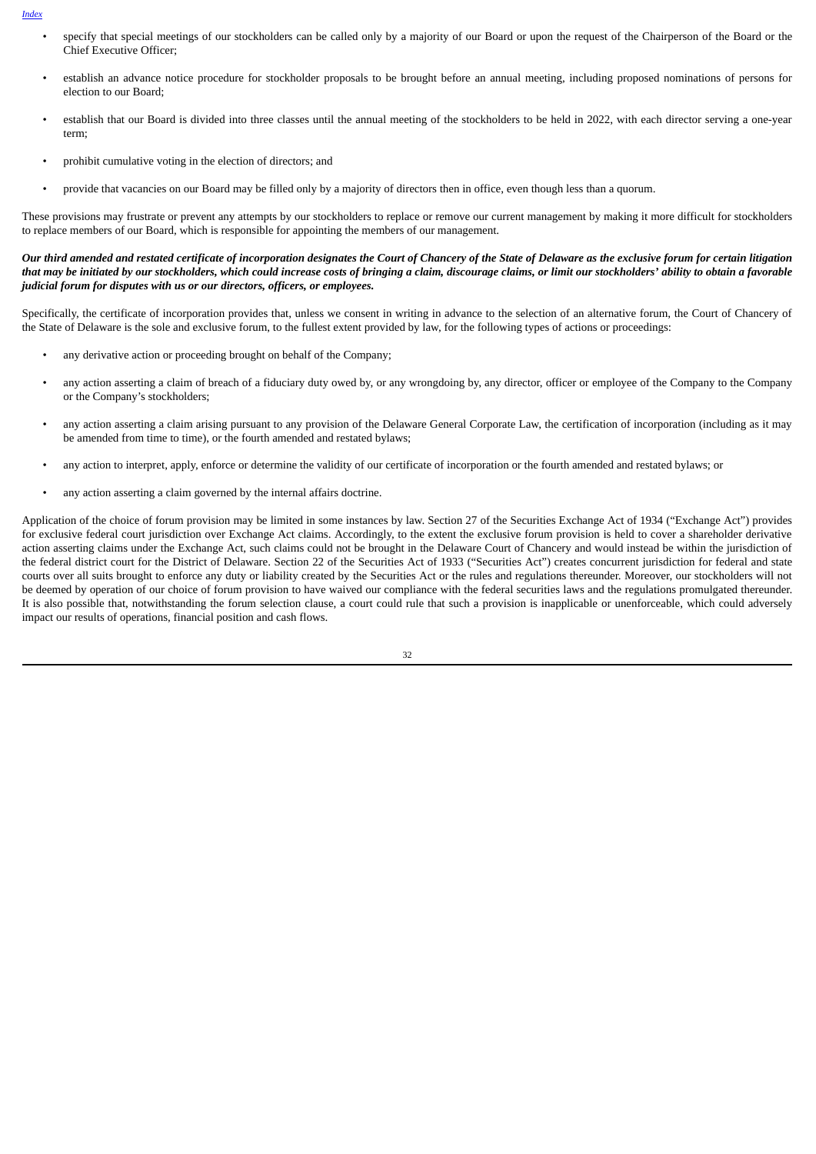- *[Index](#page-2-0)*
- specify that special meetings of our stockholders can be called only by a majority of our Board or upon the request of the Chairperson of the Board or the Chief Executive Officer;
- establish an advance notice procedure for stockholder proposals to be brought before an annual meeting, including proposed nominations of persons for election to our Board;
- establish that our Board is divided into three classes until the annual meeting of the stockholders to be held in 2022, with each director serving a one-year term;
- prohibit cumulative voting in the election of directors; and
- provide that vacancies on our Board may be filled only by a majority of directors then in office, even though less than a quorum.

These provisions may frustrate or prevent any attempts by our stockholders to replace or remove our current management by making it more difficult for stockholders to replace members of our Board, which is responsible for appointing the members of our management.

Our third amended and restated certificate of incorporation designates the Court of Chancery of the State of Delaware as the exclusive forum for certain litigation that may be initiated by our stockholders, which could increase costs of bringing a claim, discourage claims, or limit our stockholders' ability to obtain a favorable *judicial forum for disputes with us or our directors, officers, or employees.*

Specifically, the certificate of incorporation provides that, unless we consent in writing in advance to the selection of an alternative forum, the Court of Chancery of the State of Delaware is the sole and exclusive forum, to the fullest extent provided by law, for the following types of actions or proceedings:

- any derivative action or proceeding brought on behalf of the Company;
- any action asserting a claim of breach of a fiduciary duty owed by, or any wrongdoing by, any director, officer or employee of the Company to the Company or the Company's stockholders;
- any action asserting a claim arising pursuant to any provision of the Delaware General Corporate Law, the certification of incorporation (including as it may be amended from time to time), or the fourth amended and restated bylaws;
- any action to interpret, apply, enforce or determine the validity of our certificate of incorporation or the fourth amended and restated bylaws; or
- any action asserting a claim governed by the internal affairs doctrine.

Application of the choice of forum provision may be limited in some instances by law. Section 27 of the Securities Exchange Act of 1934 ("Exchange Act") provides for exclusive federal court jurisdiction over Exchange Act claims. Accordingly, to the extent the exclusive forum provision is held to cover a shareholder derivative action asserting claims under the Exchange Act, such claims could not be brought in the Delaware Court of Chancery and would instead be within the jurisdiction of the federal district court for the District of Delaware. Section 22 of the Securities Act of 1933 ("Securities Act") creates concurrent jurisdiction for federal and state courts over all suits brought to enforce any duty or liability created by the Securities Act or the rules and regulations thereunder. Moreover, our stockholders will not be deemed by operation of our choice of forum provision to have waived our compliance with the federal securities laws and the regulations promulgated thereunder. It is also possible that, notwithstanding the forum selection clause, a court could rule that such a provision is inapplicable or unenforceable, which could adversely impact our results of operations, financial position and cash flows.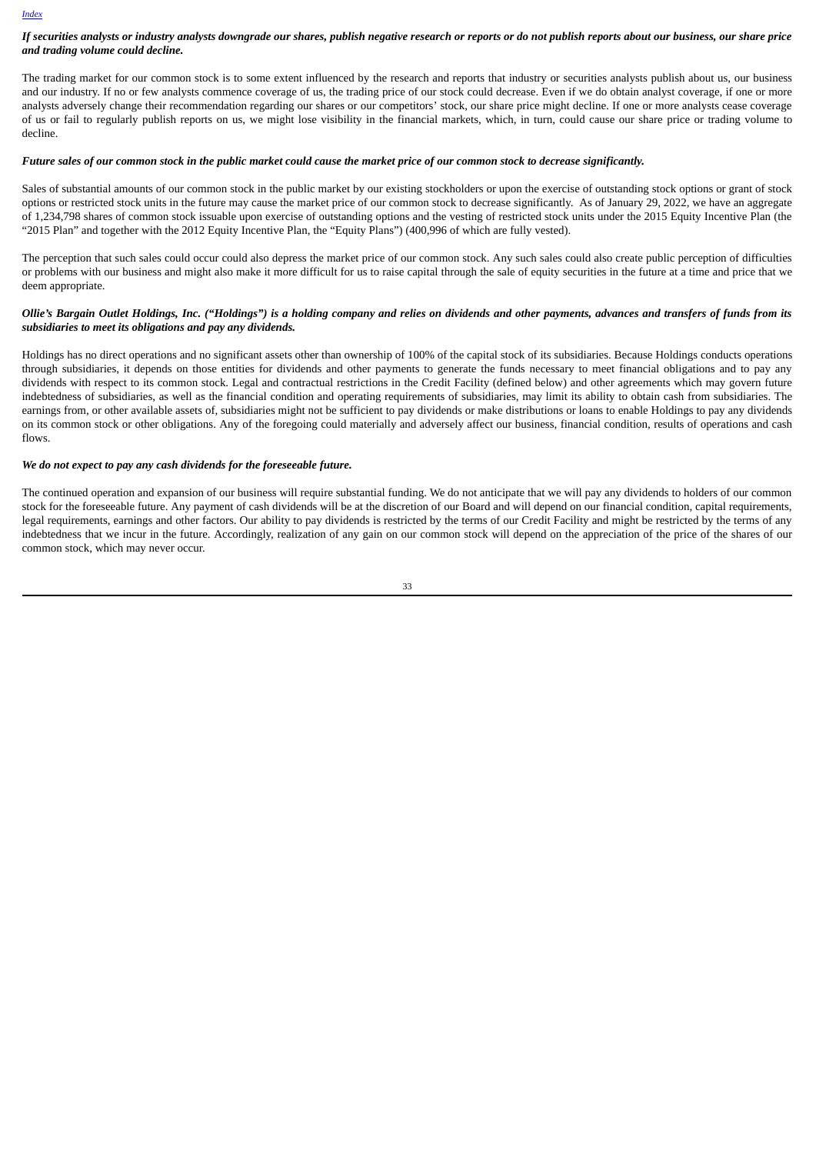### If securities analysts or industry analysts downgrade our shares, publish negative research or reports or do not publish reports about our business, our share price *and trading volume could decline.*

The trading market for our common stock is to some extent influenced by the research and reports that industry or securities analysts publish about us, our business and our industry. If no or few analysts commence coverage of us, the trading price of our stock could decrease. Even if we do obtain analyst coverage, if one or more analysts adversely change their recommendation regarding our shares or our competitors' stock, our share price might decline. If one or more analysts cease coverage of us or fail to regularly publish reports on us, we might lose visibility in the financial markets, which, in turn, could cause our share price or trading volume to decline.

### Future sales of our common stock in the public market could cause the market price of our common stock to decrease significantly.

Sales of substantial amounts of our common stock in the public market by our existing stockholders or upon the exercise of outstanding stock options or grant of stock options or restricted stock units in the future may cause the market price of our common stock to decrease significantly. As of January 29, 2022, we have an aggregate of 1,234,798 shares of common stock issuable upon exercise of outstanding options and the vesting of restricted stock units under the 2015 Equity Incentive Plan (the "2015 Plan" and together with the 2012 Equity Incentive Plan, the "Equity Plans") (400,996 of which are fully vested).

The perception that such sales could occur could also depress the market price of our common stock. Any such sales could also create public perception of difficulties or problems with our business and might also make it more difficult for us to raise capital through the sale of equity securities in the future at a time and price that we deem appropriate.

## Ollie's Bargain Outlet Holdings, Inc. ("Holdings") is a holding company and relies on dividends and other payments, advances and transfers of funds from its *subsidiaries to meet its obligations and pay any dividends.*

Holdings has no direct operations and no significant assets other than ownership of 100% of the capital stock of its subsidiaries. Because Holdings conducts operations through subsidiaries, it depends on those entities for dividends and other payments to generate the funds necessary to meet financial obligations and to pay any dividends with respect to its common stock. Legal and contractual restrictions in the Credit Facility (defined below) and other agreements which may govern future indebtedness of subsidiaries, as well as the financial condition and operating requirements of subsidiaries, may limit its ability to obtain cash from subsidiaries. The earnings from, or other available assets of, subsidiaries might not be sufficient to pay dividends or make distributions or loans to enable Holdings to pay any dividends on its common stock or other obligations. Any of the foregoing could materially and adversely affect our business, financial condition, results of operations and cash flows.

## *We do not expect to pay any cash dividends for the foreseeable future.*

The continued operation and expansion of our business will require substantial funding. We do not anticipate that we will pay any dividends to holders of our common stock for the foreseeable future. Any payment of cash dividends will be at the discretion of our Board and will depend on our financial condition, capital requirements, legal requirements, earnings and other factors. Our ability to pay dividends is restricted by the terms of our Credit Facility and might be restricted by the terms of any indebtedness that we incur in the future. Accordingly, realization of any gain on our common stock will depend on the appreciation of the price of the shares of our common stock, which may never occur.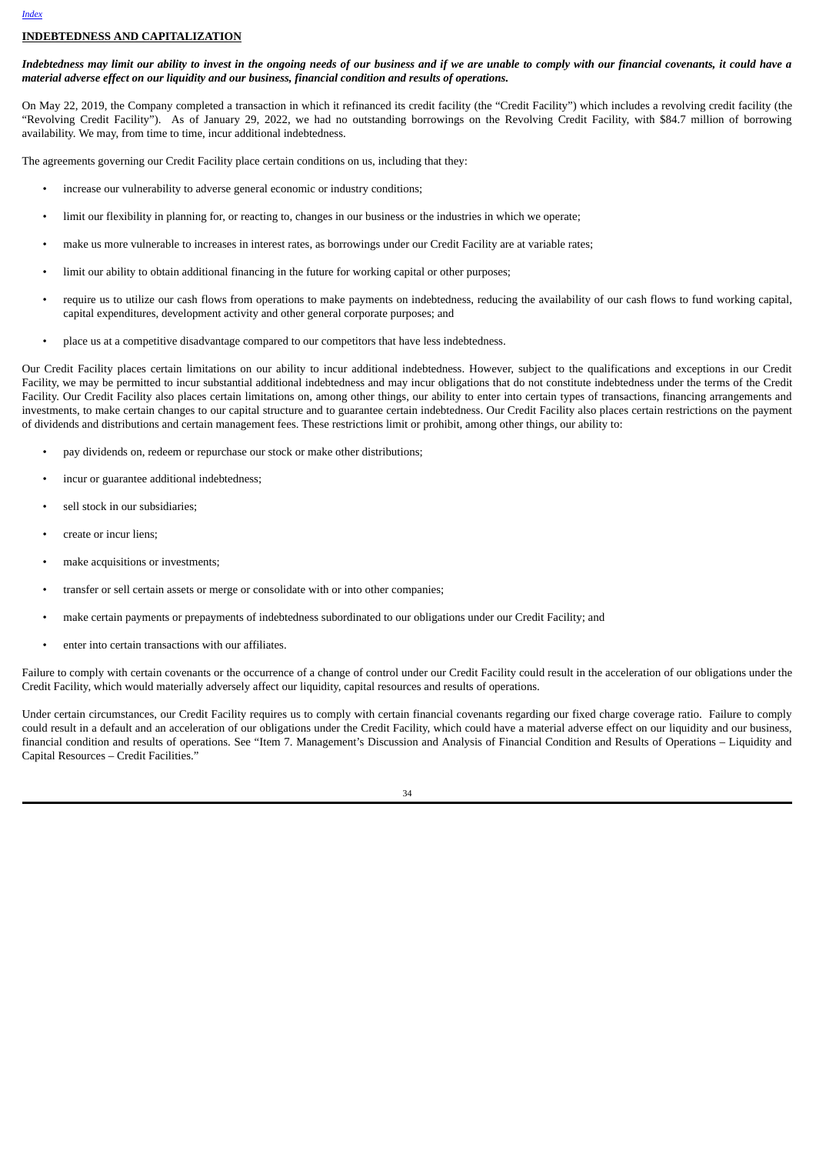# **INDEBTEDNESS AND CAPITALIZATION**

## Indebtedness may limit our ability to invest in the ongoing needs of our business and if we are unable to comply with our financial covenants, it could have a *material adverse effect on our liquidity and our business, financial condition and results of operations.*

On May 22, 2019, the Company completed a transaction in which it refinanced its credit facility (the "Credit Facility") which includes a revolving credit facility (the "Revolving Credit Facility"). As of January 29, 2022, we had no outstanding borrowings on the Revolving Credit Facility, with \$84.7 million of borrowing availability. We may, from time to time, incur additional indebtedness.

The agreements governing our Credit Facility place certain conditions on us, including that they:

- increase our vulnerability to adverse general economic or industry conditions;
- limit our flexibility in planning for, or reacting to, changes in our business or the industries in which we operate;
- make us more vulnerable to increases in interest rates, as borrowings under our Credit Facility are at variable rates;
- limit our ability to obtain additional financing in the future for working capital or other purposes;
- require us to utilize our cash flows from operations to make payments on indebtedness, reducing the availability of our cash flows to fund working capital, capital expenditures, development activity and other general corporate purposes; and
- place us at a competitive disadvantage compared to our competitors that have less indebtedness.

Our Credit Facility places certain limitations on our ability to incur additional indebtedness. However, subject to the qualifications and exceptions in our Credit Facility, we may be permitted to incur substantial additional indebtedness and may incur obligations that do not constitute indebtedness under the terms of the Credit Facility. Our Credit Facility also places certain limitations on, among other things, our ability to enter into certain types of transactions, financing arrangements and investments, to make certain changes to our capital structure and to guarantee certain indebtedness. Our Credit Facility also places certain restrictions on the payment of dividends and distributions and certain management fees. These restrictions limit or prohibit, among other things, our ability to:

- pay dividends on, redeem or repurchase our stock or make other distributions;
- incur or guarantee additional indebtedness;
- sell stock in our subsidiaries;
- create or incur liens;
- make acquisitions or investments;
- transfer or sell certain assets or merge or consolidate with or into other companies;
- make certain payments or prepayments of indebtedness subordinated to our obligations under our Credit Facility; and
- enter into certain transactions with our affiliates.

Failure to comply with certain covenants or the occurrence of a change of control under our Credit Facility could result in the acceleration of our obligations under the Credit Facility, which would materially adversely affect our liquidity, capital resources and results of operations.

Under certain circumstances, our Credit Facility requires us to comply with certain financial covenants regarding our fixed charge coverage ratio. Failure to comply could result in a default and an acceleration of our obligations under the Credit Facility, which could have a material adverse effect on our liquidity and our business, financial condition and results of operations. See "Item 7. Management's Discussion and Analysis of Financial Condition and Results of Operations – Liquidity and Capital Resources – Credit Facilities."

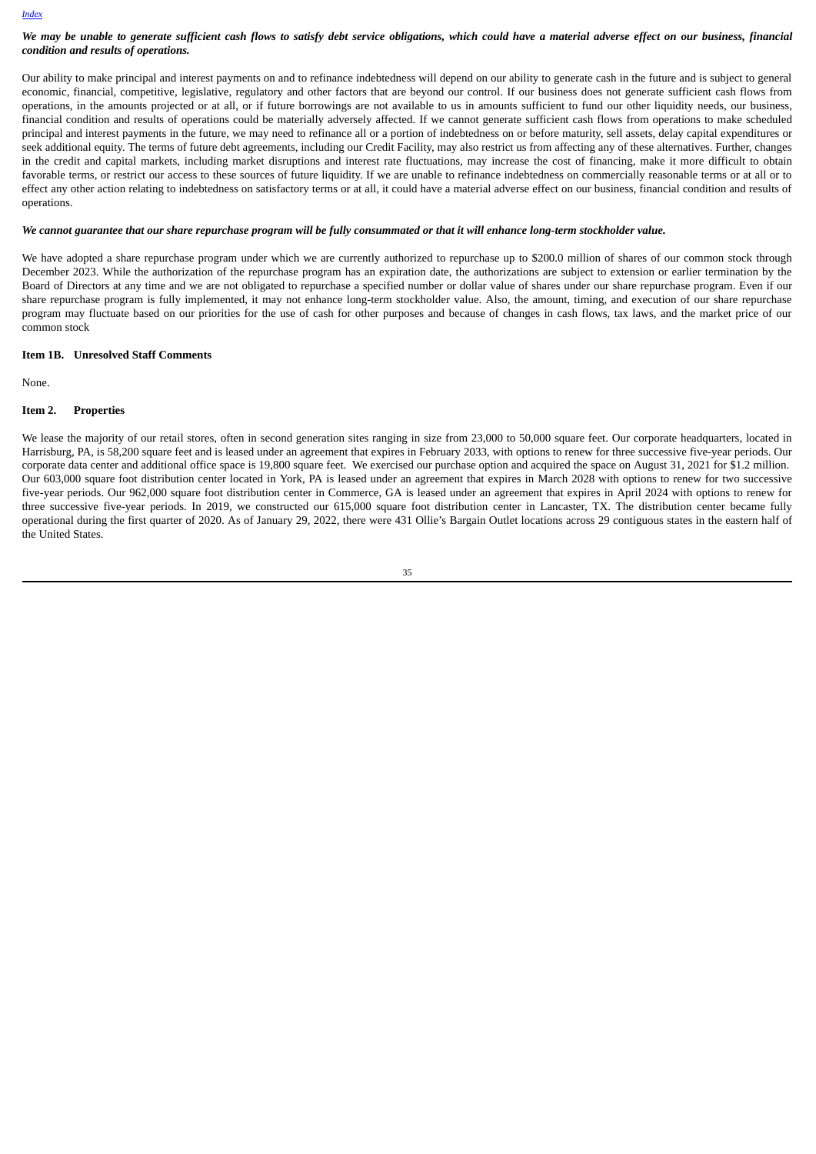## We may be unable to generate sufficient cash flows to satisfy debt service obligations, which could have a material adverse effect on our business, financial *condition and results of operations.*

Our ability to make principal and interest payments on and to refinance indebtedness will depend on our ability to generate cash in the future and is subject to general economic, financial, competitive, legislative, regulatory and other factors that are beyond our control. If our business does not generate sufficient cash flows from operations, in the amounts projected or at all, or if future borrowings are not available to us in amounts sufficient to fund our other liquidity needs, our business, financial condition and results of operations could be materially adversely affected. If we cannot generate sufficient cash flows from operations to make scheduled principal and interest payments in the future, we may need to refinance all or a portion of indebtedness on or before maturity, sell assets, delay capital expenditures or seek additional equity. The terms of future debt agreements, including our Credit Facility, may also restrict us from affecting any of these alternatives. Further, changes in the credit and capital markets, including market disruptions and interest rate fluctuations, may increase the cost of financing, make it more difficult to obtain favorable terms, or restrict our access to these sources of future liquidity. If we are unable to refinance indebtedness on commercially reasonable terms or at all or to effect any other action relating to indebtedness on satisfactory terms or at all, it could have a material adverse effect on our business, financial condition and results of operations.

# We cannot guarantee that our share repurchase program will be fully consummated or that it will enhance long-term stockholder value.

We have adopted a share repurchase program under which we are currently authorized to repurchase up to \$200.0 million of shares of our common stock through December 2023. While the authorization of the repurchase program has an expiration date, the authorizations are subject to extension or earlier termination by the Board of Directors at any time and we are not obligated to repurchase a specified number or dollar value of shares under our share repurchase program. Even if our share repurchase program is fully implemented, it may not enhance long-term stockholder value. Also, the amount, timing, and execution of our share repurchase program may fluctuate based on our priorities for the use of cash for other purposes and because of changes in cash flows, tax laws, and the market price of our common stock

# **Item 1B. Unresolved Staff Comments**

None.

## **Item 2. Properties**

We lease the majority of our retail stores, often in second generation sites ranging in size from 23,000 to 50,000 square feet. Our corporate headquarters, located in Harrisburg, PA, is 58,200 square feet and is leased under an agreement that expires in February 2033, with options to renew for three successive five-year periods. Our corporate data center and additional office space is 19,800 square feet. We exercised our purchase option and acquired the space on August 31, 2021 for \$1.2 million. Our 603,000 square foot distribution center located in York, PA is leased under an agreement that expires in March 2028 with options to renew for two successive five-year periods. Our 962,000 square foot distribution center in Commerce, GA is leased under an agreement that expires in April 2024 with options to renew for three successive five-year periods. In 2019, we constructed our 615,000 square foot distribution center in Lancaster, TX. The distribution center became fully operational during the first quarter of 2020. As of January 29, 2022, there were 431 Ollie's Bargain Outlet locations across 29 contiguous states in the eastern half of the United States.

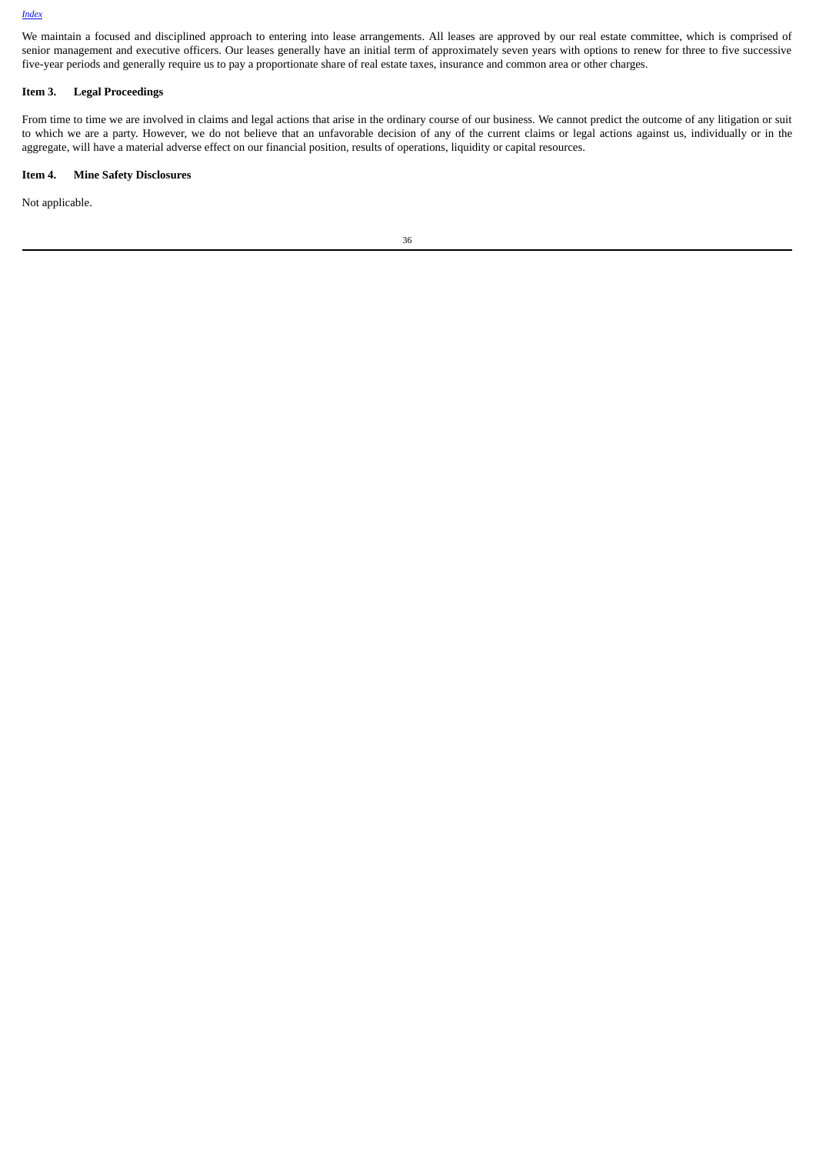We maintain a focused and disciplined approach to entering into lease arrangements. All leases are approved by our real estate committee, which is comprised of senior management and executive officers. Our leases generally have an initial term of approximately seven years with options to renew for three to five successive five-year periods and generally require us to pay a proportionate share of real estate taxes, insurance and common area or other charges.

# **Item 3. Legal Proceedings**

From time to time we are involved in claims and legal actions that arise in the ordinary course of our business. We cannot predict the outcome of any litigation or suit to which we are a party. However, we do not believe that an unfavorable decision of any of the current claims or legal actions against us, individually or in the aggregate, will have a material adverse effect on our financial position, results of operations, liquidity or capital resources.

# **Item 4. Mine Safety Disclosures**

Not applicable.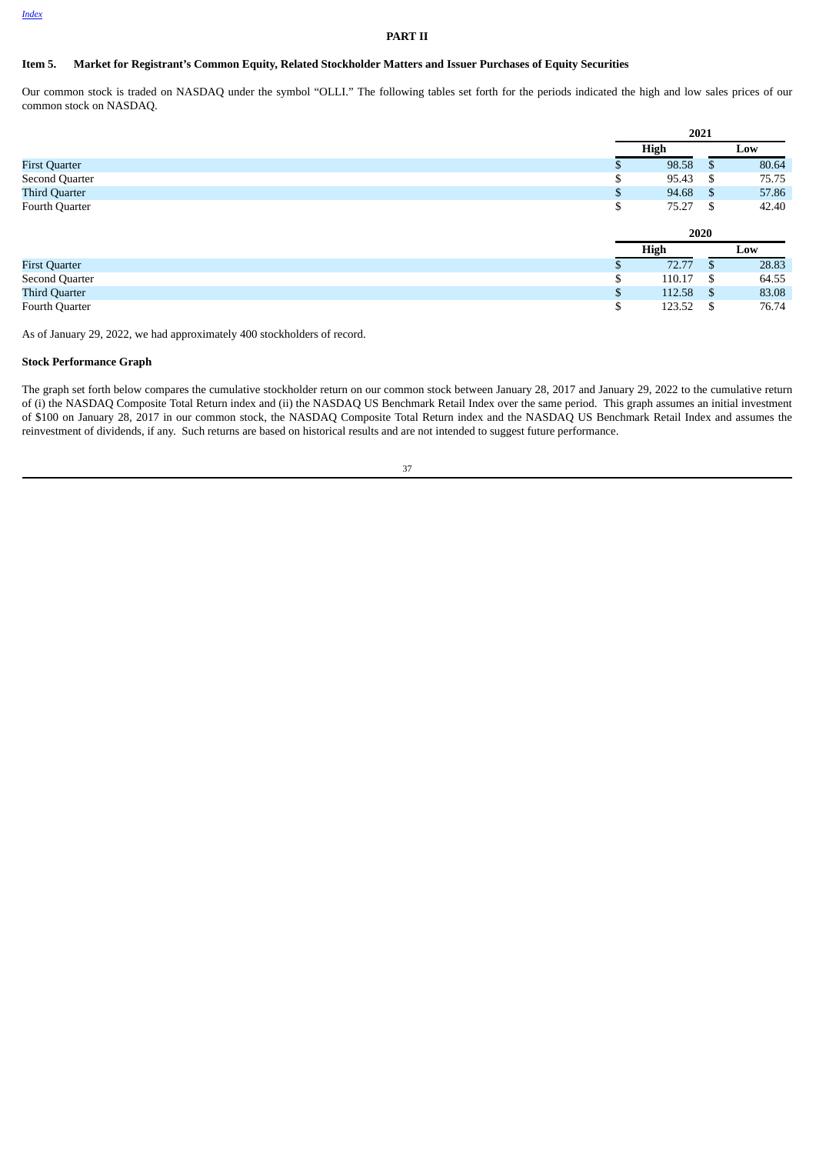# **PART II**

## Item 5. Market for Registrant's Common Equity, Related Stockholder Matters and Issuer Purchases of Equity Securities

Our common stock is traded on NASDAQ under the symbol "OLLI." The following tables set forth for the periods indicated the high and low sales prices of our common stock on NASDAQ.

|                                        |    | 2021        |      |       |  |
|----------------------------------------|----|-------------|------|-------|--|
|                                        |    | High        |      | Low   |  |
| <b>First Quarter</b>                   | .D | 98.58       | Ъ    | 80.64 |  |
| Second Quarter                         | D  | 95.43       | S    | 75.75 |  |
| <b>Third Quarter</b>                   | \$ | 94.68       | \$   | 57.86 |  |
| Fourth Quarter                         | \$ | 75.27       | S    | 42.40 |  |
|                                        |    |             |      |       |  |
|                                        |    |             | 2020 |       |  |
|                                        |    | <b>High</b> |      | Low   |  |
| <b>First Quarter</b>                   | J. | 72.77       | S    | 28.83 |  |
| Second Quarter                         | \$ | 110.17      | S    | 64.55 |  |
| <b>Third Quarter</b><br>Fourth Quarter | \$ | 112.58      | \$   | 83.08 |  |

As of January 29, 2022, we had approximately 400 stockholders of record.

# **Stock Performance Graph**

The graph set forth below compares the cumulative stockholder return on our common stock between January 28, 2017 and January 29, 2022 to the cumulative return of (i) the NASDAQ Composite Total Return index and (ii) the NASDAQ US Benchmark Retail Index over the same period. This graph assumes an initial investment of \$100 on January 28, 2017 in our common stock, the NASDAQ Composite Total Return index and the NASDAQ US Benchmark Retail Index and assumes the reinvestment of dividends, if any. Such returns are based on historical results and are not intended to suggest future performance.

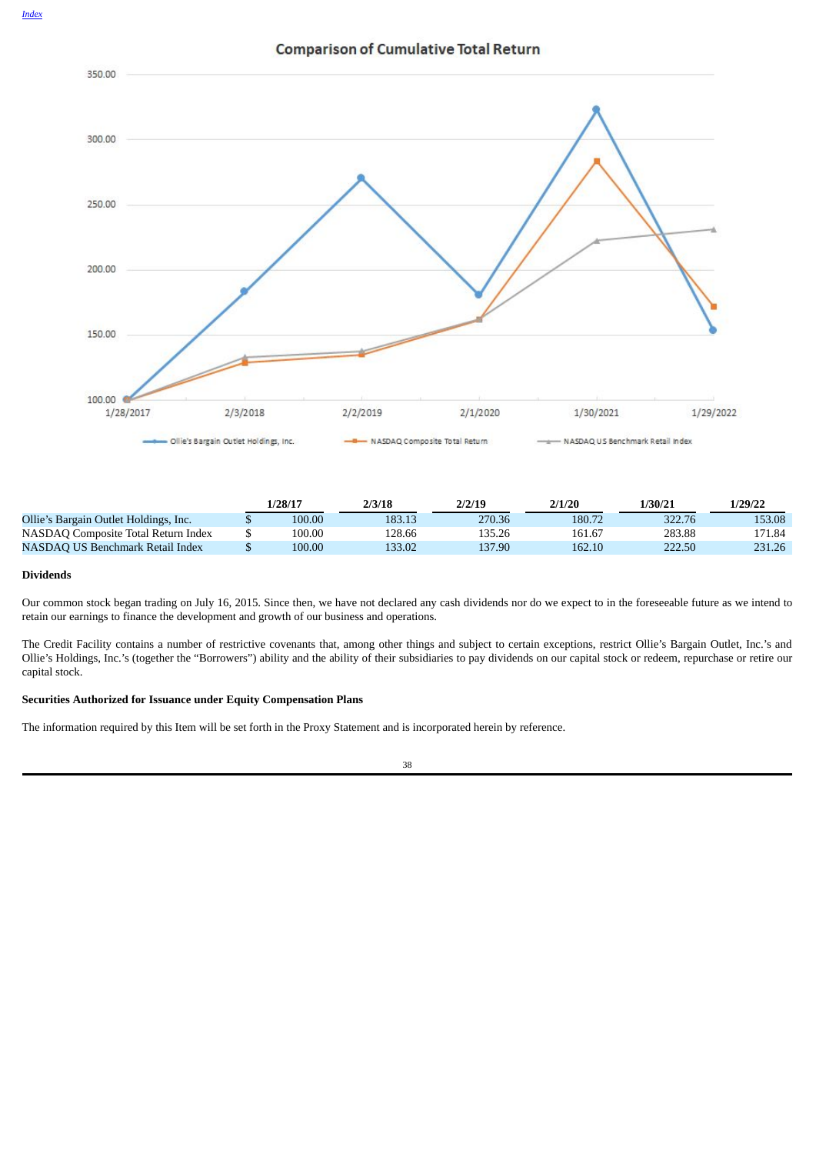# **Comparison of Cumulative Total Return**



|                                       | /28/17 | 2/3/18 | 2/2/19 | 2/1/20 | /30/21 | 1/29/22 |
|---------------------------------------|--------|--------|--------|--------|--------|---------|
| Ollie's Bargain Outlet Holdings, Inc. | 100.00 | 183.13 | 270.36 | 180.72 | 322.76 | 153.08  |
| NASDAQ Composite Total Return Index   | 100.00 | 28.66  | 135.26 | 161.67 | 283.88 | 71.84   |
| NASDAO US Benchmark Retail Index      | 100.00 | .33.02 | .37.90 | 162.10 | 222.50 | 231.26  |

## **Dividends**

Our common stock began trading on July 16, 2015. Since then, we have not declared any cash dividends nor do we expect to in the foreseeable future as we intend to retain our earnings to finance the development and growth of our business and operations.

The Credit Facility contains a number of restrictive covenants that, among other things and subject to certain exceptions, restrict Ollie's Bargain Outlet, Inc.'s and Ollie's Holdings, Inc.'s (together the "Borrowers") ability and the ability of their subsidiaries to pay dividends on our capital stock or redeem, repurchase or retire our capital stock.

# **Securities Authorized for Issuance under Equity Compensation Plans**

The information required by this Item will be set forth in the Proxy Statement and is incorporated herein by reference.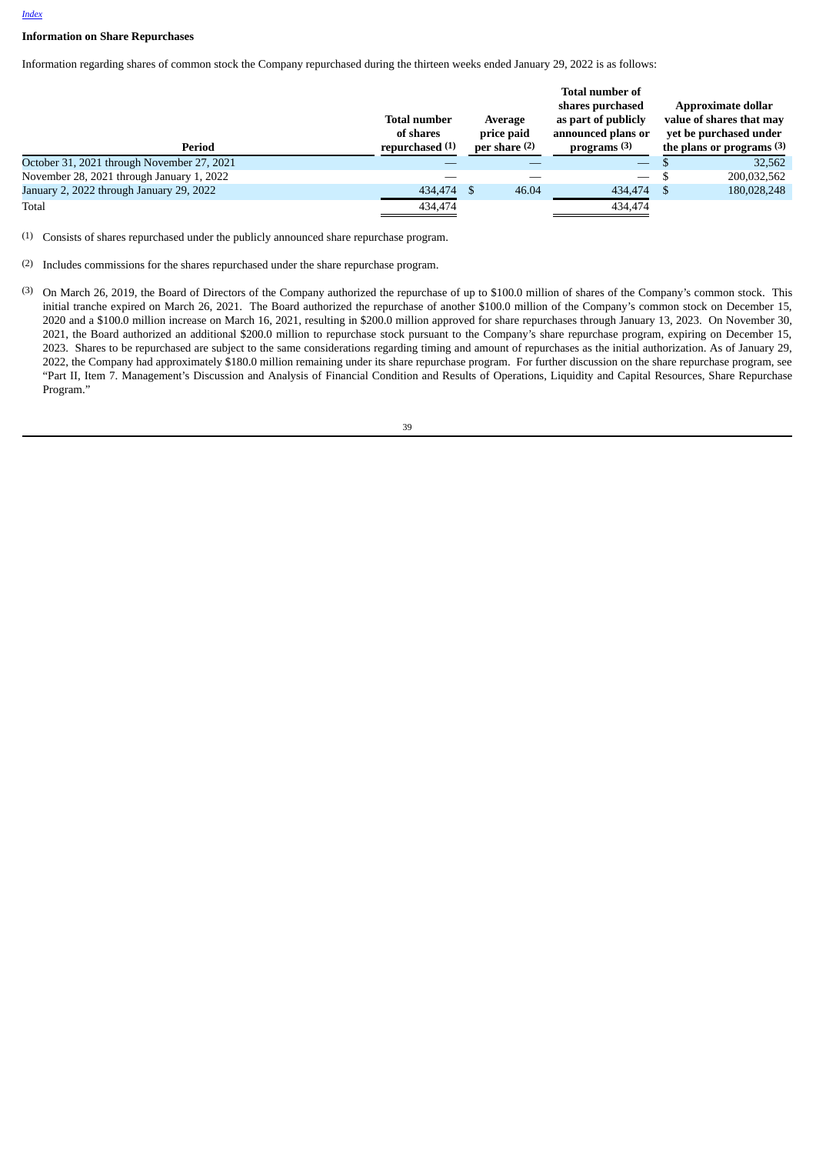# **Information on Share Repurchases**

Information regarding shares of common stock the Company repurchased during the thirteen weeks ended January 29, 2022 is as follows:

| Period                                     | <b>Total number</b><br>of shares<br>repurchased (1) | Average<br>price paid<br>per share $(2)$ | <b>Total number of</b><br>shares purchased<br>as part of publicly<br>announced plans or<br>programs (3) | Approximate dollar<br>value of shares that may<br>vet be purchased under<br>the plans or programs $(3)$ |
|--------------------------------------------|-----------------------------------------------------|------------------------------------------|---------------------------------------------------------------------------------------------------------|---------------------------------------------------------------------------------------------------------|
| October 31, 2021 through November 27, 2021 |                                                     |                                          | $-$                                                                                                     | 32,562                                                                                                  |
| November 28, 2021 through January 1, 2022  |                                                     |                                          | $\hspace{0.05cm}$                                                                                       | 200,032,562<br>- \$                                                                                     |
| January 2, 2022 through January 29, 2022   | 434,474                                             | 46.04                                    | 434,474                                                                                                 | 180,028,248                                                                                             |
| Total                                      | 434,474                                             |                                          | 434,474                                                                                                 |                                                                                                         |

(1) Consists of shares repurchased under the publicly announced share repurchase program.

(2) Includes commissions for the shares repurchased under the share repurchase program.

(3) On March 26, 2019, the Board of Directors of the Company authorized the repurchase of up to \$100.0 million of shares of the Company's common stock. This initial tranche expired on March 26, 2021. The Board authorized the repurchase of another \$100.0 million of the Company's common stock on December 15, 2020 and a \$100.0 million increase on March 16, 2021, resulting in \$200.0 million approved for share repurchases through January 13, 2023. On November 30, 2021, the Board authorized an additional \$200.0 million to repurchase stock pursuant to the Company's share repurchase program, expiring on December 15, 2023. Shares to be repurchased are subject to the same considerations regarding timing and amount of repurchases as the initial authorization. As of January 29, 2022, the Company had approximately \$180.0 million remaining under its share repurchase program. For further discussion on the share repurchase program, see "Part II, Item 7. Management's Discussion and Analysis of Financial Condition and Results of Operations, Liquidity and Capital Resources, Share Repurchase Program."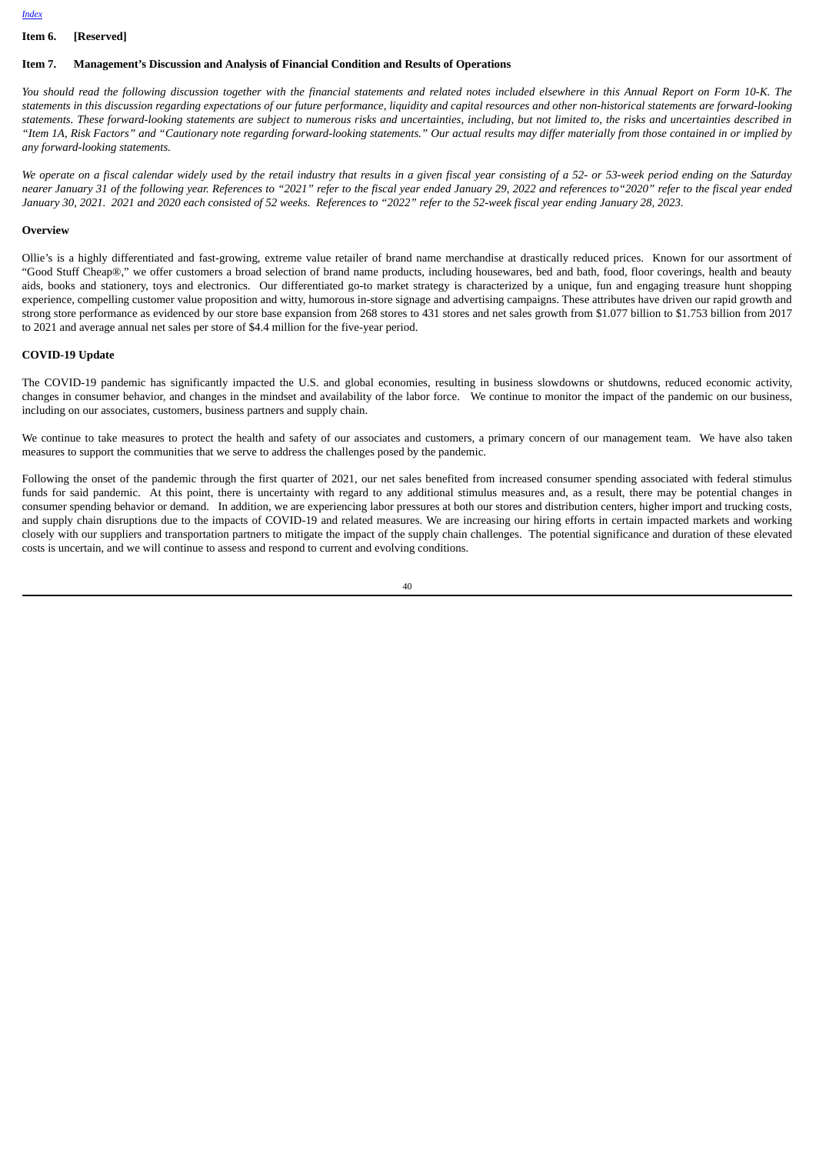## **Item 6. [Reserved]**

## **Item 7. Management's Discussion and Analysis of Financial Condition and Results of Operations**

You should read the following discussion together with the financial statements and related notes included elsewhere in this Annual Report on Form 10-K. The statements in this discussion regarding expectations of our future performance, liquidity and capital resources and other non-historical statements are forward-looking statements. These forward-looking statements are subject to numerous risks and uncertainties, including, but not limited to, the risks and uncertainties described in "Item 1A, Risk Factors" and "Cautionary note regarding forward-looking statements." Our actual results may differ materially from those contained in or implied by *any forward-looking statements.*

We operate on a fiscal calendar widely used by the retail industry that results in a given fiscal year consisting of a 52- or 53-week period ending on the Saturday nearer January 31 of the following year. References to "2021" refer to the fiscal year ended January 29, 2022 and references to "2020" refer to the fiscal year ended January 30, 2021. 2021 and 2020 each consisted of 52 weeks. References to "2022" refer to the 52-week fiscal year ending January 28, 2023.

### **Overview**

Ollie's is a highly differentiated and fast-growing, extreme value retailer of brand name merchandise at drastically reduced prices. Known for our assortment of "Good Stuff Cheap®," we offer customers a broad selection of brand name products, including housewares, bed and bath, food, floor coverings, health and beauty aids, books and stationery, toys and electronics. Our differentiated go-to market strategy is characterized by a unique, fun and engaging treasure hunt shopping experience, compelling customer value proposition and witty, humorous in-store signage and advertising campaigns. These attributes have driven our rapid growth and strong store performance as evidenced by our store base expansion from 268 stores to 431 stores and net sales growth from \$1.077 billion to \$1.753 billion from 2017 to 2021 and average annual net sales per store of \$4.4 million for the five-year period.

# **COVID-19 Update**

The COVID-19 pandemic has significantly impacted the U.S. and global economies, resulting in business slowdowns or shutdowns, reduced economic activity, changes in consumer behavior, and changes in the mindset and availability of the labor force. We continue to monitor the impact of the pandemic on our business, including on our associates, customers, business partners and supply chain.

We continue to take measures to protect the health and safety of our associates and customers, a primary concern of our management team. We have also taken measures to support the communities that we serve to address the challenges posed by the pandemic.

Following the onset of the pandemic through the first quarter of 2021, our net sales benefited from increased consumer spending associated with federal stimulus funds for said pandemic. At this point, there is uncertainty with regard to any additional stimulus measures and, as a result, there may be potential changes in consumer spending behavior or demand. In addition, we are experiencing labor pressures at both our stores and distribution centers, higher import and trucking costs, and supply chain disruptions due to the impacts of COVID-19 and related measures. We are increasing our hiring efforts in certain impacted markets and working closely with our suppliers and transportation partners to mitigate the impact of the supply chain challenges. The potential significance and duration of these elevated costs is uncertain, and we will continue to assess and respond to current and evolving conditions.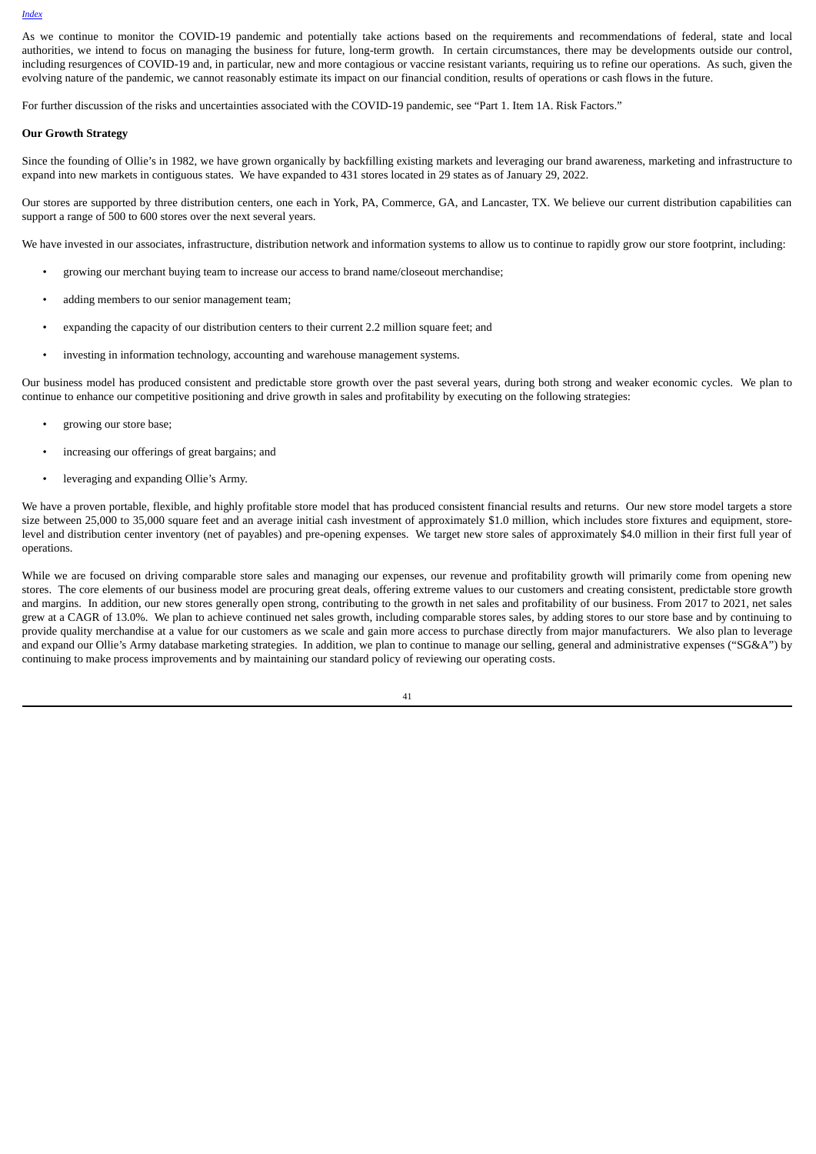As we continue to monitor the COVID-19 pandemic and potentially take actions based on the requirements and recommendations of federal, state and local authorities, we intend to focus on managing the business for future, long-term growth. In certain circumstances, there may be developments outside our control, including resurgences of COVID-19 and, in particular, new and more contagious or vaccine resistant variants, requiring us to refine our operations. As such, given the evolving nature of the pandemic, we cannot reasonably estimate its impact on our financial condition, results of operations or cash flows in the future.

For further discussion of the risks and uncertainties associated with the COVID-19 pandemic, see "Part 1. Item 1A. Risk Factors."

## **Our Growth Strategy**

Since the founding of Ollie's in 1982, we have grown organically by backfilling existing markets and leveraging our brand awareness, marketing and infrastructure to expand into new markets in contiguous states. We have expanded to 431 stores located in 29 states as of January 29, 2022.

Our stores are supported by three distribution centers, one each in York, PA, Commerce, GA, and Lancaster, TX. We believe our current distribution capabilities can support a range of 500 to 600 stores over the next several years.

We have invested in our associates, infrastructure, distribution network and information systems to allow us to continue to rapidly grow our store footprint, including:

- growing our merchant buying team to increase our access to brand name/closeout merchandise;
- adding members to our senior management team;
- expanding the capacity of our distribution centers to their current 2.2 million square feet; and
- investing in information technology, accounting and warehouse management systems.

Our business model has produced consistent and predictable store growth over the past several years, during both strong and weaker economic cycles. We plan to continue to enhance our competitive positioning and drive growth in sales and profitability by executing on the following strategies:

- growing our store base;
- increasing our offerings of great bargains; and
- leveraging and expanding Ollie's Army.

We have a proven portable, flexible, and highly profitable store model that has produced consistent financial results and returns. Our new store model targets a store size between 25,000 to 35,000 square feet and an average initial cash investment of approximately \$1.0 million, which includes store fixtures and equipment, storelevel and distribution center inventory (net of payables) and pre-opening expenses. We target new store sales of approximately \$4.0 million in their first full year of operations.

While we are focused on driving comparable store sales and managing our expenses, our revenue and profitability growth will primarily come from opening new stores. The core elements of our business model are procuring great deals, offering extreme values to our customers and creating consistent, predictable store growth and margins. In addition, our new stores generally open strong, contributing to the growth in net sales and profitability of our business. From 2017 to 2021, net sales grew at a CAGR of 13.0%. We plan to achieve continued net sales growth, including comparable stores sales, by adding stores to our store base and by continuing to provide quality merchandise at a value for our customers as we scale and gain more access to purchase directly from major manufacturers. We also plan to leverage and expand our Ollie's Army database marketing strategies. In addition, we plan to continue to manage our selling, general and administrative expenses ("SG&A") by continuing to make process improvements and by maintaining our standard policy of reviewing our operating costs.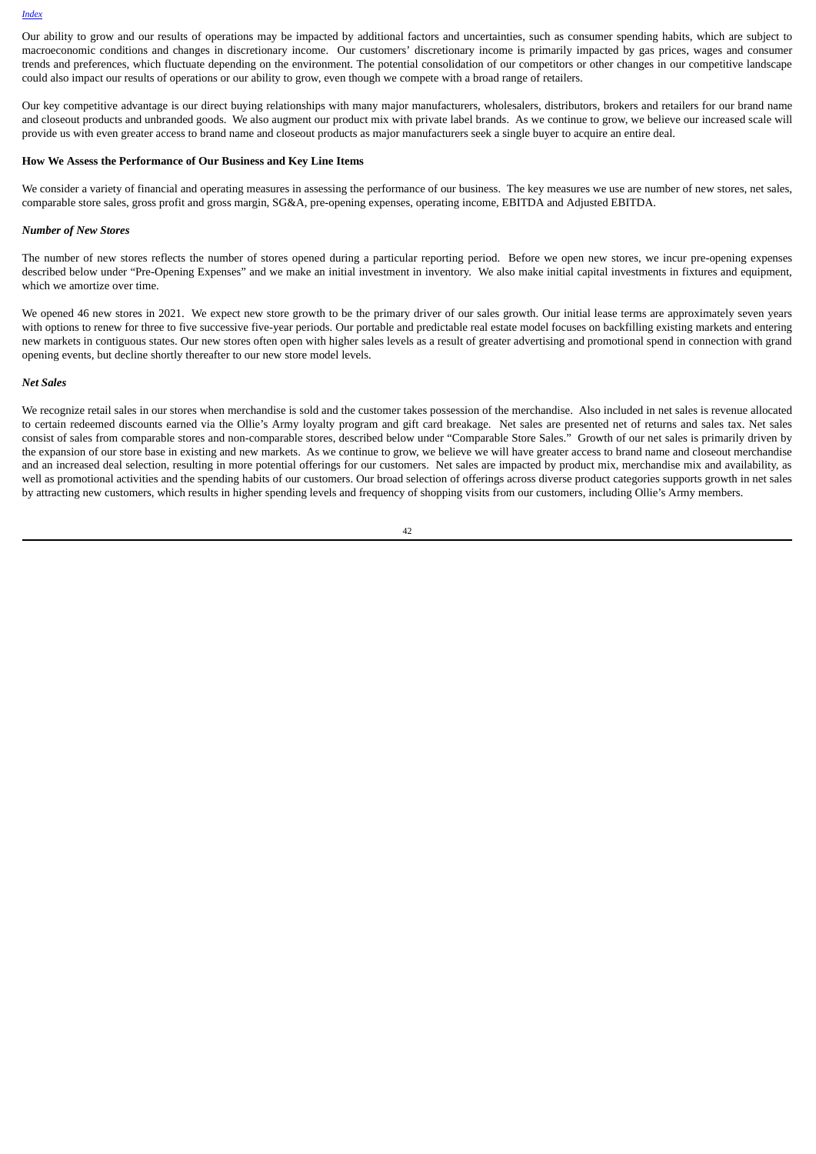Our ability to grow and our results of operations may be impacted by additional factors and uncertainties, such as consumer spending habits, which are subject to macroeconomic conditions and changes in discretionary income. Our customers' discretionary income is primarily impacted by gas prices, wages and consumer trends and preferences, which fluctuate depending on the environment. The potential consolidation of our competitors or other changes in our competitive landscape could also impact our results of operations or our ability to grow, even though we compete with a broad range of retailers.

Our key competitive advantage is our direct buying relationships with many major manufacturers, wholesalers, distributors, brokers and retailers for our brand name and closeout products and unbranded goods. We also augment our product mix with private label brands. As we continue to grow, we believe our increased scale will provide us with even greater access to brand name and closeout products as major manufacturers seek a single buyer to acquire an entire deal.

### **How We Assess the Performance of Our Business and Key Line Items**

We consider a variety of financial and operating measures in assessing the performance of our business. The key measures we use are number of new stores, net sales, comparable store sales, gross profit and gross margin, SG&A, pre-opening expenses, operating income, EBITDA and Adjusted EBITDA.

### *Number of New Stores*

The number of new stores reflects the number of stores opened during a particular reporting period. Before we open new stores, we incur pre-opening expenses described below under "Pre-Opening Expenses" and we make an initial investment in inventory. We also make initial capital investments in fixtures and equipment, which we amortize over time.

We opened 46 new stores in 2021. We expect new store growth to be the primary driver of our sales growth. Our initial lease terms are approximately seven years with options to renew for three to five successive five-year periods. Our portable and predictable real estate model focuses on backfilling existing markets and entering new markets in contiguous states. Our new stores often open with higher sales levels as a result of greater advertising and promotional spend in connection with grand opening events, but decline shortly thereafter to our new store model levels.

### *Net Sales*

We recognize retail sales in our stores when merchandise is sold and the customer takes possession of the merchandise. Also included in net sales is revenue allocated to certain redeemed discounts earned via the Ollie's Army loyalty program and gift card breakage. Net sales are presented net of returns and sales tax. Net sales consist of sales from comparable stores and non-comparable stores, described below under "Comparable Store Sales." Growth of our net sales is primarily driven by the expansion of our store base in existing and new markets. As we continue to grow, we believe we will have greater access to brand name and closeout merchandise and an increased deal selection, resulting in more potential offerings for our customers. Net sales are impacted by product mix, merchandise mix and availability, as well as promotional activities and the spending habits of our customers. Our broad selection of offerings across diverse product categories supports growth in net sales by attracting new customers, which results in higher spending levels and frequency of shopping visits from our customers, including Ollie's Army members.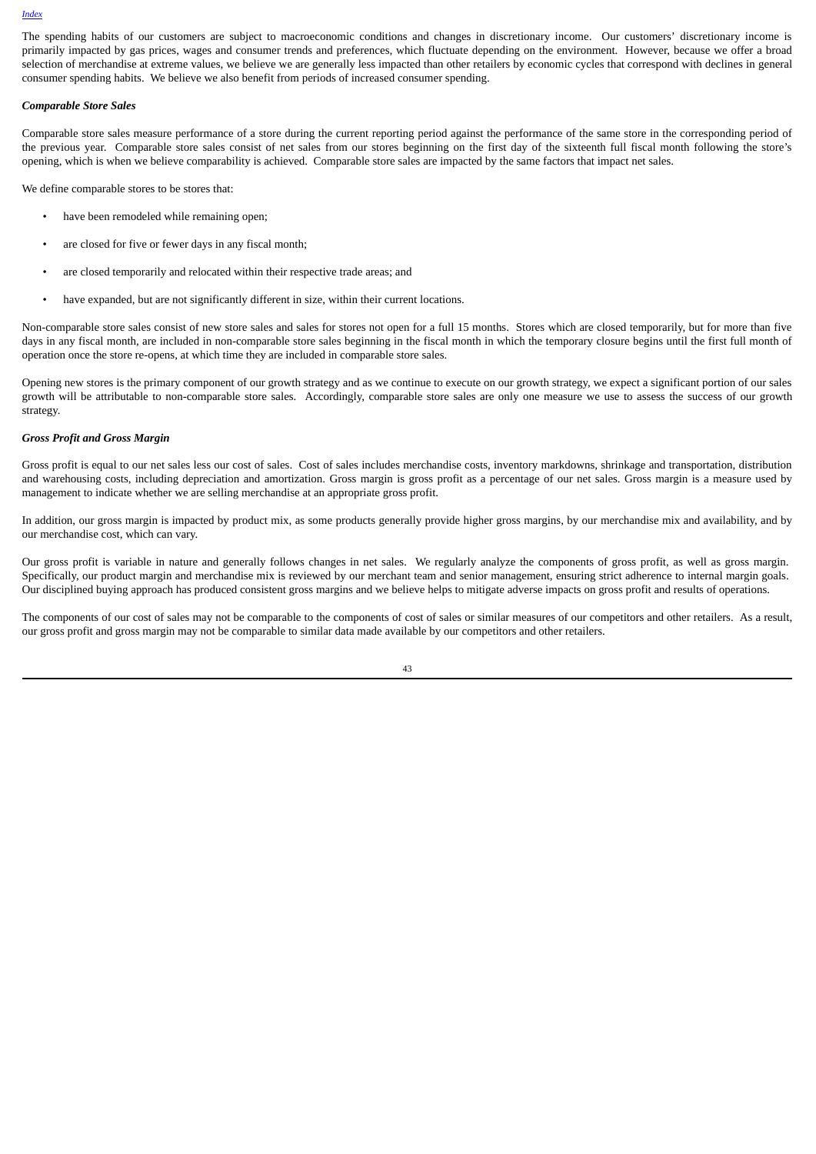The spending habits of our customers are subject to macroeconomic conditions and changes in discretionary income. Our customers' discretionary income is primarily impacted by gas prices, wages and consumer trends and preferences, which fluctuate depending on the environment. However, because we offer a broad selection of merchandise at extreme values, we believe we are generally less impacted than other retailers by economic cycles that correspond with declines in general consumer spending habits. We believe we also benefit from periods of increased consumer spending.

### *Comparable Store Sales*

Comparable store sales measure performance of a store during the current reporting period against the performance of the same store in the corresponding period of the previous year. Comparable store sales consist of net sales from our stores beginning on the first day of the sixteenth full fiscal month following the store's opening, which is when we believe comparability is achieved. Comparable store sales are impacted by the same factors that impact net sales.

We define comparable stores to be stores that:

- have been remodeled while remaining open;
- are closed for five or fewer days in any fiscal month;
- are closed temporarily and relocated within their respective trade areas; and
- have expanded, but are not significantly different in size, within their current locations.

Non-comparable store sales consist of new store sales and sales for stores not open for a full 15 months. Stores which are closed temporarily, but for more than five days in any fiscal month, are included in non-comparable store sales beginning in the fiscal month in which the temporary closure begins until the first full month of operation once the store re-opens, at which time they are included in comparable store sales.

Opening new stores is the primary component of our growth strategy and as we continue to execute on our growth strategy, we expect a significant portion of our sales growth will be attributable to non-comparable store sales. Accordingly, comparable store sales are only one measure we use to assess the success of our growth strategy.

## *Gross Profit and Gross Margin*

Gross profit is equal to our net sales less our cost of sales. Cost of sales includes merchandise costs, inventory markdowns, shrinkage and transportation, distribution and warehousing costs, including depreciation and amortization. Gross margin is gross profit as a percentage of our net sales. Gross margin is a measure used by management to indicate whether we are selling merchandise at an appropriate gross profit.

In addition, our gross margin is impacted by product mix, as some products generally provide higher gross margins, by our merchandise mix and availability, and by our merchandise cost, which can vary.

Our gross profit is variable in nature and generally follows changes in net sales. We regularly analyze the components of gross profit, as well as gross margin. Specifically, our product margin and merchandise mix is reviewed by our merchant team and senior management, ensuring strict adherence to internal margin goals. Our disciplined buying approach has produced consistent gross margins and we believe helps to mitigate adverse impacts on gross profit and results of operations.

The components of our cost of sales may not be comparable to the components of cost of sales or similar measures of our competitors and other retailers. As a result, our gross profit and gross margin may not be comparable to similar data made available by our competitors and other retailers.

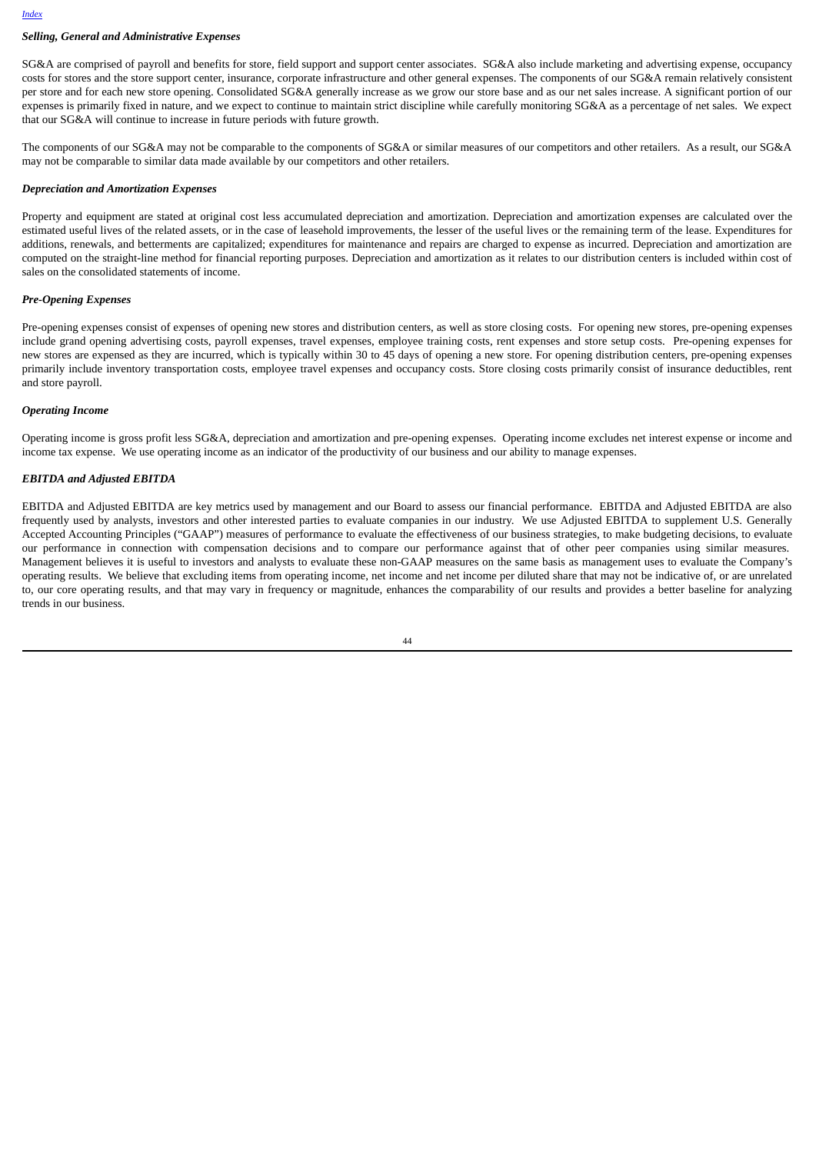## *Selling, General and Administrative Expenses*

SG&A are comprised of payroll and benefits for store, field support and support center associates. SG&A also include marketing and advertising expense, occupancy costs for stores and the store support center, insurance, corporate infrastructure and other general expenses. The components of our SG&A remain relatively consistent per store and for each new store opening. Consolidated SG&A generally increase as we grow our store base and as our net sales increase. A significant portion of our expenses is primarily fixed in nature, and we expect to continue to maintain strict discipline while carefully monitoring SG&A as a percentage of net sales. We expect that our SG&A will continue to increase in future periods with future growth.

The components of our SG&A may not be comparable to the components of SG&A or similar measures of our competitors and other retailers. As a result, our SG&A may not be comparable to similar data made available by our competitors and other retailers.

### *Depreciation and Amortization Expenses*

Property and equipment are stated at original cost less accumulated depreciation and amortization. Depreciation and amortization expenses are calculated over the estimated useful lives of the related assets, or in the case of leasehold improvements, the lesser of the useful lives or the remaining term of the lease. Expenditures for additions, renewals, and betterments are capitalized; expenditures for maintenance and repairs are charged to expense as incurred. Depreciation and amortization are computed on the straight-line method for financial reporting purposes. Depreciation and amortization as it relates to our distribution centers is included within cost of sales on the consolidated statements of income.

## *Pre-Opening Expenses*

Pre-opening expenses consist of expenses of opening new stores and distribution centers, as well as store closing costs. For opening new stores, pre-opening expenses include grand opening advertising costs, payroll expenses, travel expenses, employee training costs, rent expenses and store setup costs. Pre-opening expenses for new stores are expensed as they are incurred, which is typically within 30 to 45 days of opening a new store. For opening distribution centers, pre-opening expenses primarily include inventory transportation costs, employee travel expenses and occupancy costs. Store closing costs primarily consist of insurance deductibles, rent and store payroll.

### *Operating Income*

Operating income is gross profit less SG&A, depreciation and amortization and pre-opening expenses. Operating income excludes net interest expense or income and income tax expense. We use operating income as an indicator of the productivity of our business and our ability to manage expenses.

### *EBITDA and Adjusted EBITDA*

EBITDA and Adjusted EBITDA are key metrics used by management and our Board to assess our financial performance. EBITDA and Adjusted EBITDA are also frequently used by analysts, investors and other interested parties to evaluate companies in our industry. We use Adjusted EBITDA to supplement U.S. Generally Accepted Accounting Principles ("GAAP") measures of performance to evaluate the effectiveness of our business strategies, to make budgeting decisions, to evaluate our performance in connection with compensation decisions and to compare our performance against that of other peer companies using similar measures. Management believes it is useful to investors and analysts to evaluate these non-GAAP measures on the same basis as management uses to evaluate the Company's operating results. We believe that excluding items from operating income, net income and net income per diluted share that may not be indicative of, or are unrelated to, our core operating results, and that may vary in frequency or magnitude, enhances the comparability of our results and provides a better baseline for analyzing trends in our business.

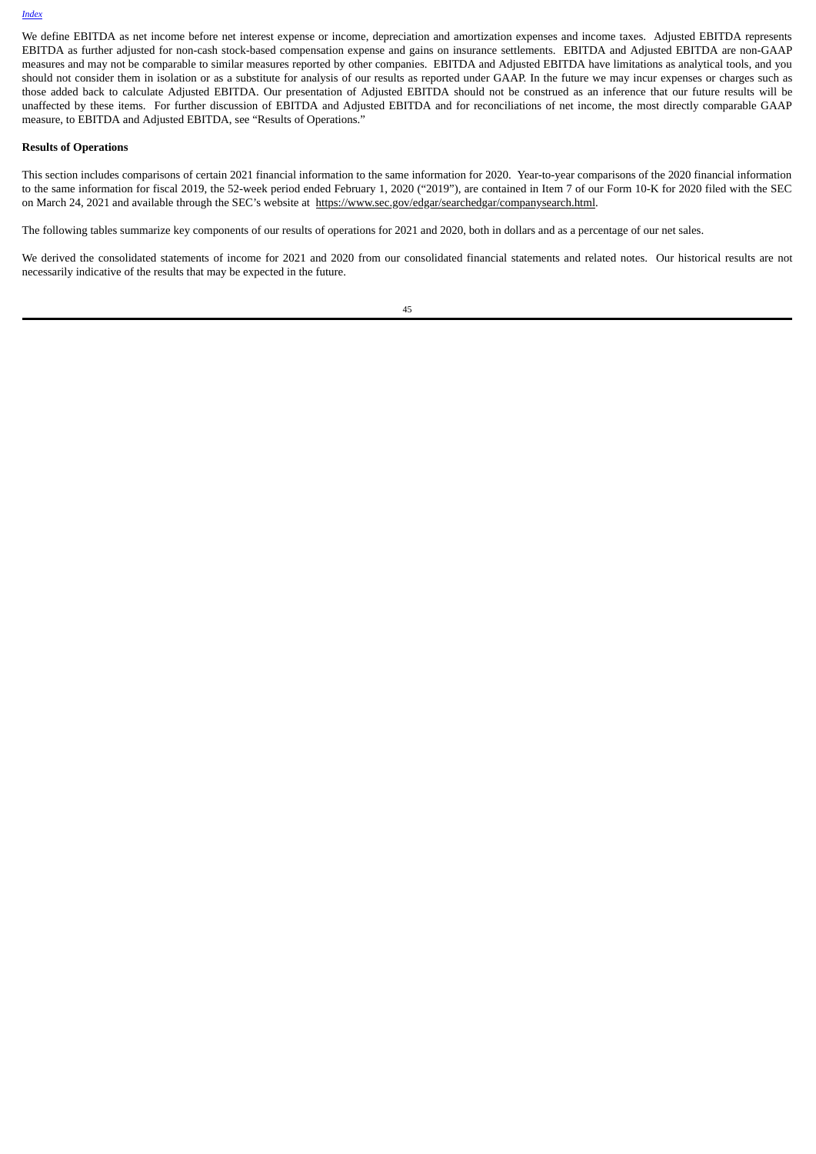We define EBITDA as net income before net interest expense or income, depreciation and amortization expenses and income taxes. Adjusted EBITDA represents EBITDA as further adjusted for non-cash stock-based compensation expense and gains on insurance settlements. EBITDA and Adjusted EBITDA are non-GAAP measures and may not be comparable to similar measures reported by other companies. EBITDA and Adjusted EBITDA have limitations as analytical tools, and you should not consider them in isolation or as a substitute for analysis of our results as reported under GAAP. In the future we may incur expenses or charges such as those added back to calculate Adjusted EBITDA. Our presentation of Adjusted EBITDA should not be construed as an inference that our future results will be unaffected by these items. For further discussion of EBITDA and Adjusted EBITDA and for reconciliations of net income, the most directly comparable GAAP measure, to EBITDA and Adjusted EBITDA, see "Results of Operations."

## **Results of Operations**

This section includes comparisons of certain 2021 financial information to the same information for 2020. Year-to-year comparisons of the 2020 financial information to the same information for fiscal 2019, the 52-week period ended February 1, 2020 ("2019"), are contained in Item 7 of our Form 10-K for 2020 filed with the SEC on March 24, 2021 and available through the SEC's website at https://www.sec.gov/edgar/searchedgar/companysearch.html.

The following tables summarize key components of our results of operations for 2021 and 2020, both in dollars and as a percentage of our net sales.

We derived the consolidated statements of income for 2021 and 2020 from our consolidated financial statements and related notes. Our historical results are not necessarily indicative of the results that may be expected in the future.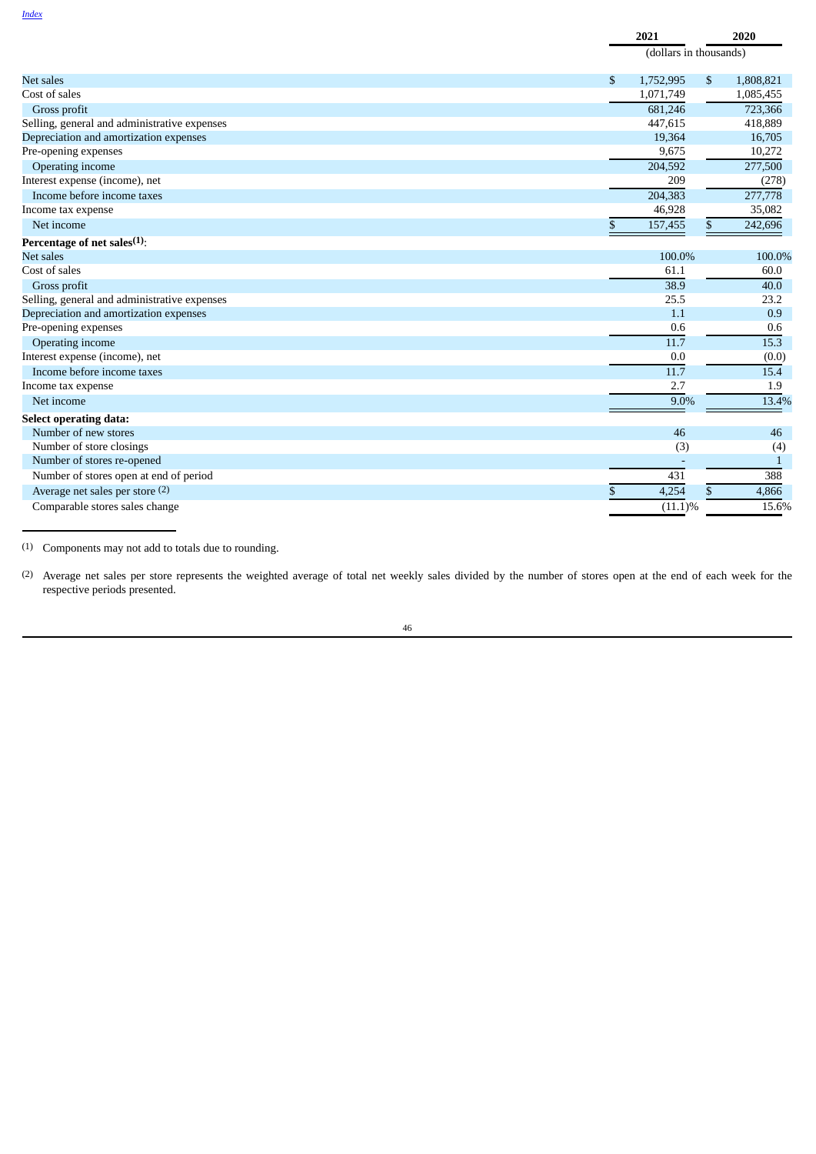|                                              | 2021                   | 2020            |  |
|----------------------------------------------|------------------------|-----------------|--|
|                                              | (dollars in thousands) |                 |  |
| Net sales                                    | \$<br>1,752,995        | \$<br>1,808,821 |  |
| Cost of sales                                | 1,071,749              | 1,085,455       |  |
| Gross profit                                 | 681,246                | 723,366         |  |
| Selling, general and administrative expenses | 447,615                | 418,889         |  |
| Depreciation and amortization expenses       | 19,364                 | 16,705          |  |
| Pre-opening expenses                         | 9,675                  | 10,272          |  |
| Operating income                             | 204,592                | 277,500         |  |
| Interest expense (income), net               | 209                    | (278)           |  |
| Income before income taxes                   | 204,383                | 277,778         |  |
| Income tax expense                           | 46,928                 | 35,082          |  |
| Net income                                   | \$<br>157,455          | 242,696<br>\$   |  |
| Percentage of net sales <sup>(1)</sup> :     |                        |                 |  |
| Net sales                                    | 100.0%                 | 100.0%          |  |
| Cost of sales                                | 61.1                   | 60.0            |  |
| Gross profit                                 | 38.9                   | 40.0            |  |
| Selling, general and administrative expenses | 25.5                   | 23.2            |  |
| Depreciation and amortization expenses       | 1.1                    | 0.9             |  |
| Pre-opening expenses                         | 0.6                    | 0.6             |  |
| Operating income                             | 11.7                   | 15.3            |  |
| Interest expense (income), net               | 0.0                    | (0.0)           |  |
| Income before income taxes                   | 11.7                   | 15.4            |  |
| Income tax expense                           | 2.7                    | 1.9             |  |
| Net income                                   | 9.0%                   | 13.4%           |  |
| <b>Select operating data:</b>                |                        |                 |  |
| Number of new stores                         | 46                     | 46              |  |
| Number of store closings                     | (3)                    | (4)             |  |
| Number of stores re-opened                   |                        |                 |  |
| Number of stores open at end of period       | 431                    | 388             |  |
| Average net sales per store (2)              | \$<br>4,254            | 4,866<br>\$     |  |
| Comparable stores sales change               | $(11.1)\%$             | 15.6%           |  |

(1) Components may not add to totals due to rounding.

(2) Average net sales per store represents the weighted average of total net weekly sales divided by the number of stores open at the end of each week for the respective periods presented.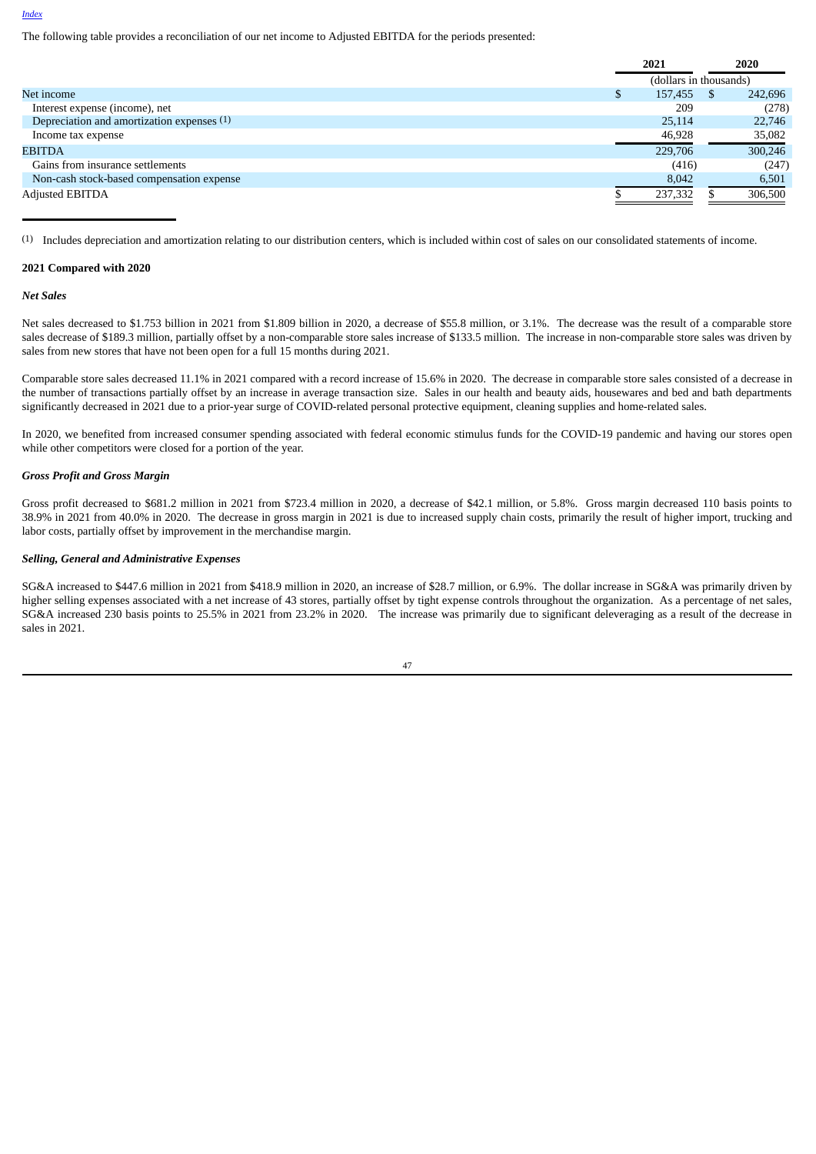The following table provides a reconciliation of our net income to Adjusted EBITDA for the periods presented:

|                                            |   | 2021                   | 2020    |
|--------------------------------------------|---|------------------------|---------|
|                                            |   | (dollars in thousands) |         |
| Net income                                 | D | 157,455                | 242,696 |
| Interest expense (income), net             |   | 209                    | (278)   |
| Depreciation and amortization expenses (1) |   | 25,114                 | 22,746  |
| Income tax expense                         |   | 46,928                 | 35,082  |
| <b>EBITDA</b>                              |   | 229,706                | 300,246 |
| Gains from insurance settlements           |   | (416)                  | (247)   |
| Non-cash stock-based compensation expense  |   | 8,042                  | 6,501   |
| Adjusted EBITDA                            |   | 237.332                | 306,500 |

(1) Includes depreciation and amortization relating to our distribution centers, which is included within cost of sales on our consolidated statements of income.

### **2021 Compared with 2020**

## *Net Sales*

Net sales decreased to \$1.753 billion in 2021 from \$1.809 billion in 2020, a decrease of \$55.8 million, or 3.1%. The decrease was the result of a comparable store sales decrease of \$189.3 million, partially offset by a non-comparable store sales increase of \$133.5 million. The increase in non-comparable store sales was driven by sales from new stores that have not been open for a full 15 months during 2021.

Comparable store sales decreased 11.1% in 2021 compared with a record increase of 15.6% in 2020. The decrease in comparable store sales consisted of a decrease in the number of transactions partially offset by an increase in average transaction size. Sales in our health and beauty aids, housewares and bed and bath departments significantly decreased in 2021 due to a prior-year surge of COVID-related personal protective equipment, cleaning supplies and home-related sales.

In 2020, we benefited from increased consumer spending associated with federal economic stimulus funds for the COVID-19 pandemic and having our stores open while other competitors were closed for a portion of the year.

### *Gross Profit and Gross Margin*

Gross profit decreased to \$681.2 million in 2021 from \$723.4 million in 2020, a decrease of \$42.1 million, or 5.8%. Gross margin decreased 110 basis points to 38.9% in 2021 from 40.0% in 2020. The decrease in gross margin in 2021 is due to increased supply chain costs, primarily the result of higher import, trucking and labor costs, partially offset by improvement in the merchandise margin.

## *Selling, General and Administrative Expenses*

SG&A increased to \$447.6 million in 2021 from \$418.9 million in 2020, an increase of \$28.7 million, or 6.9%. The dollar increase in SG&A was primarily driven by higher selling expenses associated with a net increase of 43 stores, partially offset by tight expense controls throughout the organization. As a percentage of net sales, SG&A increased 230 basis points to 25.5% in 2021 from 23.2% in 2020. The increase was primarily due to significant deleveraging as a result of the decrease in sales in 2021.

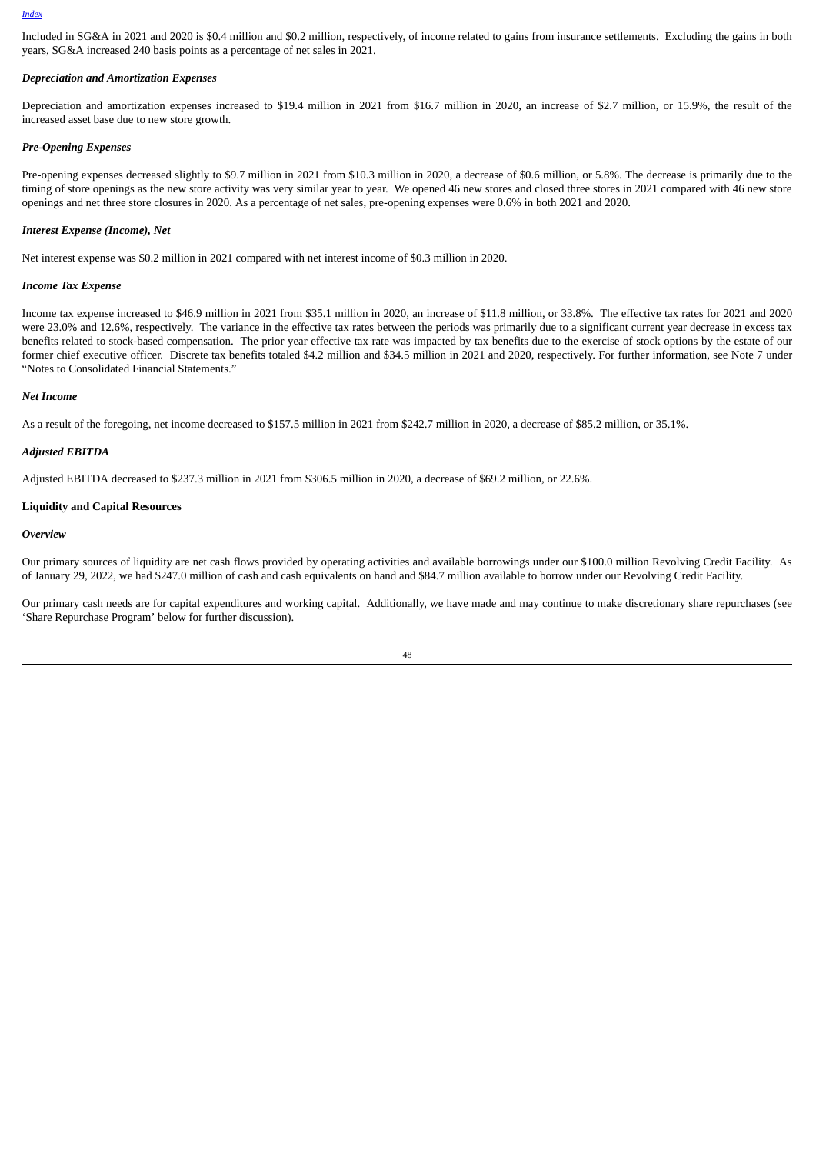Included in SG&A in 2021 and 2020 is \$0.4 million and \$0.2 million, respectively, of income related to gains from insurance settlements. Excluding the gains in both years, SG&A increased 240 basis points as a percentage of net sales in 2021.

### *Depreciation and Amortization Expenses*

Depreciation and amortization expenses increased to \$19.4 million in 2021 from \$16.7 million in 2020, an increase of \$2.7 million, or 15.9%, the result of the increased asset base due to new store growth.

## *Pre-Opening Expenses*

Pre-opening expenses decreased slightly to \$9.7 million in 2021 from \$10.3 million in 2020, a decrease of \$0.6 million, or 5.8%. The decrease is primarily due to the timing of store openings as the new store activity was very similar year to year. We opened 46 new stores and closed three stores in 2021 compared with 46 new store openings and net three store closures in 2020. As a percentage of net sales, pre-opening expenses were 0.6% in both 2021 and 2020.

### *Interest Expense (Income), Net*

Net interest expense was \$0.2 million in 2021 compared with net interest income of \$0.3 million in 2020.

### *Income Tax Expense*

Income tax expense increased to \$46.9 million in 2021 from \$35.1 million in 2020, an increase of \$11.8 million, or 33.8%. The effective tax rates for 2021 and 2020 were 23.0% and 12.6%, respectively. The variance in the effective tax rates between the periods was primarily due to a significant current year decrease in excess tax benefits related to stock-based compensation. The prior year effective tax rate was impacted by tax benefits due to the exercise of stock options by the estate of our former chief executive officer. Discrete tax benefits totaled \$4.2 million and \$34.5 million in 2021 and 2020, respectively. For further information, see Note 7 under "Notes to Consolidated Financial Statements."

## *Net Income*

As a result of the foregoing, net income decreased to \$157.5 million in 2021 from \$242.7 million in 2020, a decrease of \$85.2 million, or 35.1%.

### *Adjusted EBITDA*

Adjusted EBITDA decreased to \$237.3 million in 2021 from \$306.5 million in 2020, a decrease of \$69.2 million, or 22.6%.

## **Liquidity and Capital Resources**

# *Overview*

Our primary sources of liquidity are net cash flows provided by operating activities and available borrowings under our \$100.0 million Revolving Credit Facility. As of January 29, 2022, we had \$247.0 million of cash and cash equivalents on hand and \$84.7 million available to borrow under our Revolving Credit Facility.

Our primary cash needs are for capital expenditures and working capital. Additionally, we have made and may continue to make discretionary share repurchases (see 'Share Repurchase Program' below for further discussion).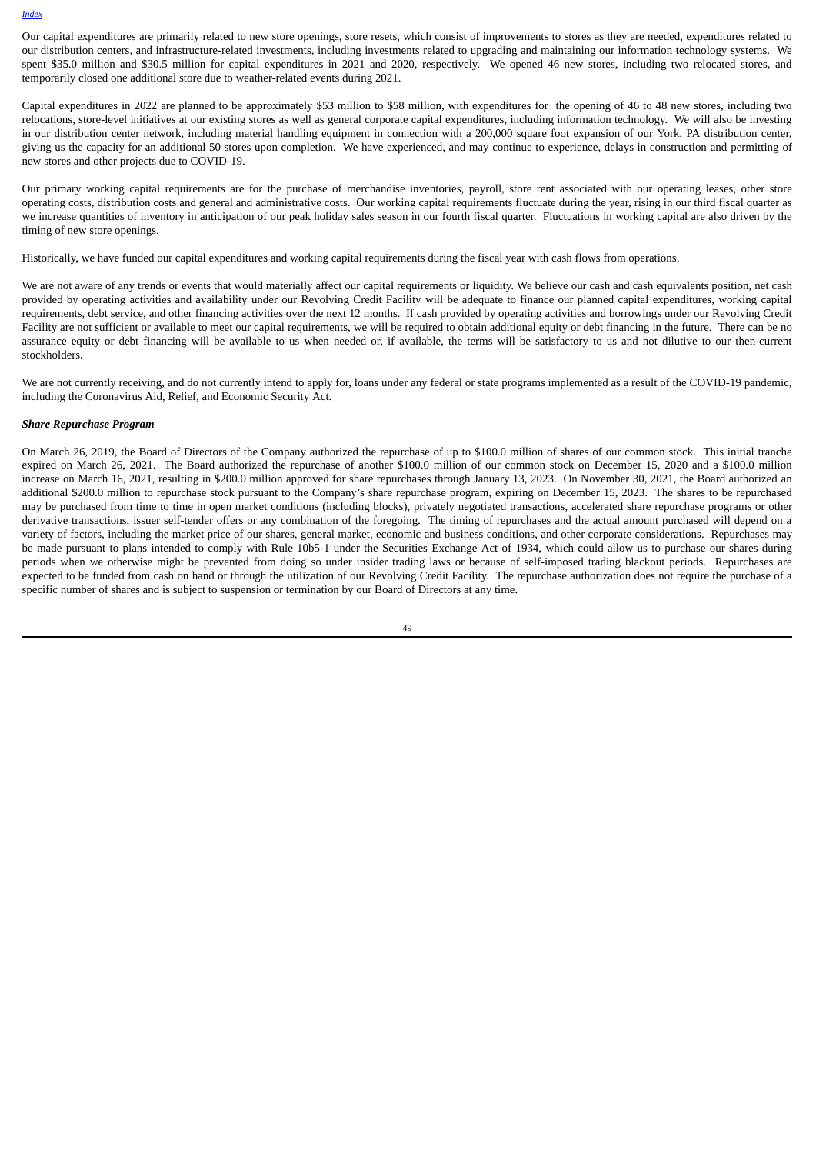Our capital expenditures are primarily related to new store openings, store resets, which consist of improvements to stores as they are needed, expenditures related to our distribution centers, and infrastructure-related investments, including investments related to upgrading and maintaining our information technology systems. We spent \$35.0 million and \$30.5 million for capital expenditures in 2021 and 2020, respectively. We opened 46 new stores, including two relocated stores, and temporarily closed one additional store due to weather-related events during 2021.

Capital expenditures in 2022 are planned to be approximately \$53 million to \$58 million, with expenditures for the opening of 46 to 48 new stores, including two relocations, store-level initiatives at our existing stores as well as general corporate capital expenditures, including information technology. We will also be investing in our distribution center network, including material handling equipment in connection with a 200,000 square foot expansion of our York, PA distribution center, giving us the capacity for an additional 50 stores upon completion. We have experienced, and may continue to experience, delays in construction and permitting of new stores and other projects due to COVID-19.

Our primary working capital requirements are for the purchase of merchandise inventories, payroll, store rent associated with our operating leases, other store operating costs, distribution costs and general and administrative costs. Our working capital requirements fluctuate during the year, rising in our third fiscal quarter as we increase quantities of inventory in anticipation of our peak holiday sales season in our fourth fiscal quarter. Fluctuations in working capital are also driven by the timing of new store openings.

Historically, we have funded our capital expenditures and working capital requirements during the fiscal year with cash flows from operations.

We are not aware of any trends or events that would materially affect our capital requirements or liquidity. We believe our cash and cash equivalents position, net cash provided by operating activities and availability under our Revolving Credit Facility will be adequate to finance our planned capital expenditures, working capital requirements, debt service, and other financing activities over the next 12 months. If cash provided by operating activities and borrowings under our Revolving Credit Facility are not sufficient or available to meet our capital requirements, we will be required to obtain additional equity or debt financing in the future. There can be no assurance equity or debt financing will be available to us when needed or, if available, the terms will be satisfactory to us and not dilutive to our then-current stockholders.

We are not currently receiving, and do not currently intend to apply for, loans under any federal or state programs implemented as a result of the COVID-19 pandemic, including the Coronavirus Aid, Relief, and Economic Security Act.

### *Share Repurchase Program*

On March 26, 2019, the Board of Directors of the Company authorized the repurchase of up to \$100.0 million of shares of our common stock. This initial tranche expired on March 26, 2021. The Board authorized the repurchase of another \$100.0 million of our common stock on December 15, 2020 and a \$100.0 million increase on March 16, 2021, resulting in \$200.0 million approved for share repurchases through January 13, 2023. On November 30, 2021, the Board authorized an additional \$200.0 million to repurchase stock pursuant to the Company's share repurchase program, expiring on December 15, 2023. The shares to be repurchased may be purchased from time to time in open market conditions (including blocks), privately negotiated transactions, accelerated share repurchase programs or other derivative transactions, issuer self-tender offers or any combination of the foregoing. The timing of repurchases and the actual amount purchased will depend on a variety of factors, including the market price of our shares, general market, economic and business conditions, and other corporate considerations. Repurchases may be made pursuant to plans intended to comply with Rule 10b5-1 under the Securities Exchange Act of 1934, which could allow us to purchase our shares during periods when we otherwise might be prevented from doing so under insider trading laws or because of self-imposed trading blackout periods. Repurchases are expected to be funded from cash on hand or through the utilization of our Revolving Credit Facility. The repurchase authorization does not require the purchase of a specific number of shares and is subject to suspension or termination by our Board of Directors at any time.

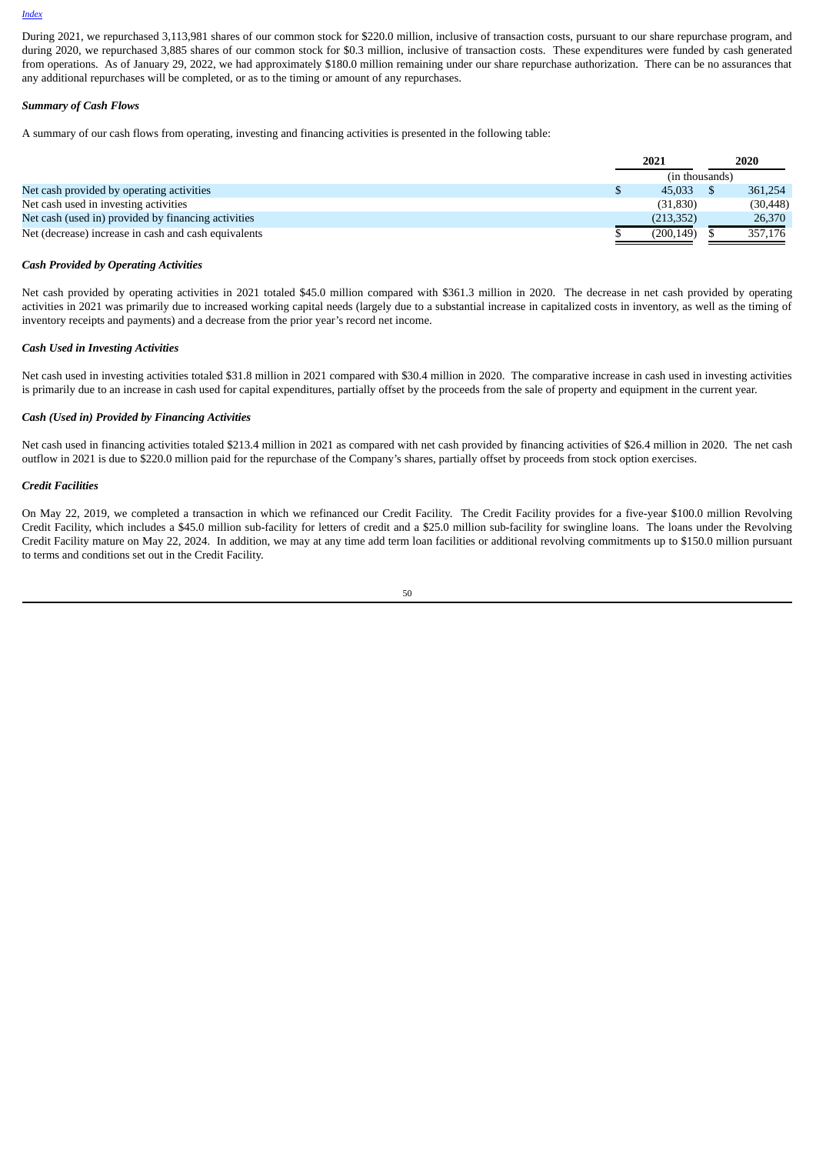During 2021, we repurchased 3,113,981 shares of our common stock for \$220.0 million, inclusive of transaction costs, pursuant to our share repurchase program, and during 2020, we repurchased 3,885 shares of our common stock for \$0.3 million, inclusive of transaction costs. These expenditures were funded by cash generated from operations. As of January 29, 2022, we had approximately \$180.0 million remaining under our share repurchase authorization. There can be no assurances that any additional repurchases will be completed, or as to the timing or amount of any repurchases.

## *Summary of Cash Flows*

A summary of our cash flows from operating, investing and financing activities is presented in the following table:

|                                                      | 2021           |  | 2020      |
|------------------------------------------------------|----------------|--|-----------|
|                                                      | (in thousands) |  |           |
| Net cash provided by operating activities            | 45,033         |  | 361.254   |
| Net cash used in investing activities                | (31.830)       |  | (30, 448) |
| Net cash (used in) provided by financing activities  | (213, 352)     |  | 26,370    |
| Net (decrease) increase in cash and cash equivalents | (200, 149)     |  | 357,176   |

## *Cash Provided by Operating Activities*

Net cash provided by operating activities in 2021 totaled \$45.0 million compared with \$361.3 million in 2020. The decrease in net cash provided by operating activities in 2021 was primarily due to increased working capital needs (largely due to a substantial increase in capitalized costs in inventory, as well as the timing of inventory receipts and payments) and a decrease from the prior year's record net income.

### *Cash Used in Investing Activities*

Net cash used in investing activities totaled \$31.8 million in 2021 compared with \$30.4 million in 2020. The comparative increase in cash used in investing activities is primarily due to an increase in cash used for capital expenditures, partially offset by the proceeds from the sale of property and equipment in the current year.

## *Cash (Used in) Provided by Financing Activities*

Net cash used in financing activities totaled \$213.4 million in 2021 as compared with net cash provided by financing activities of \$26.4 million in 2020. The net cash outflow in 2021 is due to \$220.0 million paid for the repurchase of the Company's shares, partially offset by proceeds from stock option exercises.

## *Credit Facilities*

On May 22, 2019, we completed a transaction in which we refinanced our Credit Facility. The Credit Facility provides for a five-year \$100.0 million Revolving Credit Facility, which includes a \$45.0 million sub-facility for letters of credit and a \$25.0 million sub-facility for swingline loans. The loans under the Revolving Credit Facility mature on May 22, 2024. In addition, we may at any time add term loan facilities or additional revolving commitments up to \$150.0 million pursuant to terms and conditions set out in the Credit Facility.

| -      |         |   |
|--------|---------|---|
|        |         |   |
|        |         |   |
| ×<br>٧ | I<br>M. | ٠ |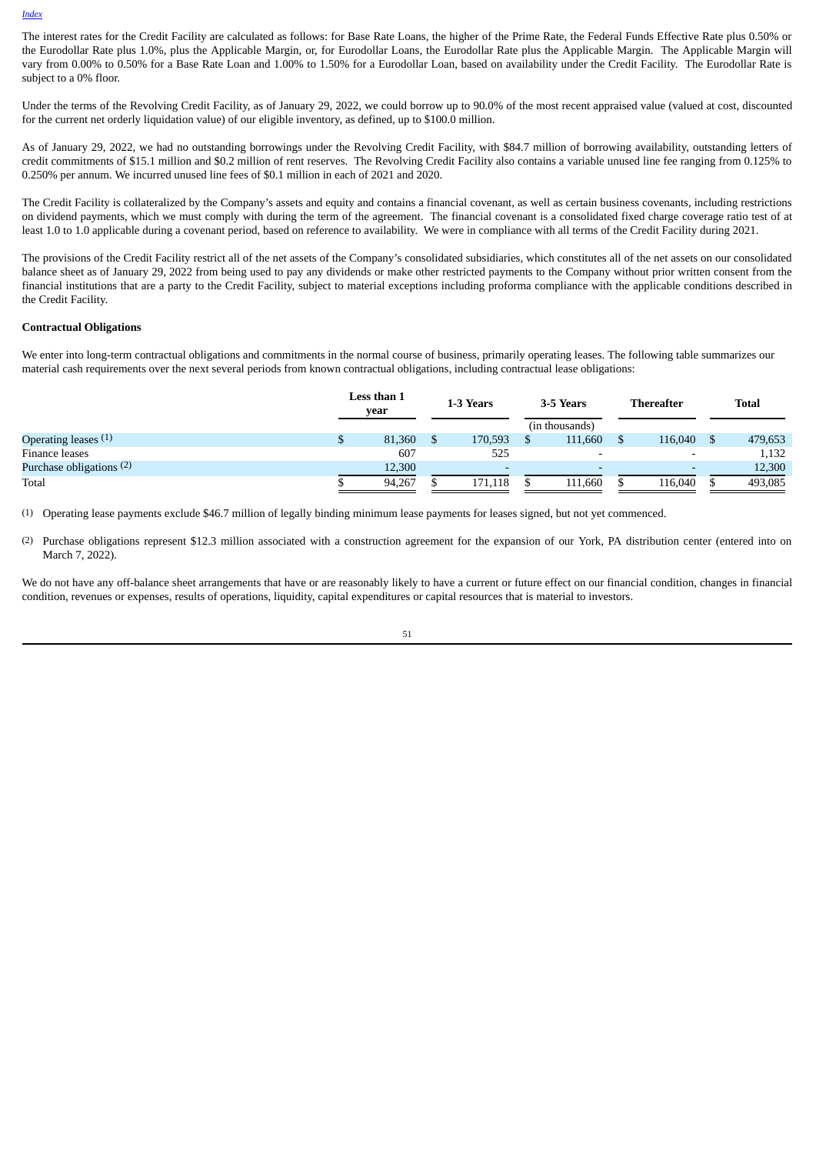The interest rates for the Credit Facility are calculated as follows: for Base Rate Loans, the higher of the Prime Rate, the Federal Funds Effective Rate plus 0.50% or the Eurodollar Rate plus 1.0%, plus the Applicable Margin, or, for Eurodollar Loans, the Eurodollar Rate plus the Applicable Margin. The Applicable Margin will vary from 0.00% to 0.50% for a Base Rate Loan and 1.00% to 1.50% for a Eurodollar Loan, based on availability under the Credit Facility. The Eurodollar Rate is subject to a 0% floor.

Under the terms of the Revolving Credit Facility, as of January 29, 2022, we could borrow up to 90.0% of the most recent appraised value (valued at cost, discounted for the current net orderly liquidation value) of our eligible inventory, as defined, up to \$100.0 million.

As of January 29, 2022, we had no outstanding borrowings under the Revolving Credit Facility, with \$84.7 million of borrowing availability, outstanding letters of credit commitments of \$15.1 million and \$0.2 million of rent reserves. The Revolving Credit Facility also contains a variable unused line fee ranging from 0.125% to 0.250% per annum. We incurred unused line fees of \$0.1 million in each of 2021 and 2020.

The Credit Facility is collateralized by the Company's assets and equity and contains a financial covenant, as well as certain business covenants, including restrictions on dividend payments, which we must comply with during the term of the agreement. The financial covenant is a consolidated fixed charge coverage ratio test of at least 1.0 to 1.0 applicable during a covenant period, based on reference to availability. We were in compliance with all terms of the Credit Facility during 2021.

The provisions of the Credit Facility restrict all of the net assets of the Company's consolidated subsidiaries, which constitutes all of the net assets on our consolidated balance sheet as of January 29, 2022 from being used to pay any dividends or make other restricted payments to the Company without prior written consent from the financial institutions that are a party to the Credit Facility, subject to material exceptions including proforma compliance with the applicable conditions described in the Credit Facility.

## **Contractual Obligations**

We enter into long-term contractual obligations and commitments in the normal course of business, primarily operating leases. The following table summarizes our material cash requirements over the next several periods from known contractual obligations, including contractual lease obligations:

| vear |        | 1-3 Years   |         | 3-5 Years |                          |                |                          |                   | <b>Total</b> |  |
|------|--------|-------------|---------|-----------|--------------------------|----------------|--------------------------|-------------------|--------------|--|
|      |        |             |         |           |                          |                |                          |                   |              |  |
|      | 81,360 | \$          | 170,593 |           | 111,660                  |                | 116,040                  |                   | 479,653      |  |
|      | 607    |             | 525     |           | $\overline{\phantom{a}}$ |                | $\overline{\phantom{a}}$ |                   | 1,132        |  |
|      | 12,300 |             | $\sim$  |           | $\sim$                   |                | -                        |                   | 12,300       |  |
|      | 94,267 |             | 171,118 |           | 111,660                  |                | 116,040                  |                   | 493,085      |  |
|      |        | Less than 1 |         |           |                          | (in thousands) |                          | <b>Thereafter</b> |              |  |

(1) Operating lease payments exclude \$46.7 million of legally binding minimum lease payments for leases signed, but not yet commenced.

(2) Purchase obligations represent \$12.3 million associated with a construction agreement for the expansion of our York, PA distribution center (entered into on March 7, 2022).

We do not have any off-balance sheet arrangements that have or are reasonably likely to have a current or future effect on our financial condition, changes in financial condition, revenues or expenses, results of operations, liquidity, capital expenditures or capital resources that is material to investors.

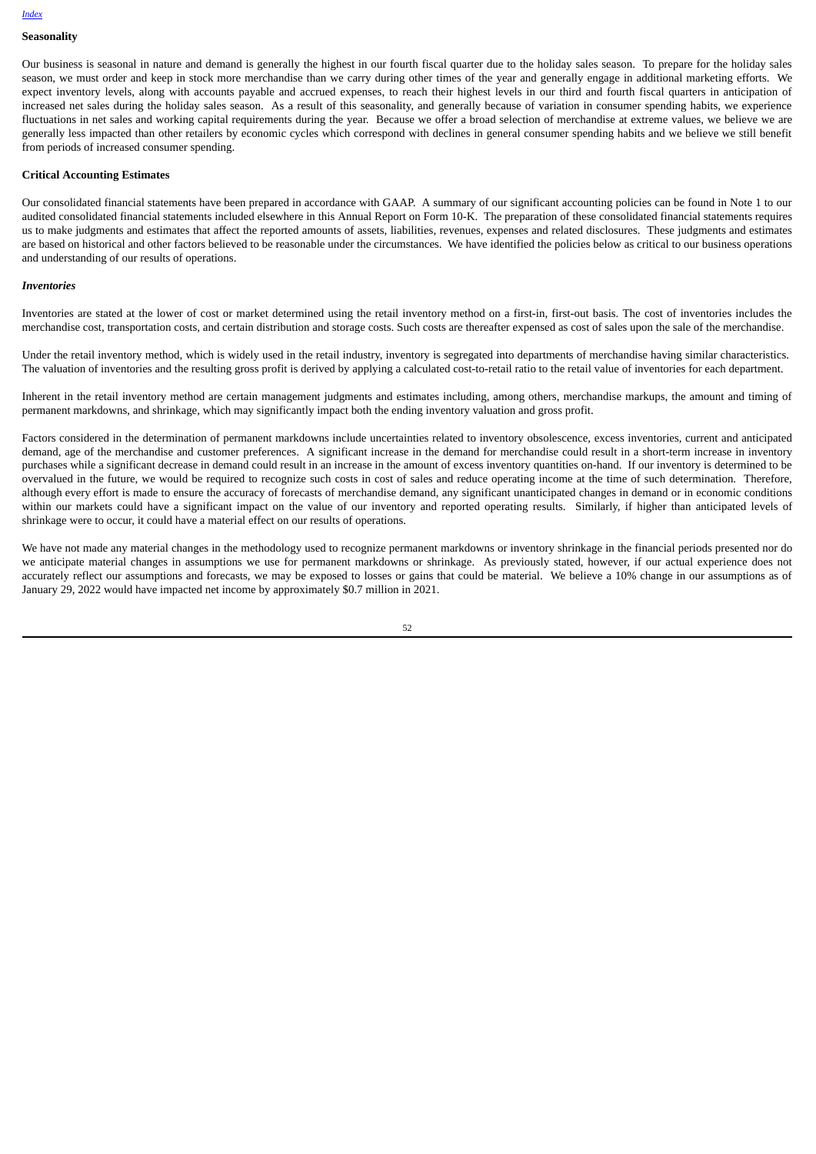# **Seasonality**

Our business is seasonal in nature and demand is generally the highest in our fourth fiscal quarter due to the holiday sales season. To prepare for the holiday sales season, we must order and keep in stock more merchandise than we carry during other times of the year and generally engage in additional marketing efforts. We expect inventory levels, along with accounts payable and accrued expenses, to reach their highest levels in our third and fourth fiscal quarters in anticipation of increased net sales during the holiday sales season. As a result of this seasonality, and generally because of variation in consumer spending habits, we experience fluctuations in net sales and working capital requirements during the year. Because we offer a broad selection of merchandise at extreme values, we believe we are generally less impacted than other retailers by economic cycles which correspond with declines in general consumer spending habits and we believe we still benefit from periods of increased consumer spending.

### **Critical Accounting Estimates**

Our consolidated financial statements have been prepared in accordance with GAAP. A summary of our significant accounting policies can be found in Note 1 to our audited consolidated financial statements included elsewhere in this Annual Report on Form 10-K. The preparation of these consolidated financial statements requires us to make judgments and estimates that affect the reported amounts of assets, liabilities, revenues, expenses and related disclosures. These judgments and estimates are based on historical and other factors believed to be reasonable under the circumstances. We have identified the policies below as critical to our business operations and understanding of our results of operations.

## *Inventories*

Inventories are stated at the lower of cost or market determined using the retail inventory method on a first-in, first-out basis. The cost of inventories includes the merchandise cost, transportation costs, and certain distribution and storage costs. Such costs are thereafter expensed as cost of sales upon the sale of the merchandise.

Under the retail inventory method, which is widely used in the retail industry, inventory is segregated into departments of merchandise having similar characteristics. The valuation of inventories and the resulting gross profit is derived by applying a calculated cost-to-retail ratio to the retail value of inventories for each department.

Inherent in the retail inventory method are certain management judgments and estimates including, among others, merchandise markups, the amount and timing of permanent markdowns, and shrinkage, which may significantly impact both the ending inventory valuation and gross profit.

Factors considered in the determination of permanent markdowns include uncertainties related to inventory obsolescence, excess inventories, current and anticipated demand, age of the merchandise and customer preferences. A significant increase in the demand for merchandise could result in a short-term increase in inventory purchases while a significant decrease in demand could result in an increase in the amount of excess inventory quantities on-hand. If our inventory is determined to be overvalued in the future, we would be required to recognize such costs in cost of sales and reduce operating income at the time of such determination. Therefore, although every effort is made to ensure the accuracy of forecasts of merchandise demand, any significant unanticipated changes in demand or in economic conditions within our markets could have a significant impact on the value of our inventory and reported operating results. Similarly, if higher than anticipated levels of shrinkage were to occur, it could have a material effect on our results of operations.

We have not made any material changes in the methodology used to recognize permanent markdowns or inventory shrinkage in the financial periods presented nor do we anticipate material changes in assumptions we use for permanent markdowns or shrinkage. As previously stated, however, if our actual experience does not accurately reflect our assumptions and forecasts, we may be exposed to losses or gains that could be material. We believe a 10% change in our assumptions as of January 29, 2022 would have impacted net income by approximately \$0.7 million in 2021.

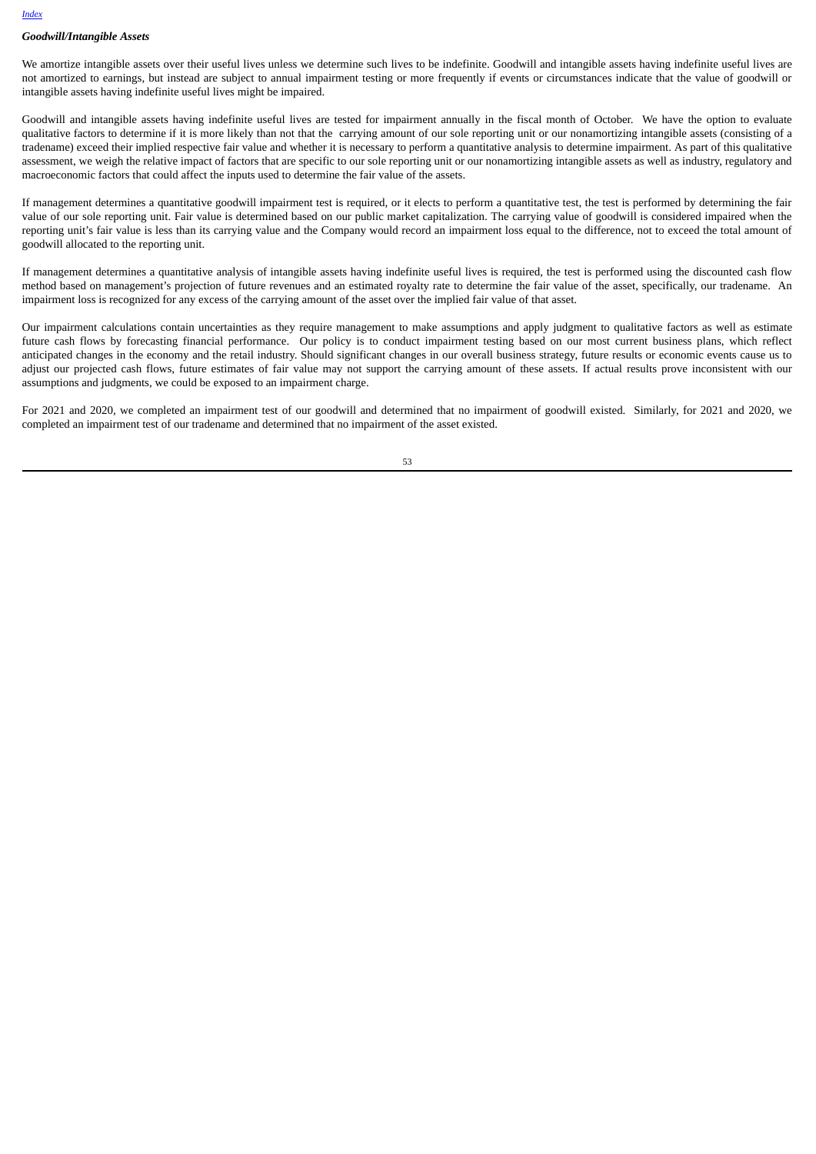## *Goodwill/Intangible Assets*

We amortize intangible assets over their useful lives unless we determine such lives to be indefinite. Goodwill and intangible assets having indefinite useful lives are not amortized to earnings, but instead are subject to annual impairment testing or more frequently if events or circumstances indicate that the value of goodwill or intangible assets having indefinite useful lives might be impaired.

Goodwill and intangible assets having indefinite useful lives are tested for impairment annually in the fiscal month of October. We have the option to evaluate qualitative factors to determine if it is more likely than not that the carrying amount of our sole reporting unit or our nonamortizing intangible assets (consisting of a tradename) exceed their implied respective fair value and whether it is necessary to perform a quantitative analysis to determine impairment. As part of this qualitative assessment, we weigh the relative impact of factors that are specific to our sole reporting unit or our nonamortizing intangible assets as well as industry, regulatory and macroeconomic factors that could affect the inputs used to determine the fair value of the assets.

If management determines a quantitative goodwill impairment test is required, or it elects to perform a quantitative test, the test is performed by determining the fair value of our sole reporting unit. Fair value is determined based on our public market capitalization. The carrying value of goodwill is considered impaired when the reporting unit's fair value is less than its carrying value and the Company would record an impairment loss equal to the difference, not to exceed the total amount of goodwill allocated to the reporting unit.

If management determines a quantitative analysis of intangible assets having indefinite useful lives is required, the test is performed using the discounted cash flow method based on management's projection of future revenues and an estimated royalty rate to determine the fair value of the asset, specifically, our tradename. An impairment loss is recognized for any excess of the carrying amount of the asset over the implied fair value of that asset.

Our impairment calculations contain uncertainties as they require management to make assumptions and apply judgment to qualitative factors as well as estimate future cash flows by forecasting financial performance. Our policy is to conduct impairment testing based on our most current business plans, which reflect anticipated changes in the economy and the retail industry. Should significant changes in our overall business strategy, future results or economic events cause us to adjust our projected cash flows, future estimates of fair value may not support the carrying amount of these assets. If actual results prove inconsistent with our assumptions and judgments, we could be exposed to an impairment charge.

For 2021 and 2020, we completed an impairment test of our goodwill and determined that no impairment of goodwill existed. Similarly, for 2021 and 2020, we completed an impairment test of our tradename and determined that no impairment of the asset existed.

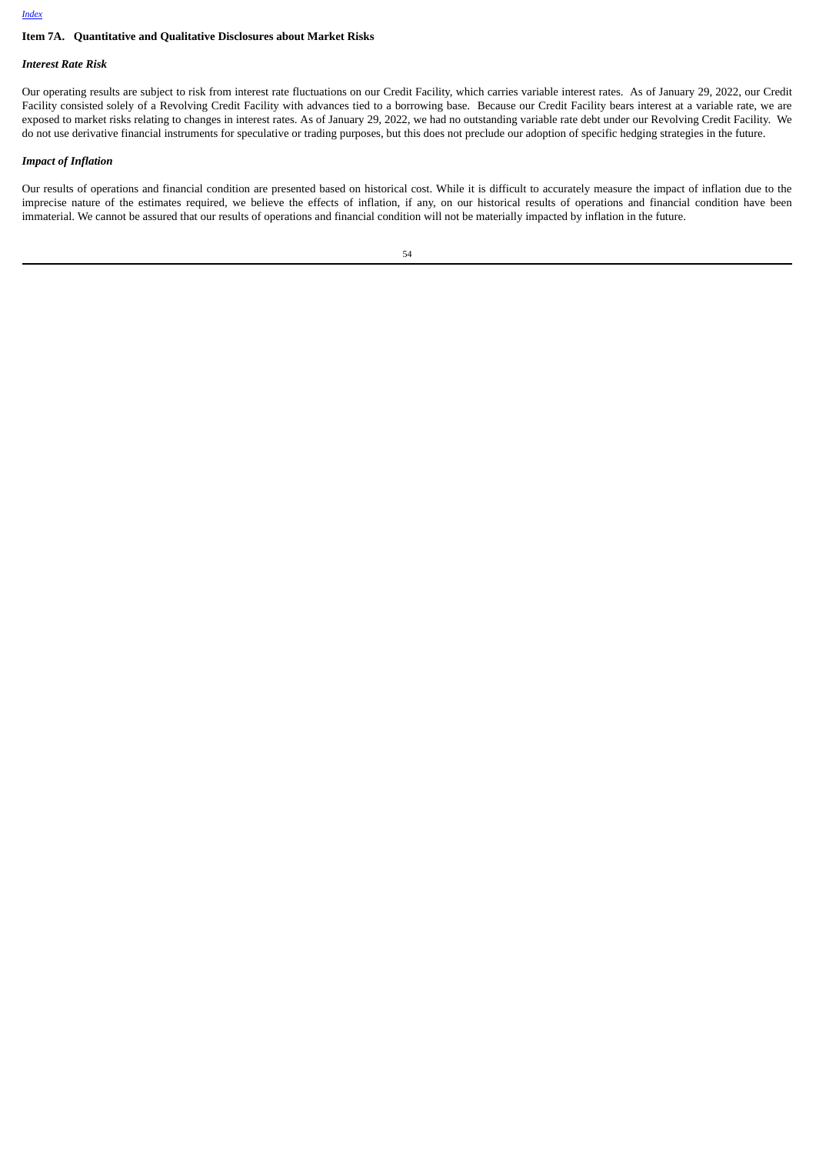# **Item 7A. Quantitative and Qualitative Disclosures about Market Risks**

### *Interest Rate Risk*

Our operating results are subject to risk from interest rate fluctuations on our Credit Facility, which carries variable interest rates. As of January 29, 2022, our Credit Facility consisted solely of a Revolving Credit Facility with advances tied to a borrowing base. Because our Credit Facility bears interest at a variable rate, we are exposed to market risks relating to changes in interest rates. As of January 29, 2022, we had no outstanding variable rate debt under our Revolving Credit Facility. We do not use derivative financial instruments for speculative or trading purposes, but this does not preclude our adoption of specific hedging strategies in the future.

# *Impact of Inflation*

Our results of operations and financial condition are presented based on historical cost. While it is difficult to accurately measure the impact of inflation due to the imprecise nature of the estimates required, we believe the effects of inflation, if any, on our historical results of operations and financial condition have been immaterial. We cannot be assured that our results of operations and financial condition will not be materially impacted by inflation in the future.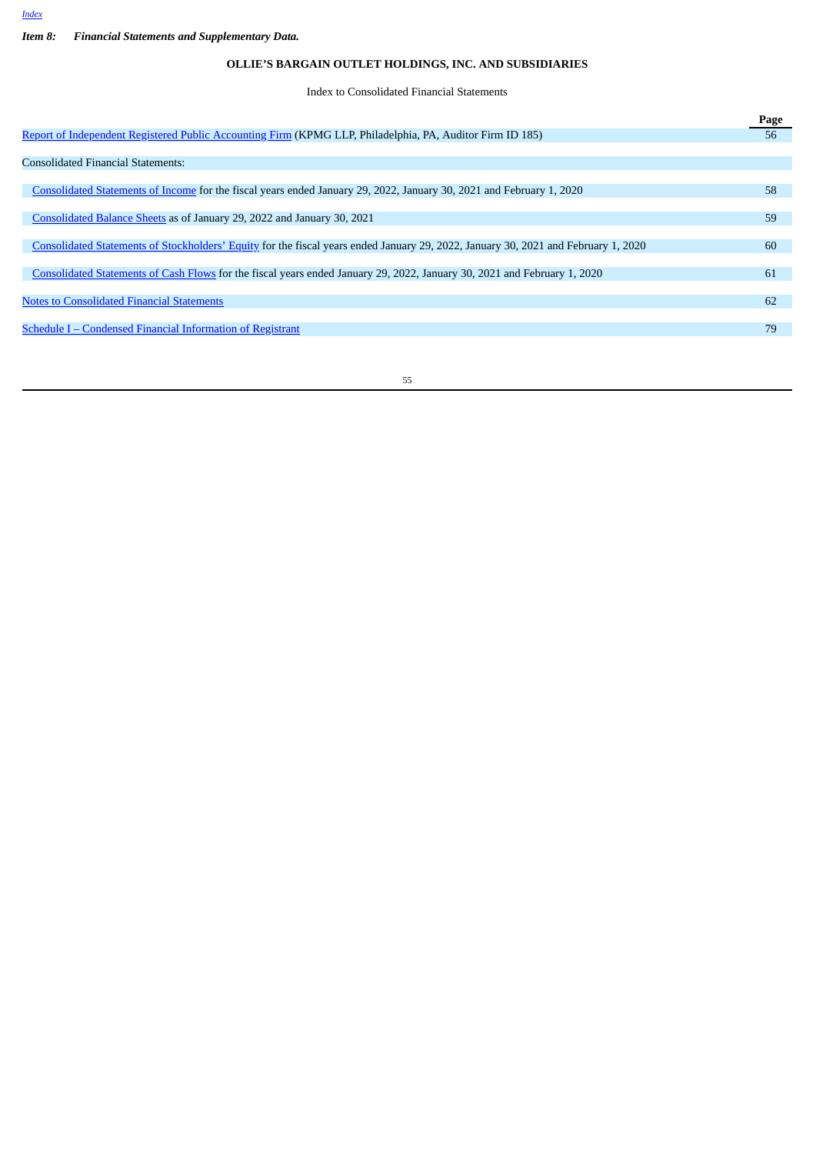Index to Consolidated Financial Statements

|                                                                                                                                    | <u>Page</u> |
|------------------------------------------------------------------------------------------------------------------------------------|-------------|
| Report of Independent Registered Public Accounting Firm (KPMG LLP, Philadelphia, PA, Auditor Firm ID 185)                          | 56          |
|                                                                                                                                    |             |
| Consolidated Financial Statements:                                                                                                 |             |
|                                                                                                                                    |             |
| Consolidated Statements of Income for the fiscal years ended January 29, 2022, January 30, 2021 and February 1, 2020               | 58          |
|                                                                                                                                    |             |
| Consolidated Balance Sheets as of January 29, 2022 and January 30, 2021                                                            | 59          |
|                                                                                                                                    |             |
| Consolidated Statements of Stockholders' Equity for the fiscal years ended January 29, 2022, January 30, 2021 and February 1, 2020 | 60          |
|                                                                                                                                    |             |
| Consolidated Statements of Cash Flows for the fiscal years ended January 29, 2022, January 30, 2021 and February 1, 2020           | 61          |
|                                                                                                                                    |             |
| <b>Notes to Consolidated Financial Statements</b>                                                                                  | 62          |
|                                                                                                                                    |             |
| Schedule I – Condensed Financial Information of Registrant                                                                         | 79          |
|                                                                                                                                    |             |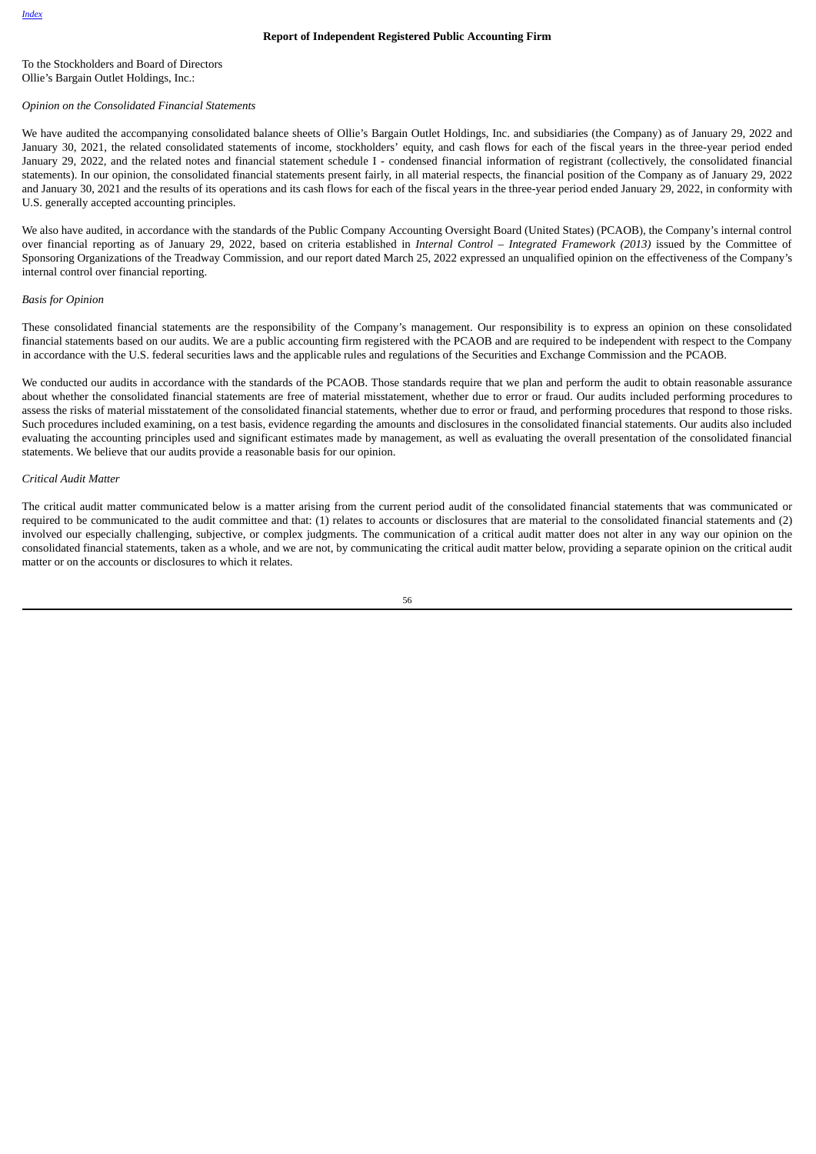### **Report of Independent Registered Public Accounting Firm**

<span id="page-59-0"></span>To the Stockholders and Board of Directors Ollie's Bargain Outlet Holdings, Inc.:

### *Opinion on the Consolidated Financial Statements*

We have audited the accompanying consolidated balance sheets of Ollie's Bargain Outlet Holdings, Inc. and subsidiaries (the Company) as of January 29, 2022 and January 30, 2021, the related consolidated statements of income, stockholders' equity, and cash flows for each of the fiscal years in the three-year period ended January 29, 2022, and the related notes and financial statement schedule I - condensed financial information of registrant (collectively, the consolidated financial statements). In our opinion, the consolidated financial statements present fairly, in all material respects, the financial position of the Company as of January 29, 2022 and January 30, 2021 and the results of its operations and its cash flows for each of the fiscal years in the three-year period ended January 29, 2022, in conformity with U.S. generally accepted accounting principles.

We also have audited, in accordance with the standards of the Public Company Accounting Oversight Board (United States) (PCAOB), the Company's internal control over financial reporting as of January 29, 2022, based on criteria established in *Internal Control – Integrated Framework (2013)* issued by the Committee of Sponsoring Organizations of the Treadway Commission, and our report dated March 25, 2022 expressed an unqualified opinion on the effectiveness of the Company's internal control over financial reporting.

## *Basis for Opinion*

These consolidated financial statements are the responsibility of the Company's management. Our responsibility is to express an opinion on these consolidated financial statements based on our audits. We are a public accounting firm registered with the PCAOB and are required to be independent with respect to the Company in accordance with the U.S. federal securities laws and the applicable rules and regulations of the Securities and Exchange Commission and the PCAOB.

We conducted our audits in accordance with the standards of the PCAOB. Those standards require that we plan and perform the audit to obtain reasonable assurance about whether the consolidated financial statements are free of material misstatement, whether due to error or fraud. Our audits included performing procedures to assess the risks of material misstatement of the consolidated financial statements, whether due to error or fraud, and performing procedures that respond to those risks. Such procedures included examining, on a test basis, evidence regarding the amounts and disclosures in the consolidated financial statements. Our audits also included evaluating the accounting principles used and significant estimates made by management, as well as evaluating the overall presentation of the consolidated financial statements. We believe that our audits provide a reasonable basis for our opinion.

#### *Critical Audit Matter*

The critical audit matter communicated below is a matter arising from the current period audit of the consolidated financial statements that was communicated or required to be communicated to the audit committee and that: (1) relates to accounts or disclosures that are material to the consolidated financial statements and (2) involved our especially challenging, subjective, or complex judgments. The communication of a critical audit matter does not alter in any way our opinion on the consolidated financial statements, taken as a whole, and we are not, by communicating the critical audit matter below, providing a separate opinion on the critical audit matter or on the accounts or disclosures to which it relates.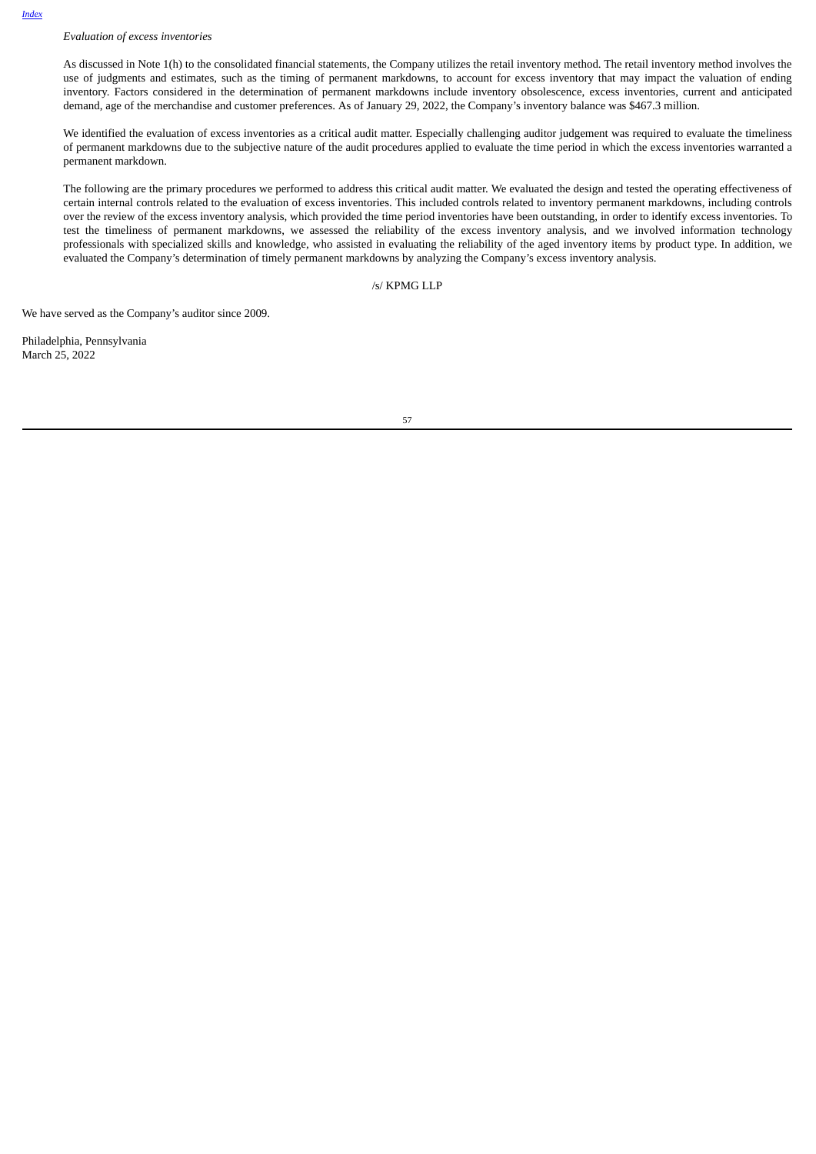## *Evaluation of excess inventories*

As discussed in Note 1(h) to the consolidated financial statements, the Company utilizes the retail inventory method. The retail inventory method involves the use of judgments and estimates, such as the timing of permanent markdowns, to account for excess inventory that may impact the valuation of ending inventory. Factors considered in the determination of permanent markdowns include inventory obsolescence, excess inventories, current and anticipated demand, age of the merchandise and customer preferences. As of January 29, 2022, the Company's inventory balance was \$467.3 million.

We identified the evaluation of excess inventories as a critical audit matter. Especially challenging auditor judgement was required to evaluate the timeliness of permanent markdowns due to the subjective nature of the audit procedures applied to evaluate the time period in which the excess inventories warranted a permanent markdown.

The following are the primary procedures we performed to address this critical audit matter. We evaluated the design and tested the operating effectiveness of certain internal controls related to the evaluation of excess inventories. This included controls related to inventory permanent markdowns, including controls over the review of the excess inventory analysis, which provided the time period inventories have been outstanding, in order to identify excess inventories. To test the timeliness of permanent markdowns, we assessed the reliability of the excess inventory analysis, and we involved information technology professionals with specialized skills and knowledge, who assisted in evaluating the reliability of the aged inventory items by product type. In addition, we evaluated the Company's determination of timely permanent markdowns by analyzing the Company's excess inventory analysis.

/s/ KPMG LLP

We have served as the Company's auditor since 2009.

Philadelphia, Pennsylvania March 25, 2022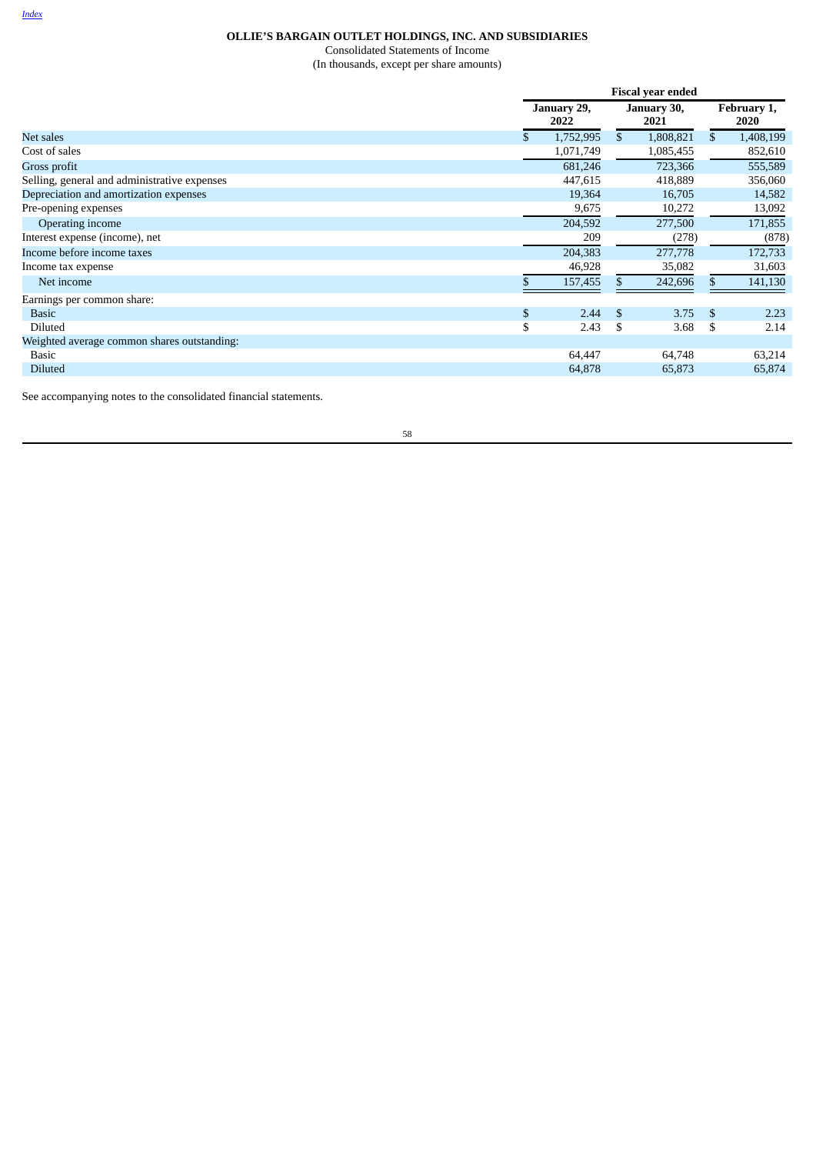Consolidated Statements of Income

(In thousands, except per share amounts)

<span id="page-61-0"></span>

|                                              |                     | <b>Fiscal year ended</b> |     |                     |         |                     |  |
|----------------------------------------------|---------------------|--------------------------|-----|---------------------|---------|---------------------|--|
|                                              | January 29,<br>2022 |                          |     | January 30,<br>2021 |         | February 1,<br>2020 |  |
| Net sales                                    |                     | 1,752,995                | \$  | 1,808,821           | \$      | 1,408,199           |  |
| Cost of sales                                |                     | 1,071,749                |     | 1,085,455           |         | 852,610             |  |
| Gross profit                                 |                     | 681,246                  |     | 723,366             |         | 555,589             |  |
| Selling, general and administrative expenses |                     | 447,615                  |     | 418,889             |         | 356,060             |  |
| Depreciation and amortization expenses       |                     | 19,364                   |     | 16,705              |         | 14,582              |  |
| Pre-opening expenses                         |                     | 9,675                    |     | 10,272              |         | 13,092              |  |
| Operating income                             |                     | 204,592                  |     | 277,500             | 171,855 |                     |  |
| Interest expense (income), net               |                     | 209                      |     | (278)               | (878)   |                     |  |
| Income before income taxes                   |                     | 204,383                  |     | 277,778             |         | 172,733             |  |
| Income tax expense                           |                     | 46,928                   |     | 35,082              |         | 31,603              |  |
| Net income                                   |                     | 157,455                  | \$  | 242,696             |         | 141,130             |  |
| Earnings per common share:                   |                     |                          |     |                     |         |                     |  |
| <b>Basic</b>                                 | \$                  | 2.44                     | \$. | 3.75                | \$.     | 2.23                |  |
| Diluted                                      | \$                  | 2.43                     | \$  | 3.68                | S       | 2.14                |  |
| Weighted average common shares outstanding:  |                     |                          |     |                     |         |                     |  |
| <b>Basic</b>                                 |                     | 64,447                   |     | 64,748              |         | 63,214              |  |
| <b>Diluted</b>                               |                     | 64,878                   |     | 65,873              |         | 65,874              |  |

See accompanying notes to the consolidated financial statements.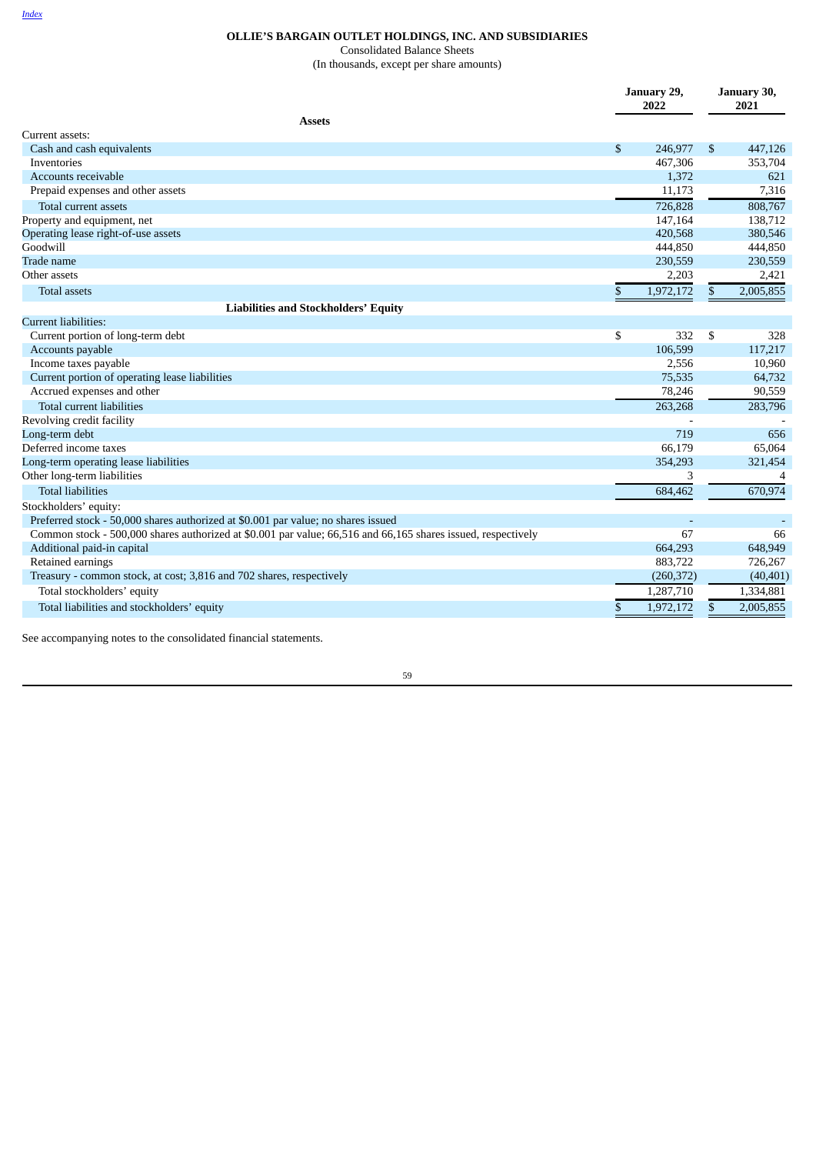Consolidated Balance Sheets

(In thousands, except per share amounts)

<span id="page-62-0"></span>

|                                                                                                              | January 29,<br>2022 |                    | January 30,<br>2021 |                |
|--------------------------------------------------------------------------------------------------------------|---------------------|--------------------|---------------------|----------------|
| <b>Assets</b>                                                                                                |                     |                    |                     |                |
| Current assets:                                                                                              |                     |                    |                     |                |
| Cash and cash equivalents                                                                                    | $\mathbb{S}$        | 246.977<br>467,306 | $\mathbb{S}$        | 447,126        |
| Inventories<br>Accounts receivable                                                                           |                     |                    |                     | 353,704<br>621 |
|                                                                                                              |                     | 1,372              |                     |                |
| Prepaid expenses and other assets                                                                            |                     | 11,173             |                     | 7,316          |
| Total current assets                                                                                         |                     | 726,828            |                     | 808,767        |
| Property and equipment, net                                                                                  |                     | 147,164            |                     | 138,712        |
| Operating lease right-of-use assets                                                                          |                     | 420,568            |                     | 380,546        |
| Goodwill                                                                                                     |                     | 444,850            |                     | 444,850        |
| Trade name                                                                                                   |                     | 230,559            |                     | 230,559        |
| Other assets                                                                                                 |                     | 2,203              |                     | 2,421          |
| <b>Total assets</b>                                                                                          | \$                  | 1,972,172          | $\mathbb{S}$        | 2,005,855      |
| <b>Liabilities and Stockholders' Equity</b>                                                                  |                     |                    |                     |                |
| <b>Current liabilities:</b>                                                                                  |                     |                    |                     |                |
| Current portion of long-term debt                                                                            | \$                  | 332                | \$                  | 328            |
| Accounts payable                                                                                             |                     | 106,599            |                     | 117,217        |
| Income taxes payable                                                                                         |                     | 2,556              |                     | 10,960         |
| Current portion of operating lease liabilities                                                               |                     | 75,535             |                     | 64,732         |
| Accrued expenses and other                                                                                   |                     | 78,246             |                     | 90,559         |
| Total current liabilities                                                                                    |                     | 263,268            |                     | 283,796        |
| Revolving credit facility                                                                                    |                     |                    |                     |                |
| Long-term debt                                                                                               |                     | 719                |                     | 656            |
| Deferred income taxes                                                                                        |                     | 66,179             |                     | 65,064         |
| Long-term operating lease liabilities                                                                        |                     | 354,293            |                     | 321,454        |
| Other long-term liabilities                                                                                  |                     | 3                  |                     |                |
| <b>Total liabilities</b>                                                                                     |                     | 684,462            |                     | 670,974        |
| Stockholders' equity:                                                                                        |                     |                    |                     |                |
| Preferred stock - 50,000 shares authorized at \$0.001 par value; no shares issued                            |                     |                    |                     |                |
| Common stock - 500,000 shares authorized at \$0.001 par value; 66,516 and 66,165 shares issued, respectively |                     | 67                 |                     | 66             |
| Additional paid-in capital                                                                                   |                     | 664,293            |                     | 648,949        |
| Retained earnings                                                                                            |                     | 883,722            |                     | 726,267        |
| Treasury - common stock, at cost; 3,816 and 702 shares, respectively                                         |                     | (260, 372)         |                     | (40, 401)      |
| Total stockholders' equity                                                                                   |                     | 1,287,710          |                     | 1,334,881      |
| Total liabilities and stockholders' equity                                                                   | \$                  | 1,972,172          | \$                  | 2,005,855      |
|                                                                                                              |                     |                    |                     |                |

See accompanying notes to the consolidated financial statements.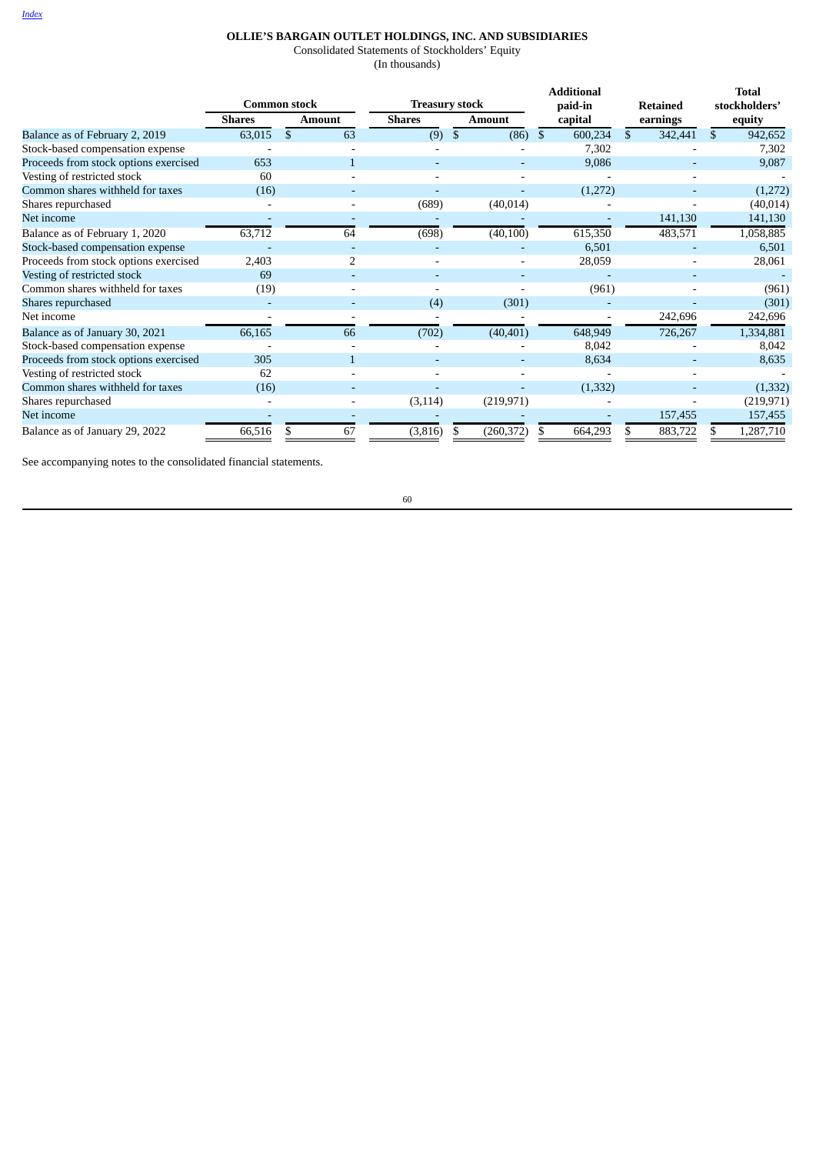Consolidated Statements of Stockholders' Equity (In thousands)

<span id="page-63-0"></span>

|                                       |                     |                |    |                       |    |               | <b>Additional</b> |          | <b>Total</b>    |          |    |               |
|---------------------------------------|---------------------|----------------|----|-----------------------|----|---------------|-------------------|----------|-----------------|----------|----|---------------|
|                                       | <b>Common stock</b> |                |    | <b>Treasury stock</b> |    |               |                   | paid-in  | <b>Retained</b> |          |    | stockholders' |
|                                       | <b>Shares</b>       | <b>Amount</b>  |    | <b>Shares</b>         |    | <b>Amount</b> |                   | capital  |                 | earnings |    | equity        |
| Balance as of February 2, 2019        | 63,015              | $\mathfrak{S}$ | 63 | (9)                   | \$ | (86)          | \$                | 600,234  | \$              | 342,441  | \$ | 942,652       |
| Stock-based compensation expense      |                     |                |    |                       |    |               |                   | 7,302    |                 |          |    | 7,302         |
| Proceeds from stock options exercised | 653                 |                |    |                       |    |               |                   | 9,086    |                 |          |    | 9,087         |
| Vesting of restricted stock           | 60                  |                |    |                       |    |               |                   |          |                 |          |    |               |
| Common shares withheld for taxes      | (16)                |                |    |                       |    |               |                   | (1,272)  |                 |          |    | (1,272)       |
| Shares repurchased                    |                     |                |    | (689)                 |    | (40, 014)     |                   |          |                 |          |    | (40, 014)     |
| Net income                            |                     |                |    |                       |    |               |                   |          |                 | 141,130  |    | 141,130       |
| Balance as of February 1, 2020        | 63,712              |                | 64 | (698)                 |    | (40, 100)     |                   | 615,350  |                 | 483,571  |    | 1,058,885     |
| Stock-based compensation expense      |                     |                |    |                       |    |               |                   | 6,501    |                 |          |    | 6,501         |
| Proceeds from stock options exercised | 2,403               |                | 2  |                       |    |               |                   | 28,059   |                 |          |    | 28,061        |
| Vesting of restricted stock           | 69                  |                |    |                       |    |               |                   |          |                 |          |    |               |
| Common shares withheld for taxes      | (19)                |                |    |                       |    |               |                   | (961)    |                 |          |    | (961)         |
| Shares repurchased                    |                     |                |    | (4)                   |    | (301)         |                   |          |                 |          |    | (301)         |
| Net income                            |                     |                |    |                       |    |               |                   |          |                 | 242,696  |    | 242,696       |
| Balance as of January 30, 2021        | 66,165              |                | 66 | (702)                 |    | (40, 401)     |                   | 648,949  |                 | 726,267  |    | 1,334,881     |
| Stock-based compensation expense      |                     |                |    |                       |    |               |                   | 8,042    |                 |          |    | 8,042         |
| Proceeds from stock options exercised | 305                 |                |    |                       |    |               |                   | 8,634    |                 |          |    | 8,635         |
| Vesting of restricted stock           | 62                  |                |    |                       |    |               |                   |          |                 |          |    |               |
| Common shares withheld for taxes      | (16)                |                |    |                       |    |               |                   | (1, 332) |                 |          |    | (1, 332)      |
| Shares repurchased                    |                     |                |    | (3, 114)              |    | (219, 971)    |                   |          |                 |          |    | (219, 971)    |
| Net income                            |                     |                |    |                       |    |               |                   |          |                 | 157,455  |    | 157,455       |
| Balance as of January 29, 2022        | 66,516              |                | 67 | (3, 816)              |    | (260, 372)    |                   | 664,293  |                 | 883,722  |    | 1,287,710     |

See accompanying notes to the consolidated financial statements.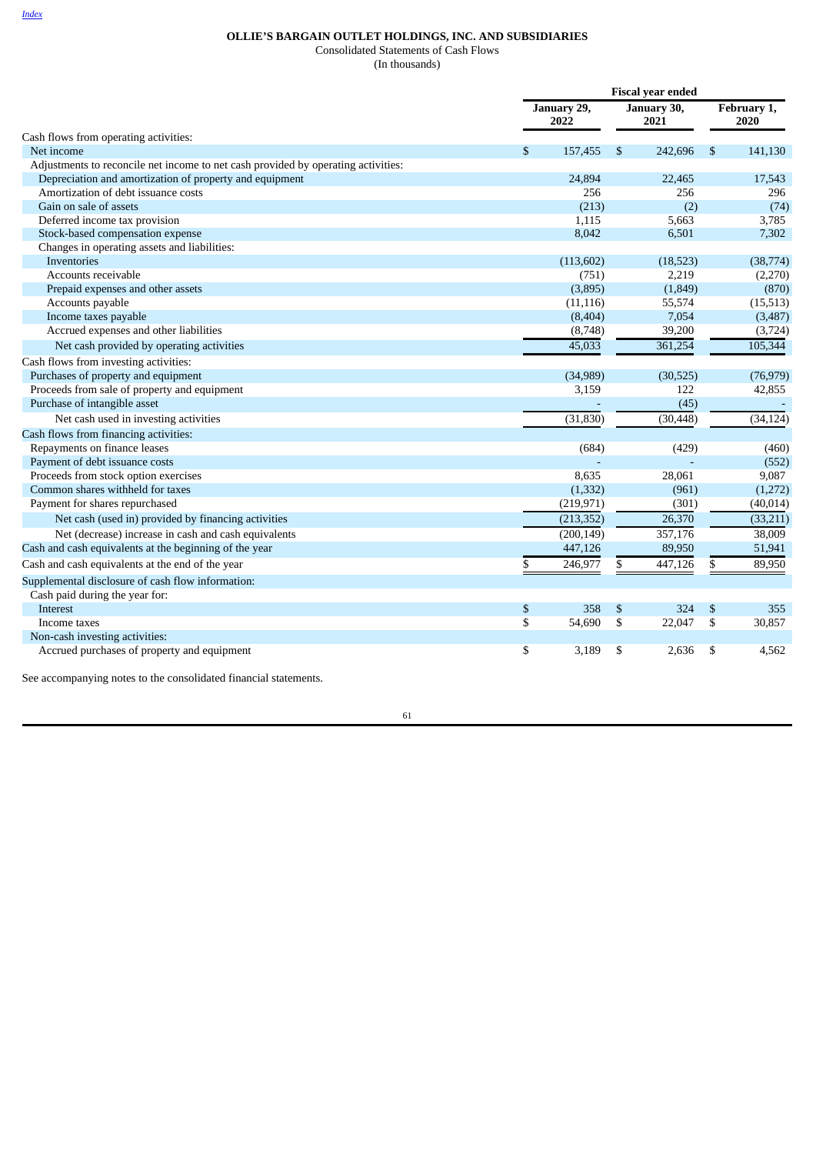### **OLLIE'S BARGAIN OUTLET HOLDINGS, INC. AND SUBSIDIARIES**

Consolidated Statements of Cash Flows (In thousands)

<span id="page-64-0"></span>

|                                                                                   | <b>Fiscal year ended</b> |                     |              |                     |    |                     |  |
|-----------------------------------------------------------------------------------|--------------------------|---------------------|--------------|---------------------|----|---------------------|--|
|                                                                                   |                          | January 29,<br>2022 |              | January 30,<br>2021 |    | February 1,<br>2020 |  |
| Cash flows from operating activities:                                             |                          |                     |              |                     |    |                     |  |
| Net income                                                                        | \$                       | 157,455             | $\mathbb{S}$ | 242,696             | \$ | 141,130             |  |
| Adjustments to reconcile net income to net cash provided by operating activities: |                          |                     |              |                     |    |                     |  |
| Depreciation and amortization of property and equipment                           |                          | 24,894              |              | 22,465              |    | 17,543              |  |
| Amortization of debt issuance costs                                               |                          | 256                 |              | 256                 |    | 296                 |  |
| Gain on sale of assets                                                            |                          | (213)               |              | (2)                 |    | (74)                |  |
| Deferred income tax provision                                                     |                          | 1,115               |              | 5,663               |    | 3,785               |  |
| Stock-based compensation expense                                                  |                          | 8,042               |              | 6,501               |    | 7,302               |  |
| Changes in operating assets and liabilities:                                      |                          |                     |              |                     |    |                     |  |
| Inventories                                                                       |                          | (113, 602)          |              | (18, 523)           |    | (38, 774)           |  |
| Accounts receivable                                                               |                          | (751)               |              | 2,219               |    | (2,270)             |  |
| Prepaid expenses and other assets                                                 |                          | (3,895)             |              | (1,849)             |    | (870)               |  |
| Accounts payable                                                                  |                          | (11, 116)           |              | 55,574              |    | (15, 513)           |  |
| Income taxes payable                                                              |                          | (8, 404)            |              | 7,054               |    | (3,487)             |  |
| Accrued expenses and other liabilities                                            |                          | (8,748)             |              | 39,200              |    | (3,724)             |  |
| Net cash provided by operating activities                                         |                          | 45,033              |              | 361,254             |    | 105,344             |  |
| Cash flows from investing activities:                                             |                          |                     |              |                     |    |                     |  |
| Purchases of property and equipment                                               |                          | (34,989)            |              | (30,525)            |    | (76, 979)           |  |
| Proceeds from sale of property and equipment                                      |                          | 3,159               |              | 122                 |    | 42,855              |  |
| Purchase of intangible asset                                                      |                          |                     |              | (45)                |    |                     |  |
| Net cash used in investing activities                                             |                          | (31, 830)           |              | (30, 448)           |    | (34, 124)           |  |
| Cash flows from financing activities:                                             |                          |                     |              |                     |    |                     |  |
| Repayments on finance leases                                                      |                          | (684)               |              | (429)               |    | (460)               |  |
| Payment of debt issuance costs                                                    |                          |                     |              |                     |    | (552)               |  |
| Proceeds from stock option exercises                                              |                          | 8,635               |              | 28,061              |    | 9,087               |  |
| Common shares withheld for taxes                                                  |                          | (1, 332)            |              | (961)               |    | (1,272)             |  |
| Payment for shares repurchased                                                    |                          | (219, 971)          |              | (301)               |    | (40, 014)           |  |
| Net cash (used in) provided by financing activities                               |                          | (213, 352)          |              | 26,370              |    | (33, 211)           |  |
| Net (decrease) increase in cash and cash equivalents                              |                          | (200, 149)          |              | 357,176             |    | 38,009              |  |
| Cash and cash equivalents at the beginning of the year                            |                          | 447,126             |              | 89,950              |    | 51,941              |  |
| Cash and cash equivalents at the end of the year                                  | \$                       | 246,977             | \$           | 447,126             | \$ | 89,950              |  |
| Supplemental disclosure of cash flow information:                                 |                          |                     |              |                     |    |                     |  |
| Cash paid during the year for:                                                    |                          |                     |              |                     |    |                     |  |
| Interest                                                                          | \$                       | 358                 | \$           | 324                 | \$ | 355                 |  |
| Income taxes                                                                      | \$                       | 54,690              | \$           | 22,047              | \$ | 30,857              |  |
| Non-cash investing activities:                                                    |                          |                     |              |                     |    |                     |  |
| Accrued purchases of property and equipment                                       | \$                       | 3,189               | \$           | 2,636               | \$ | 4,562               |  |

See accompanying notes to the consolidated financial statements.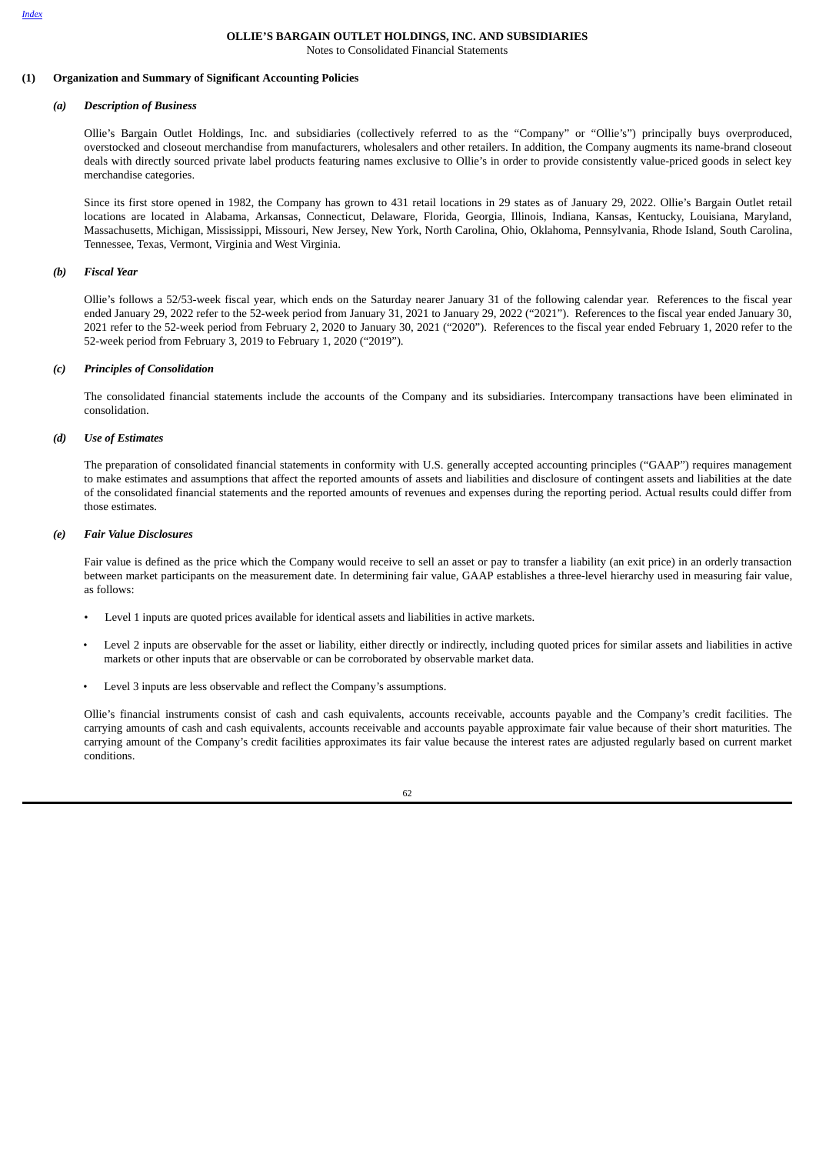Notes to Consolidated Financial Statements

### <span id="page-65-0"></span>**(1) Organization and Summary of Significant Accounting Policies**

### *(a) Description of Business*

Ollie's Bargain Outlet Holdings, Inc. and subsidiaries (collectively referred to as the "Company" or "Ollie's") principally buys overproduced, overstocked and closeout merchandise from manufacturers, wholesalers and other retailers. In addition, the Company augments its name-brand closeout deals with directly sourced private label products featuring names exclusive to Ollie's in order to provide consistently value-priced goods in select key merchandise categories.

Since its first store opened in 1982, the Company has grown to 431 retail locations in 29 states as of January 29, 2022. Ollie's Bargain Outlet retail locations are located in Alabama, Arkansas, Connecticut, Delaware, Florida, Georgia, Illinois, Indiana, Kansas, Kentucky, Louisiana, Maryland, Massachusetts, Michigan, Mississippi, Missouri, New Jersey, New York, North Carolina, Ohio, Oklahoma, Pennsylvania, Rhode Island, South Carolina, Tennessee, Texas, Vermont, Virginia and West Virginia.

## *(b) Fiscal Year*

Ollie's follows a 52/53-week fiscal year, which ends on the Saturday nearer January 31 of the following calendar year. References to the fiscal year ended January 29, 2022 refer to the 52-week period from January 31, 2021 to January 29, 2022 ("2021"). References to the fiscal year ended January 30, 2021 refer to the 52-week period from February 2, 2020 to January 30, 2021 ("2020"). References to the fiscal year ended February 1, 2020 refer to the 52-week period from February 3, 2019 to February 1, 2020 ("2019").

## *(c) Principles of Consolidation*

The consolidated financial statements include the accounts of the Company and its subsidiaries. Intercompany transactions have been eliminated in consolidation.

## *(d) Use of Estimates*

The preparation of consolidated financial statements in conformity with U.S. generally accepted accounting principles ("GAAP") requires management to make estimates and assumptions that affect the reported amounts of assets and liabilities and disclosure of contingent assets and liabilities at the date of the consolidated financial statements and the reported amounts of revenues and expenses during the reporting period. Actual results could differ from those estimates.

# *(e) Fair Value Disclosures*

Fair value is defined as the price which the Company would receive to sell an asset or pay to transfer a liability (an exit price) in an orderly transaction between market participants on the measurement date. In determining fair value, GAAP establishes a three-level hierarchy used in measuring fair value, as follows:

- Level 1 inputs are quoted prices available for identical assets and liabilities in active markets.
- Level 2 inputs are observable for the asset or liability, either directly or indirectly, including quoted prices for similar assets and liabilities in active markets or other inputs that are observable or can be corroborated by observable market data.
- Level 3 inputs are less observable and reflect the Company's assumptions.

Ollie's financial instruments consist of cash and cash equivalents, accounts receivable, accounts payable and the Company's credit facilities. The carrying amounts of cash and cash equivalents, accounts receivable and accounts payable approximate fair value because of their short maturities. The carrying amount of the Company's credit facilities approximates its fair value because the interest rates are adjusted regularly based on current market conditions.

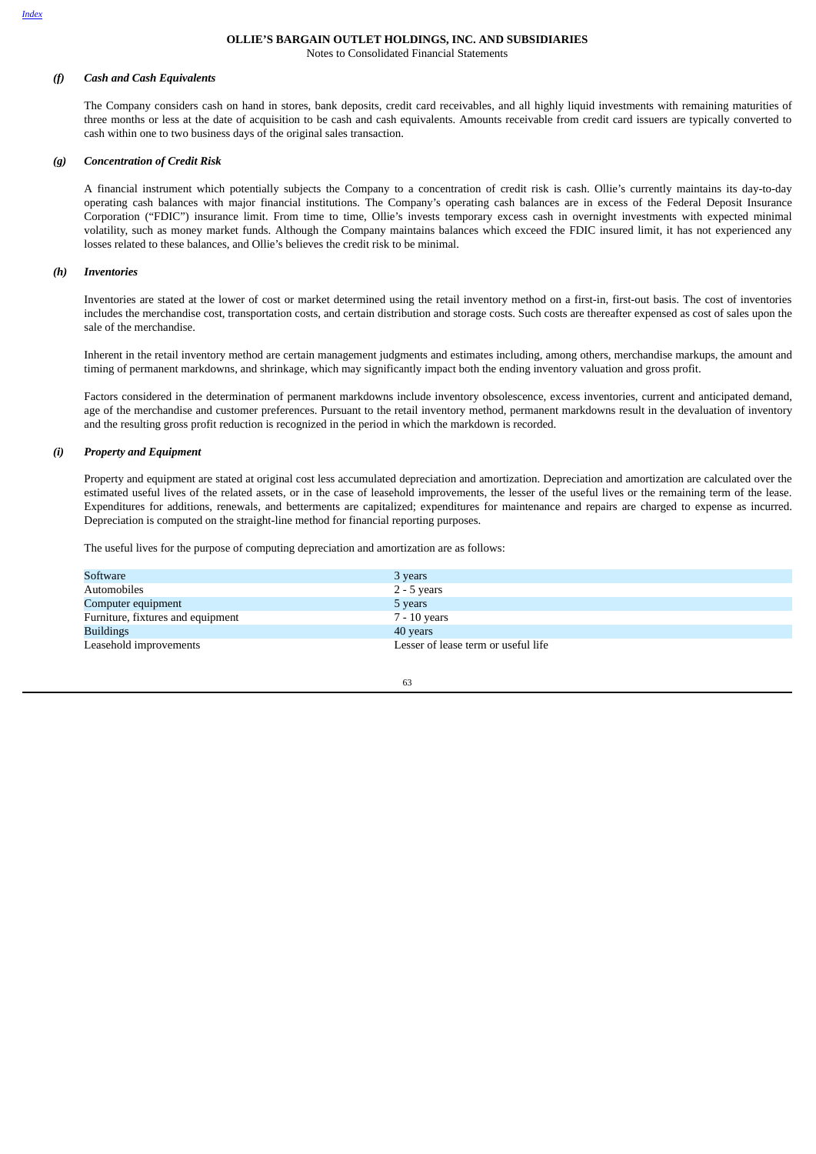Notes to Consolidated Financial Statements

## *(f) Cash and Cash Equivalents*

The Company considers cash on hand in stores, bank deposits, credit card receivables, and all highly liquid investments with remaining maturities of three months or less at the date of acquisition to be cash and cash equivalents. Amounts receivable from credit card issuers are typically converted to cash within one to two business days of the original sales transaction.

### *(g) Concentration of Credit Risk*

A financial instrument which potentially subjects the Company to a concentration of credit risk is cash. Ollie's currently maintains its day-to-day operating cash balances with major financial institutions. The Company's operating cash balances are in excess of the Federal Deposit Insurance Corporation ("FDIC") insurance limit. From time to time, Ollie's invests temporary excess cash in overnight investments with expected minimal volatility, such as money market funds. Although the Company maintains balances which exceed the FDIC insured limit, it has not experienced any losses related to these balances, and Ollie's believes the credit risk to be minimal.

### *(h) Inventories*

Inventories are stated at the lower of cost or market determined using the retail inventory method on a first-in, first-out basis. The cost of inventories includes the merchandise cost, transportation costs, and certain distribution and storage costs. Such costs are thereafter expensed as cost of sales upon the sale of the merchandise.

Inherent in the retail inventory method are certain management judgments and estimates including, among others, merchandise markups, the amount and timing of permanent markdowns, and shrinkage, which may significantly impact both the ending inventory valuation and gross profit.

Factors considered in the determination of permanent markdowns include inventory obsolescence, excess inventories, current and anticipated demand, age of the merchandise and customer preferences. Pursuant to the retail inventory method, permanent markdowns result in the devaluation of inventory and the resulting gross profit reduction is recognized in the period in which the markdown is recorded.

### *(i) Property and Equipment*

Property and equipment are stated at original cost less accumulated depreciation and amortization. Depreciation and amortization are calculated over the estimated useful lives of the related assets, or in the case of leasehold improvements, the lesser of the useful lives or the remaining term of the lease. Expenditures for additions, renewals, and betterments are capitalized; expenditures for maintenance and repairs are charged to expense as incurred. Depreciation is computed on the straight-line method for financial reporting purposes.

The useful lives for the purpose of computing depreciation and amortization are as follows:

| Software                          | 3 years                             |
|-----------------------------------|-------------------------------------|
| Automobiles                       | 2 - 5 years                         |
| Computer equipment                | 5 years                             |
| Furniture, fixtures and equipment | 7 - 10 years                        |
| <b>Buildings</b>                  | 40 years                            |
| Leasehold improvements            | Lesser of lease term or useful life |

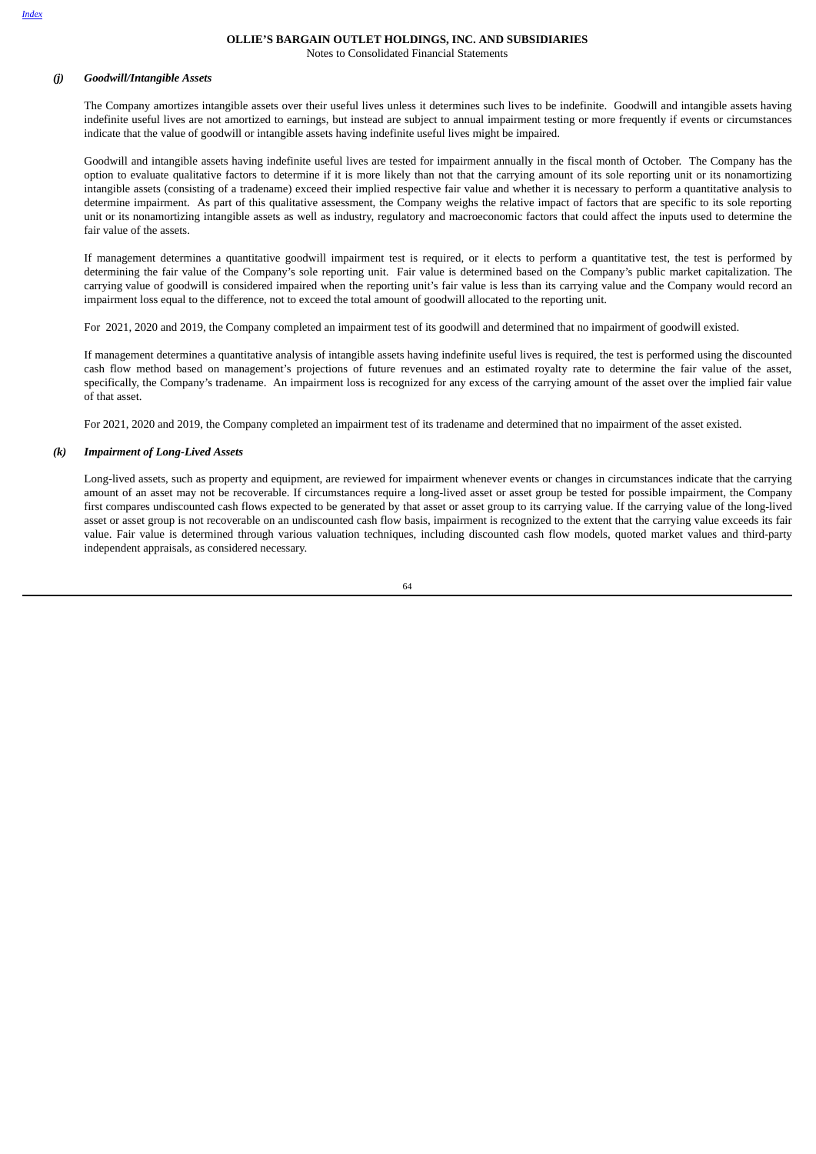Notes to Consolidated Financial Statements

# *(j) Goodwill/Intangible Assets*

The Company amortizes intangible assets over their useful lives unless it determines such lives to be indefinite. Goodwill and intangible assets having indefinite useful lives are not amortized to earnings, but instead are subject to annual impairment testing or more frequently if events or circumstances indicate that the value of goodwill or intangible assets having indefinite useful lives might be impaired.

Goodwill and intangible assets having indefinite useful lives are tested for impairment annually in the fiscal month of October. The Company has the option to evaluate qualitative factors to determine if it is more likely than not that the carrying amount of its sole reporting unit or its nonamortizing intangible assets (consisting of a tradename) exceed their implied respective fair value and whether it is necessary to perform a quantitative analysis to determine impairment. As part of this qualitative assessment, the Company weighs the relative impact of factors that are specific to its sole reporting unit or its nonamortizing intangible assets as well as industry, regulatory and macroeconomic factors that could affect the inputs used to determine the fair value of the assets.

If management determines a quantitative goodwill impairment test is required, or it elects to perform a quantitative test, the test is performed by determining the fair value of the Company's sole reporting unit. Fair value is determined based on the Company's public market capitalization. The carrying value of goodwill is considered impaired when the reporting unit's fair value is less than its carrying value and the Company would record an impairment loss equal to the difference, not to exceed the total amount of goodwill allocated to the reporting unit.

For 2021, 2020 and 2019, the Company completed an impairment test of its goodwill and determined that no impairment of goodwill existed.

If management determines a quantitative analysis of intangible assets having indefinite useful lives is required, the test is performed using the discounted cash flow method based on management's projections of future revenues and an estimated royalty rate to determine the fair value of the asset, specifically, the Company's tradename. An impairment loss is recognized for any excess of the carrying amount of the asset over the implied fair value of that asset.

For 2021, 2020 and 2019, the Company completed an impairment test of its tradename and determined that no impairment of the asset existed.

### *(k) Impairment of Long-Lived Assets*

Long-lived assets, such as property and equipment, are reviewed for impairment whenever events or changes in circumstances indicate that the carrying amount of an asset may not be recoverable. If circumstances require a long-lived asset or asset group be tested for possible impairment, the Company first compares undiscounted cash flows expected to be generated by that asset or asset group to its carrying value. If the carrying value of the long-lived asset or asset group is not recoverable on an undiscounted cash flow basis, impairment is recognized to the extent that the carrying value exceeds its fair value. Fair value is determined through various valuation techniques, including discounted cash flow models, quoted market values and third-party independent appraisals, as considered necessary.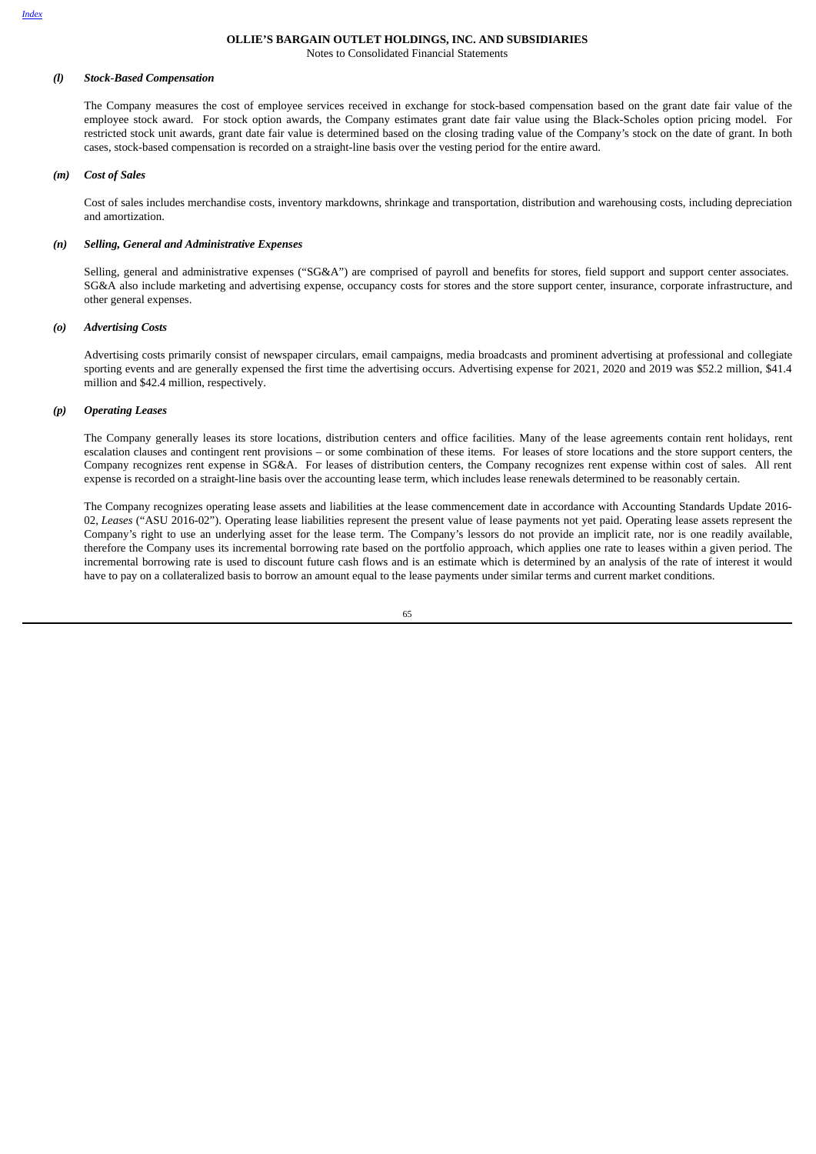Notes to Consolidated Financial Statements

### *(l) Stock-Based Compensation*

The Company measures the cost of employee services received in exchange for stock-based compensation based on the grant date fair value of the employee stock award. For stock option awards, the Company estimates grant date fair value using the Black-Scholes option pricing model. For restricted stock unit awards, grant date fair value is determined based on the closing trading value of the Company's stock on the date of grant. In both cases, stock-based compensation is recorded on a straight-line basis over the vesting period for the entire award.

### *(m) Cost of Sales*

Cost of sales includes merchandise costs, inventory markdowns, shrinkage and transportation, distribution and warehousing costs, including depreciation and amortization.

### *(n) Selling, General and Administrative Expenses*

Selling, general and administrative expenses ("SG&A") are comprised of payroll and benefits for stores, field support and support center associates. SG&A also include marketing and advertising expense, occupancy costs for stores and the store support center, insurance, corporate infrastructure, and other general expenses.

## *(o) Advertising Costs*

Advertising costs primarily consist of newspaper circulars, email campaigns, media broadcasts and prominent advertising at professional and collegiate sporting events and are generally expensed the first time the advertising occurs. Advertising expense for 2021, 2020 and 2019 was \$52.2 million, \$41.4 million and \$42.4 million, respectively.

## *(p) Operating Leases*

The Company generally leases its store locations, distribution centers and office facilities. Many of the lease agreements contain rent holidays, rent escalation clauses and contingent rent provisions – or some combination of these items. For leases of store locations and the store support centers, the Company recognizes rent expense in SG&A. For leases of distribution centers, the Company recognizes rent expense within cost of sales. All rent expense is recorded on a straight-line basis over the accounting lease term, which includes lease renewals determined to be reasonably certain.

The Company recognizes operating lease assets and liabilities at the lease commencement date in accordance with Accounting Standards Update 2016- 02, *Leases* ("ASU 2016-02"). Operating lease liabilities represent the present value of lease payments not yet paid. Operating lease assets represent the Company's right to use an underlying asset for the lease term. The Company's lessors do not provide an implicit rate, nor is one readily available, therefore the Company uses its incremental borrowing rate based on the portfolio approach, which applies one rate to leases within a given period. The incremental borrowing rate is used to discount future cash flows and is an estimate which is determined by an analysis of the rate of interest it would have to pay on a collateralized basis to borrow an amount equal to the lease payments under similar terms and current market conditions.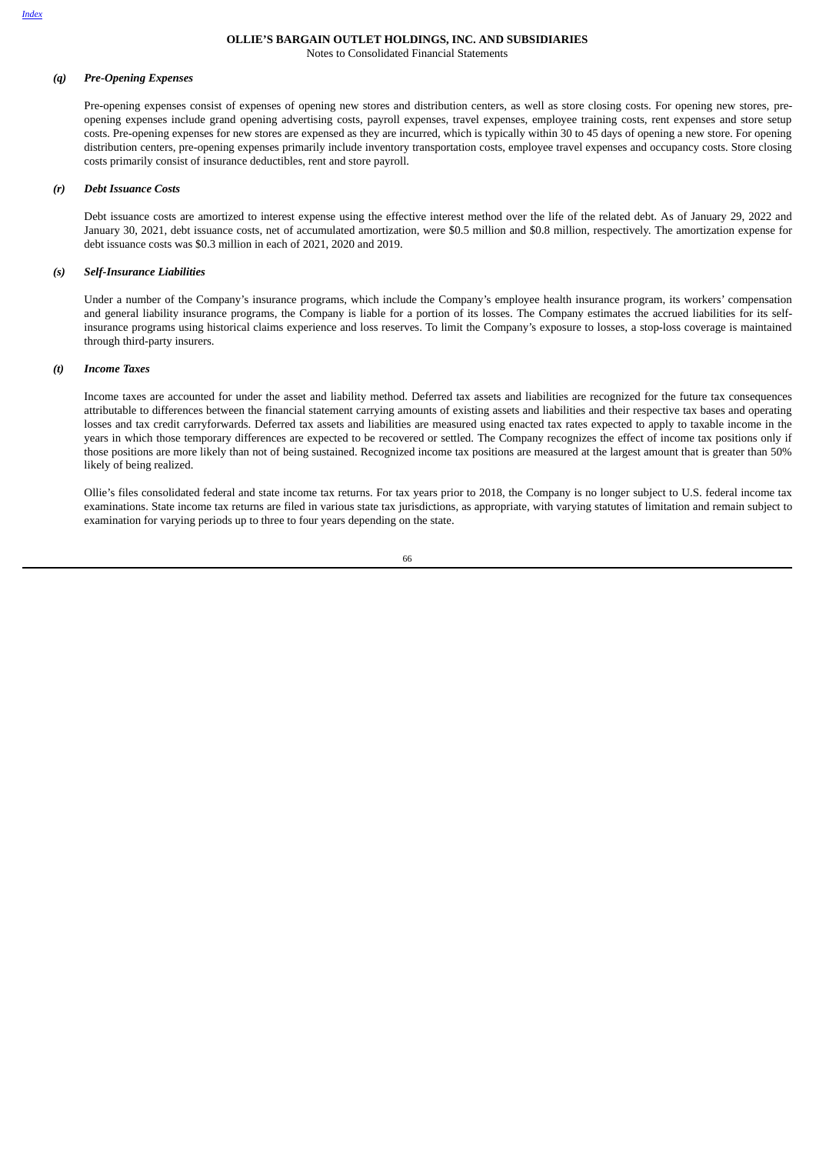Notes to Consolidated Financial Statements

### *(q) Pre-Opening Expenses*

Pre-opening expenses consist of expenses of opening new stores and distribution centers, as well as store closing costs. For opening new stores, preopening expenses include grand opening advertising costs, payroll expenses, travel expenses, employee training costs, rent expenses and store setup costs. Pre-opening expenses for new stores are expensed as they are incurred, which is typically within 30 to 45 days of opening a new store. For opening distribution centers, pre-opening expenses primarily include inventory transportation costs, employee travel expenses and occupancy costs. Store closing costs primarily consist of insurance deductibles, rent and store payroll.

## *(r) Debt Issuance Costs*

Debt issuance costs are amortized to interest expense using the effective interest method over the life of the related debt. As of January 29, 2022 and January 30, 2021, debt issuance costs, net of accumulated amortization, were \$0.5 million and \$0.8 million, respectively. The amortization expense for debt issuance costs was \$0.3 million in each of 2021, 2020 and 2019.

### *(s) Self‑Insurance Liabilities*

Under a number of the Company's insurance programs, which include the Company's employee health insurance program, its workers' compensation and general liability insurance programs, the Company is liable for a portion of its losses. The Company estimates the accrued liabilities for its selfinsurance programs using historical claims experience and loss reserves. To limit the Company's exposure to losses, a stop-loss coverage is maintained through third-party insurers.

## *(t) Income Taxes*

Income taxes are accounted for under the asset and liability method. Deferred tax assets and liabilities are recognized for the future tax consequences attributable to differences between the financial statement carrying amounts of existing assets and liabilities and their respective tax bases and operating losses and tax credit carryforwards. Deferred tax assets and liabilities are measured using enacted tax rates expected to apply to taxable income in the years in which those temporary differences are expected to be recovered or settled. The Company recognizes the effect of income tax positions only if those positions are more likely than not of being sustained. Recognized income tax positions are measured at the largest amount that is greater than 50% likely of being realized.

Ollie's files consolidated federal and state income tax returns. For tax years prior to 2018, the Company is no longer subject to U.S. federal income tax examinations. State income tax returns are filed in various state tax jurisdictions, as appropriate, with varying statutes of limitation and remain subject to examination for varying periods up to three to four years depending on the state.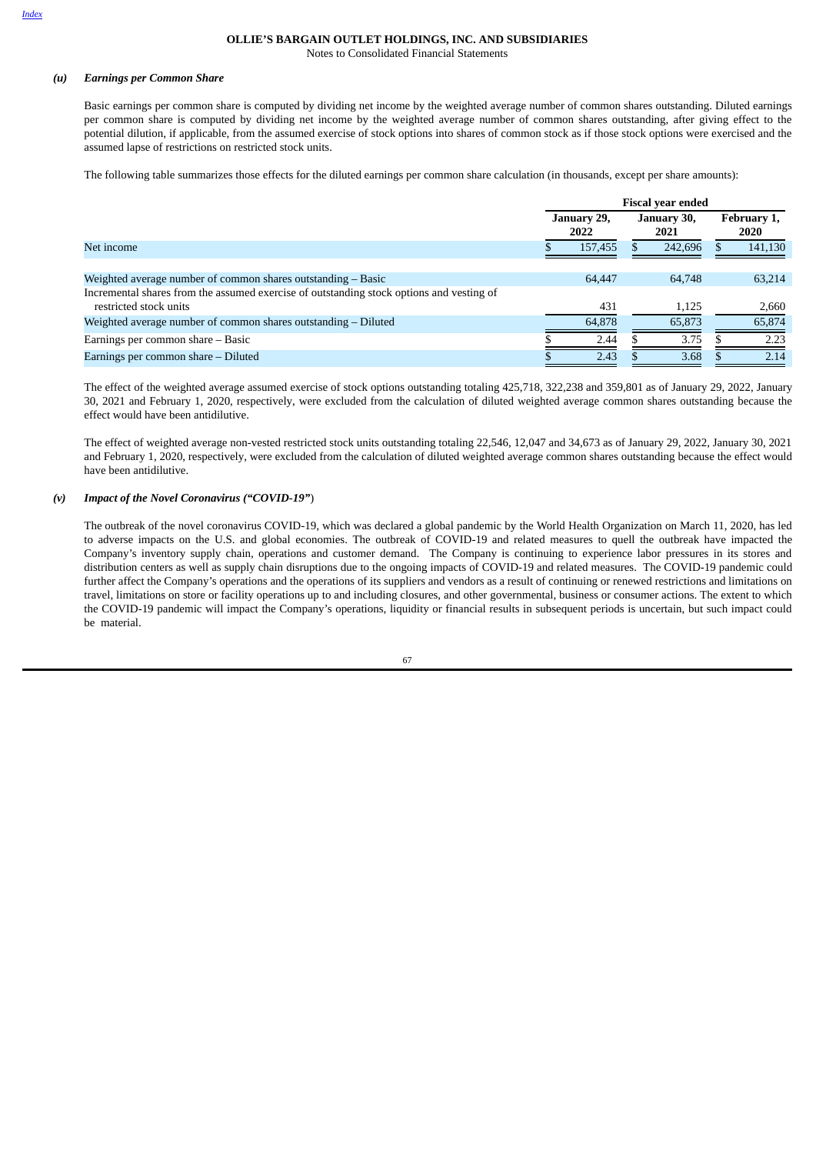Notes to Consolidated Financial Statements

### *(u) Earnings per Common Share*

Basic earnings per common share is computed by dividing net income by the weighted average number of common shares outstanding. Diluted earnings per common share is computed by dividing net income by the weighted average number of common shares outstanding, after giving effect to the potential dilution, if applicable, from the assumed exercise of stock options into shares of common stock as if those stock options were exercised and the assumed lapse of restrictions on restricted stock units.

The following table summarizes those effects for the diluted earnings per common share calculation (in thousands, except per share amounts):

|                                                                                                                    | <b>Fiscal year ended</b> |                     |  |                     |  |                     |  |
|--------------------------------------------------------------------------------------------------------------------|--------------------------|---------------------|--|---------------------|--|---------------------|--|
|                                                                                                                    |                          | January 29,<br>2022 |  | January 30,<br>2021 |  | February 1,<br>2020 |  |
| Net income                                                                                                         |                          | 157,455             |  | 242,696             |  | 141,130             |  |
| Weighted average number of common shares outstanding – Basic                                                       |                          | 64,447              |  | 64,748              |  | 63,214              |  |
| Incremental shares from the assumed exercise of outstanding stock options and vesting of<br>restricted stock units |                          | 431                 |  | 1,125               |  | 2,660               |  |
| Weighted average number of common shares outstanding – Diluted                                                     |                          | 64,878              |  | 65,873              |  | 65,874              |  |
| Earnings per common share – Basic                                                                                  |                          | 2.44                |  | 3.75                |  | 2.23                |  |
| Earnings per common share – Diluted                                                                                |                          | 2.43                |  | 3.68                |  | 2.14                |  |

The effect of the weighted average assumed exercise of stock options outstanding totaling 425,718, 322,238 and 359,801 as of January 29, 2022, January 30, 2021 and February 1, 2020, respectively, were excluded from the calculation of diluted weighted average common shares outstanding because the effect would have been antidilutive.

The effect of weighted average non-vested restricted stock units outstanding totaling 22,546, 12,047 and 34,673 as of January 29, 2022, January 30, 2021 and February 1, 2020, respectively, were excluded from the calculation of diluted weighted average common shares outstanding because the effect would have been antidilutive.

### *(v) Impact of the Novel Coronavirus ("COVID-19"*)

The outbreak of the novel coronavirus COVID-19, which was declared a global pandemic by the World Health Organization on March 11, 2020, has led to adverse impacts on the U.S. and global economies. The outbreak of COVID-19 and related measures to quell the outbreak have impacted the Company's inventory supply chain, operations and customer demand. The Company is continuing to experience labor pressures in its stores and distribution centers as well as supply chain disruptions due to the ongoing impacts of COVID-19 and related measures. The COVID-19 pandemic could further affect the Company's operations and the operations of its suppliers and vendors as a result of continuing or renewed restrictions and limitations on travel, limitations on store or facility operations up to and including closures, and other governmental, business or consumer actions. The extent to which the COVID-19 pandemic will impact the Company's operations, liquidity or financial results in subsequent periods is uncertain, but such impact could be material.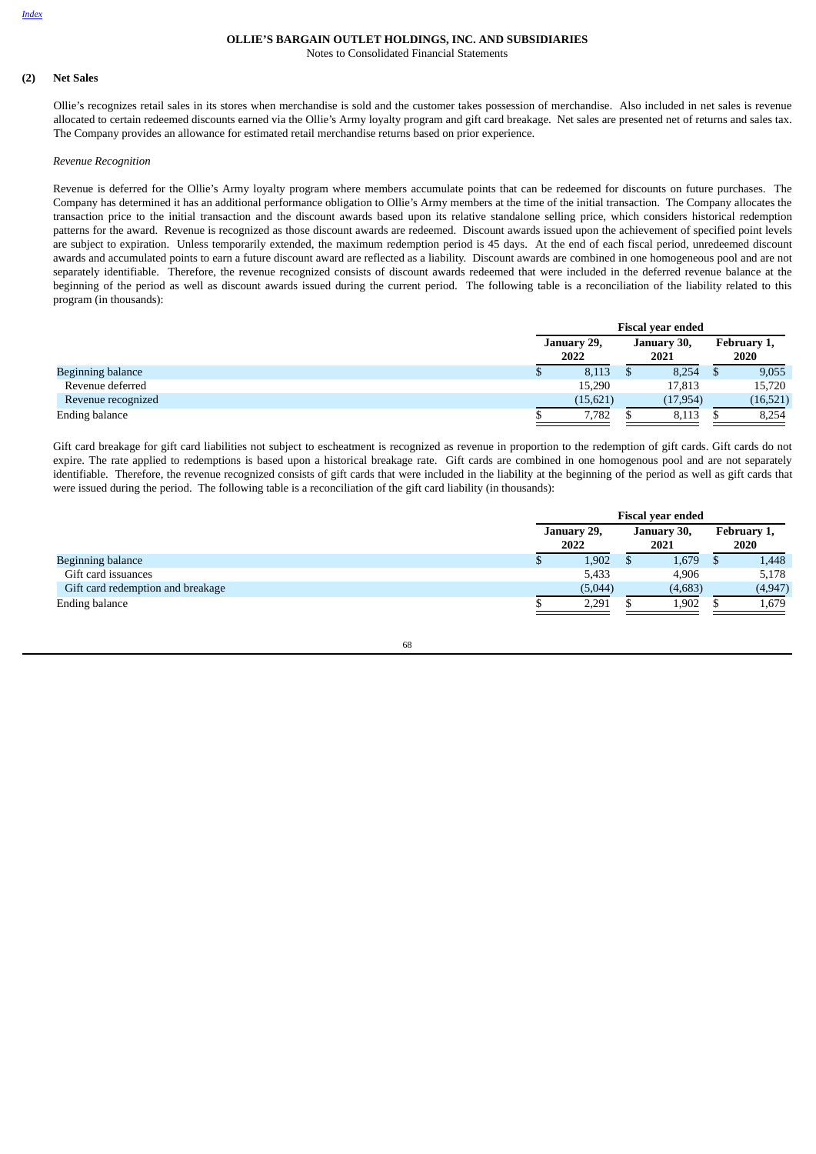Notes to Consolidated Financial Statements

## **(2) Net Sales**

Ollie's recognizes retail sales in its stores when merchandise is sold and the customer takes possession of merchandise. Also included in net sales is revenue allocated to certain redeemed discounts earned via the Ollie's Army loyalty program and gift card breakage. Net sales are presented net of returns and sales tax. The Company provides an allowance for estimated retail merchandise returns based on prior experience.

### *Revenue Recognition*

Revenue is deferred for the Ollie's Army loyalty program where members accumulate points that can be redeemed for discounts on future purchases. The Company has determined it has an additional performance obligation to Ollie's Army members at the time of the initial transaction. The Company allocates the transaction price to the initial transaction and the discount awards based upon its relative standalone selling price, which considers historical redemption patterns for the award. Revenue is recognized as those discount awards are redeemed. Discount awards issued upon the achievement of specified point levels are subject to expiration. Unless temporarily extended, the maximum redemption period is 45 days. At the end of each fiscal period, unredeemed discount awards and accumulated points to earn a future discount award are reflected as a liability. Discount awards are combined in one homogeneous pool and are not separately identifiable. Therefore, the revenue recognized consists of discount awards redeemed that were included in the deferred revenue balance at the beginning of the period as well as discount awards issued during the current period. The following table is a reconciliation of the liability related to this program (in thousands):

|                    | <b>Fiscal year ended</b> |  |                     |  |                     |  |  |
|--------------------|--------------------------|--|---------------------|--|---------------------|--|--|
|                    | January 29,<br>2022      |  | January 30,<br>2021 |  | February 1,<br>2020 |  |  |
| Beginning balance  | 8,113                    |  | 8,254               |  | 9,055               |  |  |
| Revenue deferred   | 15,290                   |  | 17,813              |  | 15,720              |  |  |
| Revenue recognized | (15,621)                 |  | (17, 954)           |  | (16, 521)           |  |  |
| Ending balance     | 7,782                    |  | 8,113               |  | 8,254               |  |  |

Gift card breakage for gift card liabilities not subject to escheatment is recognized as revenue in proportion to the redemption of gift cards. Gift cards do not expire. The rate applied to redemptions is based upon a historical breakage rate. Gift cards are combined in one homogenous pool and are not separately identifiable. Therefore, the revenue recognized consists of gift cards that were included in the liability at the beginning of the period as well as gift cards that were issued during the period. The following table is a reconciliation of the gift card liability (in thousands):

|                                   | <b>Fiscal year ended</b> |                     |         |                     |          |  |  |
|-----------------------------------|--------------------------|---------------------|---------|---------------------|----------|--|--|
|                                   | January 29,<br>2022      | January 30,<br>2021 |         | February 1,<br>2020 |          |  |  |
| Beginning balance                 | 1,902                    |                     | 1,679   |                     | 1,448    |  |  |
| Gift card issuances               | 5,433                    |                     | 4.906   |                     | 5,178    |  |  |
| Gift card redemption and breakage | (5,044)                  |                     | (4,683) |                     | (4, 947) |  |  |
| Ending balance                    | 2,291                    |                     | 1,902   |                     | 1,679    |  |  |

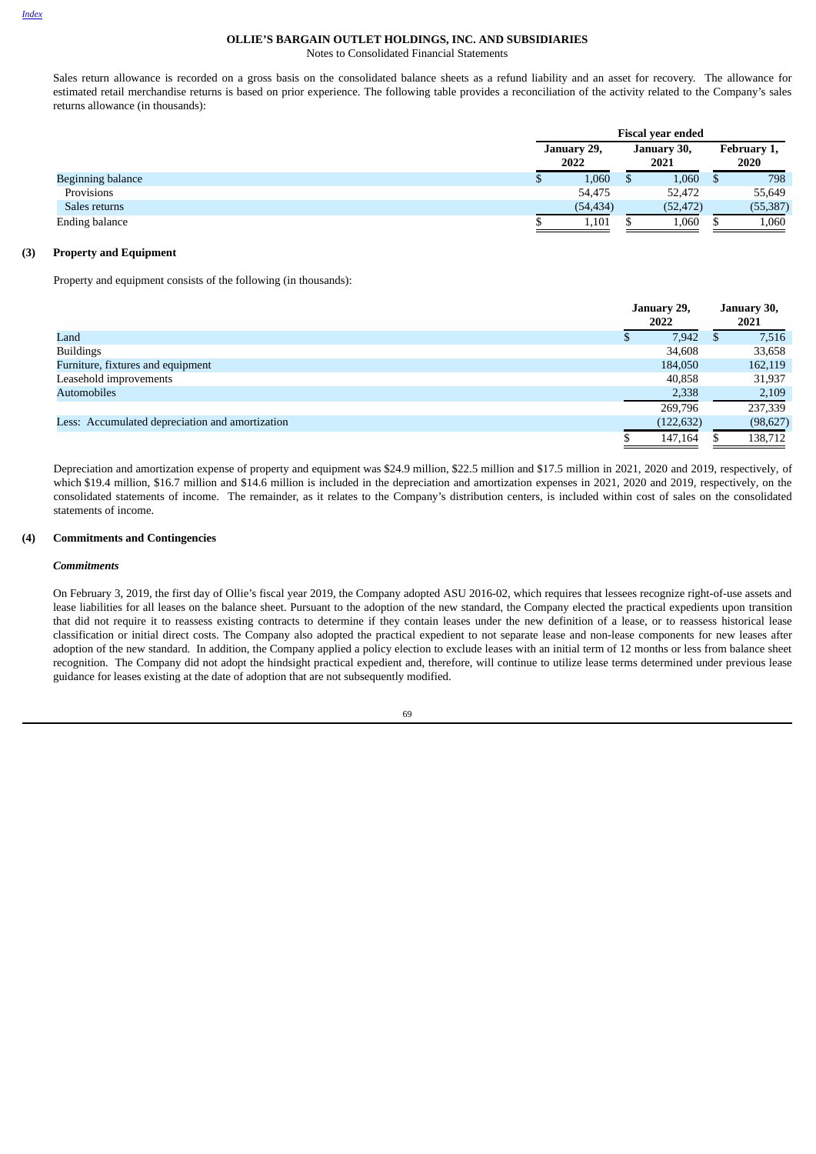Notes to Consolidated Financial Statements

Sales return allowance is recorded on a gross basis on the consolidated balance sheets as a refund liability and an asset for recovery. The allowance for estimated retail merchandise returns is based on prior experience. The following table provides a reconciliation of the activity related to the Company's sales returns allowance (in thousands):

|                   | <b>Fiscal year ended</b> |   |                     |  |                     |
|-------------------|--------------------------|---|---------------------|--|---------------------|
|                   | January 29,<br>2022      |   | January 30,<br>2021 |  | February 1,<br>2020 |
| Beginning balance | 1,060                    | S | 1,060               |  | 798                 |
| Provisions        | 54,475                   |   | 52,472              |  | 55,649              |
| Sales returns     | (54, 434)                |   | (52, 472)           |  | (55, 387)           |
| Ending balance    | 1,101                    |   | 1,060               |  | 1,060               |

### **(3) Property and Equipment**

Property and equipment consists of the following (in thousands):

| 2022 |            |             | January 30,<br>2021 |
|------|------------|-------------|---------------------|
|      | 7.942      | Ъ.          | 7,516               |
|      | 34,608     |             | 33,658              |
|      | 184,050    |             | 162,119             |
|      | 40,858     |             | 31,937              |
|      | 2,338      |             | 2,109               |
|      | 269,796    |             | 237,339             |
|      | (122, 632) |             | (98, 627)           |
|      | 147,164    |             | 138,712             |
|      |            | January 29, |                     |

Depreciation and amortization expense of property and equipment was \$24.9 million, \$22.5 million and \$17.5 million in 2021, 2020 and 2019, respectively, of which \$19.4 million, \$16.7 million and \$14.6 million is included in the depreciation and amortization expenses in 2021, 2020 and 2019, respectively, on the consolidated statements of income. The remainder, as it relates to the Company's distribution centers, is included within cost of sales on the consolidated statements of income.

### **(4) Commitments and Contingencies**

### *Commitments*

On February 3, 2019, the first day of Ollie's fiscal year 2019, the Company adopted ASU 2016-02, which requires that lessees recognize right-of-use assets and lease liabilities for all leases on the balance sheet. Pursuant to the adoption of the new standard, the Company elected the practical expedients upon transition that did not require it to reassess existing contracts to determine if they contain leases under the new definition of a lease, or to reassess historical lease classification or initial direct costs. The Company also adopted the practical expedient to not separate lease and non-lease components for new leases after adoption of the new standard. In addition, the Company applied a policy election to exclude leases with an initial term of 12 months or less from balance sheet recognition. The Company did not adopt the hindsight practical expedient and, therefore, will continue to utilize lease terms determined under previous lease guidance for leases existing at the date of adoption that are not subsequently modified.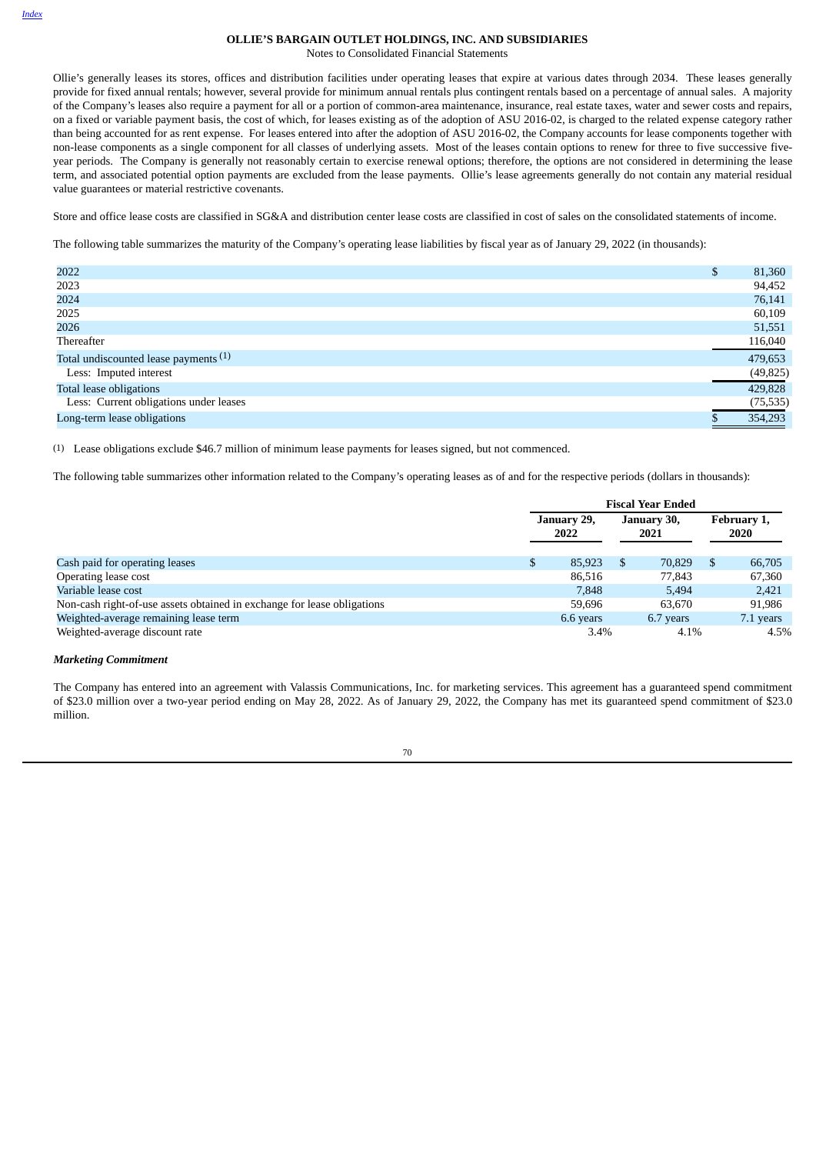Notes to Consolidated Financial Statements

Ollie's generally leases its stores, offices and distribution facilities under operating leases that expire at various dates through 2034. These leases generally provide for fixed annual rentals; however, several provide for minimum annual rentals plus contingent rentals based on a percentage of annual sales. A majority of the Company's leases also require a payment for all or a portion of common-area maintenance, insurance, real estate taxes, water and sewer costs and repairs, on a fixed or variable payment basis, the cost of which, for leases existing as of the adoption of ASU 2016-02, is charged to the related expense category rather than being accounted for as rent expense. For leases entered into after the adoption of ASU 2016-02, the Company accounts for lease components together with non-lease components as a single component for all classes of underlying assets. Most of the leases contain options to renew for three to five successive fiveyear periods. The Company is generally not reasonably certain to exercise renewal options; therefore, the options are not considered in determining the lease term, and associated potential option payments are excluded from the lease payments. Ollie's lease agreements generally do not contain any material residual value guarantees or material restrictive covenants.

Store and office lease costs are classified in SG&A and distribution center lease costs are classified in cost of sales on the consolidated statements of income.

The following table summarizes the maturity of the Company's operating lease liabilities by fiscal year as of January 29, 2022 (in thousands):

| 2022                                             | Φ | 81,360    |
|--------------------------------------------------|---|-----------|
| 2023                                             |   | 94,452    |
| 2024                                             |   | 76,141    |
| 2025                                             |   | 60,109    |
| 2026                                             |   | 51,551    |
| Thereafter                                       |   | 116,040   |
| Total undiscounted lease payments <sup>(1)</sup> |   | 479,653   |
| Less: Imputed interest                           |   | (49, 825) |
| Total lease obligations                          |   | 429,828   |
| Less: Current obligations under leases           |   | (75, 535) |
| Long-term lease obligations                      |   | 354,293   |

(1) Lease obligations exclude \$46.7 million of minimum lease payments for leases signed, but not commenced.

The following table summarizes other information related to the Company's operating leases as of and for the respective periods (dollars in thousands):

|                                                                         | <b>Fiscal Year Ended</b> |                     |           |                     |           |  |
|-------------------------------------------------------------------------|--------------------------|---------------------|-----------|---------------------|-----------|--|
|                                                                         | January 29,<br>2022      | January 30,<br>2021 |           | February 1,<br>2020 |           |  |
| Cash paid for operating leases                                          | \$<br>85,923             | \$.                 | 70,829    | S                   | 66,705    |  |
| Operating lease cost                                                    | 86,516                   |                     | 77,843    |                     | 67,360    |  |
| Variable lease cost                                                     | 7.848                    |                     | 5.494     |                     | 2,421     |  |
| Non-cash right-of-use assets obtained in exchange for lease obligations | 59.696                   |                     | 63.670    |                     | 91,986    |  |
| Weighted-average remaining lease term                                   | 6.6 years                |                     | 6.7 years |                     | 7.1 years |  |
| Weighted-average discount rate                                          | 3.4%                     |                     | 4.1%      |                     | 4.5%      |  |

#### *Marketing Commitment*

The Company has entered into an agreement with Valassis Communications, Inc. for marketing services. This agreement has a guaranteed spend commitment of \$23.0 million over a two-year period ending on May 28, 2022. As of January 29, 2022, the Company has met its guaranteed spend commitment of \$23.0 million.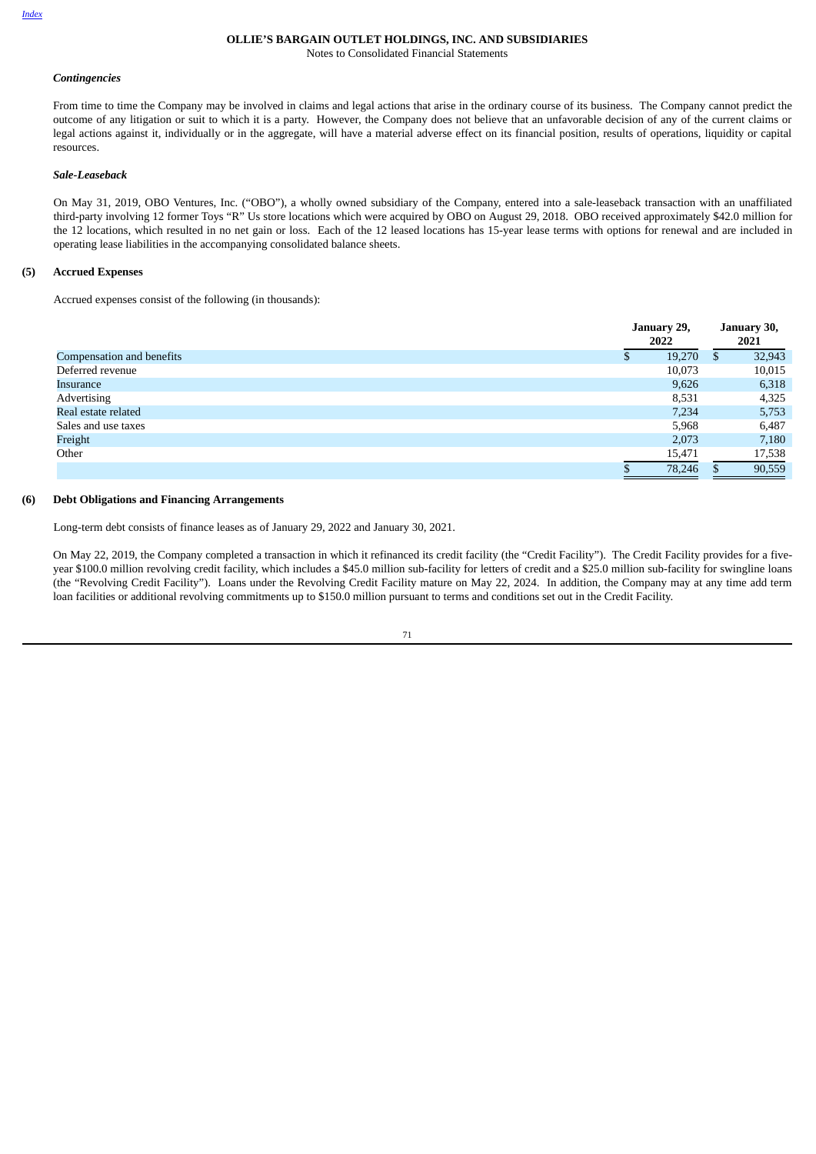Notes to Consolidated Financial Statements

#### *Contingencies*

From time to time the Company may be involved in claims and legal actions that arise in the ordinary course of its business. The Company cannot predict the outcome of any litigation or suit to which it is a party. However, the Company does not believe that an unfavorable decision of any of the current claims or legal actions against it, individually or in the aggregate, will have a material adverse effect on its financial position, results of operations, liquidity or capital resources.

#### *Sale-Leaseback*

On May 31, 2019, OBO Ventures, Inc. ("OBO"), a wholly owned subsidiary of the Company, entered into a sale-leaseback transaction with an unaffiliated third-party involving 12 former Toys "R" Us store locations which were acquired by OBO on August 29, 2018. OBO received approximately \$42.0 million for the 12 locations, which resulted in no net gain or loss. Each of the 12 leased locations has 15-year lease terms with options for renewal and are included in operating lease liabilities in the accompanying consolidated balance sheets.

#### **(5) Accrued Expenses**

Accrued expenses consist of the following (in thousands):

|                           | January 29,<br>2022 | January 30,<br>2021 |
|---------------------------|---------------------|---------------------|
| Compensation and benefits | 19,270<br>Ф         | 32,943<br>S         |
| Deferred revenue          | 10,073              | 10,015              |
| Insurance                 | 9,626               | 6,318               |
| Advertising               | 8,531               | 4,325               |
| Real estate related       | 7.234               | 5,753               |
| Sales and use taxes       | 5,968               | 6,487               |
| Freight                   | 2,073               | 7,180               |
| Other                     | 15,471              | 17,538              |
|                           | 78,246<br>C         | 90,559              |

### **(6) Debt Obligations and Financing Arrangements**

Long-term debt consists of finance leases as of January 29, 2022 and January 30, 2021.

On May 22, 2019, the Company completed a transaction in which it refinanced its credit facility (the "Credit Facility"). The Credit Facility provides for a fiveyear \$100.0 million revolving credit facility, which includes a \$45.0 million sub-facility for letters of credit and a \$25.0 million sub-facility for swingline loans (the "Revolving Credit Facility"). Loans under the Revolving Credit Facility mature on May 22, 2024. In addition, the Company may at any time add term loan facilities or additional revolving commitments up to \$150.0 million pursuant to terms and conditions set out in the Credit Facility.

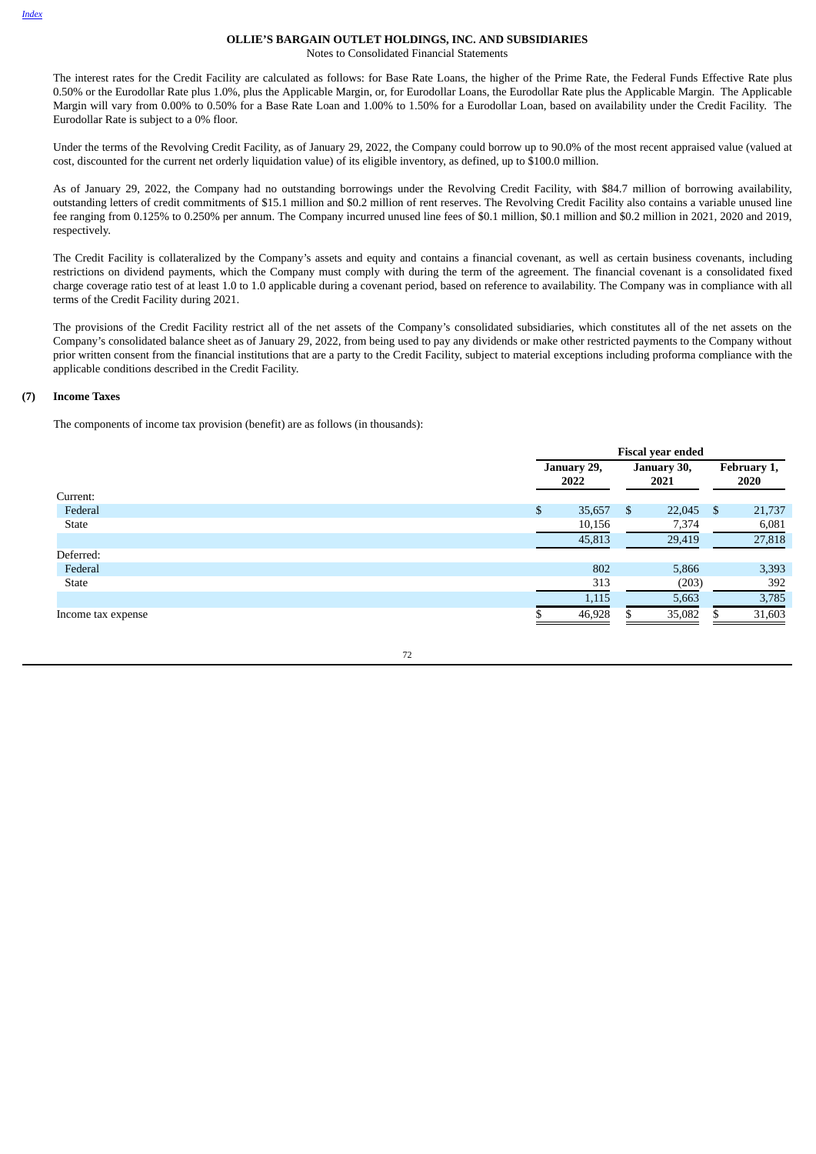### **OLLIE'S BARGAIN OUTLET HOLDINGS, INC. AND SUBSIDIARIES**

Notes to Consolidated Financial Statements

The interest rates for the Credit Facility are calculated as follows: for Base Rate Loans, the higher of the Prime Rate, the Federal Funds Effective Rate plus 0.50% or the Eurodollar Rate plus 1.0%, plus the Applicable Margin, or, for Eurodollar Loans, the Eurodollar Rate plus the Applicable Margin. The Applicable Margin will vary from 0.00% to 0.50% for a Base Rate Loan and 1.00% to 1.50% for a Eurodollar Loan, based on availability under the Credit Facility. The Eurodollar Rate is subject to a 0% floor.

Under the terms of the Revolving Credit Facility, as of January 29, 2022, the Company could borrow up to 90.0% of the most recent appraised value (valued at cost, discounted for the current net orderly liquidation value) of its eligible inventory, as defined, up to \$100.0 million.

As of January 29, 2022, the Company had no outstanding borrowings under the Revolving Credit Facility, with \$84.7 million of borrowing availability, outstanding letters of credit commitments of \$15.1 million and \$0.2 million of rent reserves. The Revolving Credit Facility also contains a variable unused line fee ranging from 0.125% to 0.250% per annum. The Company incurred unused line fees of \$0.1 million, \$0.1 million and \$0.2 million in 2021, 2020 and 2019, respectively.

The Credit Facility is collateralized by the Company's assets and equity and contains a financial covenant, as well as certain business covenants, including restrictions on dividend payments, which the Company must comply with during the term of the agreement. The financial covenant is a consolidated fixed charge coverage ratio test of at least 1.0 to 1.0 applicable during a covenant period, based on reference to availability. The Company was in compliance with all terms of the Credit Facility during 2021.

The provisions of the Credit Facility restrict all of the net assets of the Company's consolidated subsidiaries, which constitutes all of the net assets on the Company's consolidated balance sheet as of January 29, 2022, from being used to pay any dividends or make other restricted payments to the Company without prior written consent from the financial institutions that are a party to the Credit Facility, subject to material exceptions including proforma compliance with the applicable conditions described in the Credit Facility.

### **(7) Income Taxes**

The components of income tax provision (benefit) are as follows (in thousands):

|                    | <b>Fiscal year ended</b> |                     |    |                     |    |                     |
|--------------------|--------------------------|---------------------|----|---------------------|----|---------------------|
| Current:           |                          | January 29,<br>2022 |    | January 30,<br>2021 |    | February 1,<br>2020 |
| Federal            | \$                       | 35,657              | \$ | 22,045              | \$ | 21,737              |
| State              |                          | 10,156              |    | 7,374               |    | 6,081               |
|                    |                          | 45,813              |    | 29,419              |    | 27,818              |
| Deferred:          |                          |                     |    |                     |    |                     |
| Federal            |                          | 802                 |    | 5,866               |    | 3,393               |
| <b>State</b>       |                          | 313                 |    | (203)               |    | 392                 |
|                    |                          | 1,115               |    | 5,663               |    | 3,785               |
| Income tax expense |                          | 46,928              |    | 35,082              |    | 31,603              |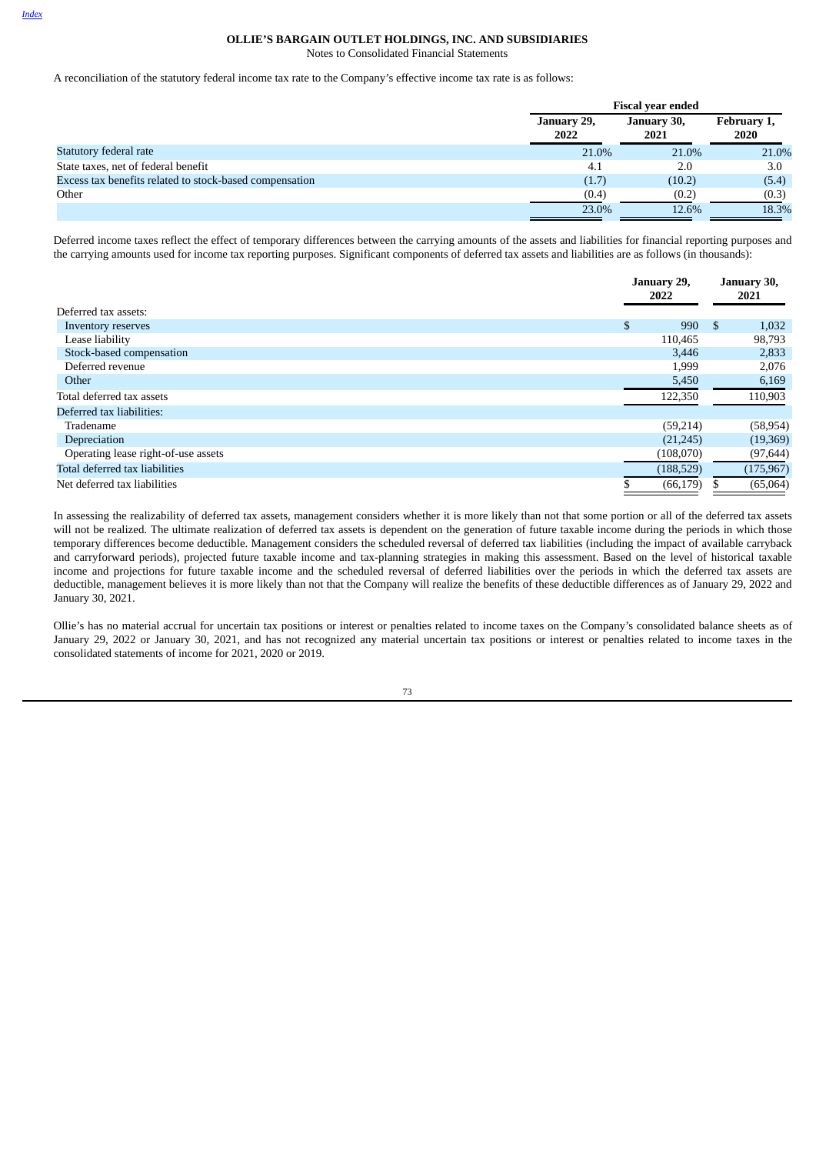Notes to Consolidated Financial Statements

A reconciliation of the statutory federal income tax rate to the Company's effective income tax rate is as follows:

|                                                         | <b>Fiscal year ended</b> |                     |                     |  |
|---------------------------------------------------------|--------------------------|---------------------|---------------------|--|
|                                                         | January 29,<br>2022      | January 30,<br>2021 | February 1,<br>2020 |  |
| Statutory federal rate                                  | 21.0%                    | 21.0%               | 21.0%               |  |
| State taxes, net of federal benefit                     | 4.1                      | 2.0                 | 3.0                 |  |
| Excess tax benefits related to stock-based compensation | (1.7)                    | (10.2)              | (5.4)               |  |
| Other                                                   | (0.4)                    | (0.2)               | (0.3)               |  |
|                                                         | 23.0%                    | 12.6%               | 18.3%               |  |

Deferred income taxes reflect the effect of temporary differences between the carrying amounts of the assets and liabilities for financial reporting purposes and the carrying amounts used for income tax reporting purposes. Significant components of deferred tax assets and liabilities are as follows (in thousands):

|                                     |    | January 29,<br>2022 |               |            |  |  |  | January 30,<br>2021 |
|-------------------------------------|----|---------------------|---------------|------------|--|--|--|---------------------|
| Deferred tax assets:                |    |                     |               |            |  |  |  |                     |
| Inventory reserves                  | \$ | 990                 | <sup>\$</sup> | 1,032      |  |  |  |                     |
| Lease liability                     |    | 110,465             |               | 98,793     |  |  |  |                     |
| Stock-based compensation            |    | 3,446               |               | 2,833      |  |  |  |                     |
| Deferred revenue                    |    | 1,999               |               | 2,076      |  |  |  |                     |
| Other                               |    | 5,450               |               | 6,169      |  |  |  |                     |
| Total deferred tax assets           |    | 122,350             |               | 110,903    |  |  |  |                     |
| Deferred tax liabilities:           |    |                     |               |            |  |  |  |                     |
| Tradename                           |    | (59,214)            |               | (58, 954)  |  |  |  |                     |
| Depreciation                        |    | (21, 245)           |               | (19,369)   |  |  |  |                     |
| Operating lease right-of-use assets |    | (108,070)           |               | (97, 644)  |  |  |  |                     |
| Total deferred tax liabilities      |    | (188, 529)          |               | (175, 967) |  |  |  |                     |
| Net deferred tax liabilities        |    | (66, 179)           |               | (65,064)   |  |  |  |                     |

In assessing the realizability of deferred tax assets, management considers whether it is more likely than not that some portion or all of the deferred tax assets will not be realized. The ultimate realization of deferred tax assets is dependent on the generation of future taxable income during the periods in which those temporary differences become deductible. Management considers the scheduled reversal of deferred tax liabilities (including the impact of available carryback and carryforward periods), projected future taxable income and tax-planning strategies in making this assessment. Based on the level of historical taxable income and projections for future taxable income and the scheduled reversal of deferred liabilities over the periods in which the deferred tax assets are deductible, management believes it is more likely than not that the Company will realize the benefits of these deductible differences as of January 29, 2022 and January 30, 2021.

Ollie's has no material accrual for uncertain tax positions or interest or penalties related to income taxes on the Company's consolidated balance sheets as of January 29, 2022 or January 30, 2021, and has not recognized any material uncertain tax positions or interest or penalties related to income taxes in the consolidated statements of income for 2021, 2020 or 2019.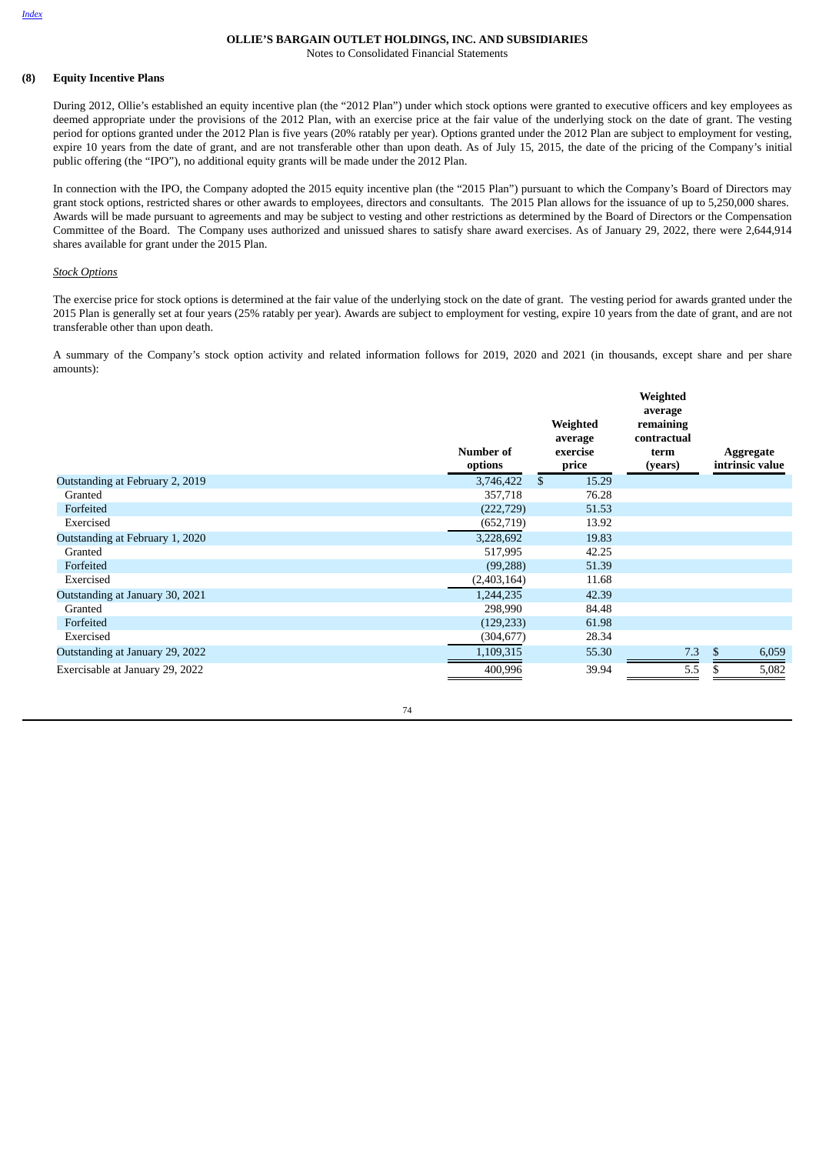Notes to Consolidated Financial Statements

# **(8) Equity Incentive Plans**

During 2012, Ollie's established an equity incentive plan (the "2012 Plan") under which stock options were granted to executive officers and key employees as deemed appropriate under the provisions of the 2012 Plan, with an exercise price at the fair value of the underlying stock on the date of grant. The vesting period for options granted under the 2012 Plan is five years (20% ratably per year). Options granted under the 2012 Plan are subject to employment for vesting, expire 10 years from the date of grant, and are not transferable other than upon death. As of July 15, 2015, the date of the pricing of the Company's initial public offering (the "IPO"), no additional equity grants will be made under the 2012 Plan.

In connection with the IPO, the Company adopted the 2015 equity incentive plan (the "2015 Plan") pursuant to which the Company's Board of Directors may grant stock options, restricted shares or other awards to employees, directors and consultants. The 2015 Plan allows for the issuance of up to 5,250,000 shares. Awards will be made pursuant to agreements and may be subject to vesting and other restrictions as determined by the Board of Directors or the Compensation Committee of the Board. The Company uses authorized and unissued shares to satisfy share award exercises. As of January 29, 2022, there were 2,644,914 shares available for grant under the 2015 Plan.

#### *Stock Options*

The exercise price for stock options is determined at the fair value of the underlying stock on the date of grant. The vesting period for awards granted under the 2015 Plan is generally set at four years (25% ratably per year). Awards are subject to employment for vesting, expire 10 years from the date of grant, and are not transferable other than upon death.

A summary of the Company's stock option activity and related information follows for 2019, 2020 and 2021 (in thousands, except share and per share amounts):

| Number of<br>options |              | Weighted<br>average<br>exercise<br>price | average<br>remaining<br>contractual<br>term<br>(years) |          | Aggregate<br>intrinsic value |
|----------------------|--------------|------------------------------------------|--------------------------------------------------------|----------|------------------------------|
| 3,746,422            | $\mathbf{s}$ | 15.29                                    |                                                        |          |                              |
| 357,718              |              | 76.28                                    |                                                        |          |                              |
| (222, 729)           |              | 51.53                                    |                                                        |          |                              |
| (652, 719)           |              | 13.92                                    |                                                        |          |                              |
| 3,228,692            |              | 19.83                                    |                                                        |          |                              |
| 517,995              |              | 42.25                                    |                                                        |          |                              |
| (99, 288)            |              | 51.39                                    |                                                        |          |                              |
| (2,403,164)          |              | 11.68                                    |                                                        |          |                              |
| 1,244,235            |              | 42.39                                    |                                                        |          |                              |
| 298,990              |              | 84.48                                    |                                                        |          |                              |
| (129, 233)           |              | 61.98                                    |                                                        |          |                              |
| (304, 677)           |              | 28.34                                    |                                                        |          |                              |
| 1,109,315            |              | 55.30                                    | 7.3                                                    | \$       | 6,059                        |
| 400,996              |              | 39.94                                    | 5.5                                                    |          | 5,082                        |
|                      |              |                                          |                                                        | Weighted |                              |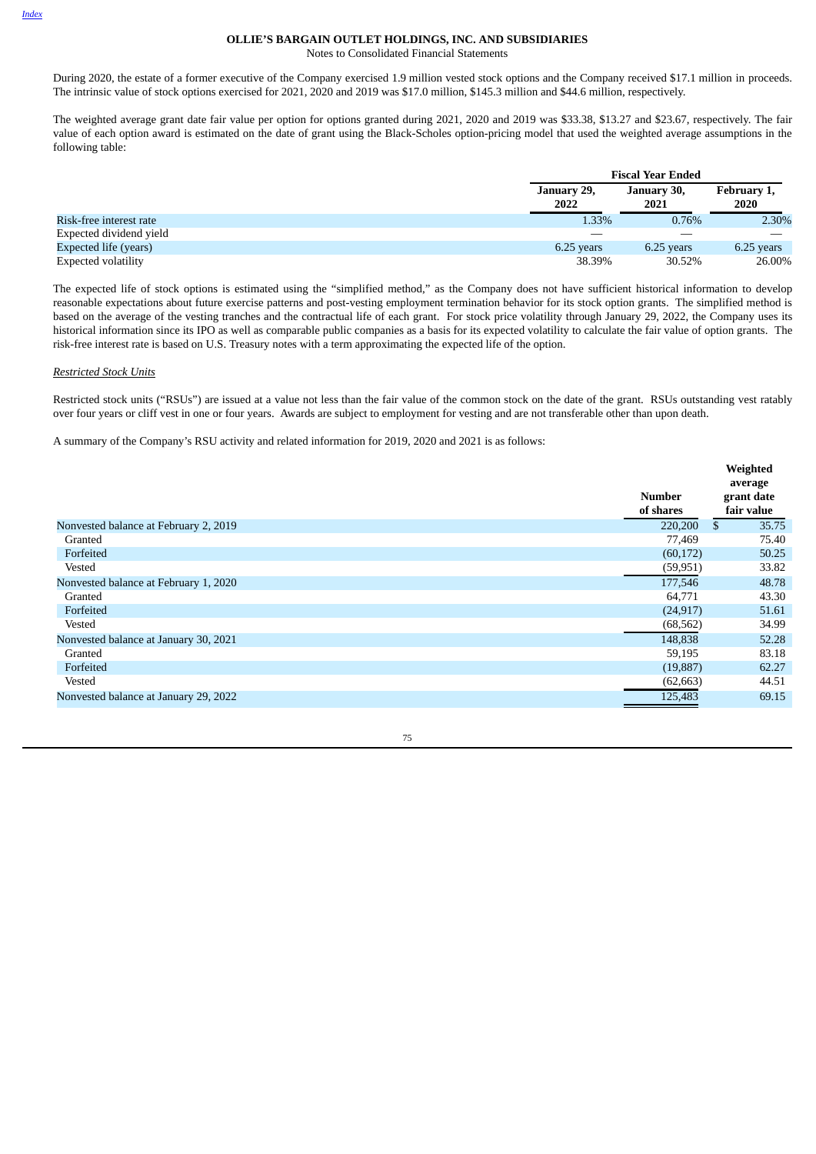Notes to Consolidated Financial Statements

During 2020, the estate of a former executive of the Company exercised 1.9 million vested stock options and the Company received \$17.1 million in proceeds. The intrinsic value of stock options exercised for 2021, 2020 and 2019 was \$17.0 million, \$145.3 million and \$44.6 million, respectively.

The weighted average grant date fair value per option for options granted during 2021, 2020 and 2019 was \$33.38, \$13.27 and \$23.67, respectively. The fair value of each option award is estimated on the date of grant using the Black-Scholes option-pricing model that used the weighted average assumptions in the following table:

|                         |                     | <b>Fiscal Year Ended</b> |                     |  |  |
|-------------------------|---------------------|--------------------------|---------------------|--|--|
|                         | January 29,<br>2022 | January 30,<br>2021      | February 1,<br>2020 |  |  |
| Risk-free interest rate | 1.33%               | 0.76%                    | 2.30%               |  |  |
| Expected dividend yield |                     |                          |                     |  |  |
| Expected life (years)   | 6.25 years          | 6.25 years               | 6.25 years          |  |  |
| Expected volatility     | 38.39%              | 30.52%                   | 26.00%              |  |  |

The expected life of stock options is estimated using the "simplified method," as the Company does not have sufficient historical information to develop reasonable expectations about future exercise patterns and post-vesting employment termination behavior for its stock option grants. The simplified method is based on the average of the vesting tranches and the contractual life of each grant. For stock price volatility through January 29, 2022, the Company uses its historical information since its IPO as well as comparable public companies as a basis for its expected volatility to calculate the fair value of option grants. The risk-free interest rate is based on U.S. Treasury notes with a term approximating the expected life of the option.

### *Restricted Stock Units*

Restricted stock units ("RSUs") are issued at a value not less than the fair value of the common stock on the date of the grant. RSUs outstanding vest ratably over four years or cliff vest in one or four years. Awards are subject to employment for vesting and are not transferable other than upon death.

A summary of the Company's RSU activity and related information for 2019, 2020 and 2021 is as follows:

|                                       | Number<br>of shares | Weighted<br>average<br>grant date<br>fair value |
|---------------------------------------|---------------------|-------------------------------------------------|
| Nonvested balance at February 2, 2019 | 220,200             | \$<br>35.75                                     |
| Granted                               | 77,469              | 75.40                                           |
| Forfeited                             | (60, 172)           | 50.25                                           |
| Vested                                | (59, 951)           | 33.82                                           |
| Nonvested balance at February 1, 2020 | 177,546             | 48.78                                           |
| Granted                               | 64,771              | 43.30                                           |
| Forfeited                             | (24, 917)           | 51.61                                           |
| Vested                                | (68, 562)           | 34.99                                           |
| Nonvested balance at January 30, 2021 | 148,838             | 52.28                                           |
| Granted                               | 59,195              | 83.18                                           |
| Forfeited                             | (19, 887)           | 62.27                                           |
| Vested                                | (62, 663)           | 44.51                                           |
| Nonvested balance at January 29, 2022 | 125,483             | 69.15                                           |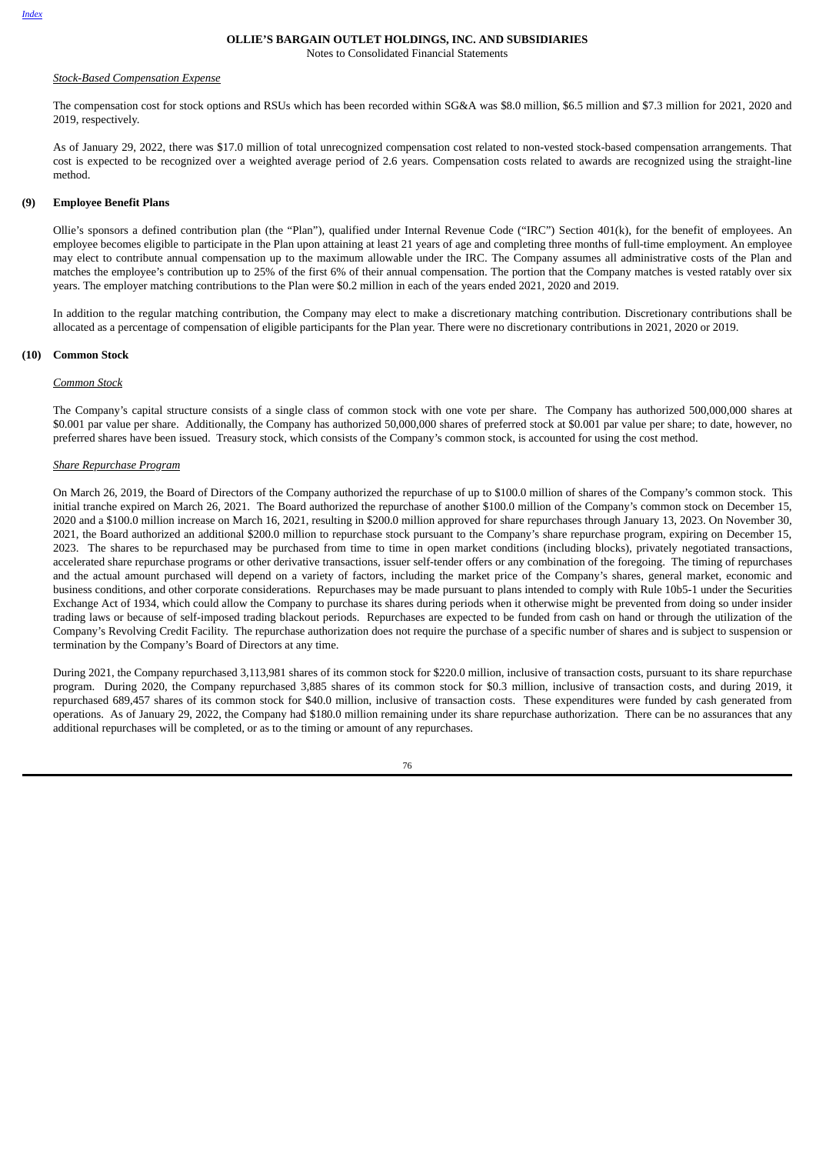Notes to Consolidated Financial Statements

### *Stock-Based Compensation Expense*

The compensation cost for stock options and RSUs which has been recorded within SG&A was \$8.0 million, \$6.5 million and \$7.3 million for 2021, 2020 and 2019, respectively.

As of January 29, 2022, there was \$17.0 million of total unrecognized compensation cost related to non-vested stock-based compensation arrangements. That cost is expected to be recognized over a weighted average period of 2.6 years. Compensation costs related to awards are recognized using the straight-line method.

#### **(9) Employee Benefit Plans**

Ollie's sponsors a defined contribution plan (the "Plan"), qualified under Internal Revenue Code ("IRC") Section 401(k), for the benefit of employees. An employee becomes eligible to participate in the Plan upon attaining at least 21 years of age and completing three months of full-time employment. An employee may elect to contribute annual compensation up to the maximum allowable under the IRC. The Company assumes all administrative costs of the Plan and matches the employee's contribution up to 25% of the first 6% of their annual compensation. The portion that the Company matches is vested ratably over six years. The employer matching contributions to the Plan were \$0.2 million in each of the years ended 2021, 2020 and 2019.

In addition to the regular matching contribution, the Company may elect to make a discretionary matching contribution. Discretionary contributions shall be allocated as a percentage of compensation of eligible participants for the Plan year. There were no discretionary contributions in 2021, 2020 or 2019.

#### **(10) Common Stock**

#### *Common Stock*

The Company's capital structure consists of a single class of common stock with one vote per share. The Company has authorized 500,000,000 shares at \$0.001 par value per share. Additionally, the Company has authorized 50,000,000 shares of preferred stock at \$0.001 par value per share; to date, however, no preferred shares have been issued. Treasury stock, which consists of the Company's common stock, is accounted for using the cost method.

### *Share Repurchase Program*

On March 26, 2019, the Board of Directors of the Company authorized the repurchase of up to \$100.0 million of shares of the Company's common stock. This initial tranche expired on March 26, 2021. The Board authorized the repurchase of another \$100.0 million of the Company's common stock on December 15, 2020 and a \$100.0 million increase on March 16, 2021, resulting in \$200.0 million approved for share repurchases through January 13, 2023. On November 30, 2021, the Board authorized an additional \$200.0 million to repurchase stock pursuant to the Company's share repurchase program, expiring on December 15, 2023. The shares to be repurchased may be purchased from time to time in open market conditions (including blocks), privately negotiated transactions, accelerated share repurchase programs or other derivative transactions, issuer self-tender offers or any combination of the foregoing. The timing of repurchases and the actual amount purchased will depend on a variety of factors, including the market price of the Company's shares, general market, economic and business conditions, and other corporate considerations. Repurchases may be made pursuant to plans intended to comply with Rule 10b5-1 under the Securities Exchange Act of 1934, which could allow the Company to purchase its shares during periods when it otherwise might be prevented from doing so under insider trading laws or because of self-imposed trading blackout periods. Repurchases are expected to be funded from cash on hand or through the utilization of the Company's Revolving Credit Facility. The repurchase authorization does not require the purchase of a specific number of shares and is subject to suspension or termination by the Company's Board of Directors at any time.

During 2021, the Company repurchased 3,113,981 shares of its common stock for \$220.0 million, inclusive of transaction costs, pursuant to its share repurchase program. During 2020, the Company repurchased 3,885 shares of its common stock for \$0.3 million, inclusive of transaction costs, and during 2019, it repurchased 689,457 shares of its common stock for \$40.0 million, inclusive of transaction costs. These expenditures were funded by cash generated from operations. As of January 29, 2022, the Company had \$180.0 million remaining under its share repurchase authorization. There can be no assurances that any additional repurchases will be completed, or as to the timing or amount of any repurchases.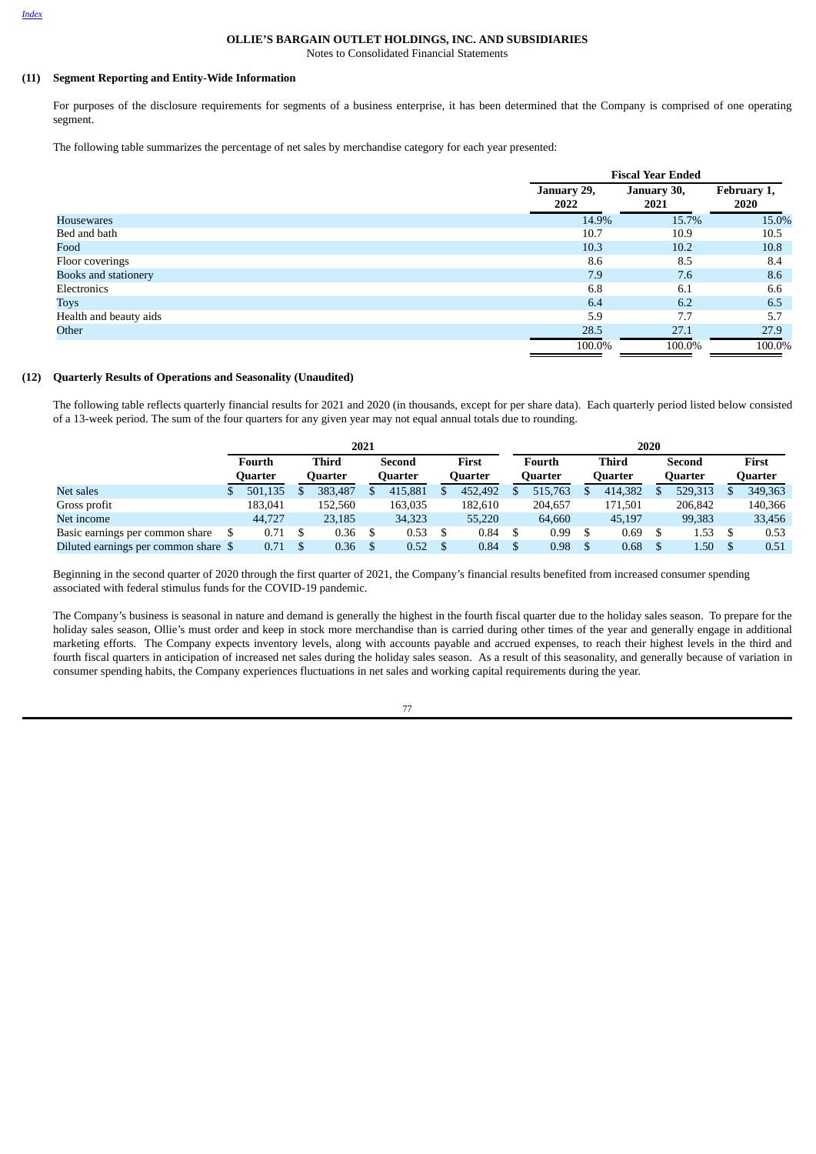Notes to Consolidated Financial Statements

# **(11) Segment Reporting and Entity-Wide Information**

For purposes of the disclosure requirements for segments of a business enterprise, it has been determined that the Company is comprised of one operating segment.

The following table summarizes the percentage of net sales by merchandise category for each year presented:

|                        | <b>Fiscal Year Ended</b> |                     |                     |  |  |
|------------------------|--------------------------|---------------------|---------------------|--|--|
|                        | January 29,<br>2022      | January 30,<br>2021 | February 1,<br>2020 |  |  |
| <b>Housewares</b>      | 14.9%                    | 15.7%               | 15.0%               |  |  |
| Bed and bath           | 10.7                     | 10.9                | 10.5                |  |  |
| Food                   | 10.3                     | 10.2                | 10.8                |  |  |
| Floor coverings        | 8.6                      | 8.5                 | 8.4                 |  |  |
| Books and stationery   | 7.9                      | 7.6                 | 8.6                 |  |  |
| Electronics            | 6.8                      | 6.1                 | 6.6                 |  |  |
| Toys                   | 6.4                      | 6.2                 | 6.5                 |  |  |
| Health and beauty aids | 5.9                      | 7.7                 | 5.7                 |  |  |
| Other                  | 28.5                     | 27.1                | 27.9                |  |  |
|                        | 100.0%                   | 100.0%              | 100.0%              |  |  |

# **(12) Quarterly Results of Operations and Seasonality (Unaudited)**

The following table reflects quarterly financial results for 2021 and 2020 (in thousands, except for per share data). Each quarterly period listed below consisted of a 13-week period. The sum of the four quarters for any given year may not equal annual totals due to rounding.

|                                      | 2021    |  |         |   |                | 2020    |  |         |  |                |  |                |  |         |
|--------------------------------------|---------|--|---------|---|----------------|---------|--|---------|--|----------------|--|----------------|--|---------|
|                                      | Fourth  |  | Third   |   | Second         | First   |  | Fourth  |  | <b>Third</b>   |  | Second         |  | First   |
|                                      | Ouarter |  | Ouarter |   | <b>Quarter</b> | Ouarter |  | Ouarter |  | <b>Quarter</b> |  | <b>Quarter</b> |  | Ouarter |
| Net sales                            | 501,135 |  | 383,487 |   | 415,881        | 452,492 |  | 515,763 |  | 414,382        |  | 529,313        |  | 349,363 |
| Gross profit                         | 183,041 |  | 152,560 |   | 163,035        | 182,610 |  | 204,657 |  | 171,501        |  | 206,842        |  | 140,366 |
| Net income                           | 44,727  |  | 23,185  |   | 34,323         | 55,220  |  | 64.660  |  | 45.197         |  | 99,383         |  | 33,456  |
| Basic earnings per common share      | 0.71    |  | 0.36    |   | 0.53           | 0.84    |  | 0.99    |  | 0.69           |  | 1.53           |  | 0.53    |
| Diluted earnings per common share \$ | 0.71    |  | 0.36    | S | 0.52           | 0.84    |  | 0.98    |  | 0.68           |  | 1.50           |  | 0.51    |

Beginning in the second quarter of 2020 through the first quarter of 2021, the Company's financial results benefited from increased consumer spending associated with federal stimulus funds for the COVID-19 pandemic.

The Company's business is seasonal in nature and demand is generally the highest in the fourth fiscal quarter due to the holiday sales season. To prepare for the holiday sales season, Ollie's must order and keep in stock more merchandise than is carried during other times of the year and generally engage in additional marketing efforts. The Company expects inventory levels, along with accounts payable and accrued expenses, to reach their highest levels in the third and fourth fiscal quarters in anticipation of increased net sales during the holiday sales season. As a result of this seasonality, and generally because of variation in consumer spending habits, the Company experiences fluctuations in net sales and working capital requirements during the year.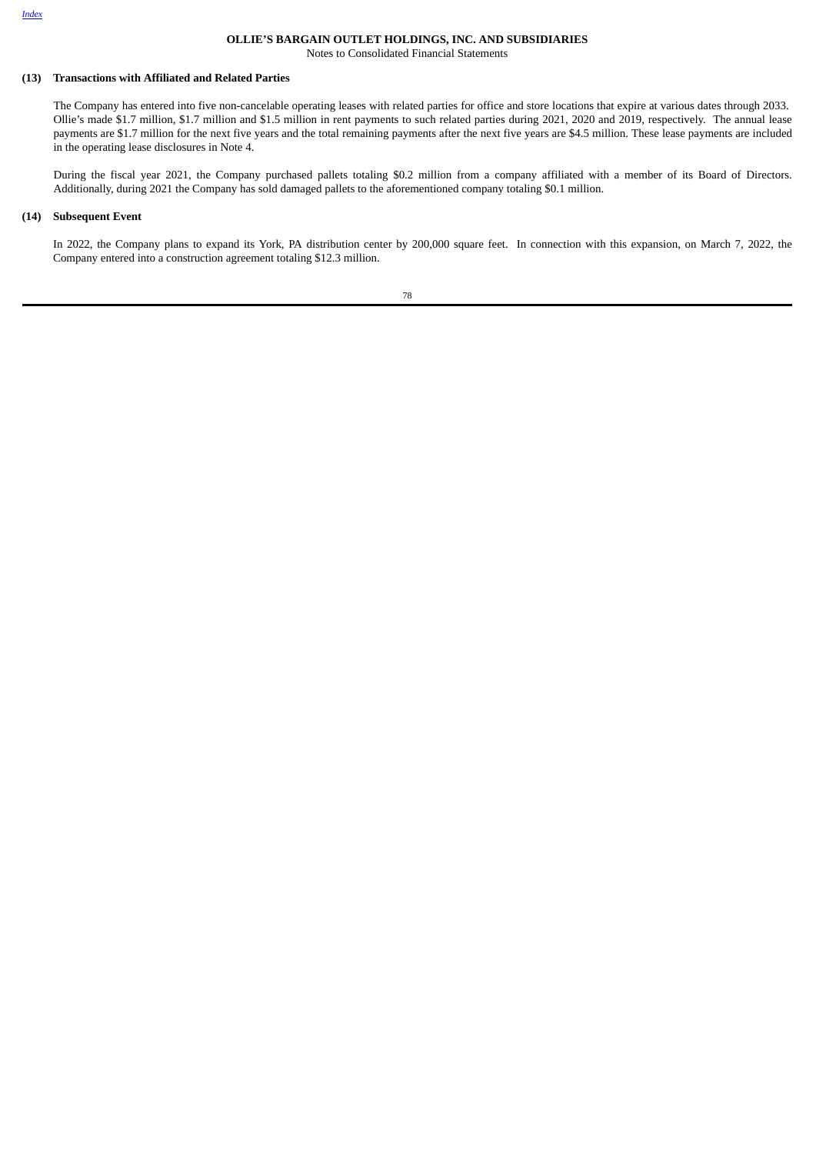Notes to Consolidated Financial Statements

# **(13) Transactions with Affiliated and Related Parties**

The Company has entered into five non-cancelable operating leases with related parties for office and store locations that expire at various dates through 2033. Ollie's made \$1.7 million, \$1.7 million and \$1.5 million in rent payments to such related parties during 2021, 2020 and 2019, respectively. The annual lease payments are \$1.7 million for the next five years and the total remaining payments after the next five years are \$4.5 million. These lease payments are included in the operating lease disclosures in Note 4.

During the fiscal year 2021, the Company purchased pallets totaling \$0.2 million from a company affiliated with a member of its Board of Directors. Additionally, during 2021 the Company has sold damaged pallets to the aforementioned company totaling \$0.1 million.

# **(14) Subsequent Event**

In 2022, the Company plans to expand its York, PA distribution center by 200,000 square feet. In connection with this expansion, on March 7, 2022, the Company entered into a construction agreement totaling \$12.3 million.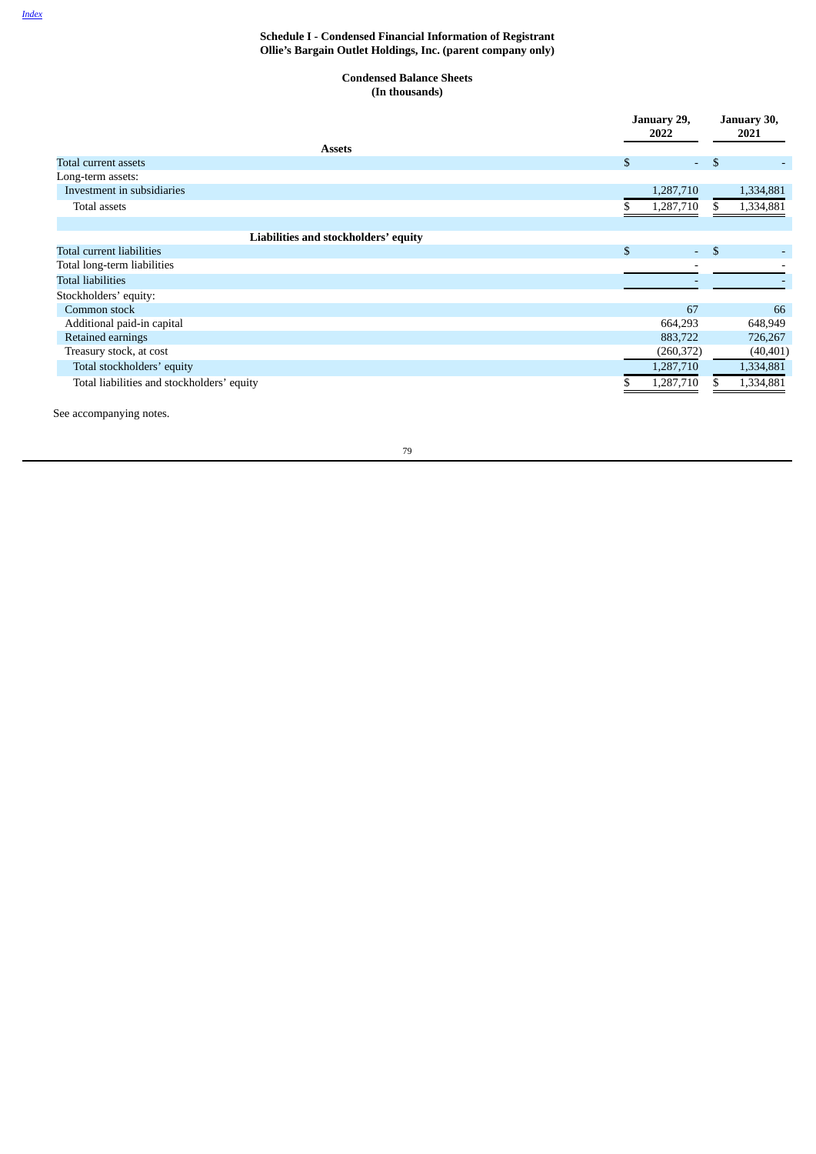# **Condensed Balance Sheets (In thousands)**

|                                            | January 29,<br>2022 |            | January 30,<br>2021 |           |
|--------------------------------------------|---------------------|------------|---------------------|-----------|
| <b>Assets</b>                              |                     |            |                     |           |
| Total current assets                       | \$                  | $\sim$     | \$                  |           |
| Long-term assets:                          |                     |            |                     |           |
| Investment in subsidiaries                 |                     | 1,287,710  |                     | 1,334,881 |
| Total assets                               |                     | 1,287,710  | S.                  | 1,334,881 |
|                                            |                     |            |                     |           |
| Liabilities and stockholders' equity       |                     |            |                     |           |
| Total current liabilities                  | \$                  | $\sim$     | \$                  |           |
| Total long-term liabilities                |                     |            |                     |           |
| <b>Total liabilities</b>                   |                     |            |                     |           |
| Stockholders' equity:                      |                     |            |                     |           |
| Common stock                               |                     | 67         |                     | 66        |
| Additional paid-in capital                 |                     | 664,293    |                     | 648,949   |
| Retained earnings                          |                     | 883,722    |                     | 726,267   |
| Treasury stock, at cost                    |                     | (260, 372) |                     | (40, 401) |
| Total stockholders' equity                 |                     | 1,287,710  |                     | 1,334,881 |
| Total liabilities and stockholders' equity |                     | 1,287,710  | S.                  | 1,334,881 |

See accompanying notes.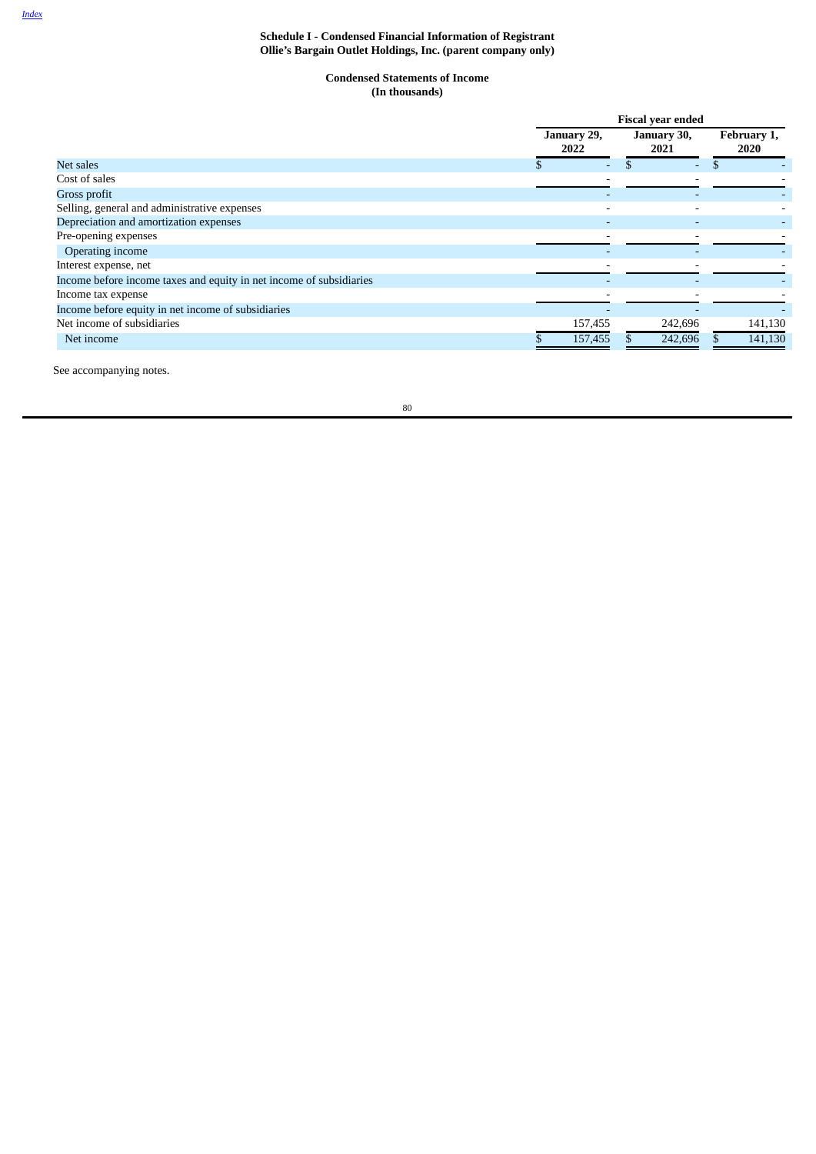#### **Schedule I - Condensed Financial Information of Registrant Ollie's Bargain Outlet Holdings, Inc. (parent company only)**

# **Condensed Statements of Income (In thousands)**

|                                                                     | <b>Fiscal year ended</b> |                                                      |                     |  |  |
|---------------------------------------------------------------------|--------------------------|------------------------------------------------------|---------------------|--|--|
|                                                                     | January 29,<br>2022      | January 30,<br>2021                                  | February 1,<br>2020 |  |  |
| Net sales                                                           |                          | S<br>٠                                               | \$.<br>٠.           |  |  |
| Cost of sales                                                       |                          |                                                      |                     |  |  |
| Gross profit                                                        |                          |                                                      |                     |  |  |
| Selling, general and administrative expenses                        |                          | $\overline{\phantom{0}}$                             |                     |  |  |
| Depreciation and amortization expenses                              |                          | $\overline{\phantom{0}}$<br>$\overline{\phantom{0}}$ |                     |  |  |
| Pre-opening expenses                                                |                          |                                                      |                     |  |  |
| Operating income                                                    |                          |                                                      |                     |  |  |
| Interest expense, net                                               |                          |                                                      |                     |  |  |
| Income before income taxes and equity in net income of subsidiaries |                          |                                                      |                     |  |  |
| Income tax expense                                                  |                          |                                                      |                     |  |  |
| Income before equity in net income of subsidiaries                  |                          |                                                      |                     |  |  |
| Net income of subsidiaries                                          | 157,455                  | 242,696                                              | 141,130             |  |  |
| Net income                                                          | 157,455                  | 242,696                                              | 141,130             |  |  |

See accompanying notes.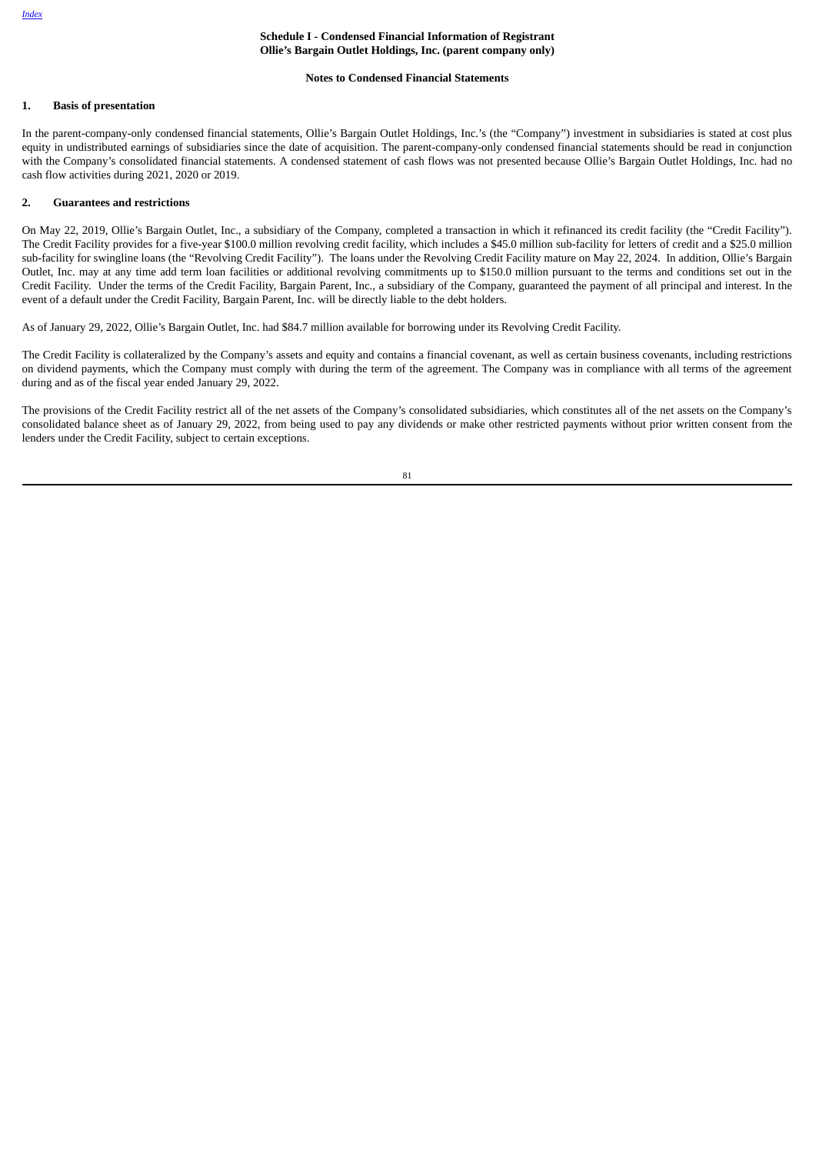### **Schedule I - Condensed Financial Information of Registrant Ollie's Bargain Outlet Holdings, Inc. (parent company only)**

### **Notes to Condensed Financial Statements**

### **1. Basis of presentation**

In the parent-company-only condensed financial statements, Ollie's Bargain Outlet Holdings, Inc.'s (the "Company") investment in subsidiaries is stated at cost plus equity in undistributed earnings of subsidiaries since the date of acquisition. The parent-company-only condensed financial statements should be read in conjunction with the Company's consolidated financial statements. A condensed statement of cash flows was not presented because Ollie's Bargain Outlet Holdings, Inc. had no cash flow activities during 2021, 2020 or 2019.

### **2. Guarantees and restrictions**

On May 22, 2019, Ollie's Bargain Outlet, Inc., a subsidiary of the Company, completed a transaction in which it refinanced its credit facility (the "Credit Facility"). The Credit Facility provides for a five-year \$100.0 million revolving credit facility, which includes a \$45.0 million sub-facility for letters of credit and a \$25.0 million sub-facility for swingline loans (the "Revolving Credit Facility"). The loans under the Revolving Credit Facility mature on May 22, 2024. In addition, Ollie's Bargain Outlet, Inc. may at any time add term loan facilities or additional revolving commitments up to \$150.0 million pursuant to the terms and conditions set out in the Credit Facility. Under the terms of the Credit Facility, Bargain Parent, Inc., a subsidiary of the Company, guaranteed the payment of all principal and interest. In the event of a default under the Credit Facility, Bargain Parent, Inc. will be directly liable to the debt holders.

As of January 29, 2022, Ollie's Bargain Outlet, Inc. had \$84.7 million available for borrowing under its Revolving Credit Facility.

The Credit Facility is collateralized by the Company's assets and equity and contains a financial covenant, as well as certain business covenants, including restrictions on dividend payments, which the Company must comply with during the term of the agreement. The Company was in compliance with all terms of the agreement during and as of the fiscal year ended January 29, 2022.

The provisions of the Credit Facility restrict all of the net assets of the Company's consolidated subsidiaries, which constitutes all of the net assets on the Company's consolidated balance sheet as of January 29, 2022, from being used to pay any dividends or make other restricted payments without prior written consent from the lenders under the Credit Facility, subject to certain exceptions.

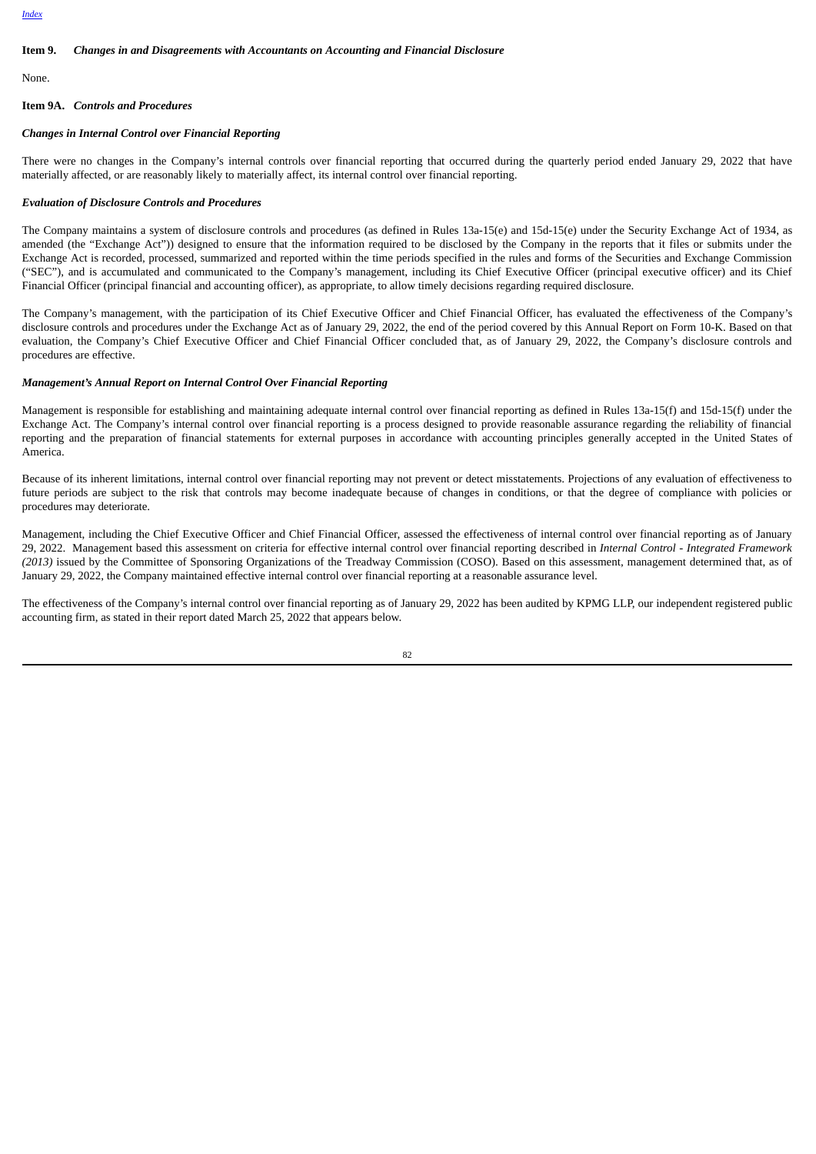#### **Item 9.** *Changes in and Disagreements with Accountants on Accounting and Financial Disclosure*

None.

## **Item 9A.** *Controls and Procedures*

# *Changes in Internal Control over Financial Reporting*

There were no changes in the Company's internal controls over financial reporting that occurred during the quarterly period ended January 29, 2022 that have materially affected, or are reasonably likely to materially affect, its internal control over financial reporting.

#### *Evaluation of Disclosure Controls and Procedures*

The Company maintains a system of disclosure controls and procedures (as defined in Rules 13a-15(e) and 15d-15(e) under the Security Exchange Act of 1934, as amended (the "Exchange Act")) designed to ensure that the information required to be disclosed by the Company in the reports that it files or submits under the Exchange Act is recorded, processed, summarized and reported within the time periods specified in the rules and forms of the Securities and Exchange Commission ("SEC"), and is accumulated and communicated to the Company's management, including its Chief Executive Officer (principal executive officer) and its Chief Financial Officer (principal financial and accounting officer), as appropriate, to allow timely decisions regarding required disclosure.

The Company's management, with the participation of its Chief Executive Officer and Chief Financial Officer, has evaluated the effectiveness of the Company's disclosure controls and procedures under the Exchange Act as of January 29, 2022, the end of the period covered by this Annual Report on Form 10-K. Based on that evaluation, the Company's Chief Executive Officer and Chief Financial Officer concluded that, as of January 29, 2022, the Company's disclosure controls and procedures are effective.

#### *Management's Annual Report on Internal Control Over Financial Reporting*

Management is responsible for establishing and maintaining adequate internal control over financial reporting as defined in Rules 13a-15(f) and 15d-15(f) under the Exchange Act. The Company's internal control over financial reporting is a process designed to provide reasonable assurance regarding the reliability of financial reporting and the preparation of financial statements for external purposes in accordance with accounting principles generally accepted in the United States of America.

Because of its inherent limitations, internal control over financial reporting may not prevent or detect misstatements. Projections of any evaluation of effectiveness to future periods are subject to the risk that controls may become inadequate because of changes in conditions, or that the degree of compliance with policies or procedures may deteriorate.

Management, including the Chief Executive Officer and Chief Financial Officer, assessed the effectiveness of internal control over financial reporting as of January 29, 2022. Management based this assessment on criteria for effective internal control over financial reporting described in *Internal Control - Integrated Framework (2013)* issued by the Committee of Sponsoring Organizations of the Treadway Commission (COSO). Based on this assessment, management determined that, as of January 29, 2022, the Company maintained effective internal control over financial reporting at a reasonable assurance level.

The effectiveness of the Company's internal control over financial reporting as of January 29, 2022 has been audited by KPMG LLP, our independent registered public accounting firm, as stated in their report dated March 25, 2022 that appears below.

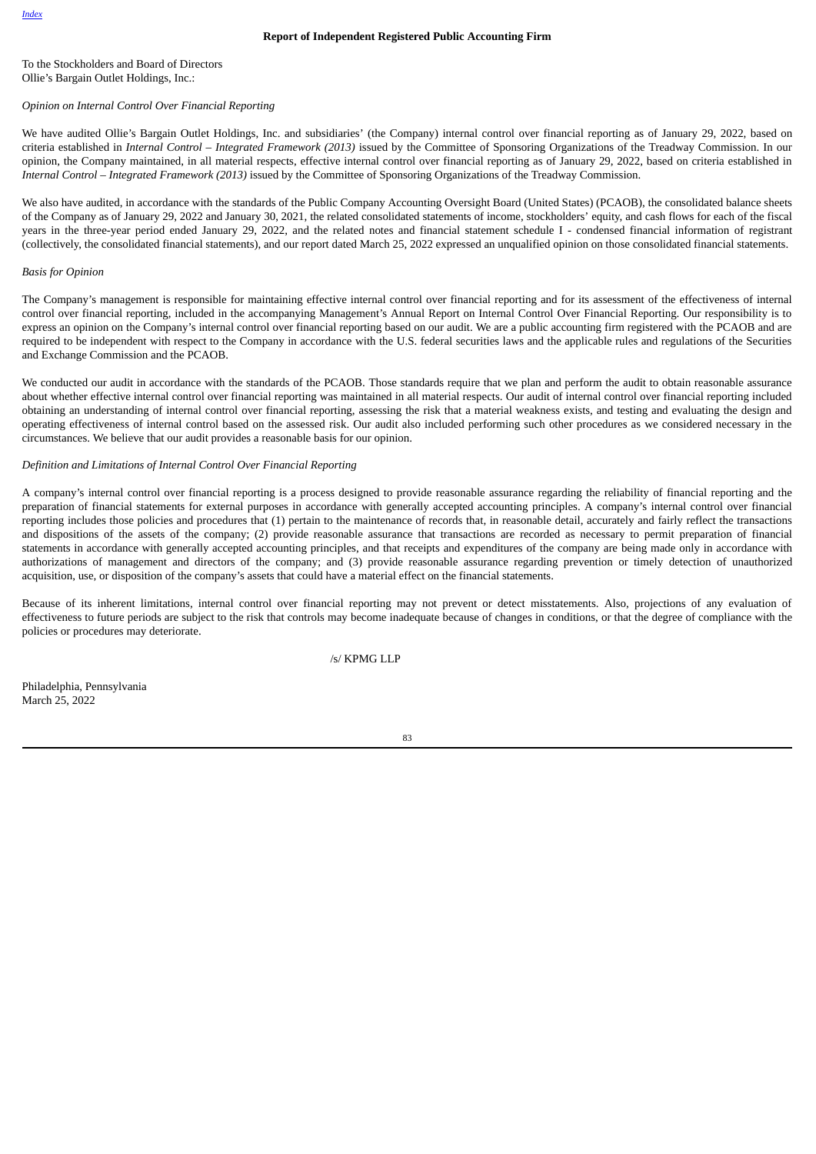#### **Report of Independent Registered Public Accounting Firm**

To the Stockholders and Board of Directors Ollie's Bargain Outlet Holdings, Inc.:

#### *Opinion on Internal Control Over Financial Reporting*

We have audited Ollie's Bargain Outlet Holdings, Inc. and subsidiaries' (the Company) internal control over financial reporting as of January 29, 2022, based on criteria established in *Internal Control – Integrated Framework (2013)* issued by the Committee of Sponsoring Organizations of the Treadway Commission. In our opinion, the Company maintained, in all material respects, effective internal control over financial reporting as of January 29, 2022, based on criteria established in *Internal Control – Integrated Framework (2013)* issued by the Committee of Sponsoring Organizations of the Treadway Commission.

We also have audited, in accordance with the standards of the Public Company Accounting Oversight Board (United States) (PCAOB), the consolidated balance sheets of the Company as of January 29, 2022 and January 30, 2021, the related consolidated statements of income, stockholders' equity, and cash flows for each of the fiscal years in the three-year period ended January 29, 2022, and the related notes and financial statement schedule I - condensed financial information of registrant (collectively, the consolidated financial statements), and our report dated March 25, 2022 expressed an unqualified opinion on those consolidated financial statements.

#### *Basis for Opinion*

The Company's management is responsible for maintaining effective internal control over financial reporting and for its assessment of the effectiveness of internal control over financial reporting, included in the accompanying Management's Annual Report on Internal Control Over Financial Reporting. Our responsibility is to express an opinion on the Company's internal control over financial reporting based on our audit. We are a public accounting firm registered with the PCAOB and are required to be independent with respect to the Company in accordance with the U.S. federal securities laws and the applicable rules and regulations of the Securities and Exchange Commission and the PCAOB.

We conducted our audit in accordance with the standards of the PCAOB. Those standards require that we plan and perform the audit to obtain reasonable assurance about whether effective internal control over financial reporting was maintained in all material respects. Our audit of internal control over financial reporting included obtaining an understanding of internal control over financial reporting, assessing the risk that a material weakness exists, and testing and evaluating the design and operating effectiveness of internal control based on the assessed risk. Our audit also included performing such other procedures as we considered necessary in the circumstances. We believe that our audit provides a reasonable basis for our opinion.

### *Definition and Limitations of Internal Control Over Financial Reporting*

A company's internal control over financial reporting is a process designed to provide reasonable assurance regarding the reliability of financial reporting and the preparation of financial statements for external purposes in accordance with generally accepted accounting principles. A company's internal control over financial reporting includes those policies and procedures that (1) pertain to the maintenance of records that, in reasonable detail, accurately and fairly reflect the transactions and dispositions of the assets of the company; (2) provide reasonable assurance that transactions are recorded as necessary to permit preparation of financial statements in accordance with generally accepted accounting principles, and that receipts and expenditures of the company are being made only in accordance with authorizations of management and directors of the company; and (3) provide reasonable assurance regarding prevention or timely detection of unauthorized acquisition, use, or disposition of the company's assets that could have a material effect on the financial statements.

Because of its inherent limitations, internal control over financial reporting may not prevent or detect misstatements. Also, projections of any evaluation of effectiveness to future periods are subject to the risk that controls may become inadequate because of changes in conditions, or that the degree of compliance with the policies or procedures may deteriorate.

## /s/ KPMG LLP

Philadelphia, Pennsylvania March 25, 2022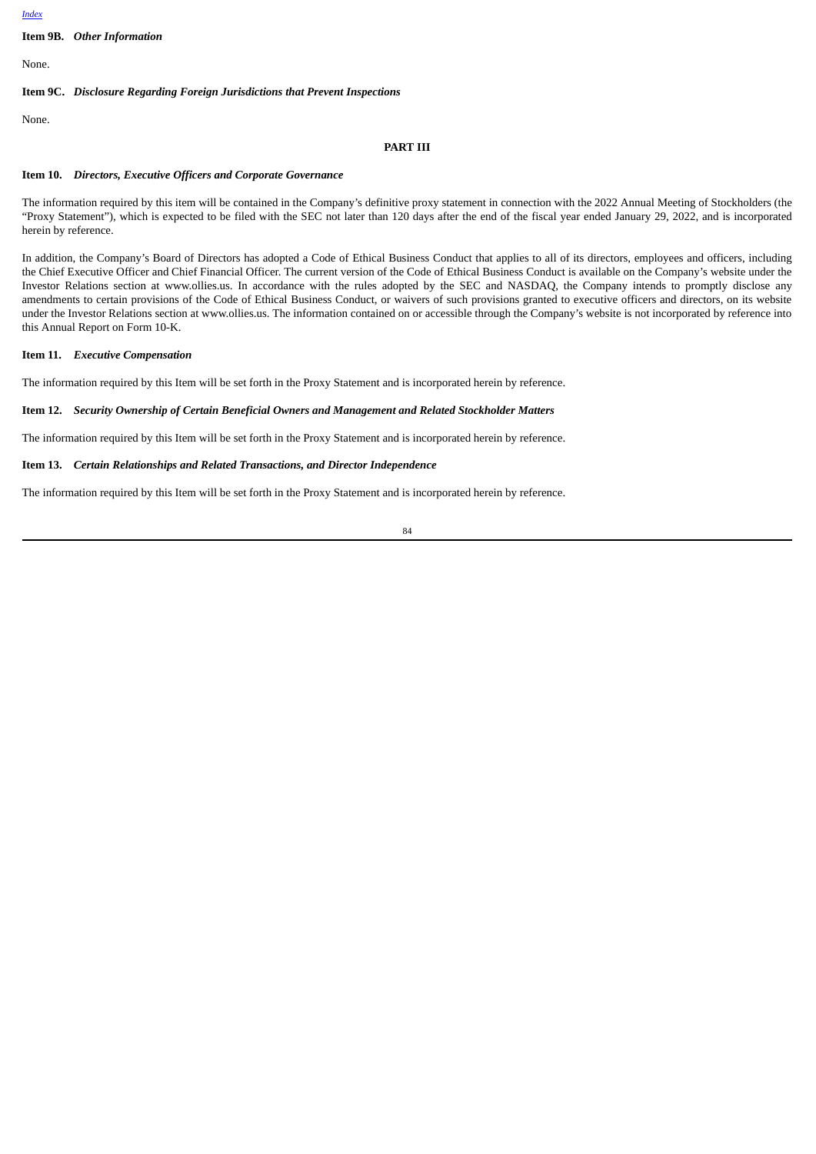### **Item 9B.** *Other Information*

None.

#### **Item 9C.** *Disclosure Regarding Foreign Jurisdictions that Prevent Inspections*

None.

# **PART III**

### **Item 10.** *Directors, Executive Officers and Corporate Governance*

The information required by this item will be contained in the Company's definitive proxy statement in connection with the 2022 Annual Meeting of Stockholders (the "Proxy Statement"), which is expected to be filed with the SEC not later than 120 days after the end of the fiscal year ended January 29, 2022, and is incorporated herein by reference.

In addition, the Company's Board of Directors has adopted a Code of Ethical Business Conduct that applies to all of its directors, employees and officers, including the Chief Executive Officer and Chief Financial Officer. The current version of the Code of Ethical Business Conduct is available on the Company's website under the Investor Relations section at www.ollies.us. In accordance with the rules adopted by the SEC and NASDAQ, the Company intends to promptly disclose any amendments to certain provisions of the Code of Ethical Business Conduct, or waivers of such provisions granted to executive officers and directors, on its website under the Investor Relations section at www.ollies.us. The information contained on or accessible through the Company's website is not incorporated by reference into this Annual Report on Form 10-K.

#### **Item 11.** *Executive Compensation*

The information required by this Item will be set forth in the Proxy Statement and is incorporated herein by reference.

#### **Item 12.** *Security Ownership of Certain Beneficial Owners and Management and Related Stockholder Matters*

The information required by this Item will be set forth in the Proxy Statement and is incorporated herein by reference.

### **Item 13.** *Certain Relationships and Related Transactions, and Director Independence*

The information required by this Item will be set forth in the Proxy Statement and is incorporated herein by reference.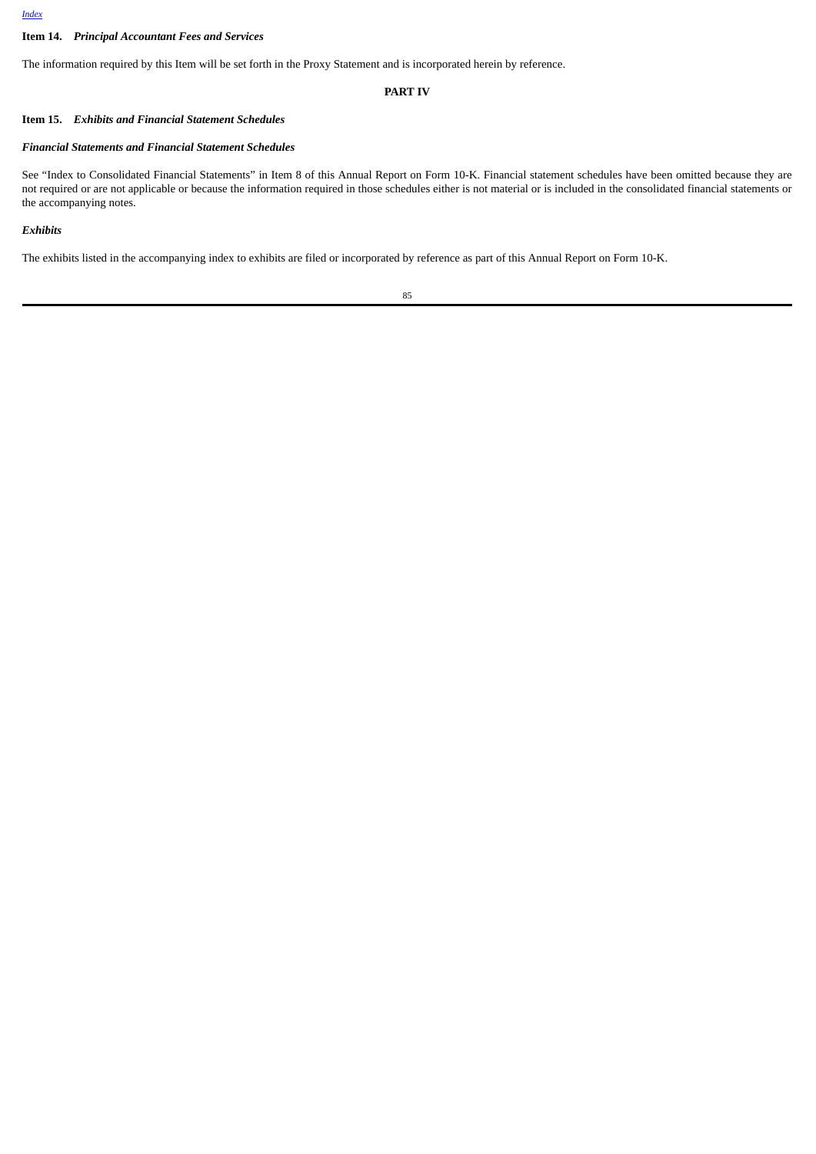# **Item 14.** *Principal Accountant Fees and Services*

The information required by this Item will be set forth in the Proxy Statement and is incorporated herein by reference.

### **PART IV**

### **Item 15.** *Exhibits and Financial Statement Schedules*

# *Financial Statements and Financial Statement Schedules*

See "Index to Consolidated Financial Statements" in Item 8 of this Annual Report on Form 10-K. Financial statement schedules have been omitted because they are not required or are not applicable or because the information required in those schedules either is not material or is included in the consolidated financial statements or the accompanying notes.

### *Exhibits*

The exhibits listed in the accompanying index to exhibits are filed or incorporated by reference as part of this Annual Report on Form 10-K.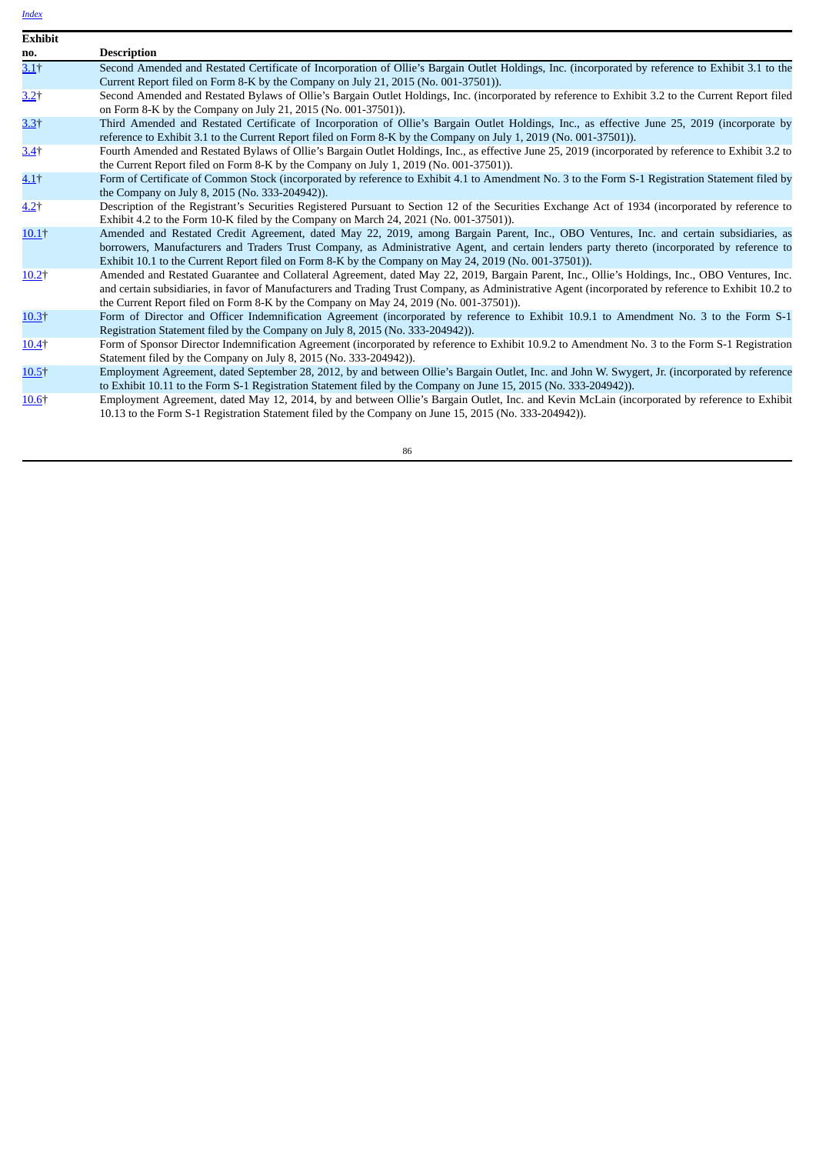| <b>Exhibit</b>     |                                                                                                                                                                                                                                                                                                                                                                                                 |
|--------------------|-------------------------------------------------------------------------------------------------------------------------------------------------------------------------------------------------------------------------------------------------------------------------------------------------------------------------------------------------------------------------------------------------|
| no.                | <b>Description</b>                                                                                                                                                                                                                                                                                                                                                                              |
| $3.1 +$            | Second Amended and Restated Certificate of Incorporation of Ollie's Bargain Outlet Holdings, Inc. (incorporated by reference to Exhibit 3.1 to the<br>Current Report filed on Form 8-K by the Company on July 21, 2015 (No. 001-37501)).                                                                                                                                                        |
| $3.2+$             | Second Amended and Restated Bylaws of Ollie's Bargain Outlet Holdings, Inc. (incorporated by reference to Exhibit 3.2 to the Current Report filed<br>on Form 8-K by the Company on July 21, 2015 (No. 001-37501)).                                                                                                                                                                              |
| $3.3+$             | Third Amended and Restated Certificate of Incorporation of Ollie's Bargain Outlet Holdings, Inc., as effective June 25, 2019 (incorporate by<br>reference to Exhibit 3.1 to the Current Report filed on Form 8-K by the Company on July 1, 2019 (No. 001-37501)).                                                                                                                               |
| $3.4$ <sup>+</sup> | Fourth Amended and Restated Bylaws of Ollie's Bargain Outlet Holdings, Inc., as effective June 25, 2019 (incorporated by reference to Exhibit 3.2 to<br>the Current Report filed on Form 8-K by the Company on July 1, 2019 (No. 001-37501)).                                                                                                                                                   |
| $4.1$ †            | Form of Certificate of Common Stock (incorporated by reference to Exhibit 4.1 to Amendment No. 3 to the Form S-1 Registration Statement filed by<br>the Company on July 8, 2015 (No. 333-204942)).                                                                                                                                                                                              |
| $4.2$ <sup>+</sup> | Description of the Registrant's Securities Registered Pursuant to Section 12 of the Securities Exchange Act of 1934 (incorporated by reference to<br>Exhibit 4.2 to the Form 10-K filed by the Company on March 24, 2021 (No. 001-37501)).                                                                                                                                                      |
| 10.1 <sup>†</sup>  | Amended and Restated Credit Agreement, dated May 22, 2019, among Bargain Parent, Inc., OBO Ventures, Inc. and certain subsidiaries, as<br>borrowers, Manufacturers and Traders Trust Company, as Administrative Agent, and certain lenders party thereto (incorporated by reference to<br>Exhibit 10.1 to the Current Report filed on Form 8-K by the Company on May 24, 2019 (No. 001-37501)). |
| $10.2+$            | Amended and Restated Guarantee and Collateral Agreement, dated May 22, 2019, Bargain Parent, Inc., Ollie's Holdings, Inc., OBO Ventures, Inc.<br>and certain subsidiaries, in favor of Manufacturers and Trading Trust Company, as Administrative Agent (incorporated by reference to Exhibit 10.2 to<br>the Current Report filed on Form 8-K by the Company on May 24, 2019 (No. 001-37501)).  |
| 10.3 <sup>†</sup>  | Form of Director and Officer Indemnification Agreement (incorporated by reference to Exhibit 10.9.1 to Amendment No. 3 to the Form S-1<br>Registration Statement filed by the Company on July 8, 2015 (No. 333-204942)).                                                                                                                                                                        |
| $10.4+$            | Form of Sponsor Director Indemnification Agreement (incorporated by reference to Exhibit 10.9.2 to Amendment No. 3 to the Form S-1 Registration<br>Statement filed by the Company on July 8, 2015 (No. 333-204942)).                                                                                                                                                                            |
| $10.5+$            | Employment Agreement, dated September 28, 2012, by and between Ollie's Bargain Outlet, Inc. and John W. Swygert, Jr. (incorporated by reference<br>to Exhibit 10.11 to the Form S-1 Registration Statement filed by the Company on June 15, 2015 (No. 333-204942)).                                                                                                                             |
| 10.6+              | Employment Agreement, dated May 12, 2014, by and between Ollie's Bargain Outlet, Inc. and Kevin McLain (incorporated by reference to Exhibit<br>10.13 to the Form S-1 Registration Statement filed by the Company on June 15, 2015 (No. 333-204942)).                                                                                                                                           |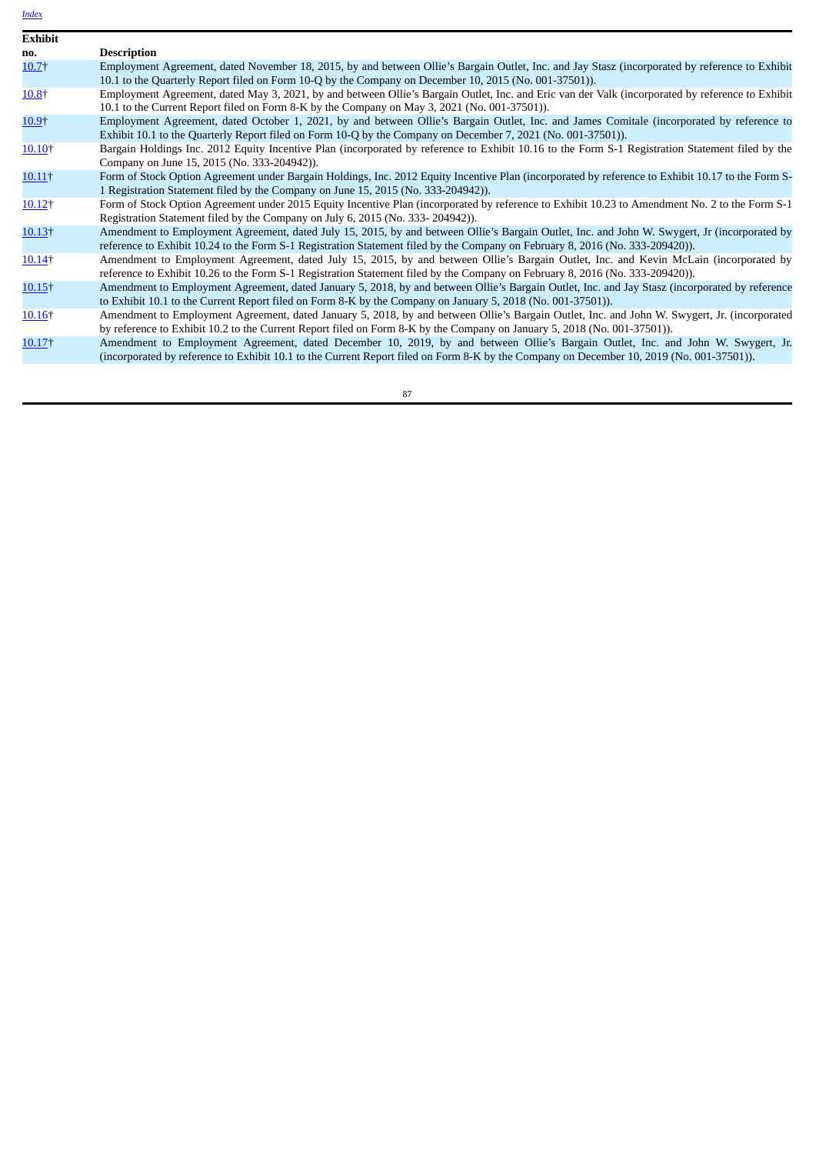| <b>Exhibit</b>       |                                                                                                                                                   |
|----------------------|---------------------------------------------------------------------------------------------------------------------------------------------------|
| no.                  | <b>Description</b>                                                                                                                                |
| $10.7+$              | Employment Agreement, dated November 18, 2015, by and between Ollie's Bargain Outlet, Inc. and Jay Stasz (incorporated by reference to Exhibit    |
|                      | 10.1 to the Quarterly Report filed on Form 10-Q by the Company on December 10, 2015 (No. 001-37501)).                                             |
| $10.8$ <sup>†</sup>  | Employment Agreement, dated May 3, 2021, by and between Ollie's Bargain Outlet, Inc. and Eric van der Valk (incorporated by reference to Exhibit  |
|                      | 10.1 to the Current Report filed on Form 8-K by the Company on May 3, 2021 (No. 001-37501)).                                                      |
| $10.9+$              | Employment Agreement, dated October 1, 2021, by and between Ollie's Bargain Outlet, Inc. and James Comitale (incorporated by reference to         |
|                      | Exhibit 10.1 to the Quarterly Report filed on Form 10-Q by the Company on December 7, 2021 (No. 001-37501)).                                      |
| 10.10 <sup>+</sup>   | Bargain Holdings Inc. 2012 Equity Incentive Plan (incorporated by reference to Exhibit 10.16 to the Form S-1 Registration Statement filed by the  |
|                      | Company on June 15, 2015 (No. 333-204942)).                                                                                                       |
| $10.11$ <sup>+</sup> | Form of Stock Option Agreement under Bargain Holdings, Inc. 2012 Equity Incentive Plan (incorporated by reference to Exhibit 10.17 to the Form S- |
|                      | 1 Registration Statement filed by the Company on June 15, 2015 (No. 333-204942)).                                                                 |
| $10.12$ <sup>+</sup> | Form of Stock Option Agreement under 2015 Equity Incentive Plan (incorporated by reference to Exhibit 10.23 to Amendment No. 2 to the Form S-1    |
|                      | Registration Statement filed by the Company on July 6, 2015 (No. 333-204942)).                                                                    |
| $10.13$ <sup>+</sup> | Amendment to Employment Agreement, dated July 15, 2015, by and between Ollie's Bargain Outlet, Inc. and John W. Swygert, Jr (incorporated by      |
|                      | reference to Exhibit 10.24 to the Form S-1 Registration Statement filed by the Company on February 8, 2016 (No. 333-209420)).                     |
| $10.14$ <sup>+</sup> | Amendment to Employment Agreement, dated July 15, 2015, by and between Ollie's Bargain Outlet, Inc. and Kevin McLain (incorporated by             |
|                      | reference to Exhibit 10.26 to the Form S-1 Registration Statement filed by the Company on February 8, 2016 (No. 333-209420)).                     |
| $10.15$ <sup>+</sup> | Amendment to Employment Agreement, dated January 5, 2018, by and between Ollie's Bargain Outlet, Inc. and Jay Stasz (incorporated by reference    |
|                      | to Exhibit 10.1 to the Current Report filed on Form 8-K by the Company on January 5, 2018 (No. 001-37501)).                                       |
| 10.16+               | Amendment to Employment Agreement, dated January 5, 2018, by and between Ollie's Bargain Outlet, Inc. and John W. Swygert, Jr. (incorporated      |
|                      | by reference to Exhibit 10.2 to the Current Report filed on Form 8-K by the Company on January 5, 2018 (No. 001-37501)).                          |
| 10.17 <sup>+</sup>   | Amendment to Employment Agreement, dated December 10, 2019, by and between Ollie's Bargain Outlet, Inc. and John W. Swygert, Jr.                  |
|                      | (incorporated by reference to Exhibit 10.1 to the Current Report filed on Form 8-K by the Company on December 10, 2019 (No. 001-37501)).          |
|                      |                                                                                                                                                   |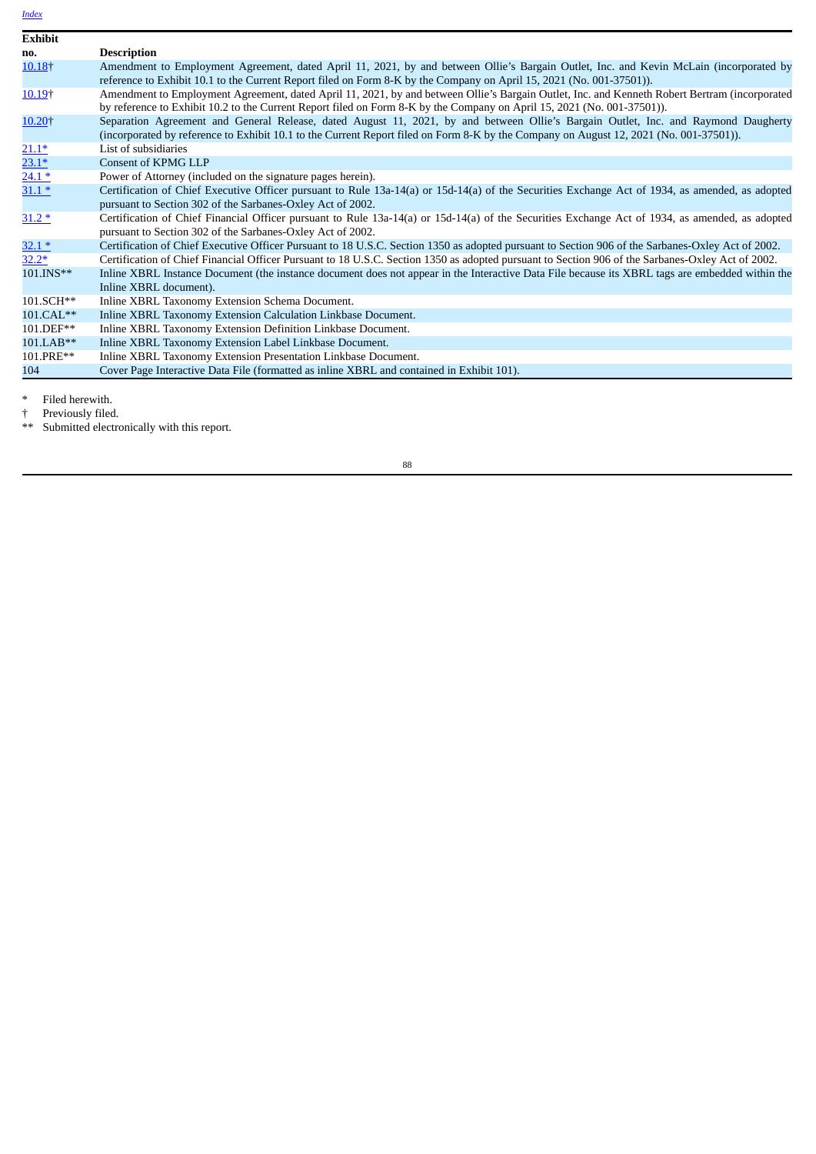| <b>Exhibit</b>       |                                                                                                                                                                                                                                                                              |
|----------------------|------------------------------------------------------------------------------------------------------------------------------------------------------------------------------------------------------------------------------------------------------------------------------|
| no.                  | <b>Description</b>                                                                                                                                                                                                                                                           |
| $10.18$ <sup>+</sup> | Amendment to Employment Agreement, dated April 11, 2021, by and between Ollie's Bargain Outlet, Inc. and Kevin McLain (incorporated by<br>reference to Exhibit 10.1 to the Current Report filed on Form 8-K by the Company on April 15, 2021 (No. 001-37501)).               |
| $10.19$ <sup>+</sup> | Amendment to Employment Agreement, dated April 11, 2021, by and between Ollie's Bargain Outlet, Inc. and Kenneth Robert Bertram (incorporated<br>by reference to Exhibit 10.2 to the Current Report filed on Form 8-K by the Company on April 15, 2021 (No. 001-37501)).     |
| $10.20$ <sup>+</sup> | Separation Agreement and General Release, dated August 11, 2021, by and between Ollie's Bargain Outlet, Inc. and Raymond Daugherty<br>(incorporated by reference to Exhibit 10.1 to the Current Report filed on Form 8-K by the Company on August 12, 2021 (No. 001-37501)). |
| $21.1*$              | List of subsidiaries                                                                                                                                                                                                                                                         |
| $23.1*$              | Consent of KPMG LLP                                                                                                                                                                                                                                                          |
| $24.1*$              | Power of Attorney (included on the signature pages herein).                                                                                                                                                                                                                  |
| $31.1*$              | Certification of Chief Executive Officer pursuant to Rule 13a-14(a) or 15d-14(a) of the Securities Exchange Act of 1934, as amended, as adopted<br>pursuant to Section 302 of the Sarbanes-Oxley Act of 2002.                                                                |
| $31.2*$              | Certification of Chief Financial Officer pursuant to Rule 13a-14(a) or 15d-14(a) of the Securities Exchange Act of 1934, as amended, as adopted<br>pursuant to Section 302 of the Sarbanes-Oxley Act of 2002.                                                                |
| $32.1*$              | Certification of Chief Executive Officer Pursuant to 18 U.S.C. Section 1350 as adopted pursuant to Section 906 of the Sarbanes-Oxley Act of 2002.                                                                                                                            |
| $32.2*$              | Certification of Chief Financial Officer Pursuant to 18 U.S.C. Section 1350 as adopted pursuant to Section 906 of the Sarbanes-Oxley Act of 2002.                                                                                                                            |
| 101.INS**            | Inline XBRL Instance Document (the instance document does not appear in the Interactive Data File because its XBRL tags are embedded within the<br>Inline XBRL document).                                                                                                    |
| 101.SCH**            | Inline XBRL Taxonomy Extension Schema Document.                                                                                                                                                                                                                              |
| 101.CAL**            | Inline XBRL Taxonomy Extension Calculation Linkbase Document.                                                                                                                                                                                                                |
| 101.DEF**            | Inline XBRL Taxonomy Extension Definition Linkbase Document.                                                                                                                                                                                                                 |
| $101.LAB**$          | Inline XBRL Taxonomy Extension Label Linkbase Document.                                                                                                                                                                                                                      |
| 101.PRE**            | Inline XBRL Taxonomy Extension Presentation Linkbase Document.                                                                                                                                                                                                               |
| 104                  | Cover Page Interactive Data File (formatted as inline XBRL and contained in Exhibit 101).                                                                                                                                                                                    |

\* Filed herewith.

† Previously filed.

\*\* Submitted electronically with this report.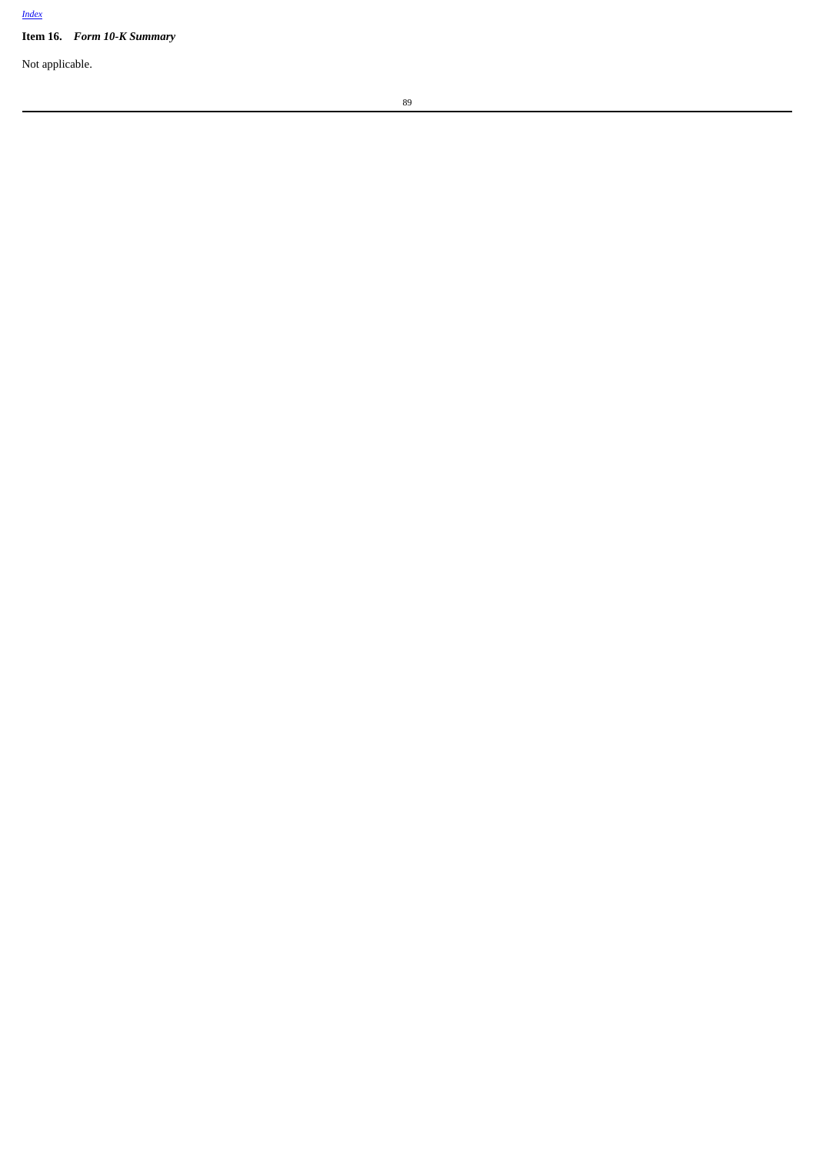# **Item 16.** *Form 10-K Summary*

Not applicable.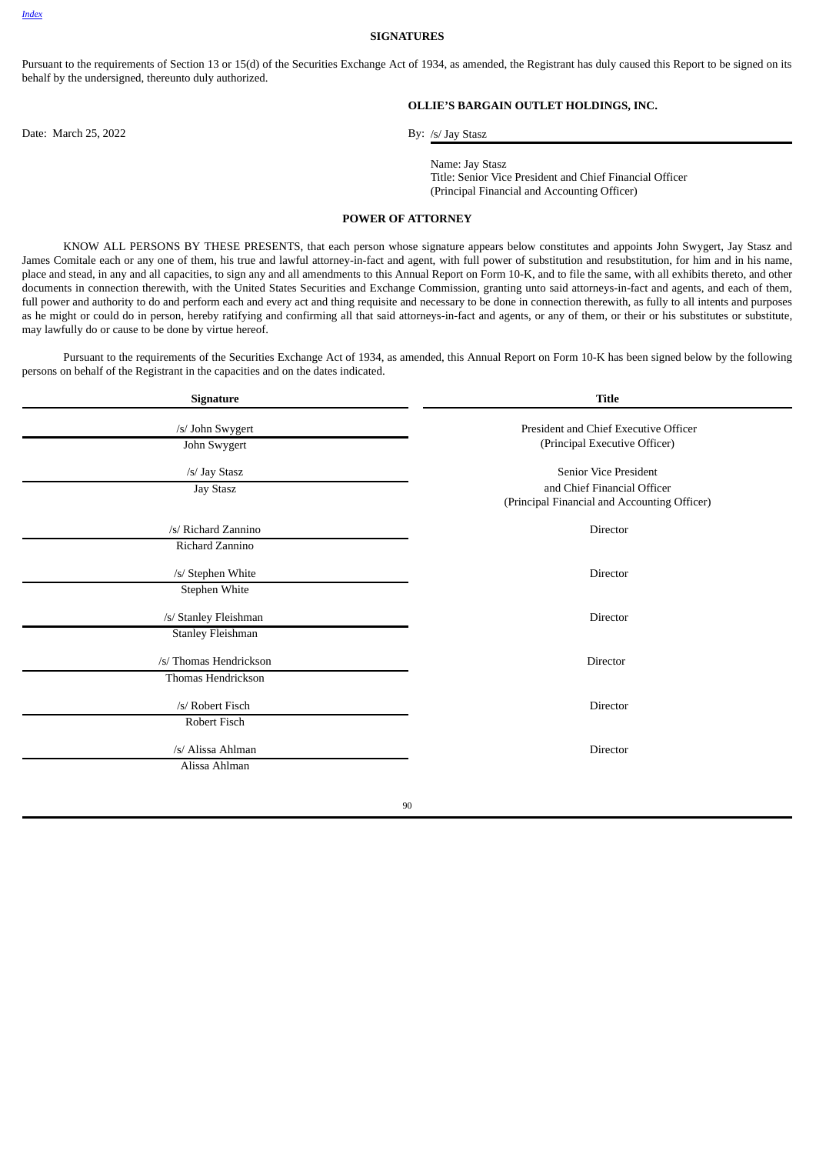#### **SIGNATURES**

Pursuant to the requirements of Section 13 or 15(d) of the Securities Exchange Act of 1934, as amended, the Registrant has duly caused this Report to be signed on its behalf by the undersigned, thereunto duly authorized.

Date: March 25, 2022 By: /s/ Jay Stasz

### **OLLIE'S BARGAIN OUTLET HOLDINGS, INC.**

Name: Jay Stasz Title: Senior Vice President and Chief Financial Officer (Principal Financial and Accounting Officer)

### **POWER OF ATTORNEY**

<span id="page-93-0"></span>KNOW ALL PERSONS BY THESE PRESENTS, that each person whose signature appears below constitutes and appoints John Swygert, Jay Stasz and James Comitale each or any one of them, his true and lawful attorney-in-fact and agent, with full power of substitution and resubstitution, for him and in his name, place and stead, in any and all capacities, to sign any and all amendments to this Annual Report on Form 10-K, and to file the same, with all exhibits thereto, and other documents in connection therewith, with the United States Securities and Exchange Commission, granting unto said attorneys-in-fact and agents, and each of them, full power and authority to do and perform each and every act and thing requisite and necessary to be done in connection therewith, as fully to all intents and purposes as he might or could do in person, hereby ratifying and confirming all that said attorneys-in-fact and agents, or any of them, or their or his substitutes or substitute, may lawfully do or cause to be done by virtue hereof.

Pursuant to the requirements of the Securities Exchange Act of 1934, as amended, this Annual Report on Form 10-K has been signed below by the following persons on behalf of the Registrant in the capacities and on the dates indicated.

| <b>Signature</b>           | <b>Title</b>                                                                                         |
|----------------------------|------------------------------------------------------------------------------------------------------|
| /s/ John Swygert           | President and Chief Executive Officer                                                                |
| John Swygert               | (Principal Executive Officer)                                                                        |
| /s/ Jay Stasz<br>Jay Stasz | Senior Vice President<br>and Chief Financial Officer<br>(Principal Financial and Accounting Officer) |
| /s/ Richard Zannino        | Director                                                                                             |
| Richard Zannino            |                                                                                                      |
| /s/ Stephen White          | Director                                                                                             |
| Stephen White              |                                                                                                      |
| /s/ Stanley Fleishman      | Director                                                                                             |
| Stanley Fleishman          |                                                                                                      |
| /s/ Thomas Hendrickson     | Director                                                                                             |
| Thomas Hendrickson         |                                                                                                      |
| /s/ Robert Fisch           | Director                                                                                             |
| Robert Fisch               |                                                                                                      |
| /s/ Alissa Ahlman          | Director                                                                                             |
| Alissa Ahlman              |                                                                                                      |
|                            | 90                                                                                                   |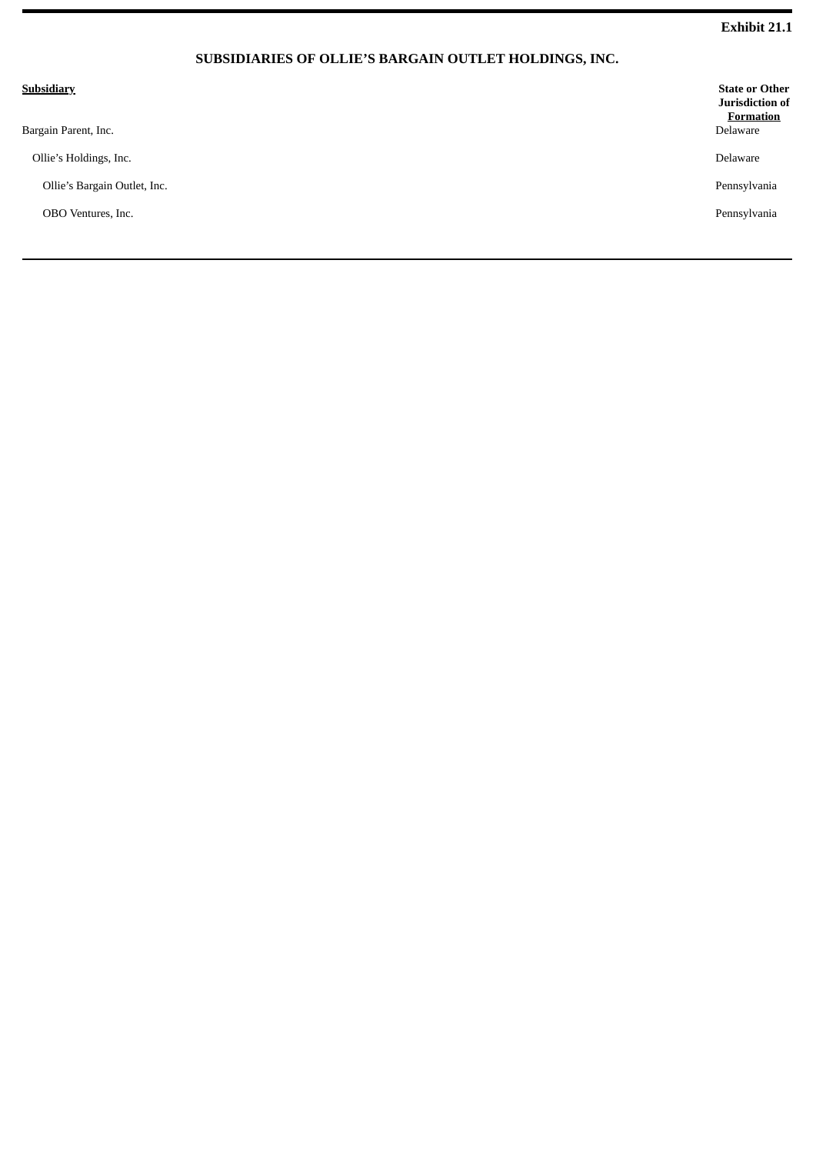# **Exhibit 21.1**

# **SUBSIDIARIES OF OLLIE'S BARGAIN OUTLET HOLDINGS, INC.**

#### <span id="page-94-0"></span>**Subsidiary State or Other**

| Bargain Parent, Inc.         | Jurisdiction of<br><b>Formation</b><br>Delaware |
|------------------------------|-------------------------------------------------|
| Ollie's Holdings, Inc.       | Delaware                                        |
| Ollie's Bargain Outlet, Inc. | Pennsylvania                                    |
| OBO Ventures, Inc.           | Pennsylvania                                    |
|                              |                                                 |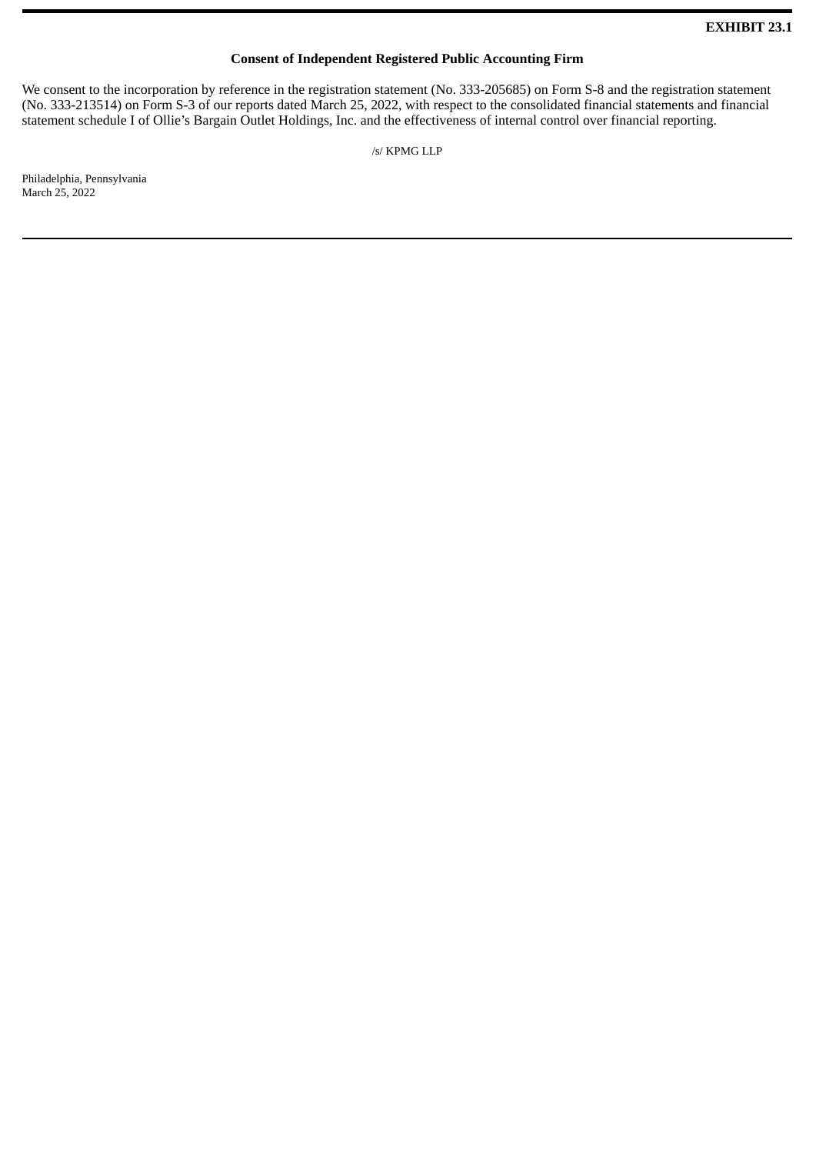# **Consent of Independent Registered Public Accounting Firm**

<span id="page-95-0"></span>We consent to the incorporation by reference in the registration statement (No. 333-205685) on Form S-8 and the registration statement (No. 333-213514) on Form S-3 of our reports dated March 25, 2022, with respect to the consolidated financial statements and financial statement schedule I of Ollie's Bargain Outlet Holdings, Inc. and the effectiveness of internal control over financial reporting.

/s/ KPMG LLP

Philadelphia, Pennsylvania March 25, 2022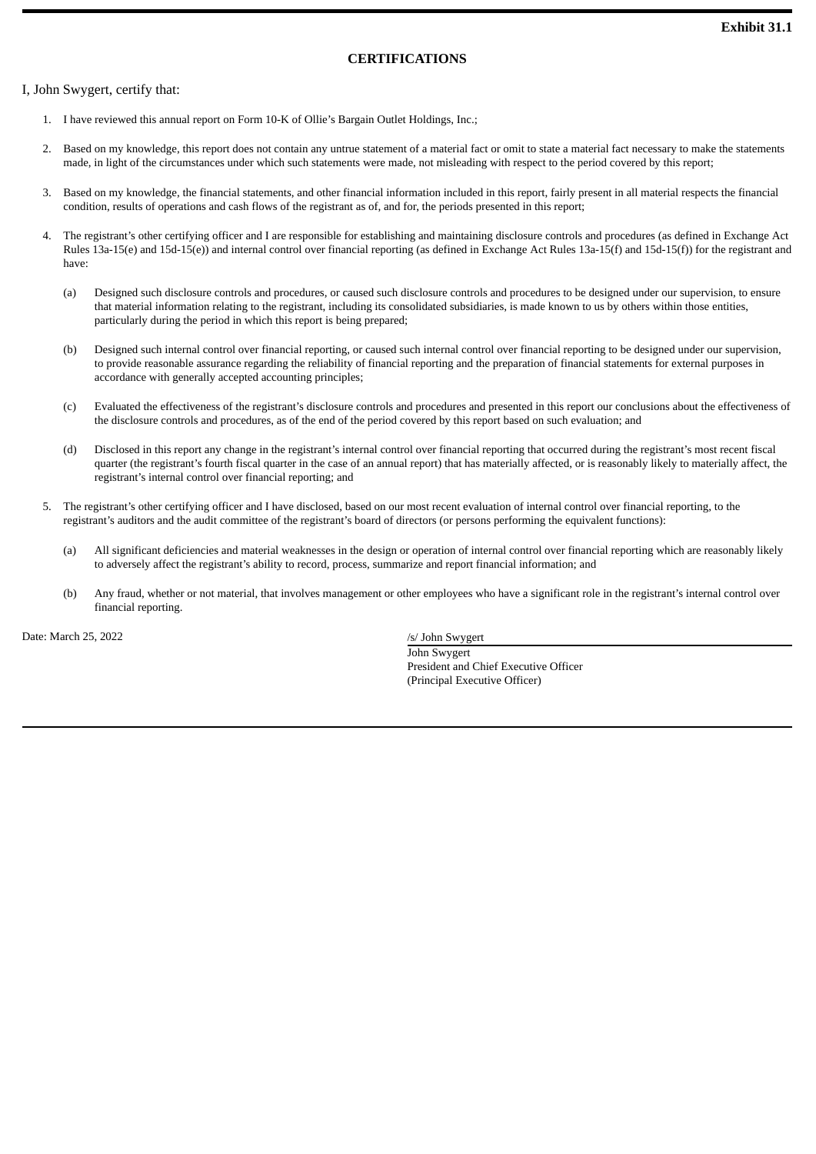# **CERTIFICATIONS**

# <span id="page-96-0"></span>I, John Swygert, certify that:

- 1. I have reviewed this annual report on Form 10-K of Ollie's Bargain Outlet Holdings, Inc.;
- 2. Based on my knowledge, this report does not contain any untrue statement of a material fact or omit to state a material fact necessary to make the statements made, in light of the circumstances under which such statements were made, not misleading with respect to the period covered by this report;
- 3. Based on my knowledge, the financial statements, and other financial information included in this report, fairly present in all material respects the financial condition, results of operations and cash flows of the registrant as of, and for, the periods presented in this report;
- 4. The registrant's other certifying officer and I are responsible for establishing and maintaining disclosure controls and procedures (as defined in Exchange Act Rules 13a-15(e) and 15d-15(e)) and internal control over financial reporting (as defined in Exchange Act Rules 13a-15(f) and 15d-15(f)) for the registrant and have:
	- (a) Designed such disclosure controls and procedures, or caused such disclosure controls and procedures to be designed under our supervision, to ensure that material information relating to the registrant, including its consolidated subsidiaries, is made known to us by others within those entities, particularly during the period in which this report is being prepared;
	- (b) Designed such internal control over financial reporting, or caused such internal control over financial reporting to be designed under our supervision, to provide reasonable assurance regarding the reliability of financial reporting and the preparation of financial statements for external purposes in accordance with generally accepted accounting principles;
	- (c) Evaluated the effectiveness of the registrant's disclosure controls and procedures and presented in this report our conclusions about the effectiveness of the disclosure controls and procedures, as of the end of the period covered by this report based on such evaluation; and
	- (d) Disclosed in this report any change in the registrant's internal control over financial reporting that occurred during the registrant's most recent fiscal quarter (the registrant's fourth fiscal quarter in the case of an annual report) that has materially affected, or is reasonably likely to materially affect, the registrant's internal control over financial reporting; and
- 5. The registrant's other certifying officer and I have disclosed, based on our most recent evaluation of internal control over financial reporting, to the registrant's auditors and the audit committee of the registrant's board of directors (or persons performing the equivalent functions):
	- (a) All significant deficiencies and material weaknesses in the design or operation of internal control over financial reporting which are reasonably likely to adversely affect the registrant's ability to record, process, summarize and report financial information; and
	- (b) Any fraud, whether or not material, that involves management or other employees who have a significant role in the registrant's internal control over financial reporting.

Date: March 25, 2022 /s/ John Swygert

John Swygert President and Chief Executive Officer (Principal Executive Officer)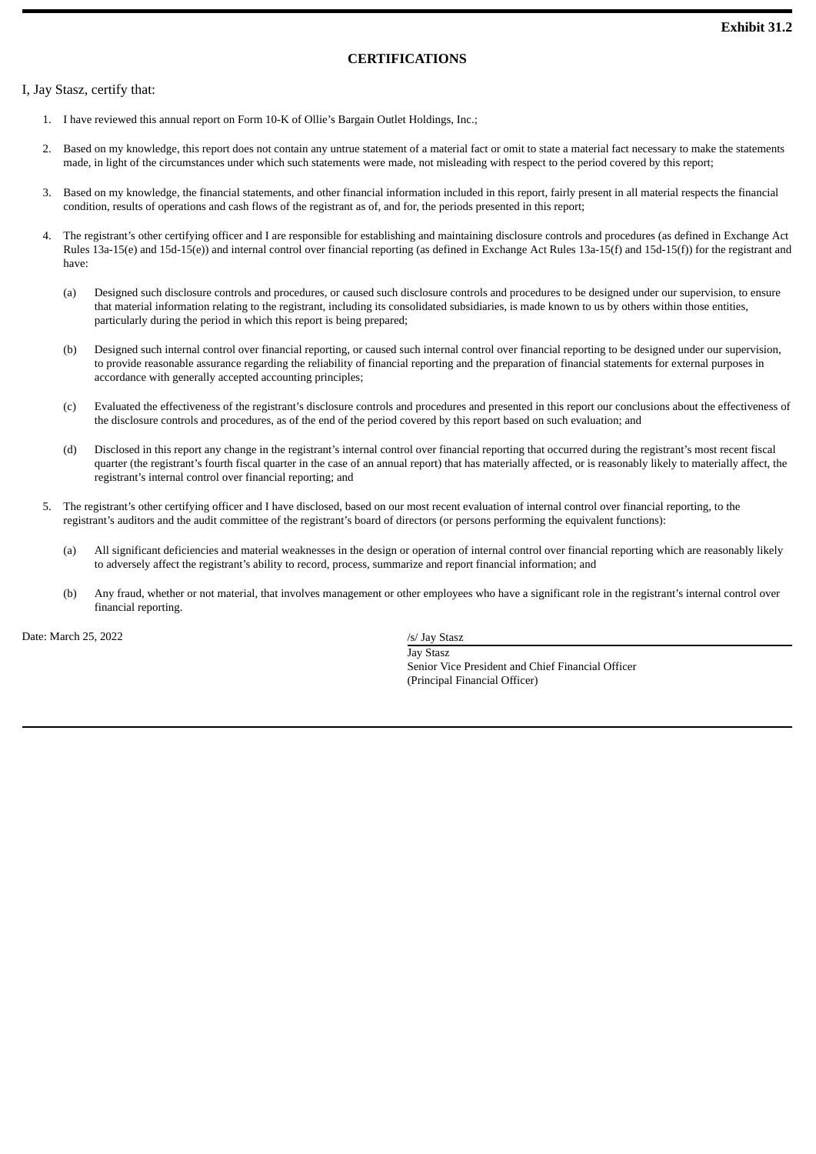# **CERTIFICATIONS**

# <span id="page-97-0"></span>I, Jay Stasz, certify that:

- 1. I have reviewed this annual report on Form 10-K of Ollie's Bargain Outlet Holdings, Inc.;
- 2. Based on my knowledge, this report does not contain any untrue statement of a material fact or omit to state a material fact necessary to make the statements made, in light of the circumstances under which such statements were made, not misleading with respect to the period covered by this report;
- 3. Based on my knowledge, the financial statements, and other financial information included in this report, fairly present in all material respects the financial condition, results of operations and cash flows of the registrant as of, and for, the periods presented in this report;
- 4. The registrant's other certifying officer and I are responsible for establishing and maintaining disclosure controls and procedures (as defined in Exchange Act Rules 13a-15(e) and 15d-15(e)) and internal control over financial reporting (as defined in Exchange Act Rules 13a-15(f) and 15d-15(f)) for the registrant and have:
	- (a) Designed such disclosure controls and procedures, or caused such disclosure controls and procedures to be designed under our supervision, to ensure that material information relating to the registrant, including its consolidated subsidiaries, is made known to us by others within those entities, particularly during the period in which this report is being prepared;
	- (b) Designed such internal control over financial reporting, or caused such internal control over financial reporting to be designed under our supervision, to provide reasonable assurance regarding the reliability of financial reporting and the preparation of financial statements for external purposes in accordance with generally accepted accounting principles;
	- (c) Evaluated the effectiveness of the registrant's disclosure controls and procedures and presented in this report our conclusions about the effectiveness of the disclosure controls and procedures, as of the end of the period covered by this report based on such evaluation; and
	- (d) Disclosed in this report any change in the registrant's internal control over financial reporting that occurred during the registrant's most recent fiscal quarter (the registrant's fourth fiscal quarter in the case of an annual report) that has materially affected, or is reasonably likely to materially affect, the registrant's internal control over financial reporting; and
- 5. The registrant's other certifying officer and I have disclosed, based on our most recent evaluation of internal control over financial reporting, to the registrant's auditors and the audit committee of the registrant's board of directors (or persons performing the equivalent functions):
	- (a) All significant deficiencies and material weaknesses in the design or operation of internal control over financial reporting which are reasonably likely to adversely affect the registrant's ability to record, process, summarize and report financial information; and
	- (b) Any fraud, whether or not material, that involves management or other employees who have a significant role in the registrant's internal control over financial reporting.

Date: March 25, 2022 /s/ Jay Stasz

Jay Stasz Senior Vice President and Chief Financial Officer (Principal Financial Officer)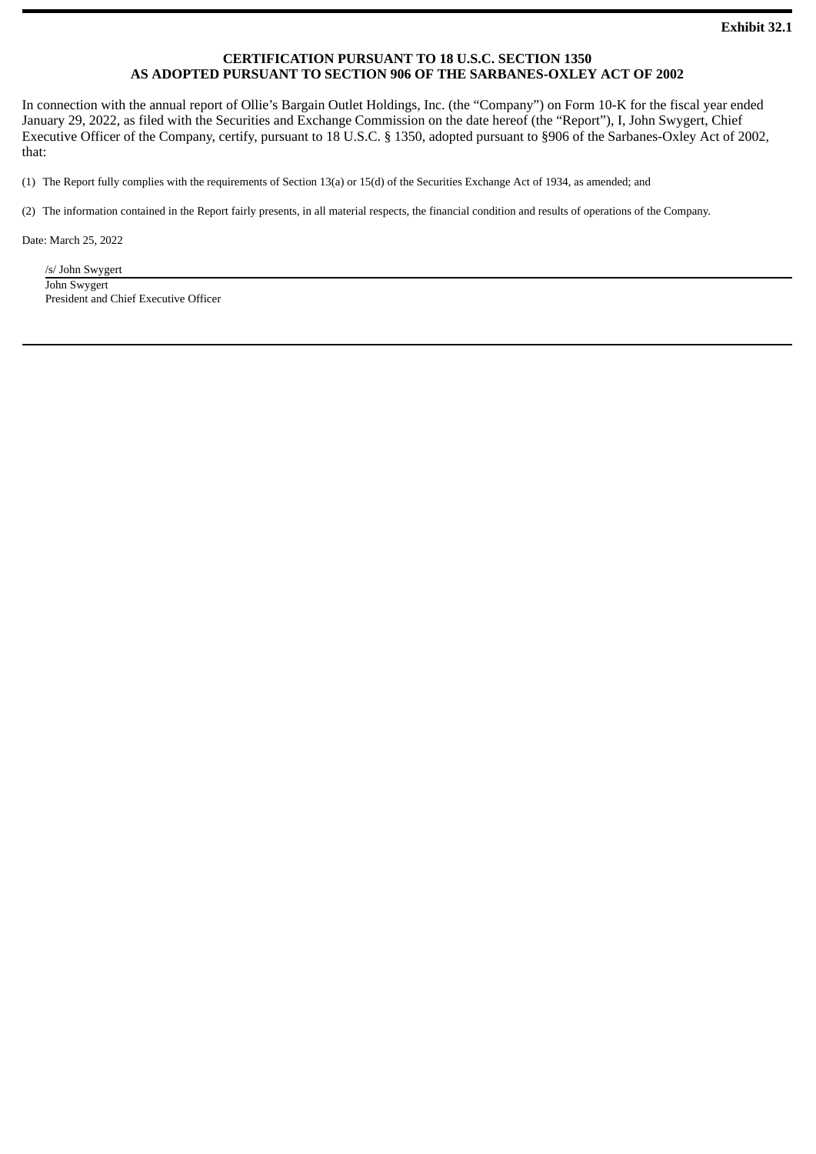# **CERTIFICATION PURSUANT TO 18 U.S.C. SECTION 1350 AS ADOPTED PURSUANT TO SECTION 906 OF THE SARBANES-OXLEY ACT OF 2002**

<span id="page-98-0"></span>In connection with the annual report of Ollie's Bargain Outlet Holdings, Inc. (the "Company") on Form 10-K for the fiscal year ended January 29, 2022, as filed with the Securities and Exchange Commission on the date hereof (the "Report"), I, John Swygert, Chief Executive Officer of the Company, certify, pursuant to 18 U.S.C. § 1350, adopted pursuant to §906 of the Sarbanes-Oxley Act of 2002, that:

(1) The Report fully complies with the requirements of Section 13(a) or 15(d) of the Securities Exchange Act of 1934, as amended; and

(2) The information contained in the Report fairly presents, in all material respects, the financial condition and results of operations of the Company.

Date: March 25, 2022

/s/ John Swygert John Swygert President and Chief Executive Officer